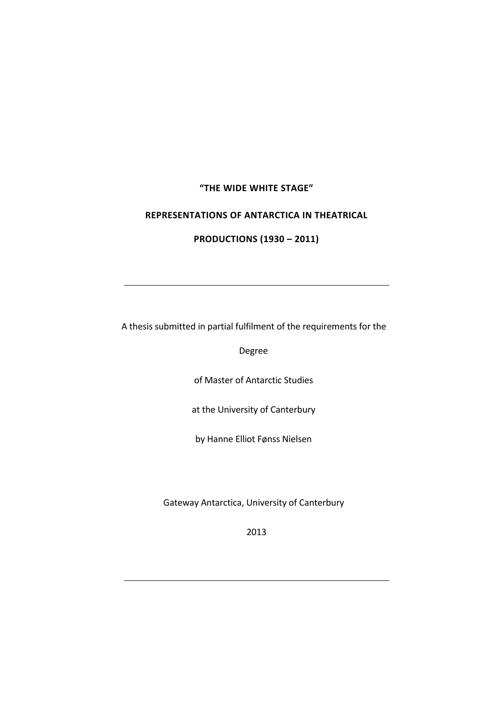# **"THE
WIDE
WHITE
STAGE"**

# REPRESENTATIONS OF ANTARCTICA IN THEATRICAL

**PRODUCTIONS
(1930
–
2011)**

A
thesis
submitted
in
partial
fulfilment
of
the
requirements
for
the

Degree

of
Master
of
Antarctic
Studies

at
the
University
of
Canterbury

by
Hanne
Elliot
Fønss
Nielsen

Gateway
Antarctica,
University
of
Canterbury

2013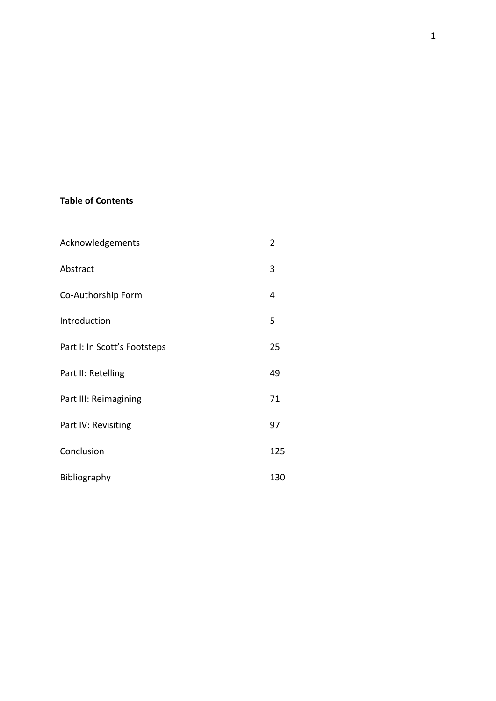# **Table
of
Contents**

| Acknowledgements             | $\overline{2}$ |
|------------------------------|----------------|
| Abstract                     | 3              |
| Co-Authorship Form           | 4              |
| Introduction                 | 5              |
| Part I: In Scott's Footsteps | 25             |
| Part II: Retelling           | 49             |
| Part III: Reimagining        | 71             |
| Part IV: Revisiting          | 97             |
| Conclusion                   | 125            |
| Bibliography                 | 130            |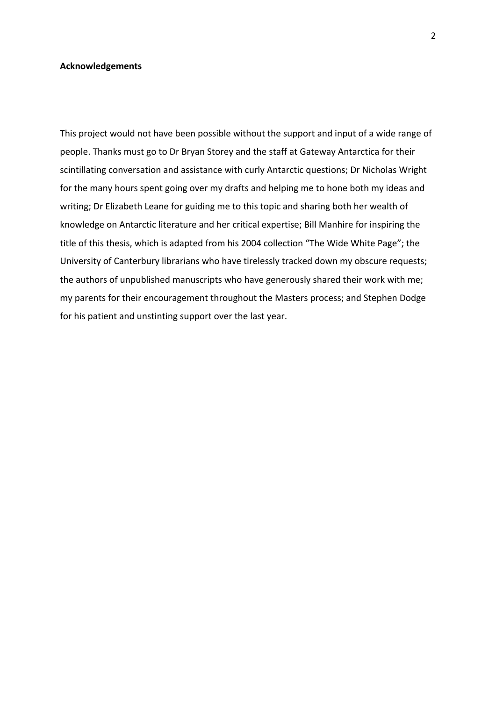# **Acknowledgements**

This project would not have been possible without the support and input of a wide range of people.
Thanks
must
go
to
Dr
Bryan
Storey
and
the
staff
at
Gateway
Antarctica
for
their scintillating conversation and assistance with curly Antarctic questions; Dr Nicholas Wright for the many hours spent going over my drafts and helping me to hone both my ideas and writing; Dr Elizabeth Leane for guiding me to this topic and sharing both her wealth of knowledge
on
Antarctic
literature
and
her
critical
expertise;
Bill
Manhire
for
inspiring
the title of this thesis, which is adapted from his 2004 collection "The Wide White Page"; the University of Canterbury librarians who have tirelessly tracked down my obscure requests; the
authors
of
unpublished
manuscripts
who
have
generously
shared
their
work
with
me; my
parents
for
their
encouragement
throughout
the
Masters
process;
and
Stephen
Dodge for his patient and unstinting support over the last year.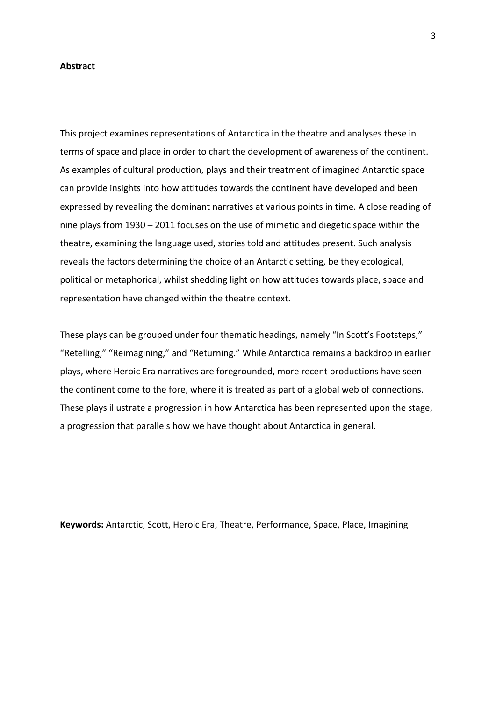## **Abstract**

This project examines representations of Antarctica in the theatre and analyses these in terms of space and place in order to chart the development of awareness of the continent. As
examples
of
cultural
production,
plays
and
their
treatment
of
imagined
Antarctic
space can
provide
insights
into
how
attitudes
towards
the
continent
have
developed
and
been expressed
by
revealing
the
dominant
narratives
at
various
points
in
time.
A
close
reading
of nine
plays
from
1930
–
2011
focuses
on
the
use
of
mimetic
and
diegetic
space
within
the theatre,
examining
the
language
used,
stories
told
and
attitudes
present.
Such
analysis reveals the factors determining the choice of an Antarctic setting, be they ecological, political
or
metaphorical,
whilst
shedding
light
on
how
attitudes
towards
place,
space
and representation
have
changed
within
the
theatre
context.

These plays can be grouped under four thematic headings, namely "In Scott's Footsteps," "Retelling," "Reimagining," and "Returning." While Antarctica remains a backdrop in earlier plays,
where
Heroic
Era
narratives
are
foregrounded,
more
recent
productions
have
seen the continent come to the fore, where it is treated as part of a global web of connections. These plays illustrate a progression in how Antarctica has been represented upon the stage, a progression that parallels how we have thought about Antarctica in general.

Keywords: Antarctic, Scott, Heroic Era, Theatre, Performance, Space, Place, Imagining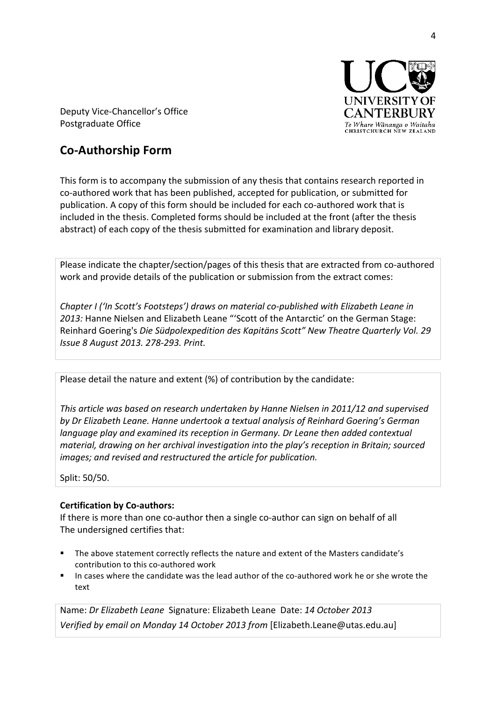

Deputy
Vice‐Chancellor's
Office Postgraduate
Office

# **Co‐Authorship
Form**

This
form
is
to
accompany
the
submission
of
any
thesis
that
contains
research
reported
in co-authored work that has been published, accepted for publication, or submitted for publication.
A
copy
of
this
form
should
be
included
for
each
co‐authored
work
that
is included in the thesis. Completed forms should be included at the front (after the thesis abstract)
of
each
copy
of
the
thesis
submitted
for
examination
and
library
deposit.

Please
indicate
the
chapter/section/pages
of
this
thesis
that
are
extracted
from
co‐authored work and provide details of the publication or submission from the extract comes:

Chapter I ('In Scott's Footsteps') draws on material co-published with Elizabeth Leane in 2013: Hanne Nielsen and Elizabeth Leane "'Scott of the Antarctic' on the German Stage: Reinhard
Goering's *Die Südpolexpedition des Kapitäns Scott" New Theatre Quarterly Vol. 29 Issue 8 August 2013. 278‐293. Print.*

Please detail the nature and extent (%) of contribution by the candidate:

*This
article
was
based
on
research
undertaken
by
Hanne
Nielsen
in
2011/12
and
supervised by
Dr
Elizabeth
Leane.
Hanne
undertook
a
textual
analysis
of
Reinhard
Goering's
German*  language play and examined its reception in Germany. Dr Leane then added contextual material, drawing on her archival investigation into the play's reception in Britain; sourced *images;
and
revised
and
restructured
the
article
for
publication.*

Split:
50/50.

# **Certification
by
Co‐authors:**

If there is more than one co-author then a single co-author can sign on behalf of all The
undersigned
certifies
that:

- The
above
statement
correctly
reflects
the
nature
and
extent
of
the
Masters
candidate's contribution to this co-authored work
- In cases where the candidate was the lead author of the co-authored work he or she wrote the text

Name: *Dr
Elizabeth
Leane* Signature:
Elizabeth
Leane Date:*14
October
2013* Verified by email on Monday 14 October 2013 from [Elizabeth.Leane@utas.edu.au]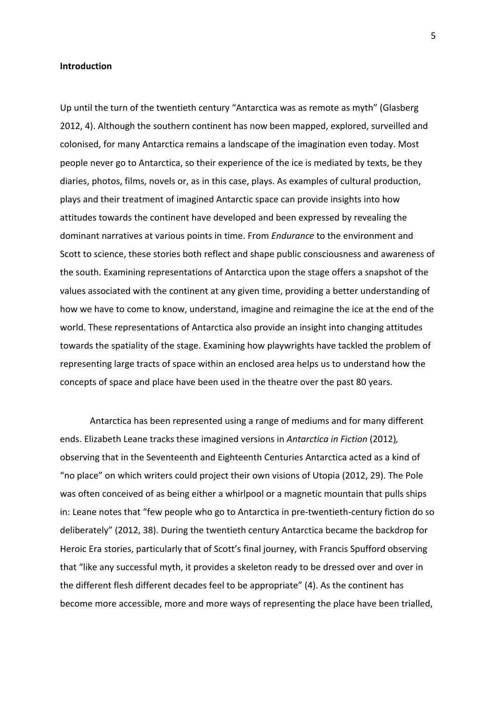### **Introduction**

Up until the turn of the twentieth century "Antarctica was as remote as myth" (Glasberg 2012,
4).
Although
the
southern
continent
has
now
been
mapped,
explored,
surveilled
and colonised,
for
many
Antarctica
remains
a
landscape
of
the
imagination
even
today.
Most people
never
go
to
Antarctica,
so
their
experience
of
the
ice
is
mediated
by
texts,
be
they diaries,
photos,
films,
novels
or,
as
in
this
case,
plays.
As
examples
of
cultural
production, plays
and
their
treatment
of
imagined
Antarctic
space
can
provide
insights
into
how attitudes towards the continent have developed and been expressed by revealing the dominant
narratives
at
various
points
in
time.
From *Endurance* to
the
environment
and Scott
to
science,
these
stories
both
reflect
and
shape
public
consciousness
and
awareness
of the
south.
Examining
representations
of
Antarctica
upon
the
stage
offers
a
snapshot
of
the values associated with the continent at any given time, providing a better understanding of how we have to come to know, understand, imagine and reimagine the ice at the end of the world. These representations of Antarctica also provide an insight into changing attitudes towards the spatiality of the stage. Examining how playwrights have tackled the problem of representing
large
tracts
of
space
within
an
enclosed
area
helps
us
to
understand
how
the concepts
of
space
and
place
have
been
used
in
the
theatre
over
the
past
80
years.

Antarctica
has
been
represented
using
a
range
of
mediums
and
for
many
different ends.
Elizabeth
Leane
tracks
these
imagined
versions
in *Antarctica
in
Fiction* (2012)*,*  observing
that
in
the
Seventeenth
and
Eighteenth
Centuries
Antarctica
acted
as
a
kind
of "no
place"
on
which
writers
could
project
their
own
visions
of
Utopia
(2012,
29).
The
Pole was often conceived of as being either a whirlpool or a magnetic mountain that pulls ships in: Leane notes that "few people who go to Antarctica in pre-twentieth-century fiction do so deliberately"
(2012,
38).
During
the
twentieth
century
Antarctica
became
the
backdrop
for Heroic Era stories, particularly that of Scott's final journey, with Francis Spufford observing that "like any successful myth, it provides a skeleton ready to be dressed over and over in the
different
flesh
different
decades
feel
to
be
appropriate"
(4).
As
the
continent
has become more accessible, more and more ways of representing the place have been trialled,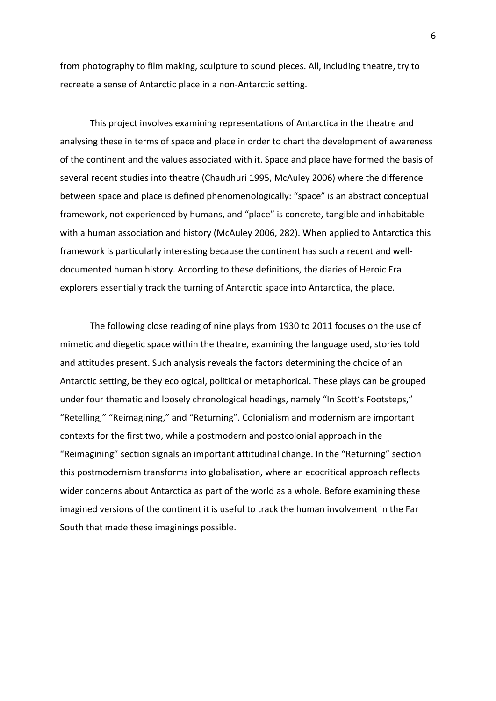from photography to film making, sculpture to sound pieces. All, including theatre, try to recreate
a
sense
of
Antarctic
place
in
a
non‐Antarctic
setting.

This
project
involves
examining
representations
of
Antarctica
in
the
theatre
and analysing
these
in
terms
of
space
and
place
in
order
to
chart
the
development
of
awareness of the continent and the values associated with it. Space and place have formed the basis of several
recent
studies
into
theatre
(Chaudhuri
1995,
McAuley
2006)
where
the
difference between space and place is defined phenomenologically: "space" is an abstract conceptual framework,
not
experienced
by
humans,
and
"place"
is
concrete,
tangible
and
inhabitable with a human association and history (McAuley 2006, 282). When applied to Antarctica this framework is particularly interesting because the continent has such a recent and welldocumented human history. According to these definitions, the diaries of Heroic Era explorers essentially track the turning of Antarctic space into Antarctica, the place.

The following close reading of nine plays from 1930 to 2011 focuses on the use of mimetic and diegetic space within the theatre, examining the language used, stories told and attitudes present. Such analysis reveals the factors determining the choice of an Antarctic
setting,
be
they
ecological,
political
or
metaphorical.
These
plays
can
be
grouped under four thematic and loosely chronological headings, namely "In Scott's Footsteps," "Retelling," "Reimagining," and "Returning". Colonialism and modernism are important contexts
for
the
first
two,
while
a
postmodern
and
postcolonial
approach
in
the "Reimagining" section signals an important attitudinal change. In the "Returning" section this
postmodernism
transforms
into
globalisation,
where
an
ecocritical
approach
reflects wider concerns about Antarctica as part of the world as a whole. Before examining these imagined versions of the continent it is useful to track the human involvement in the Far South
that
made
these
imaginings
possible.

6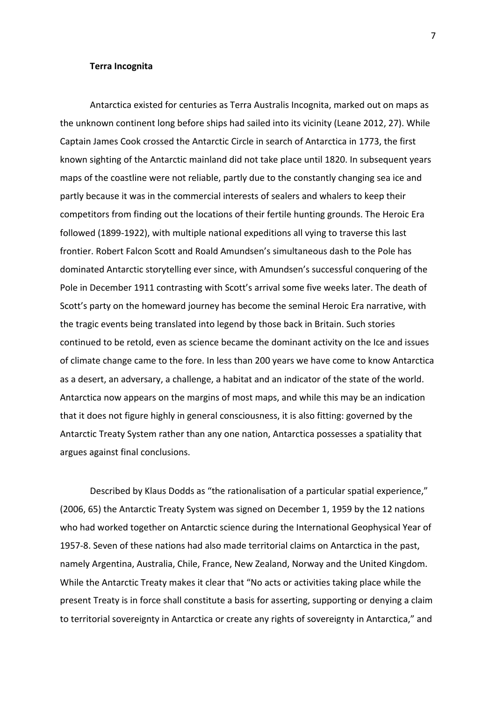## **Terra
Incognita**

Antarctica
existed
for
centuries
as
Terra
Australis
Incognita,
marked
out
on
maps
as the unknown continent long before ships had sailed into its vicinity (Leane 2012, 27). While Captain James Cook crossed the Antarctic Circle in search of Antarctica in 1773, the first known
sighting
of
the
Antarctic
mainland
did
not
take
place
until
1820.
In
subsequent
years maps of the coastline were not reliable, partly due to the constantly changing sea ice and partly
because
it
was
in
the
commercial
interests
of
sealers
and
whalers
to
keep
their competitors
from
finding
out
the
locations
of
their
fertile
hunting
grounds.
The
Heroic
Era followed (1899-1922), with multiple national expeditions all vying to traverse this last frontier.
Robert
Falcon
Scott
and
Roald
Amundsen's
simultaneous
dash
to
the
Pole
has dominated
Antarctic
storytelling
ever
since,
with
Amundsen's
successful
conquering
of
the Pole in December 1911 contrasting with Scott's arrival some five weeks later. The death of Scott's party on the homeward journey has become the seminal Heroic Era narrative, with the
tragic
events
being
translated
into
legend
by
those
back
in
Britain.
Such
stories continued
to
be
retold,
even
as
science
became
the
dominant
activity
on
the
Ice
and
issues of climate change came to the fore. In less than 200 years we have come to know Antarctica as
a
desert,
an
adversary,
a
challenge,
a
habitat
and
an
indicator
of
the
state
of
the
world. Antarctica
now
appears
on
the
margins
of
most
maps,
and
while
this
may
be
an
indication that it does not figure highly in general consciousness, it is also fitting: governed by the Antarctic
Treaty
System
rather
than
any
one
nation,
Antarctica
possesses
a
spatiality
that argues
against
final
conclusions.

Described by Klaus Dodds as "the rationalisation of a particular spatial experience," (2006,
65)
the
Antarctic
Treaty
System
was
signed
on
December
1,
1959
by
the
12
nations who had worked together on Antarctic science during the International Geophysical Year of 1957-8. Seven of these nations had also made territorial claims on Antarctica in the past, namely
Argentina,
Australia,
Chile,
France,
New
Zealand,
Norway
and
the
United
Kingdom. While the Antarctic Treaty makes it clear that "No acts or activities taking place while the present Treaty is in force shall constitute a basis for asserting, supporting or denying a claim to territorial sovereignty in Antarctica or create any rights of sovereignty in Antarctica," and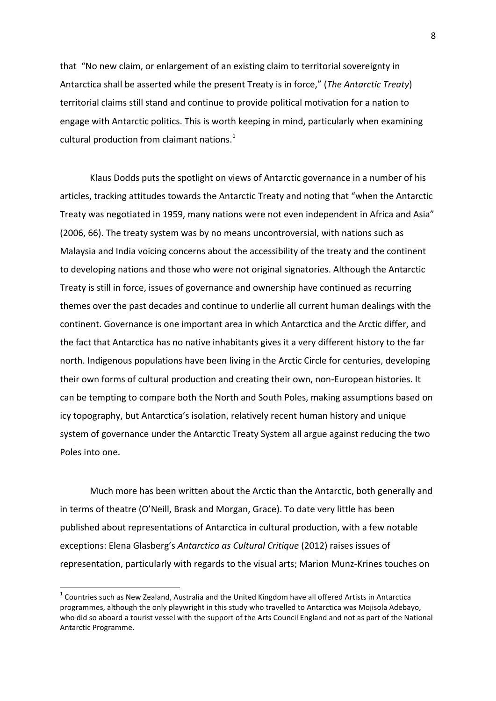that "No new claim, or enlargement of an existing claim to territorial sovereignty in Antarctica
shall
be
asserted
while
the
present
Treaty
is
in
force,"
(*The
Antarctic
Treaty*) territorial claims still stand and continue to provide political motivation for a nation to engage
with
Antarctic
politics.
This
is
worth
keeping
in
mind,
particularly
when
examining cultural production from claimant nations. $1$ 

Klaus
Dodds
puts
the
spotlight
on
views
of
Antarctic
governance
in
a
number
of
his articles,
tracking
attitudes
towards
the
Antarctic
Treaty
and
noting
that
"when
the
Antarctic Treaty
was
negotiated
in
1959,
many
nations
were
not
even
independent
in
Africa
and
Asia" (2006,
66).
The
treaty
system
was
by
no
means
uncontroversial,
with
nations
such
as Malaysia and India voicing concerns about the accessibility of the treaty and the continent to developing nations and those who were not original signatories. Although the Antarctic Treaty
is
still
in
force,
issues
of
governance
and
ownership
have
continued
as
recurring themes
over
the
past
decades
and
continue
to
underlie
all
current
human
dealings
with
the continent. Governance is one important area in which Antarctica and the Arctic differ, and the fact that Antarctica has no native inhabitants gives it a very different history to the far north.
Indigenous
populations
have
been
living
in
the
Arctic
Circle
for
centuries,
developing their
own
forms
of
cultural
production
and
creating
their
own,
non‐European
histories.
It can
be
tempting
to
compare
both
the
North
and
South
Poles,
making
assumptions
based
on icy
topography,
but
Antarctica's
isolation,
relatively
recent
human
history
and
unique system
of
governance
under
the
Antarctic
Treaty
System
all
argue
against
reducing
the
two Poles into one.

Much more has been written about the Arctic than the Antarctic, both generally and in
terms
of
theatre
(O'Neill,
Brask
and
Morgan,
Grace).
To
date
very
little
has
been published
about
representations
of
Antarctica
in
cultural
production,
with
a
few
notable exceptions:
Elena
Glasberg's *Antarctica
as
Cultural
Critique* (2012)
raises
issues
of representation, particularly with regards to the visual arts; Marion Munz-Krines touches on

 <sup>1</sup> Countries
such
as
New
Zealand,
Australia
and
the
United
Kingdom
have
all
offered
Artists
in
Antarctica programmes,
although
the
only
playwright
in
this
study
who
travelled
to
Antarctica
was
Mojisola
Adebayo, who did so aboard a tourist vessel with the support of the Arts Council England and not as part of the National Antarctic
Programme.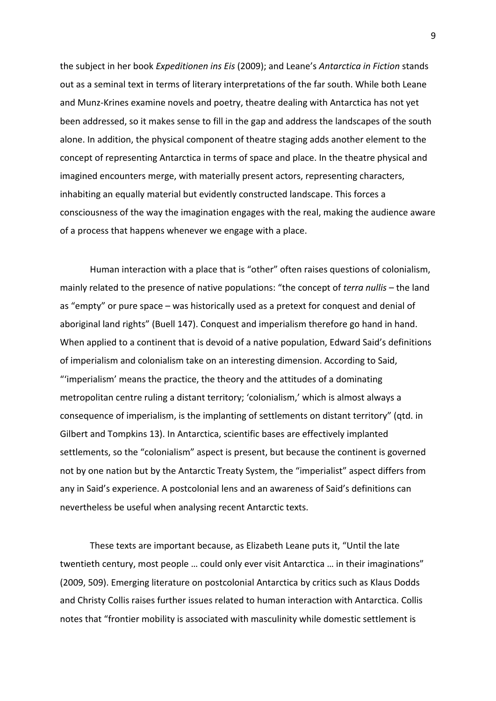the
subject
in
her
book *Expeditionen
ins
Eis* (2009); and
Leane's *Antarctica
in
Fiction* stands out as a seminal text in terms of literary interpretations of the far south. While both Leane and Munz-Krines examine novels and poetry, theatre dealing with Antarctica has not yet been addressed, so it makes sense to fill in the gap and address the landscapes of the south alone.
In
addition,
the
physical
component
of
theatre
staging
adds
another
element
to
the concept of representing Antarctica in terms of space and place. In the theatre physical and imagined encounters merge, with materially present actors, representing characters, inhabiting an equally material but evidently constructed landscape. This forces a consciousness
of
the
way
the
imagination
engages
with
the
real,
making
the
audience
aware of
a
process
that
happens
whenever
we
engage
with
a
place.

Human interaction with a place that is "other" often raises questions of colonialism, mainly related to the presence of native populations: "the concept of *terra nullis* – the land as
"empty"
or
pure
space
–
was
historically
used
as
a
pretext
for
conquest
and
denial
of aboriginal land rights" (Buell 147). Conquest and imperialism therefore go hand in hand. When applied to a continent that is devoid of a native population, Edward Said's definitions of
imperialism
and
colonialism
take
on
an
interesting
dimension.
According
to
Said, "'imperialism'
means
the
practice,
the
theory
and
the
attitudes
of
a
dominating metropolitan centre ruling a distant territory; 'colonialism,' which is almost always a consequence
of
imperialism,
is
the
implanting
of
settlements
on
distant
territory"
(qtd.
in Gilbert
and
Tompkins
13).
In
Antarctica,
scientific
bases
are
effectively
implanted settlements, so the "colonialism" aspect is present, but because the continent is governed not by one nation but by the Antarctic Treaty System, the "imperialist" aspect differs from any in Said's experience. A postcolonial lens and an awareness of Said's definitions can nevertheless
be
useful
when
analysing
recent
Antarctic
texts.

These
texts
are
important
because,
as
Elizabeth
Leane
puts
it,
"Until
the
late twentieth century, most people ... could only ever visit Antarctica ... in their imaginations" (2009,
509).
Emerging
literature
on
postcolonial
Antarctica
by
critics
such
as
Klaus
Dodds and
Christy
Collis
raises
further
issues
related
to
human
interaction
with
Antarctica.
Collis notes
that
"frontier
mobility
is
associated
with
masculinity
while
domestic
settlement
is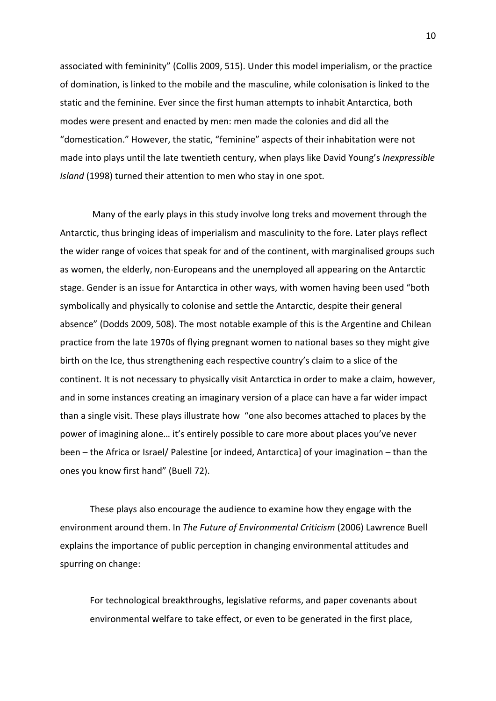associated
with
femininity"
(Collis
2009,
515).
Under
this
model
imperialism,
or
the
practice of domination, is linked to the mobile and the masculine, while colonisation is linked to the static
and
the
feminine.
Ever
since
the
first
human
attempts
to
inhabit
Antarctica,
both modes
were
present
and
enacted
by
men:
men
made
the
colonies
and
did
all
the "domestication." However, the static, "feminine" aspects of their inhabitation were not made
into
plays
until
the
late
twentieth
century,
when
plays
like
David
Young's *Inexpressible*  Island (1998) turned their attention to men who stay in one spot.

Many of the early plays in this study involve long treks and movement through the Antarctic, thus bringing ideas of imperialism and masculinity to the fore. Later plays reflect the
wider
range
of
voices
that
speak
for
and
of
the
continent,
with
marginalised
groups
such as
women,
the
elderly,
non‐Europeans
and
the
unemployed
all
appearing
on
the
Antarctic stage. Gender is an issue for Antarctica in other ways, with women having been used "both symbolically and physically to colonise and settle the Antarctic, despite their general absence"
(Dodds
2009,
508).
The
most
notable
example
of
this
is
the
Argentine
and
Chilean practice from the late 1970s of flying pregnant women to national bases so they might give birth on the Ice, thus strengthening each respective country's claim to a slice of the continent. It is not necessary to physically visit Antarctica in order to make a claim, however, and in some instances creating an imaginary version of a place can have a far wider impact than
a
single
visit.
These
plays
illustrate
how "one
also
becomes
attached
to
places
by
the power
of
imagining
alone…
it's
entirely
possible
to
care
more
about
places
you've
never been – the Africa or Israel/ Palestine [or indeed, Antarctica] of your imagination – than the ones
you
know
first
hand"
(Buell
72).

These
plays
also
encourage
the
audience
to
examine
how
they
engage
with
the environment
around
them.
In *The
Future
of
Environmental
Criticism* (2006)
Lawrence
Buell explains
the
importance
of
public
perception
in
changing
environmental
attitudes
and spurring
on
change:

For
technological
breakthroughs,
legislative
reforms,
and
paper
covenants
about environmental
welfare
to
take
effect,
or
even
to
be
generated
in
the
first
place,

10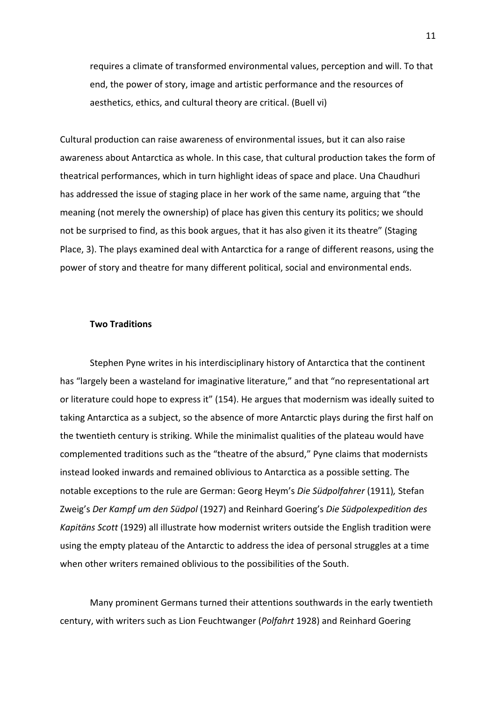requires a climate of transformed environmental values, perception and will. To that end,
the
power
of
story,
image
and
artistic
performance
and
the
resources
of aesthetics, ethics, and cultural theory are critical. (Buell vi)

Cultural production can raise awareness of environmental issues, but it can also raise awareness
about
Antarctica
as
whole.
In
this
case,
that
cultural
production
takes
the
form
of theatrical performances, which in turn highlight ideas of space and place. Una Chaudhuri has addressed the issue of staging place in her work of the same name, arguing that "the meaning (not merely the ownership) of place has given this century its politics; we should not be surprised to find, as this book argues, that it has also given it its theatre" (Staging Place, 3). The plays examined deal with Antarctica for a range of different reasons, using the power of story and theatre for many different political, social and environmental ends.

# **Two
Traditions**

Stephen Pyne writes in his interdisciplinary history of Antarctica that the continent has "largely been a wasteland for imaginative literature," and that "no representational art or literature could hope to express it" (154). He argues that modernism was ideally suited to taking Antarctica as a subject, so the absence of more Antarctic plays during the first half on the twentieth century is striking. While the minimalist qualities of the plateau would have complemented
traditions
such
as
the
"theatre
of
the
absurd,"
Pyne
claims
that
modernists instead looked inwards and remained oblivious to Antarctica as a possible setting. The notable
exceptions
to
the
rule
are
German:
Georg
Heym's *Die
Südpolfahrer* (1911)*,* Stefan Zweig's *Der
Kampf
um
den
Südpol* (1927) and
Reinhard
Goering's *Die
Südpolexpedition
des*  Kapitäns Scott (1929) all illustrate how modernist writers outside the English tradition were using the empty plateau of the Antarctic to address the idea of personal struggles at a time when other writers remained oblivious to the possibilities of the South.

Many prominent Germans turned their attentions southwards in the early twentieth century,
with
writers
such
as
Lion
Feuchtwanger
(*Polfahrt* 1928)
and
Reinhard
Goering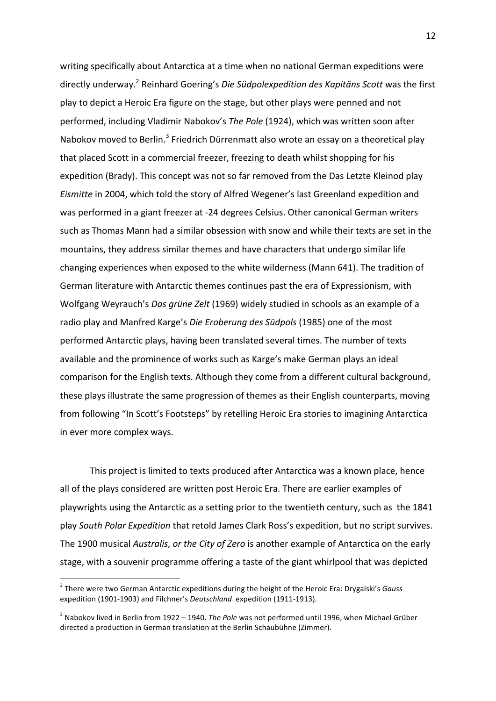writing specifically about Antarctica at a time when no national German expeditions were directly underway.<sup>2</sup> Reinhard Goering's Die Südpolexpedition des Kapitäns Scott was the first play
to
depict
a
Heroic
Era
figure
on
the
stage,
but
other
plays
were
penned
and
not performed, including Vladimir Nabokov's The Pole (1924), which was written soon after Nabokov moved to Berlin.<sup>3</sup> Friedrich Dürrenmatt also wrote an essay on a theoretical play that placed Scott in a commercial freezer, freezing to death whilst shopping for his expedition
(Brady).
This
concept
was
not
so
far
removed
from
the
Das
Letzte
Kleinod
play Eismitte in 2004, which told the story of Alfred Wegener's last Greenland expedition and was performed in a giant freezer at -24 degrees Celsius. Other canonical German writers such as Thomas Mann had a similar obsession with snow and while their texts are set in the mountains, they address similar themes and have characters that undergo similar life changing experiences when exposed to the white wilderness (Mann 641). The tradition of German literature with Antarctic themes continues past the era of Expressionism, with Wolfgang Weyrauch's Das grüne Zelt (1969) widely studied in schools as an example of a radio play and Manfred Karge's Die Eroberung des Südpols (1985) one of the most performed
Antarctic
plays,
having
been
translated
several
times.
The
number
of
texts available and the prominence of works such as Karge's make German plays an ideal comparison
for
the
English
texts.
Although
they
come
from
a
different
cultural
background, these plays illustrate the same progression of themes as their English counterparts, moving from following "In Scott's Footsteps" by retelling Heroic Era stories to imagining Antarctica in
ever
more
complex
ways.

This project is limited to texts produced after Antarctica was a known place, hence all
of
the
plays
considered
are
written
post
Heroic
Era.
There
are
earlier
examples
of playwrights using the Antarctic as a setting prior to the twentieth century, such as the 1841 play *South
Polar
Expedition*that
retold
James
Clark
Ross's
expedition,
but
no
script
survives. The 1900 musical *Australis, or the City of Zero* is another example of Antarctica on the early stage,
with
a
souvenir
programme
offering
a
taste
of
the
giant
whirlpool
that
was
depicted

 <sup>2</sup> There
were
two
German
Antarctic
expeditions
during
the
height
of
the
Heroic
Era:
Drygalski's *Gauss* expedition (1901-1903) and Filchner's *Deutschland* expedition (1911-1913).

<sup>&</sup>lt;sup>3</sup> Nabokov lived in Berlin from 1922 – 1940. The Pole was not performed until 1996, when Michael Grüber directed
a
production
in
German
translation
at
the
Berlin
Schaubühne
(Zimmer).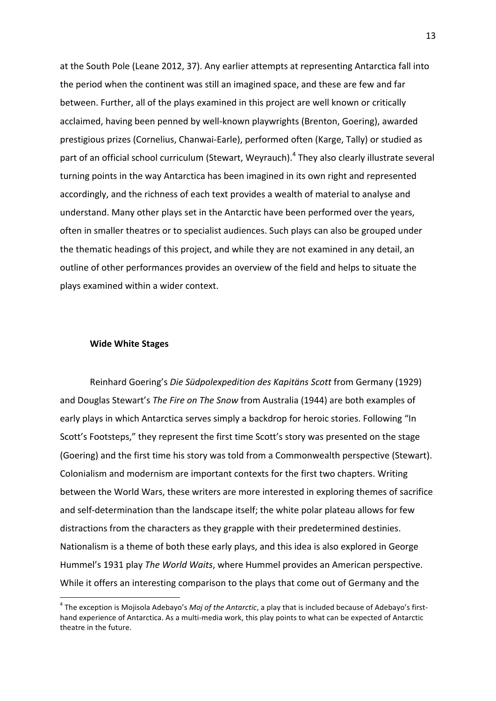at
the
South
Pole
(Leane
2012,
37).
Any
earlier
attempts
at
representing
Antarctica
fall
into the
period
when
the
continent
was
still
an
imagined
space,
and
these
are
few
and
far between. Further, all of the plays examined in this project are well known or critically acclaimed,
having
been
penned
by
well‐known
playwrights
(Brenton,
Goering),
awarded prestigious prizes (Cornelius, Chanwai-Earle), performed often (Karge, Tally) or studied as part of an official school curriculum (Stewart, Weyrauch).<sup>4</sup> They also clearly illustrate several turning points in the way Antarctica has been imagined in its own right and represented accordingly, and the richness of each text provides a wealth of material to analyse and understand.
Many
other
plays
set
in
the
Antarctic
have
been
performed
over
the
years, often
in
smaller
theatres
or
to
specialist
audiences.
Such
plays
can
also
be
grouped
under the thematic headings of this project, and while they are not examined in any detail, an outline of other performances provides an overview of the field and helps to situate the plays
examined
within
a
wider
context.

# **Wide
White
Stages**

Reinhard
Goering's *Die
Südpolexpedition
des
Kapitäns
Scott* from
Germany
(1929) and Douglas Stewart's The Fire on The Snow from Australia (1944) are both examples of early plays in which Antarctica serves simply a backdrop for heroic stories. Following "In Scott's Footsteps," they represent the first time Scott's story was presented on the stage (Goering)
and
the
first
time
his
story
was
told
from
a
Commonwealth
perspective
(Stewart). Colonialism
and
modernism
are
important
contexts
for
the
first
two
chapters.
Writing between the World Wars, these writers are more interested in exploring themes of sacrifice and self-determination than the landscape itself; the white polar plateau allows for few distractions from the characters as they grapple with their predetermined destinies. Nationalism is a theme of both these early plays, and this idea is also explored in George Hummel's
1931
play *The
World
Waits*,
where
Hummel
provides
an
American
perspective. While it offers an interesting comparison to the plays that come out of Germany and the

 <sup>4</sup> The
exception
is
Mojisola
Adebayo's *Moj
of
the
Antarctic*,
a
play
that
is
included
because
of
Adebayo's
first‐ hand experience of Antarctica. As a multi-media work, this play points to what can be expected of Antarctic theatre
in
the
future.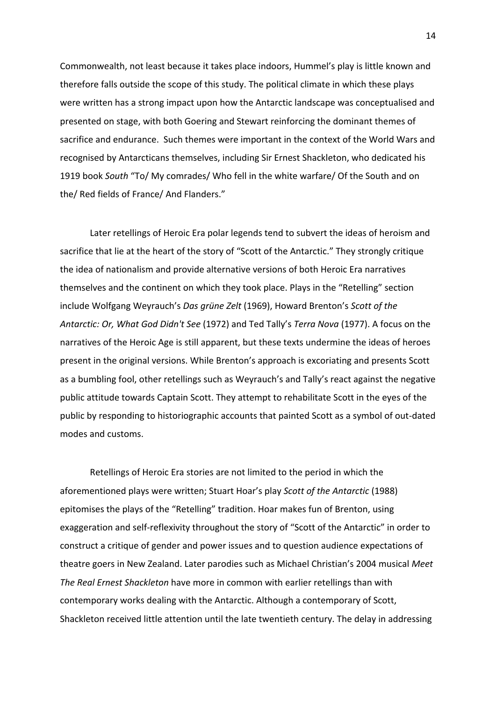Commonwealth, not least because it takes place indoors, Hummel's play is little known and therefore falls outside the scope of this study. The political climate in which these plays were written has a strong impact upon how the Antarctic landscape was conceptualised and presented on
stage,
with
both
Goering
and
Stewart
reinforcing
the
dominant
themes
of sacrifice and endurance. Such themes were important in the context of the World Wars and recognised
by
Antarcticans
themselves,
including
Sir
Ernest
Shackleton,
who
dedicated
his 1919 book South "To/ My comrades/ Who fell in the white warfare/ Of the South and on the/
Red
fields
of
France/
And
Flanders."

Later retellings of Heroic Era polar legends tend to subvert the ideas of heroism and sacrifice that lie at the heart of the story of "Scott of the Antarctic." They strongly critique the
idea
of
nationalism
and
provide
alternative
versions
of
both
Heroic
Era
narratives themselves and the continent on which they took place. Plays in the "Retelling" section include
Wolfgang
Weyrauch's *Das
grüne
Zelt* (1969),
Howard
Brenton's *Scott of
the*  Antarctic: Or, What God Didn't See (1972) and Ted Tally's Terra Nova (1977). A focus on the narratives
of
the
Heroic
Age
is
still
apparent,
but
these
texts
undermine
the
ideas
of
heroes present in the original versions. While Brenton's approach is excoriating and presents Scott as a bumbling fool, other retellings such as Weyrauch's and Tally's react against the negative public attitude towards Captain Scott. They attempt to rehabilitate Scott in the eyes of the public by responding to historiographic accounts that painted Scott as a symbol of out-dated modes
and
customs.

Retellings of Heroic Era stories are not limited to the period in which the aforementioned
plays
were
written;
Stuart
Hoar's
play *Scott
of
the
Antarctic*(1988) epitomises the plays of the "Retelling" tradition. Hoar makes fun of Brenton, using exaggeration and self-reflexivity throughout the story of "Scott of the Antarctic" in order to construct
a
critique
of
gender
and
power
issues
and
to
question
audience
expectations
of theatre
goers
in
New
Zealand.
Later
parodies
such
as
Michael
Christian's
2004
musical *Meet*  The Real Ernest Shackleton have more in common with earlier retellings than with contemporary
works
dealing
with
the
Antarctic.
Although
a
contemporary
of
Scott, Shackleton
received
little
attention
until
the
late
twentieth
century.
The
delay
in
addressing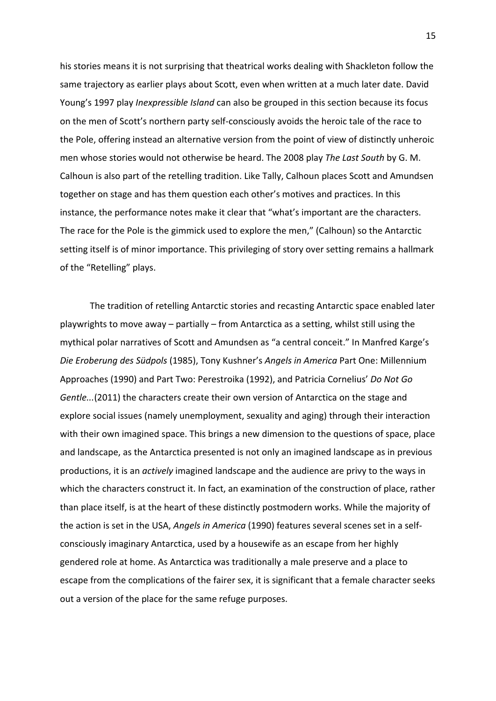his stories means it is not surprising that theatrical works dealing with Shackleton follow the same trajectory as earlier plays about Scott, even when written at a much later date. David Young's 1997 play *Inexpressible Island* can also be grouped in this section because its focus on the men of Scott's northern party self-consciously avoids the heroic tale of the race to the Pole, offering instead an alternative version from the point of view of distinctly unheroic men whose stories would not otherwise be heard. The 2008 play The Last South by G. M. Calhoun is also part of the retelling tradition. Like Tally, Calhoun places Scott and Amundsen together on stage and has them question each other's motives and practices. In this instance, the performance notes make it clear that "what's important are the characters. The race for the Pole is the gimmick used to explore the men," (Calhoun) so the Antarctic setting itself is of minor importance. This privileging of story over setting remains a hallmark of
the
"Retelling"
plays.

The tradition of retelling Antarctic stories and recasting Antarctic space enabled later playwrights
to
move
away
–
partially
–
from
Antarctica
as
a
setting,
whilst
still
using
the mythical
polar
narratives
of
Scott
and
Amundsen
as
"a
central
conceit."
In
Manfred
Karge's *Die
Eroberung
des
Südpols* (1985),
Tony
Kushner's *Angels
in
America* Part
One:
Millennium Approaches (1990)
and
Part
Two:
Perestroika
(1992), and
Patricia
Cornelius' *Do
Not
Go*  Gentle...(2011) the characters create their own version of Antarctica on the stage and explore
social
issues
(namely
unemployment,
sexuality
and
aging)
through
their
interaction with their own imagined space. This brings a new dimension to the questions of space, place and
landscape,
as
the
Antarctica
presented
is
not
only
an
imagined
landscape
as
in
previous productions, it is an *actively* imagined landscape and the audience are privy to the ways in which the characters construct it. In fact, an examination of the construction of place, rather than place itself, is at the heart of these distinctly postmodern works. While the majority of the action is set in the USA, *Angels in America* (1990) features several scenes set in a selfconsciously
imaginary
Antarctica,
used
by
a
housewife
as
an
escape
from
her
highly gendered
role
at
home.
As
Antarctica
was
traditionally
a
male
preserve
and
a
place
to escape from the complications of the fairer sex, it is significant that a female character seeks out
a
version
of
the
place
for
the
same
refuge
purposes.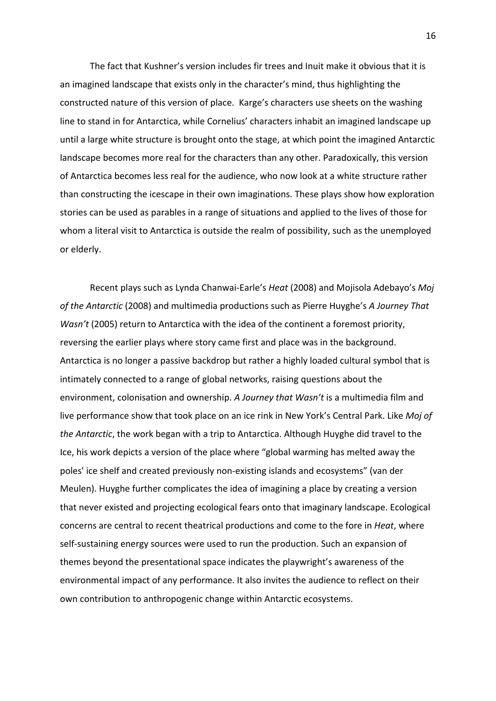The fact that Kushner's version includes fir trees and Inuit make it obvious that it is an imagined landscape that exists only in the character's mind, thus highlighting the constructed
nature
of
this
version
of
place.

Karge's
characters
use
sheets
on
the
washing line to stand in for Antarctica, while Cornelius' characters inhabit an imagined landscape up until a large white structure is brought onto the stage, at which point the imagined Antarctic landscape becomes more real for the characters than any other. Paradoxically, this version of
Antarctica
becomes
less
real
for
the
audience,
who
now
look
at
a
white
structure
rather than constructing the icescape in their own imaginations. These plays show how exploration stories
can
be
used
as
parables
in
a
range
of
situations
and
applied
to
the
lives
of
those
for whom a literal visit to Antarctica is outside the realm of possibility, such as the unemployed or
elderly.

Recent
plays
such
as
Lynda
Chanwai‐Earle's *Heat* (2008) and
Mojisola
Adebayo's *Moj*  of the Antarctic (2008) and multimedia productions such as Pierre Huyghe's A Journey That Wasn't (2005) return to Antarctica with the idea of the continent a foremost priority, reversing the earlier plays where story came first and place was in the background. Antarctica is no longer a passive backdrop but rather a highly loaded cultural symbol that is intimately connected to a range of global networks, raising questions about the environment, colonisation and ownership. A Journey that Wasn't is a multimedia film and live performance show that took place on an ice rink in New York's Central Park. Like Moj of the Antarctic, the work began with a trip to Antarctica. Although Huyghe did travel to the Ice,
his
work
depicts
a
version
of
the
place
where
"global
warming
has
melted
away
the poles'
ice
shelf
and
created
previously
non‐existing
islands
and
ecosystems"
(van
der Meulen). Huyghe further complicates the idea of imagining a place by creating a version that
never
existed
and
projecting
ecological
fears
onto
that
imaginary
landscape.
Ecological concerns
are
central
to
recent
theatrical
productions
and
come
to
the
fore
in *Heat*,
where self-sustaining energy sources were used to run the production. Such an expansion of themes
beyond
the
presentational
space
indicates
the
playwright's
awareness
of
the environmental impact of any performance. It also invites the audience to reflect on their own
contribution
to
anthropogenic
change
within
Antarctic
ecosystems.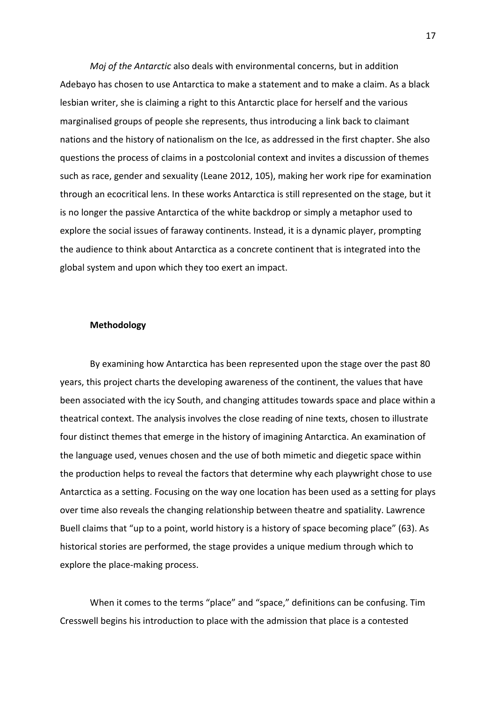Moj of the Antarctic also deals with environmental concerns, but in addition Adebayo
has
chosen
to
use
Antarctica
to
make
a
statement
and
to
make
a
claim.
As
a
black lesbian writer, she is claiming a right to this Antarctic place for herself and the various marginalised
groups
of
people
she
represents,
thus
introducing
a
link
back
to
claimant nations and the history of nationalism on the Ice, as addressed in the first chapter. She also questions
the
process
of
claims
in
a
postcolonial
context
and
invites
a
discussion
of
themes such
as
race,
gender
and
sexuality
(Leane
2012,
105),
making
her
work
ripe
for
examination through an ecocritical lens. In these works Antarctica is still represented on the stage, but it is
no
longer
the
passive
Antarctica
of
the
white
backdrop
or
simply
a
metaphor
used
to explore
the
social
issues
of
faraway
continents.
Instead,
it
is
a
dynamic
player,
prompting the audience to think about Antarctica as a concrete continent that is integrated into the global
system
and
upon
which
they
too
exert
an
impact.

# **Methodology**

By
examining
how
Antarctica
has
been
represented
upon
the
stage
over
the
past
80 years,
this
project
charts
the
developing
awareness
of
the
continent,
the
values
that
have been associated with the icy South, and changing attitudes towards space and place within a theatrical context. The analysis involves the close reading of nine texts, chosen to illustrate four distinct themes that emerge in the history of imagining Antarctica. An examination of the
language
used,
venues
chosen
and
the
use
of
both
mimetic
and
diegetic
space
within the production helps to reveal the factors that determine why each playwright chose to use Antarctica as a setting. Focusing on the way one location has been used as a setting for plays over
time
also
reveals
the
changing
relationship
between
theatre
and
spatiality.
Lawrence Buell claims that "up to a point, world history is a history of space becoming place" (63). As historical stories are performed, the stage provides a unique medium through which to explore
the
place‐making
process.

When it comes to the terms "place" and "space," definitions can be confusing. Tim Cresswell
begins
his
introduction
to
place
with
the
admission
that
place
is
a
contested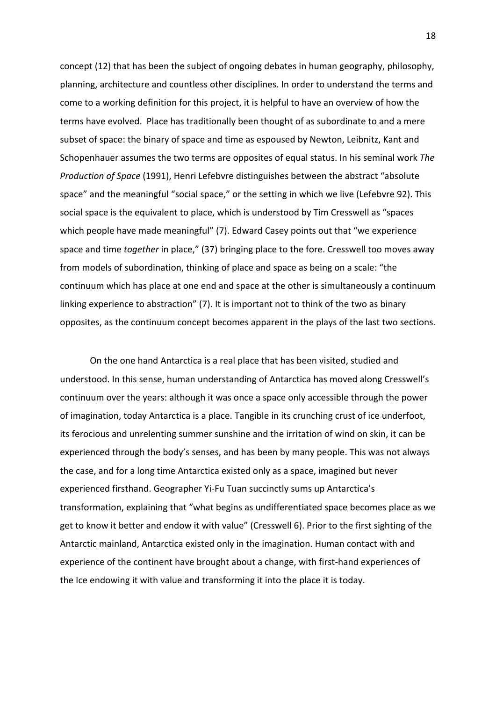concept
(12)
that
has
been
the
subject
of
ongoing
debates
in
human
geography,
philosophy, planning, architecture and countless other disciplines. In order to understand the terms and come
to
a
working
definition
for
this
project,
it
is
helpful
to
have
an
overview
of
how
the terms
have
evolved.

Place
has
traditionally
been
thought
of
as
subordinate
to
and
a
mere subset of space: the binary of space and time as espoused by Newton, Leibnitz, Kant and Schopenhauer
assumes
the
two
terms
are
opposites
of
equal
status.
In
his
seminal
work *The*  Production of Space (1991), Henri Lefebvre distinguishes between the abstract "absolute space" and the meaningful "social space," or the setting in which we live (Lefebvre 92). This social space is the equivalent to place, which is understood by Tim Cresswell as "spaces which people have made meaningful" (7). Edward Casey points out that "we experience space and time *together* in place," (37) bringing place to the fore. Cresswell too moves away from models of subordination, thinking of place and space as being on a scale: "the continuum which has place at one end and space at the other is simultaneously a continuum linking experience to abstraction" (7). It is important not to think of the two as binary opposites,
as
the
continuum
concept
becomes
apparent
in
the
plays
of
the
last
two
sections.

On the one hand Antarctica is a real place that has been visited, studied and understood. In this sense, human understanding of Antarctica has moved along Cresswell's continuum
over
the
years:
although
it
was
once
a
space
only
accessible
through
the
power of
imagination,
today
Antarctica
is
a
place.
Tangible
in
its
crunching
crust
of
ice
underfoot, its
ferocious
and
unrelenting
summer
sunshine
and
the
irritation
of
wind
on
skin,
it
can
be experienced
through
the
body's
senses,
and
has
been
by
many
people.
This
was
not
always the
case,
and
for
a
long
time
Antarctica
existed
only
as
a
space,
imagined
but
never experienced
firsthand.
Geographer
Yi‐Fu
Tuan
succinctly
sums
up
Antarctica's transformation, explaining that "what begins as undifferentiated space becomes place as we get to know it better and endow it with value" (Cresswell 6). Prior to the first sighting of the Antarctic mainland, Antarctica existed only in the imagination. Human contact with and experience of the continent have brought about a change, with first-hand experiences of the Ice endowing it with value and transforming it into the place it is today.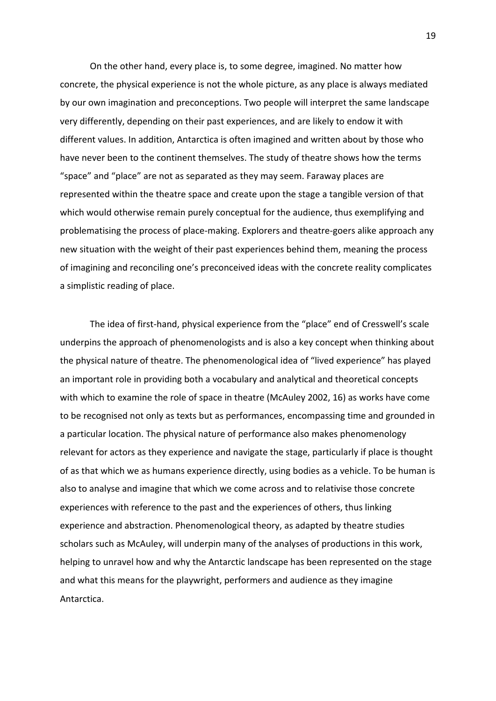On
the
other
hand,
every
place
is,
to
some
degree,
imagined.
No
matter
how concrete,
the
physical
experience
is
not
the
whole
picture,
as
any
place
is
always
mediated by
our
own
imagination
and
preconceptions.
Two
people
will
interpret
the
same
landscape very
differently,
depending
on
their
past
experiences,
and
are
likely
to
endow
it
with different values. In addition, Antarctica is often imagined and written about by those who have never been to the continent themselves. The study of theatre shows how the terms "space" and "place" are not as separated as they may seem. Faraway places are represented within the theatre space and create upon the stage a tangible version of that which would otherwise remain purely conceptual for the audience, thus exemplifying and problematising
the
process
of
place‐making.
Explorers
and
theatre‐goers
alike
approach
any new situation with the weight of their past experiences behind them, meaning the process of imagining and reconciling one's preconceived ideas with the concrete reality complicates a
simplistic
reading
of
place.

The idea of first-hand, physical experience from the "place" end of Cresswell's scale underpins the approach of phenomenologists and is also a key concept when thinking about the physical nature of theatre. The phenomenological idea of "lived experience" has played an important role in providing both a vocabulary and analytical and theoretical concepts with which to examine the role of space in theatre (McAuley 2002, 16) as works have come to be recognised not only as texts but as performances, encompassing time and grounded in a
particular
location.
The
physical
nature
of
performance
also
makes
phenomenology relevant for actors as they experience and navigate the stage, particularly if place is thought of
as
that
which
we
as
humans
experience
directly,
using
bodies
as
a
vehicle.
To
be
human
is also
to
analyse
and
imagine
that
which
we
come
across
and
to
relativise
those
concrete experiences with reference to the past and the experiences of others, thus linking experience
and
abstraction.
Phenomenological
theory,
as
adapted
by
theatre
studies scholars
such
as
McAuley,
will
underpin
many
of
the
analyses
of
productions
in
this
work, helping to unravel how and why the Antarctic landscape has been represented on the stage and
what
this
means
for
the
playwright,
performers
and
audience
as
they
imagine Antarctica.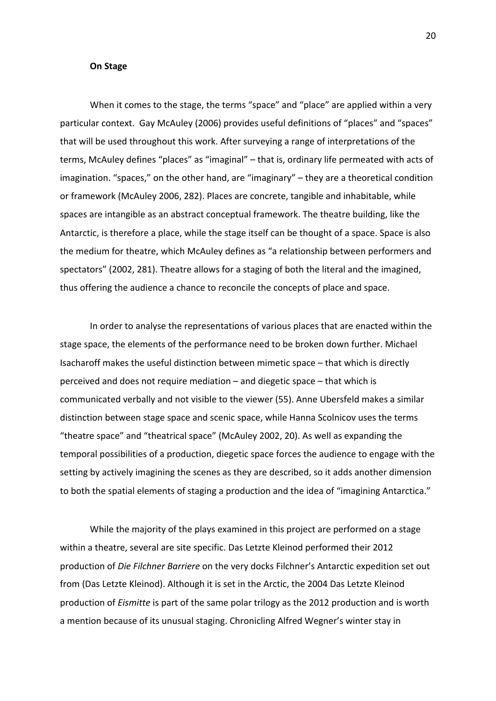#### **On
Stage**

When it comes to the stage, the terms "space" and "place" are applied within a very particular context. Gay McAuley (2006) provides useful definitions of "places" and "spaces" that will be used throughout this work. After surveying a range of interpretations of the terms, McAuley defines "places" as "imaginal" - that is, ordinary life permeated with acts of imagination. "spaces," on the other hand, are "imaginary" – they are a theoretical condition or
framework
(McAuley
2006,
282).
Places
are
concrete,
tangible
and
inhabitable,
while spaces
are
intangible
as
an
abstract
conceptual
framework.
The
theatre
building,
like
the Antarctic, is therefore a place, while the stage itself can be thought of a space. Space is also the medium for theatre, which McAuley defines as "a relationship between performers and spectators" (2002, 281). Theatre allows for a staging of both the literal and the imagined, thus offering the audience a chance to reconcile the concepts of place and space.

In order to analyse the representations of various places that are enacted within the stage
space,
the
elements
of
the
performance
need
to
be
broken
down
further.
Michael Isacharoff
makes
the
useful
distinction
between
mimetic
space
–
that
which
is
directly perceived
and
does
not
require
mediation
–
and
diegetic
space
–
that
which
is communicated
verbally
and
not
visible
to
the
viewer
(55).
Anne
Ubersfeld
makes
a
similar distinction
between
stage
space
and
scenic
space,
while
Hanna
Scolnicov
uses
the
terms "theatre space" and "theatrical space" (McAuley 2002, 20). As well as expanding the temporal possibilities of a production, diegetic space forces the audience to engage with the setting by actively imagining the scenes as they are described, so it adds another dimension to both the spatial elements of staging a production and the idea of "imagining Antarctica."

While the majority of the plays examined in this project are performed on a stage within a theatre, several are site specific. Das Letzte Kleinod performed their 2012 production
of *Die
Filchner
Barriere*on
the
very
docks
Filchner's
Antarctic
expedition
set
out from
(Das
Letzte
Kleinod).
Although
it
is
set
in
the
Arctic,
the
2004
Das
Letzte
Kleinod production of *Eismitte* is part of the same polar trilogy as the 2012 production and is worth a mention because of its unusual staging. Chronicling Alfred Wegner's winter stay in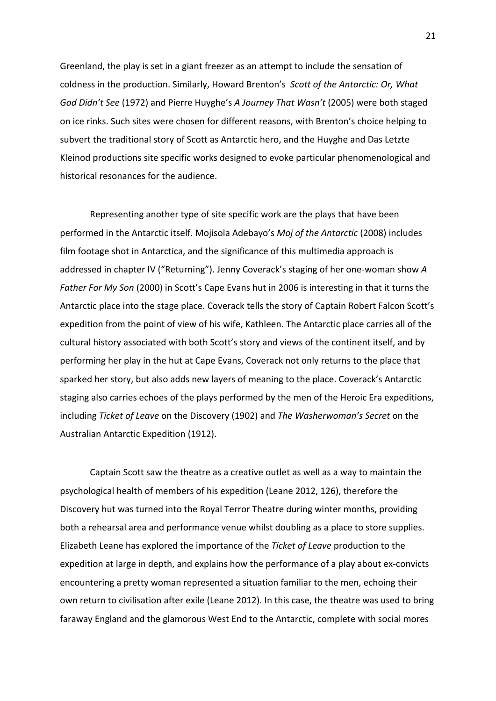Greenland, the play is set in a giant freezer as an attempt to include the sensation of coldness
in
the
production.
Similarly,
Howard
Brenton's *Scott
of
the
Antarctic:
Or,
What*  God Didn't See (1972) and Pierre Huyghe's A Journey That Wasn't (2005) were both staged on
ice
rinks.
Such
sites
were
chosen
for
different
reasons,
with
Brenton's
choice
helping
to subvert
the
traditional
story
of
Scott
as
Antarctic
hero,
and
the
Huyghe
and
Das
Letzte Kleinod
productions
site
specific
works
designed
to
evoke
particular
phenomenological
and historical
resonances
for
the
audience.

Representing another type of site specific work are the plays that have been performed in the Antarctic itself. Mojisola Adebayo's Moj of the Antarctic (2008) includes film footage shot in Antarctica, and the significance of this multimedia approach is addressed in chapter IV ("Returning"). Jenny Coverack's staging of her one-woman show A Father For My Son (2000) in Scott's Cape Evans hut in 2006 is interesting in that it turns the Antarctic place into the stage place. Coverack tells the story of Captain Robert Falcon Scott's expedition from the point of view of his wife, Kathleen. The Antarctic place carries all of the cultural history associated with both Scott's story and views of the continent itself, and by performing her play in the hut at Cape Evans, Coverack not only returns to the place that sparked her story, but also adds new layers of meaning to the place. Coverack's Antarctic staging
also
carries
echoes
of
the
plays
performed
by
the
men
of
the
Heroic
Era
expeditions, including Ticket of Leave on the Discovery (1902) and The Washerwoman's Secret on the Australian
Antarctic
Expedition
(1912).

Captain Scott saw the theatre as a creative outlet as well as a way to maintain the psychological
health
of
members
of
his
expedition
(Leane
2012,
126),
therefore
the Discovery hut was turned into the Royal Terror Theatre during winter months, providing both a rehearsal area and performance venue whilst doubling as a place to store supplies. Elizabeth Leane has explored the importance of the Ticket of Leave production to the expedition at large in depth, and explains how the performance of a play about ex-convicts encountering
a
pretty
woman
represented
a
situation
familiar
to
the
men,
echoing
their own return to civilisation after exile (Leane 2012). In this case, the theatre was used to bring faraway England and the glamorous West End to the Antarctic, complete with social mores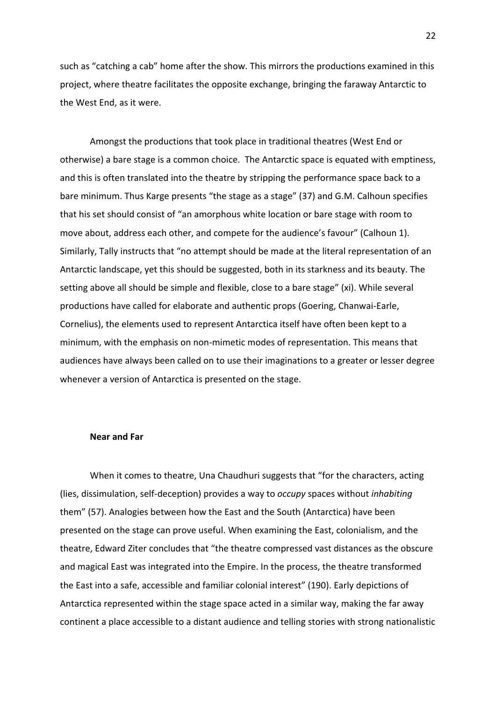such as "catching a cab" home after the show. This mirrors the productions examined in this project,
where
theatre
facilitates
the
opposite
exchange,
bringing
the
faraway
Antarctic
to the
West
End,
as
it
were.

Amongst the productions that took place in traditional theatres (West End or otherwise) a bare stage is a common choice. The Antarctic space is equated with emptiness, and this is often translated into the theatre by stripping the performance space back to a bare minimum. Thus Karge presents "the stage as a stage" (37) and G.M. Calhoun specifies that
his
set
should
consist
of
"an
amorphous
white
location
or
bare
stage
with
room
to move
about,
address
each
other,
and
compete
for
the
audience's
favour"
(Calhoun
1). Similarly, Tally instructs that "no attempt should be made at the literal representation of an Antarctic
landscape,
yet
this
should
be
suggested,
both
in
its
starkness
and
its
beauty.
The setting above all should be simple and flexible, close to a bare stage" (xi). While several productions
have
called
for
elaborate
and
authentic
props
(Goering,
Chanwai‐Earle, Cornelius), the elements used to represent Antarctica itself have often been kept to a minimum, with the emphasis on non-mimetic modes of representation. This means that audiences have always been called on to use their imaginations to a greater or lesser degree whenever
a
version
of
Antarctica
is
presented
on
the
stage.

# **Near
and
Far**

When it comes to theatre, Una Chaudhuri suggests that "for the characters, acting (lies,
dissimulation,
self‐deception)
provides
a
way
to *occupy* spaces
without *inhabiting* them"
(57).
Analogies
between
how
the
East
and
the
South
(Antarctica)
have
been presented
on
the
stage
can
prove
useful.
When
examining
the
East,
colonialism,
and
the theatre,
Edward
Ziter
concludes
that
"the
theatre
compressed
vast
distances
as
the
obscure and
magical
East
was
integrated
into
the
Empire.
In
the
process,
the
theatre
transformed the
East
into
a
safe,
accessible
and
familiar
colonial
interest"
(190).
Early
depictions
of Antarctica represented within the stage space acted in a similar way, making the far away continent
a
place
accessible
to
a
distant
audience
and
telling
stories
with
strong
nationalistic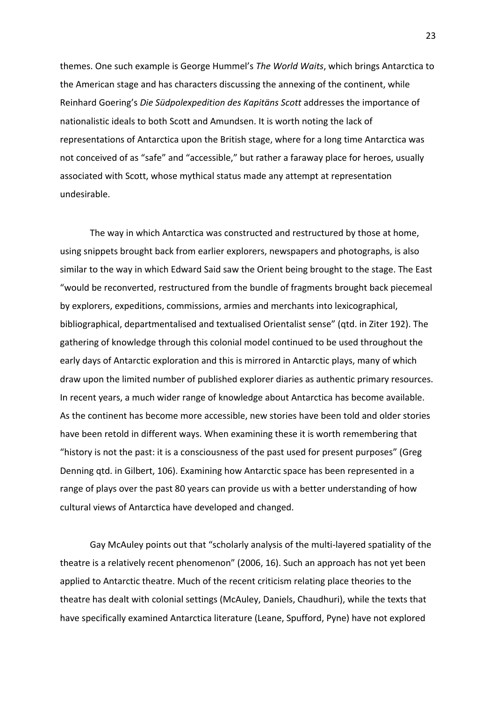themes.
One
such
example
is
George
Hummel's *The
World
Waits*,
which
brings
Antarctica
to the
American
stage
and
has
characters
discussing
the
annexing
of
the
continent,
while Reinhard
Goering's *Die
Südpolexpedition
des
Kapitäns
Scott*addresses
the
importance
of nationalistic ideals to both Scott and Amundsen. It is worth noting the lack of representations
of
Antarctica
upon
the
British
stage,
where
for
a
long
time
Antarctica
was not conceived of as "safe" and "accessible," but rather a faraway place for heroes, usually associated
with
Scott,
whose
mythical
status
made
any
attempt
at
representation undesirable.

The
way
in
which
Antarctica
was
constructed
and
restructured
by
those
at
home, using
snippets
brought
back
from
earlier
explorers,
newspapers
and
photographs,
is
also similar to the way in which Edward Said saw the Orient being brought to the stage. The East "would be reconverted, restructured from the bundle of fragments brought back piecemeal by
explorers,
expeditions,
commissions,
armies
and
merchants
into
lexicographical, bibliographical,
departmentalised
and
textualised
Orientalist
sense"
(qtd.
in
Ziter
192).
The gathering of knowledge through this colonial model continued to be used throughout the early days of Antarctic exploration and this is mirrored in Antarctic plays, many of which draw
upon
the
limited
number
of
published
explorer
diaries
as
authentic
primary
resources. In recent years, a much wider range of knowledge about Antarctica has become available. As
the
continent
has
become
more
accessible,
new
stories
have
been
told
and
older
stories have been retold in different ways. When examining these it is worth remembering that "history is not the past: it is a consciousness of the past used for present purposes" (Greg Denning qtd. in Gilbert, 106). Examining how Antarctic space has been represented in a range of plays over the past 80 years can provide us with a better understanding of how cultural
views
of
Antarctica
have
developed
and
changed.

Gay McAuley points out that "scholarly analysis of the multi-layered spatiality of the theatre
is
a
relatively
recent
phenomenon"
(2006,
16).
Such
an
approach
has
not
yet
been applied to Antarctic theatre. Much of the recent criticism relating place theories to the theatre has dealt with colonial settings (McAuley, Daniels, Chaudhuri), while the texts that have
specifically
examined
Antarctica
literature
(Leane,
Spufford,
Pyne)
have
not
explored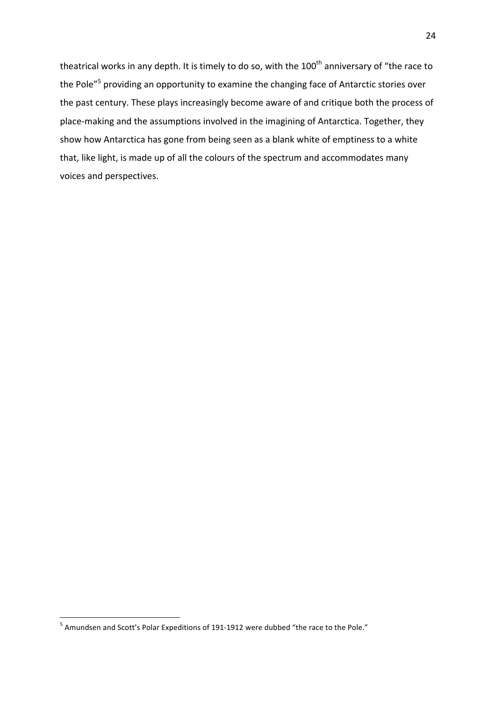theatrical works in any depth. It is timely to do so, with the 100<sup>th</sup> anniversary of "the race to the Pole"<sup>5</sup> providing an opportunity to examine the changing face of Antarctic stories over the
past
century.
These
plays
increasingly
become
aware
of
and
critique
both
the
process
of place-making and the assumptions involved in the imagining of Antarctica. Together, they show
how
Antarctica
has
gone
from
being
seen
as
a
blank
white
of
emptiness
to
a
white that, like light, is made up of all the colours of the spectrum and accommodates many voices
and
perspectives.

 <sup>5</sup> Amundsen
and
Scott's
Polar
Expeditions
of
191‐1912
were
dubbed
"the
race
to
the
Pole."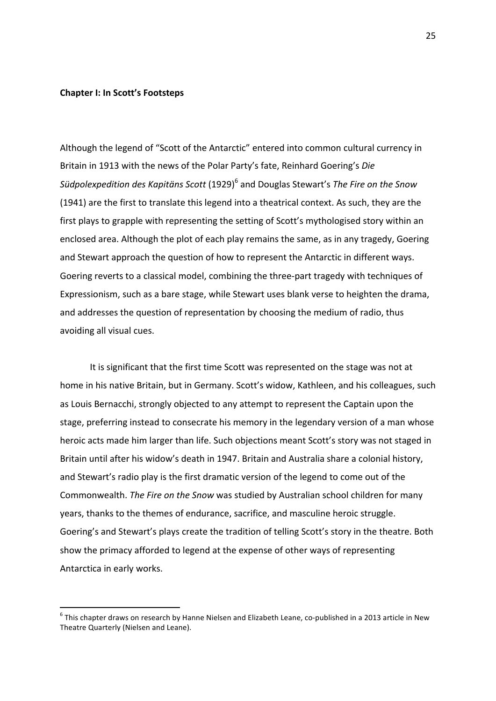#### **Chapter
I:
In
Scott's
Footsteps**

Although the legend of "Scott of the Antarctic" entered into common cultural currency in Britain
in
1913
with
the
news
of
the
Polar
Party's
fate,
Reinhard
Goering's *Die*  Südpolexpedition des Kapitäns Scott (1929)<sup>6</sup> and Douglas Stewart's The Fire on the Snow (1941) are the first to translate this legend into a theatrical context. As such, they are the first plays to grapple with representing the setting of Scott's mythologised story within an enclosed
area.
Although
the
plot
of
each
play
remains
the
same,
as
in
any
tragedy,
Goering and
Stewart
approach
the
question
of
how
to
represent
the
Antarctic
in
different
ways. Goering reverts to a classical model, combining the three-part tragedy with techniques of Expressionism, such as a bare stage, while Stewart uses blank verse to heighten the drama, and
addresses
the
question
of
representation
by
choosing
the
medium
of
radio,
thus avoiding
all
visual
cues.

It is significant that the first time Scott was represented on the stage was not at home in his native Britain, but in Germany. Scott's widow, Kathleen, and his colleagues, such as
Louis
Bernacchi,
strongly
objected
to
any
attempt
to
represent
the
Captain
upon
the stage, preferring instead to consecrate his memory in the legendary version of a man whose heroic acts made him larger than life. Such objections meant Scott's story was not staged in Britain until after his widow's death in 1947. Britain and Australia share a colonial history, and Stewart's radio play is the first dramatic version of the legend to come out of the Commonwealth. The Fire on the Snow was studied by Australian school children for many years, thanks to the themes of endurance, sacrifice, and masculine heroic struggle. Goering's and Stewart's plays create the tradition of telling Scott's story in the theatre. Both show
the
primacy
afforded
to
legend
at
the
expense
of
other
ways
of
representing Antarctica
in
early
works.

 <sup>6</sup> This
chapter
draws
on
research
by
Hanne
Nielsen
and
Elizabeth
Leane,
co‐published
in
a
2013
article
in
New Theatre
Quarterly
(Nielsen
and
Leane).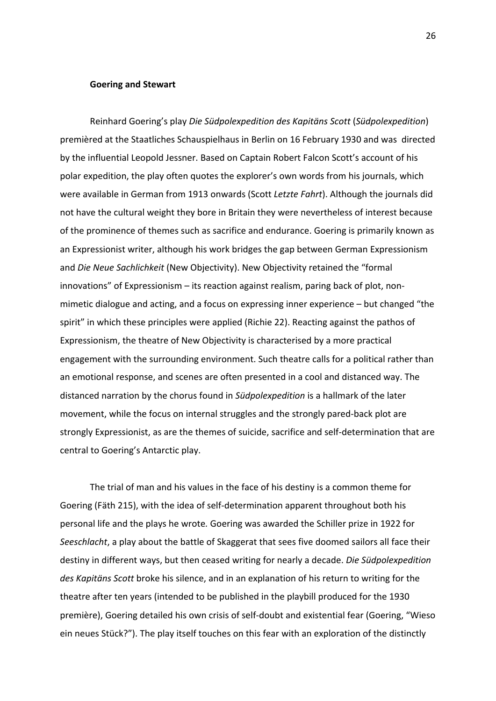#### **Goering
and
Stewart**

Reinhard
Goering's
play *Die
Südpolexpedition
des
Kapitäns
Scott* (*Südpolexpedition*) premièred
at
the
Staatliches
Schauspielhaus
in
Berlin
on
16
February
1930
and
was

directed by
the
influential
Leopold
Jessner. Based
on
Captain
Robert
Falcon
Scott's
account
of
his polar
expedition,
the
play
often
quotes
the
explorer's
own
words
from
his
journals,
which were
available
in
German
from
1913
onwards
(Scott *Letzte
Fahrt*).
Although
the
journals
did not
have
the
cultural
weight
they
bore
in
Britain
they
were
nevertheless
of
interest
because of the prominence of themes such as sacrifice and endurance. Goering is primarily known as an
Expressionist
writer,
although
his
work
bridges
the
gap
between
German
Expressionism and *Die Neue Sachlichkeit* (New Objectivity). New Objectivity retained the "formal innovations" of Expressionism – its reaction against realism, paring back of plot, nonmimetic
dialogue
and
acting,
and
a
focus
on
expressing
inner
experience
–
but
changed
"the spirit" in which these principles were applied (Richie 22). Reacting against the pathos of Expressionism, the theatre of New Objectivity is characterised by a more practical engagement with the surrounding environment. Such theatre calls for a political rather than an emotional response, and scenes are often presented in a cool and distanced way. The distanced narration by the chorus found in Südpolexpedition is a hallmark of the later movement,
while
the
focus
on
internal
struggles
and
the
strongly
pared‐back
plot
are strongly
Expressionist,
as
are
the
themes
of
suicide,
sacrifice
and
self‐determination
that
are central
to
Goering's
Antarctic
play.

The
trial
of
man
and
his
values
in
the
face
of
his
destiny
is
a
common
theme
for Goering (Fäth 215), with the idea of self-determination apparent throughout both his personal
life
and
the
plays
he
wrote*.*Goering
was
awarded
the
Schiller
prize
in
1922
for Seeschlacht, a play about the battle of Skaggerat that sees five doomed sailors all face their destiny
in
different
ways,
but
then
ceased
writing
for
nearly
a
decade. *Die
Südpolexpedition*  des Kapitäns Scott broke his silence, and in an explanation of his return to writing for the theatre
after
ten
years
(intended
to
be
published
in
the
playbill
produced
for
the
1930 première), Goering detailed his own crisis of self-doubt and existential fear (Goering, "Wieso ein neues Stück?"). The play itself touches on this fear with an exploration of the distinctly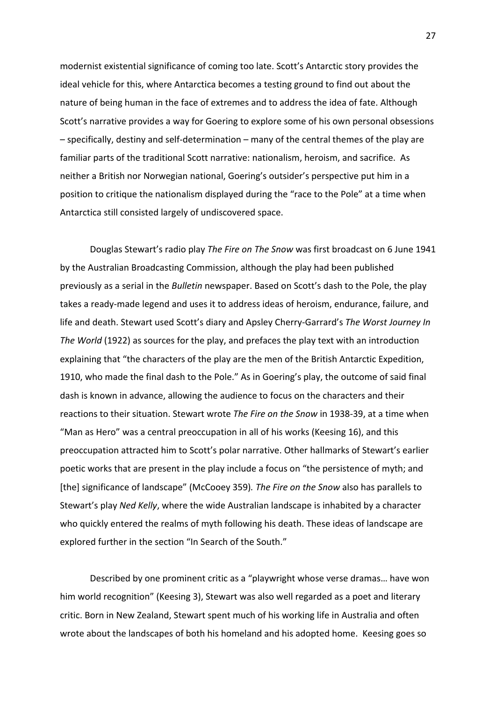modernist existential significance of coming too late. Scott's Antarctic story provides the ideal vehicle for this, where Antarctica becomes a testing ground to find out about the nature
of
being
human
in
the
face
of
extremes
and
to
address
the
idea
of
fate.
Although Scott's narrative provides a way for Goering to explore some of his own personal obsessions – specifically, destiny and self-determination – many of the central themes of the play are familiar parts of the traditional Scott narrative: nationalism, heroism, and sacrifice. As neither
a
British
nor
Norwegian
national,
Goering's
outsider's
perspective
put
him
in
a position to critique the nationalism displayed during the "race to the Pole" at a time when Antarctica
still
consisted
largely
of
undiscovered
space.

Douglas Stewart's radio play *The Fire on The Snow* was first broadcast on 6 June 1941 by
the
Australian
Broadcasting
Commission,
although
the
play
had
been
published previously as a serial in the Bulletin newspaper. Based on Scott's dash to the Pole, the play takes a ready-made legend and uses it to address ideas of heroism, endurance, failure, and life and death. Stewart used Scott's diary and Apsley Cherry-Garrard's The Worst Journey In The World (1922) as sources for the play, and prefaces the play text with an introduction explaining that "the characters of the play are the men of the British Antarctic Expedition, 1910, who made the final dash to the Pole." As in Goering's play, the outcome of said final dash
is
known
in
advance,
allowing
the
audience
to
focus
on
the
characters
and
their reactions to their situation. Stewart wrote The Fire on the Snow in 1938-39, at a time when "Man as Hero" was a central preoccupation in all of his works (Keesing 16), and this preoccupation
attracted
him
to
Scott's
polar
narrative.
Other
hallmarks
of
Stewart's
earlier poetic works that are present in the play include a focus on "the persistence of myth; and [the] significance of landscape" (McCooey 359). The Fire on the Snow also has parallels to Stewart's play *Ned Kelly*, where the wide Australian landscape is inhabited by a character who quickly entered the realms of myth following his death. These ideas of landscape are explored further in the section "In Search of the South."

Described by one prominent critic as a "playwright whose verse dramas... have won him world recognition" (Keesing 3), Stewart was also well regarded as a poet and literary critic.
Born
in
New
Zealand,
Stewart
spent
much
of
his
working
life
in
Australia
and
often wrote about the landscapes of both his homeland and his adopted home. Keesing goes so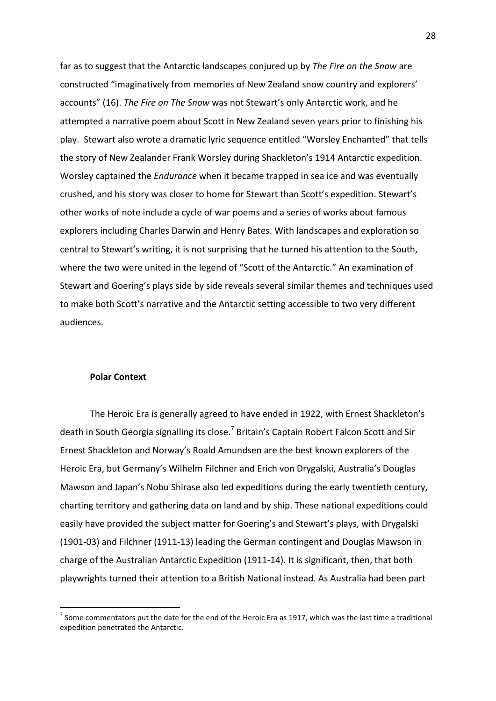far as to suggest that the Antarctic landscapes conjured up by The Fire on the Snow are constructed
"imaginatively
from
memories
of
New
Zealand
snow
country
and
explorers' accounts"
(16). *The
Fire
on
The
Snow* was
not
Stewart's
only
Antarctic
work,
and
he attempted
a
narrative
poem
about
Scott
in
New
Zealand
seven
years
prior
to
finishing
his play. Stewart also wrote a dramatic lyric sequence entitled "Worsley Enchanted" that tells the
story
of
New
Zealander
Frank
Worsley
during
Shackleton's
1914
Antarctic expedition. Worsley captained the *Endurance* when it became trapped in sea ice and was eventually crushed,
and
his
story
was
closer
to
home
for
Stewart
than
Scott's
expedition.
Stewart's other
works
of
note
include
a
cycle
of
war
poems
and
a
series
of
works
about
famous explorers
including
Charles
Darwin
and
Henry
Bates.
With
landscapes
and
exploration
so central
to
Stewart's
writing,
it
is
not
surprising
that
he
turned
his
attention
to
the
South, where the two were united in the legend of "Scott of the Antarctic." An examination of Stewart
and
Goering's
plays
side
by
side
reveals
several
similar
themes
and
techniques
used to make both Scott's narrative and the Antarctic setting accessible to two very different audiences.

# **Polar
Context**

The Heroic Era is generally agreed to have ended in 1922, with Ernest Shackleton's death in South Georgia signalling its close.<sup>7</sup> Britain's Captain Robert Falcon Scott and Sir Ernest
Shackleton
and
Norway's
Roald
Amundsen
are
the
best
known
explorers
of
the Heroic Era, but Germany's Wilhelm Filchner and Erich von Drygalski, Australia's Douglas Mawson and Japan's Nobu Shirase also led expeditions during the early twentieth century, charting
territory
and
gathering
data
on
land
and
by
ship.
These
national
expeditions
could easily have provided the subject matter for Goering's and Stewart's plays, with Drygalski (1901‐03)
and
Filchner
(1911‐13)
leading
the
German
contingent
and
Douglas
Mawson
in charge of the Australian Antarctic Expedition (1911-14). It is significant, then, that both playwrights turned their attention to a British National instead. As Australia had been part

 <sup>7</sup> Some
commentators
put
the
date
for
the
end
of
the
Heroic
Era
as
1917,
which
was
the
last
time
a
traditional expedition
penetrated
the
Antarctic.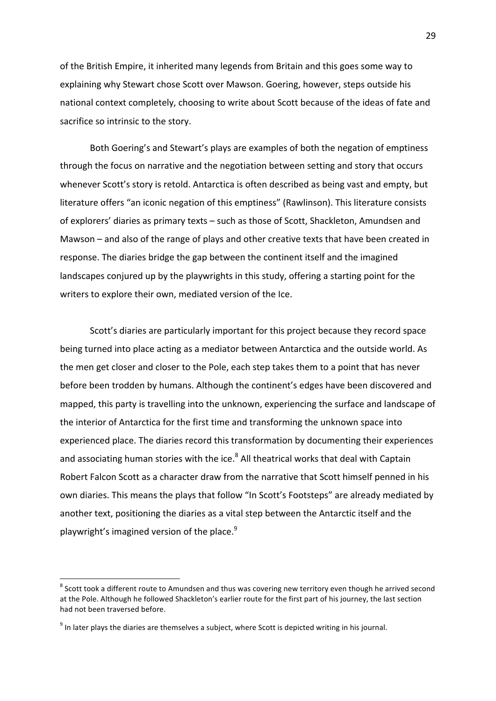of
the
British
Empire,
it
inherited
many
legends
from
Britain
and
this
goes
some
way
to explaining
why
Stewart
chose
Scott
over
Mawson.
Goering,
however,
steps
outside
his national
context
completely,
choosing
to
write
about
Scott
because
of
the
ideas
of
fate
and sacrifice so intrinsic to the story.

Both
Goering's
and
Stewart's
plays
are
examples
of
both
the
negation
of
emptiness through
the
focus
on
narrative
and
the
negotiation
between
setting
and
story
that
occurs whenever Scott's story is retold. Antarctica is often described as being vast and empty, but literature offers "an iconic negation of this emptiness" (Rawlinson). This literature consists of
explorers'
diaries
as
primary
texts
–
such
as
those
of
Scott,
Shackleton,
Amundsen
and Mawson – and also of the range of plays and other creative texts that have been created in response.
The
diaries
bridge
the
gap
between
the
continent
itself
and
the
imagined landscapes conjured up by the playwrights in this study, offering a starting point for the writers to explore their own, mediated version of the Ice.

Scott's diaries are particularly important for this project because they record space being turned into place acting as a mediator between Antarctica and the outside world. As the
men
get
closer
and
closer
to
the
Pole,
each
step
takes
them
to
a
point
that
has
never before
been
trodden
by
humans.
Although
the
continent's
edges
have
been
discovered
and mapped, this party is travelling into the unknown, experiencing the surface and landscape of the
interior
of
Antarctica
for
the
first
time
and
transforming
the
unknown
space
into experienced place. The diaries record this transformation by documenting their experiences and associating human stories with the ice.<sup>8</sup> All theatrical works that deal with Captain Robert Falcon Scott as a character draw from the narrative that Scott himself penned in his own diaries. This means the plays that follow "In Scott's Footsteps" are already mediated by another text, positioning the diaries as a vital step between the Antarctic itself and the playwright's imagined version of the place.<sup>9</sup>

 <sup>8</sup> Scott
took
a
different
route
to
Amundsen
and
thus
was
covering
new
territory
even
though
he
arrived
second at the Pole. Although he followed Shackleton's earlier route for the first part of his journey, the last section had
not
been
traversed
before.

 $^9$  In later plays the diaries are themselves a subject, where Scott is depicted writing in his journal.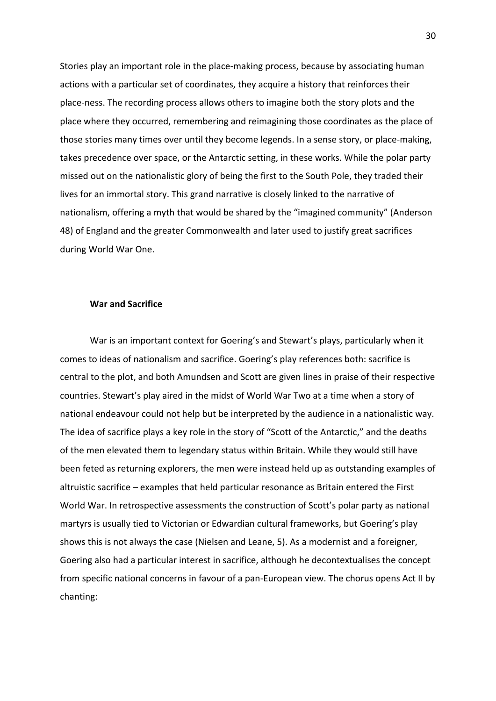Stories play an important role in the place-making process, because by associating human actions with a particular set of coordinates, they acquire a history that reinforces their place-ness. The recording process allows others to imagine both the story plots and the place
where
they
occurred,
remembering
and
reimagining
those
coordinates
as
the
place
of those
stories
many
times
over
until
they
become
legends.
In
a
sense
story,
or
place‐making, takes precedence over space, or the Antarctic setting, in these works. While the polar party missed out on the nationalistic glory of being the first to the South Pole, they traded their lives for an immortal story. This grand narrative is closely linked to the narrative of nationalism,
offering
a
myth
that
would
be
shared
by
the
"imagined
community"
(Anderson 48) of England and the greater Commonwealth and later used to justify great sacrifices during
World
War
One.

# **War
and
Sacrifice**

War
is
an
important
context
for
Goering's
and
Stewart's
plays,
particularly
when
it comes
to
ideas
of
nationalism
and
sacrifice.
Goering's
play
references
both:
sacrifice
is central to the plot, and both Amundsen and Scott are given lines in praise of their respective countries.
Stewart's
play
aired
in
the
midst
of
World
War
Two
at
a
time
when
a
story
of national endeavour could not help but be interpreted by the audience in a nationalistic way. The idea of sacrifice plays a key role in the story of "Scott of the Antarctic," and the deaths of the men elevated them to legendary status within Britain. While they would still have been
feted
as
returning
explorers,
the
men
were
instead
held
up
as
outstanding
examples
of altruistic
sacrifice
–
examples
that
held
particular
resonance
as
Britain
entered
the
First World War. In retrospective assessments the construction of Scott's polar party as national martyrs
is
usually
tied
to
Victorian
or
Edwardian
cultural
frameworks,
but
Goering's
play shows this is not always the case (Nielsen and Leane, 5). As a modernist and a foreigner, Goering also had a particular interest in sacrifice, although he decontextualises the concept from specific national concerns in favour of a pan-European view. The chorus opens Act II by chanting: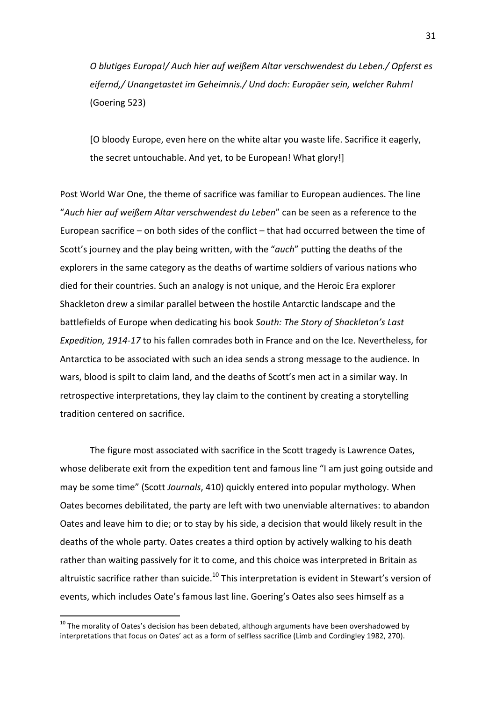*O
blutiges
Europa!/
Auch
hier
auf
weißem
Altar
verschwendest
du
Leben./ Opferst
es* eifernd,/ Unangetastet im Geheimnis./ Und doch: Europäer sein, welcher Ruhm! (Goering
523)

[O
bloody
Europe,
even
here
on
the
white
altar
you
waste
life.
Sacrifice
it
eagerly, the
secret
untouchable.
And
yet,
to
be
European!
What
glory!]

Post World War One, the theme of sacrifice was familiar to European audiences. The line "*Auch
hier
auf
weißem
Altar
verschwendest
du
Leben*"
can
be
seen
as
a
reference
to
the European
sacrifice
–
on
both
sides
of
the
conflict
–
that
had
occurred
between
the
time
of Scott's journey and the play being written, with the "auch" putting the deaths of the explorers
in
the
same
category
as
the
deaths
of
wartime
soldiers
of
various
nations
who died
for
their
countries.
Such
an
analogy
is
not
unique,
and
the
Heroic
Era
explorer Shackleton
drew
a
similar
parallel
between
the
hostile
Antarctic
landscape
and
the battlefields
of
Europe
when
dedicating
his
book *South:
The
Story
of
Shackleton's
Last*  Expedition, 1914-17 to his fallen comrades both in France and on the Ice. Nevertheless, for Antarctica to be associated with such an idea sends a strong message to the audience. In wars, blood is spilt to claim land, and the deaths of Scott's men act in a similar way. In retrospective interpretations, they lay claim to the continent by creating a storytelling tradition
centered
on
sacrifice.

The
figure
most
associated
with
sacrifice
in
the
Scott
tragedy
is
Lawrence
Oates, whose deliberate exit from the expedition tent and famous line "I am just going outside and may be some time" (Scott *Journals*, 410) quickly entered into popular mythology. When Oates
becomes
debilitated,
the
party
are
left
with
two
unenviable
alternatives:
to
abandon Oates and leave him to die; or to stay by his side, a decision that would likely result in the deaths of the whole party. Oates creates a third option by actively walking to his death rather than waiting passively for it to come, and this choice was interpreted in Britain as altruistic sacrifice rather than suicide.<sup>10</sup> This interpretation is evident in Stewart's version of events, which includes Oate's famous last line. Goering's Oates also sees himself as a

<sup>&</sup>lt;sup>10</sup> The morality of Oates's decision has been debated, although arguments have been overshadowed by interpretations that focus on Oates' act as a form of selfless sacrifice (Limb and Cordingley 1982, 270).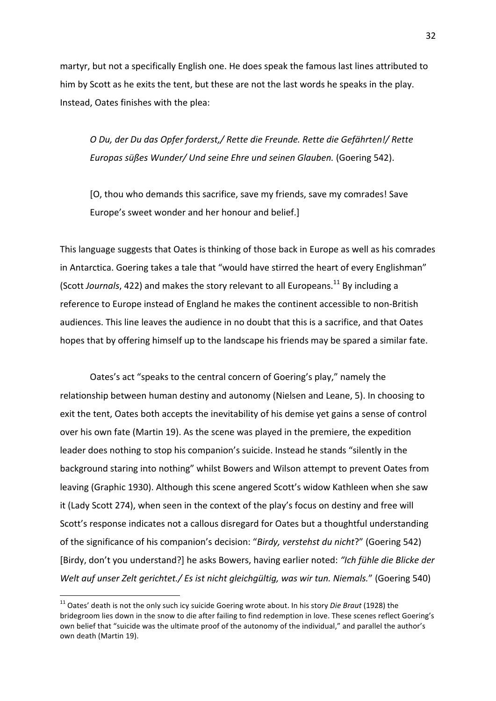martyr, but not a specifically English one. He does speak the famous last lines attributed to him by Scott as he exits the tent, but these are not the last words he speaks in the play. Instead,
Oates
finishes
with
the
plea:

*O
Du,
der
Du
das
Opfer
forderst,/
Rette
die
Freunde.
Rette
die
Gefährten!/
Rette Europas
süßes
Wunder/
Und
seine
Ehre
und
seinen
Glauben.* (Goering
542).

[O,
thou
who
demands
this
sacrifice,
save
my
friends,
save
my
comrades!
Save Europe's
sweet
wonder
and
her
honour
and
belief.]

This language suggests that Oates is thinking of those back in Europe as well as his comrades in Antarctica. Goering takes a tale that "would have stirred the heart of every Englishman" (Scott Journals, 422) and makes the story relevant to all Europeans.<sup>11</sup> By including a reference
to
Europe
instead
of
England
he
makes
the
continent
accessible
to
non‐British audiences. This line leaves the audience in no doubt that this is a sacrifice, and that Oates hopes that by offering himself up to the landscape his friends may be spared a similar fate.

Oates's act "speaks to the central concern of Goering's play," namely the relationship
between
human
destiny
and
autonomy
(Nielsen
and
Leane,
5).
In
choosing
to exit the tent, Oates both accepts the inevitability of his demise yet gains a sense of control over
his
own
fate
(Martin
19).
As
the
scene
was
played
in
the
premiere,
the
expedition leader does nothing to stop his companion's suicide. Instead he stands "silently in the background staring into nothing" whilst Bowers and Wilson attempt to prevent Oates from leaving (Graphic 1930). Although this scene angered Scott's widow Kathleen when she saw it (Lady Scott 274), when seen in the context of the play's focus on destiny and free will Scott's response indicates not a callous disregard for Oates but a thoughtful understanding of
the
significance
of
his
companion's
decision:
"*Birdy,
verstehst
du
nicht*?"
(Goering
542) [Birdy,
don't
you
understand?]
he
asks
Bowers,
having
earlier
noted: *"Ich
fühle
die
Blicke
der*  Welt auf unser Zelt gerichtet./ Es ist nicht gleichgültig, was wir tun. Niemals." (Goering 540)

<sup>&</sup>lt;sup>11</sup> Oates' death is not the only such icy suicide Goering wrote about. In his story Die Braut (1928) the bridegroom
lies
down
in
the
snow
to
die
after
failing
to
find
redemption
in
love.
These
scenes
reflect
Goering's own belief that "suicide was the ultimate proof of the autonomy of the individual," and parallel the author's own
death
(Martin
19).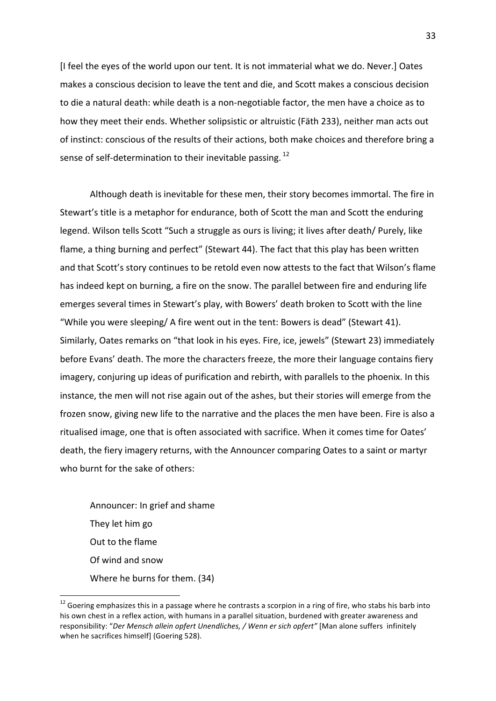[I
feel
the
eyes
of
the
world
upon
our
tent.
It
is
not
immaterial
what
we
do.
Never.]
Oates makes
a
conscious
decision
to
leave
the
tent
and
die,
and
Scott
makes
a
conscious
decision to die a natural death: while death is a non-negotiable factor, the men have a choice as to how they meet their ends. Whether solipsistic or altruistic (Fäth 233), neither man acts out of instinct: conscious of the results of their actions, both make choices and therefore bring a sense of self-determination to their inevitable passing.<sup>12</sup>

Although
death
is
inevitable
for
these
men,
their
story
becomes
immortal.
The
fire
in Stewart's
title
is
a
metaphor
for
endurance,
both
of
Scott
the
man
and
Scott
the
enduring legend. Wilson tells Scott "Such a struggle as ours is living; it lives after death/ Purely, like flame, a thing burning and perfect" (Stewart 44). The fact that this play has been written and that Scott's story continues to be retold even now attests to the fact that Wilson's flame has indeed kept on burning, a fire on the snow. The parallel between fire and enduring life emerges
several
times
in
Stewart's
play,
with
Bowers'
death
broken
to
Scott
with
the
line "While you were sleeping/ A fire went out in the tent: Bowers is dead" (Stewart 41). Similarly, Oates remarks on "that look in his eyes. Fire, ice, jewels" (Stewart 23) immediately before
Evans'
death.
The
more
the
characters
freeze,
the
more
their
language
contains
fiery imagery, conjuring up ideas of purification and rebirth, with parallels to the phoenix. In this instance, the men will not rise again out of the ashes, but their stories will emerge from the frozen snow, giving new life to the narrative and the places the men have been. Fire is also a ritualised image, one that is often associated with sacrifice. When it comes time for Oates' death, the fiery imagery returns, with the Announcer comparing Oates to a saint or martyr who burnt for the sake of others:

Announcer:
In
grief
and
shame They
let
him
go Out
to
the
flame Of
wind
and
snow Where
he
burns
for
them.
(34)

<sup>&</sup>lt;sup>12</sup> Goering emphasizes this in a passage where he contrasts a scorpion in a ring of fire, who stabs his barb into his own chest in a reflex action, with humans in a parallel situation, burdened with greater awareness and responsibility: "Der Mensch allein opfert Unendliches, / Wenn er sich opfert" [Man alone suffers infinitely when
he
sacrifices
himself]
(Goering
528).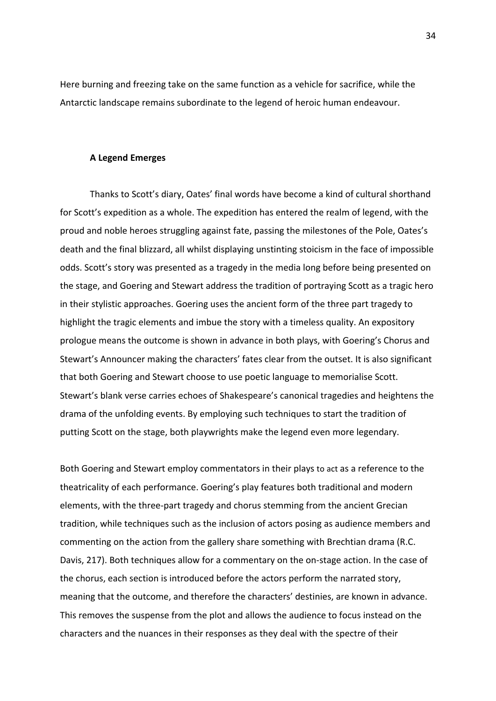Here burning and freezing take on the same function as a vehicle for sacrifice, while the Antarctic
landscape
remains
subordinate
to
the
legend
of
heroic
human
endeavour.

## **A
Legend
Emerges**

Thanks
to
Scott's
diary,
Oates'
final
words
have
become
a
kind
of
cultural
shorthand for Scott's expedition as a whole. The expedition has entered the realm of legend, with the proud
and
noble
heroes
struggling
against
fate,
passing
the
milestones
of
the
Pole,
Oates's death and the final blizzard, all whilst displaying unstinting stoicism in the face of impossible odds.
Scott's
story
was
presented
as
a
tragedy
in
the
media
long
before
being
presented
on the
stage,
and
Goering
and
Stewart
address
the
tradition
of
portraying
Scott
as
a
tragic
hero in their stylistic approaches. Goering uses the ancient form of the three part tragedy to highlight the tragic elements and imbue the story with a timeless quality. An expository prologue means the outcome is shown in advance in both plays, with Goering's Chorus and Stewart's
Announcer
making
the
characters'
fates
clear
from
the
outset.
It
is
also
significant that
both
Goering
and
Stewart
choose
to
use
poetic
language
to
memorialise
Scott. Stewart's
blank
verse
carries
echoes
of
Shakespeare's
canonical
tragedies
and
heightens
the drama
of
the
unfolding
events.
By
employing
such
techniques
to
start
the
tradition
of putting
Scott
on
the
stage,
both
playwrights
make
the
legend
even
more
legendary.

Both Goering and Stewart employ commentators in their plays to act as a reference to the theatricality of each performance. Goering's play features both traditional and modern elements, with the three-part tragedy and chorus stemming from the ancient Grecian tradition, while techniques such as the inclusion of actors posing as audience members and commenting
on
the
action
from
the
gallery
share
something
with
Brechtian
drama
(R.C. Davis, 217). Both techniques allow for a commentary on the on-stage action. In the case of the
chorus,
each
section
is
introduced
before
the
actors
perform
the
narrated
story, meaning that the outcome, and therefore the characters' destinies, are known in advance. This
removes
the
suspense
from
the
plot
and
allows
the
audience
to
focus
instead
on
the characters
and
the
nuances
in
their
responses
as
they
deal
with
the
spectre
of
their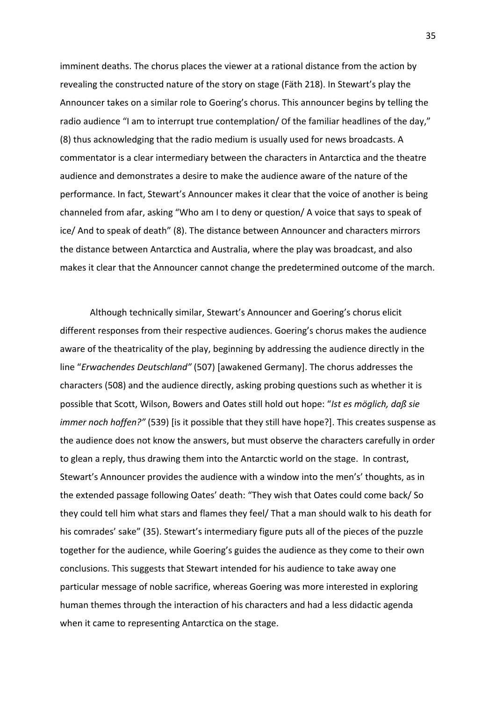imminent deaths. The chorus places the viewer at a rational distance from the action by revealing the constructed nature of the story on stage (Fäth 218). In Stewart's play the Announcer
takes
on
a
similar
role
to
Goering's
chorus.
This
announcer
begins
by
telling
the radio audience "I am to interrupt true contemplation/ Of the familiar headlines of the day," (8)
thus
acknowledging
that
the
radio
medium
is
usually
used
for
news
broadcasts.
A commentator is a clear intermediary between the characters in Antarctica and the theatre audience
and
demonstrates
a
desire
to
make
the
audience
aware
of
the
nature
of
the performance.
In
fact,
Stewart's
Announcer
makes
it
clear
that
the
voice
of
another
is
being channeled
from
afar,
asking
"Who
am
I
to
deny
or
question/
A
voice
that
says
to
speak
of ice/
And
to
speak
of
death"
(8).
The
distance
between
Announcer
and
characters
mirrors the
distance
between
Antarctica
and
Australia,
where
the
play
was
broadcast,
and
also makes it clear that the Announcer cannot change the predetermined outcome of the march.

Although
technically
similar,
Stewart's
Announcer
and
Goering's
chorus
elicit different responses from their respective audiences. Goering's chorus makes the audience aware of the theatricality of the play, beginning by addressing the audience directly in the line
"*Erwachendes
Deutschland"*(507)
[awakened
Germany].
The
chorus
addresses
the characters
(508)
and
the
audience
directly,
asking
probing
questions
such
as
whether
it
is possible that Scott, Wilson, Bowers and Oates still hold out hope: "Ist es möglich, daß sie immer noch hoffen?" (539) [is it possible that they still have hope?]. This creates suspense as the audience does not know the answers, but must observe the characters carefully in order to glean a reply, thus drawing them into the Antarctic world on the stage. In contrast, Stewart's Announcer provides the audience with a window into the men's' thoughts, as in the
extended
passage
following
Oates'
death:
"They
wish
that
Oates
could
come
back/
So they could tell him what stars and flames they feel/ That a man should walk to his death for his comrades' sake" (35). Stewart's intermediary figure puts all of the pieces of the puzzle together for the audience, while Goering's guides the audience as they come to their own conclusions.
This
suggests
that
Stewart
intended
for
his
audience
to
take
away
one particular
message
of
noble
sacrifice,
whereas
Goering
was
more
interested
in
exploring human themes through the interaction of his characters and had a less didactic agenda when it came to representing Antarctica on the stage.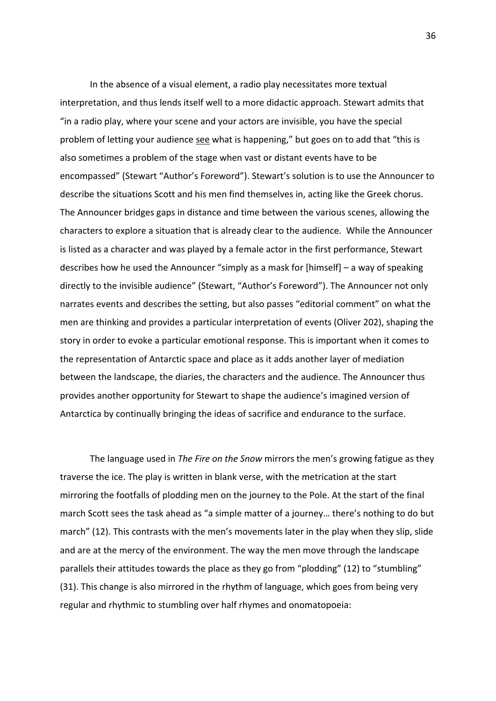In
the
absence
of
a
visual
element,
a
radio
play
necessitates
more
textual interpretation, and thus lends itself well to a more didactic approach. Stewart admits that "in a radio play, where your scene and your actors are invisible, you have the special problem of letting your audience see what is happening," but goes on to add that "this is also
sometimes
a
problem
of
the
stage
when
vast
or
distant
events
have
to
be encompassed"
(Stewart
"Author's
Foreword").
Stewart's
solution
is
to
use
the
Announcer
to describe the situations Scott and his men find themselves in, acting like the Greek chorus. The Announcer bridges gaps in distance and time between the various scenes, allowing the characters
to
explore
a
situation
that
is
already
clear
to
the
audience.

While
the
Announcer is listed as a character and was played by a female actor in the first performance, Stewart describes
how
he
used
the
Announcer
"simply
as
a
mask
for
[himself]
– a
way
of
speaking directly to the invisible audience" (Stewart, "Author's Foreword"). The Announcer not only narrates events and describes the setting, but also passes "editorial comment" on what the men
are
thinking
and
provides
a
particular
interpretation
of
events
(Oliver
202),
shaping
the story in order to evoke a particular emotional response. This is important when it comes to the
representation
of
Antarctic
space
and
place
as
it
adds
another
layer
of
mediation between the landscape, the diaries, the characters and the audience. The Announcer thus provides
another
opportunity
for
Stewart
to
shape
the
audience's
imagined
version
of Antarctica by continually bringing the ideas of sacrifice and endurance to the surface.

The language used in *The Fire on the Snow* mirrors the men's growing fatigue as they traverse the ice. The play is written in blank verse, with the metrication at the start mirroring the footfalls of plodding men on the journey to the Pole. At the start of the final march Scott sees the task ahead as "a simple matter of a journey... there's nothing to do but march" (12). This contrasts with the men's movements later in the play when they slip, slide and
are
at
the
mercy
of
the
environment.
The
way
the
men
move
through
the
landscape parallels their attitudes towards the place as they go from "plodding" (12) to "stumbling" (31). This change is also mirrored in the rhythm of language, which goes from being very regular
and
rhythmic
to
stumbling
over
half
rhymes
and
onomatopoeia: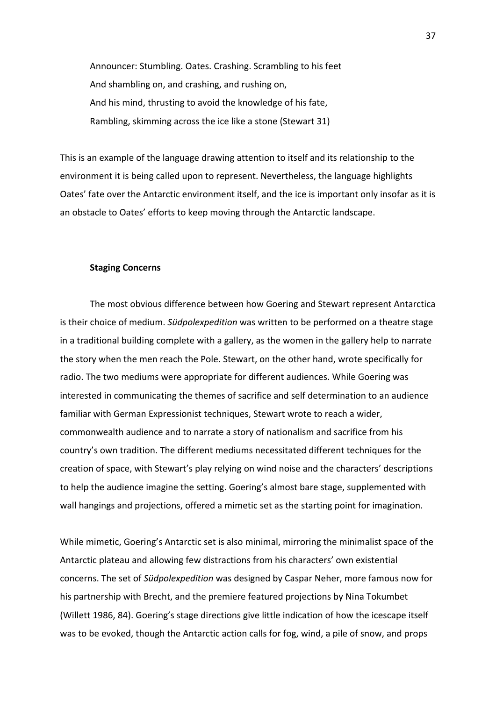Announcer:
Stumbling.
Oates.
Crashing.
Scrambling
to
his
feet And
shambling
on,
and
crashing,
and
rushing
on, And
his
mind,
thrusting
to
avoid
the
knowledge
of
his
fate, Rambling,
skimming
across
the
ice
like
a
stone
(Stewart
31)

This is an example of the language drawing attention to itself and its relationship to the environment it is being called upon to represent. Nevertheless, the language highlights Oates' fate over the Antarctic environment itself, and the ice is important only insofar as it is an
obstacle
to
Oates'
efforts
to
keep
moving
through
the
Antarctic
landscape.

### **Staging
Concerns**

The
most
obvious
difference
between
how
Goering
and
Stewart
represent
Antarctica is their choice of medium. Südpolexpedition was written to be performed on a theatre stage in a traditional building complete with a gallery, as the women in the gallery help to narrate the
story
when
the
men
reach
the
Pole.
Stewart,
on
the
other
hand,
wrote
specifically
for radio.
The
two
mediums
were
appropriate
for
different
audiences.
While
Goering
was interested in communicating the themes of sacrifice and self determination to an audience familiar with German Expressionist techniques, Stewart wrote to reach a wider, commonwealth
audience
and
to
narrate
a
story
of
nationalism
and
sacrifice
from
his country's
own
tradition.
The
different
mediums
necessitated
different
techniques
for
the creation
of
space,
with
Stewart's
play
relying
on
wind
noise
and
the
characters'
descriptions to help the audience imagine the setting. Goering's almost bare stage, supplemented with wall hangings and projections, offered a mimetic set as the starting point for imagination.

While mimetic, Goering's Antarctic set is also minimal, mirroring the minimalist space of the Antarctic
plateau
and
allowing
few
distractions
from
his
characters'
own
existential concerns.
The
set
of *Südpolexpedition* was
designed
by
Caspar
Neher,
more
famous
now
for his partnership with Brecht, and the premiere featured projections by Nina Tokumbet (Willett 1986, 84). Goering's stage directions give little indication of how the icescape itself was to be evoked, though the Antarctic action calls for fog, wind, a pile of snow, and props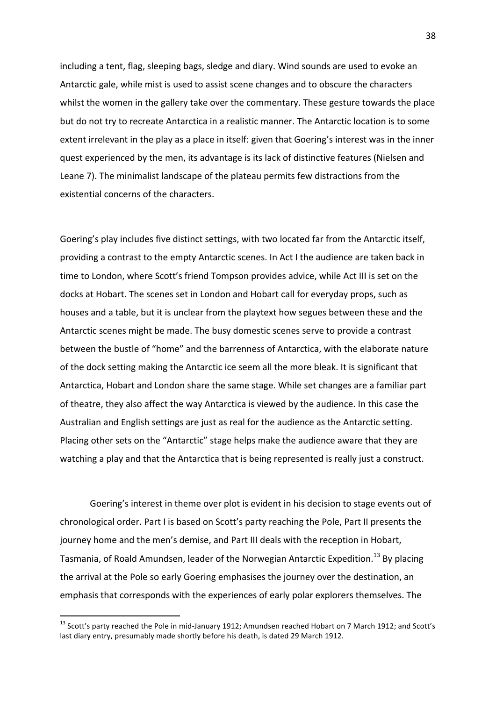including a tent, flag, sleeping bags, sledge and diary. Wind sounds are used to evoke an Antarctic gale, while mist is used to assist scene changes and to obscure the characters whilst the women in the gallery take over the commentary. These gesture towards the place but
do
not
try
to
recreate
Antarctica
in
a
realistic
manner.
The
Antarctic
location
is
to
some extent irrelevant in the play as a place in itself: given that Goering's interest was in the inner quest
experienced
by
the
men,
its
advantage
is
its
lack
of
distinctive
features
(Nielsen
and Leane
7).
The
minimalist
landscape
of
the
plateau
permits
few
distractions
from
the existential
concerns
of
the
characters.

Goering's play includes five distinct settings, with two located far from the Antarctic itself, providing a contrast to the empty Antarctic scenes. In Act I the audience are taken back in time to London, where Scott's friend Tompson provides advice, while Act III is set on the docks
at
Hobart.
The
scenes
set
in
London
and
Hobart
call
for
everyday
props,
such
as houses and a table, but it is unclear from the playtext how segues between these and the Antarctic
scenes
might
be
made.
The
busy
domestic
scenes
serve
to
provide
a
contrast between the bustle of "home" and the barrenness of Antarctica, with the elaborate nature of the dock setting making the Antarctic ice seem all the more bleak. It is significant that Antarctica,
Hobart
and
London
share
the
same
stage.
While
set
changes
are
a
familiar
part of
theatre,
they
also
affect
the
way
Antarctica
is
viewed
by
the
audience.
In
this
case
the Australian and English settings are just as real for the audience as the Antarctic setting. Placing other sets on the "Antarctic" stage helps make the audience aware that they are watching a play and that the Antarctica that is being represented is really just a construct.

Goering's interest in theme over plot is evident in his decision to stage events out of chronological
order.
Part
I
is
based
on
Scott's
party
reaching
the
Pole,
Part
II
presents
the journey home and the men's demise, and Part III deals with the reception in Hobart, Tasmania, of Roald Amundsen, leader of the Norwegian Antarctic Expedition.<sup>13</sup> By placing the
arrival
at
the
Pole
so
early
Goering
emphasises
the
journey
over
the
destination,
an emphasis
that
corresponds
with
the
experiences
of
early
polar
explorers
themselves.
The

<sup>&</sup>lt;sup>13</sup> Scott's party reached the Pole in mid-January 1912; Amundsen reached Hobart on 7 March 1912; and Scott's last
diary
entry,
presumably
made
shortly
before
his
death,
is
dated
29
March
1912.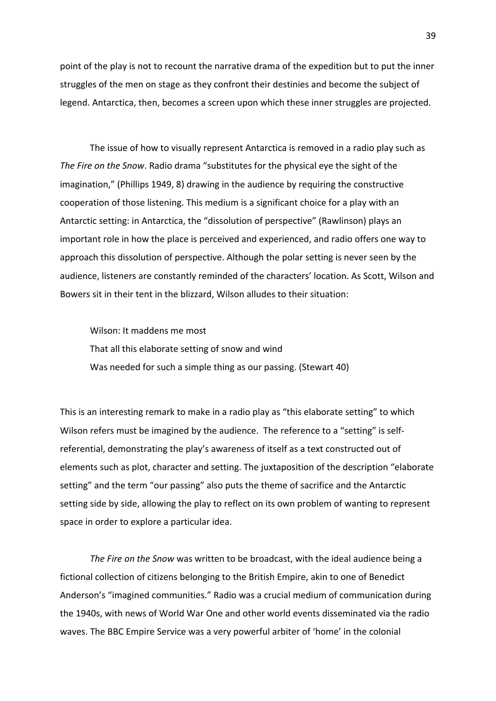point of the play is not to recount the narrative drama of the expedition but to put the inner struggles of the men on stage as they confront their destinies and become the subject of legend. Antarctica, then, becomes a screen upon which these inner struggles are projected.

The issue of how to visually represent Antarctica is removed in a radio play such as The Fire on the Snow. Radio drama "substitutes for the physical eye the sight of the imagination,"
(Phillips
1949,
8)
drawing
in
the
audience
by
requiring
the
constructive cooperation
of
those
listening.
This
medium
is
a
significant
choice
for
a
play
with
an Antarctic setting: in Antarctica, the "dissolution of perspective" (Rawlinson) plays an important role in how the place is perceived and experienced, and radio offers one way to approach
this
dissolution
of
perspective.
Although
the
polar
setting
is
never
seen
by
the audience,
listeners
are
constantly
reminded
of
the
characters'
location.
As
Scott,
Wilson
and Bowers sit in their tent in the blizzard, Wilson alludes to their situation:

Wilson:
It
maddens
me
most That
all
this
elaborate
setting
of
snow
and
wind Was
needed
for
such
a
simple
thing
as
our
passing.
(Stewart
40)

This is an interesting remark to make in a radio play as "this elaborate setting" to which Wilson refers must be imagined by the audience. The reference to a "setting" is selfreferential, demonstrating the play's awareness of itself as a text constructed out of elements
such
as
plot,
character
and
setting.
The
juxtaposition
of
the
description
"elaborate setting" and the term "our passing" also puts the theme of sacrifice and the Antarctic setting side by side, allowing the play to reflect on its own problem of wanting to represent space in order to explore a particular idea.

The Fire on the Snow was written to be broadcast, with the ideal audience being a fictional collection of citizens belonging to the British Empire, akin to one of Benedict Anderson's "imagined communities." Radio was a crucial medium of communication during the
1940s,
with
news
of
World
War
One
and
other
world
events
disseminated
via
the
radio waves. The BBC Empire Service was a very powerful arbiter of 'home' in the colonial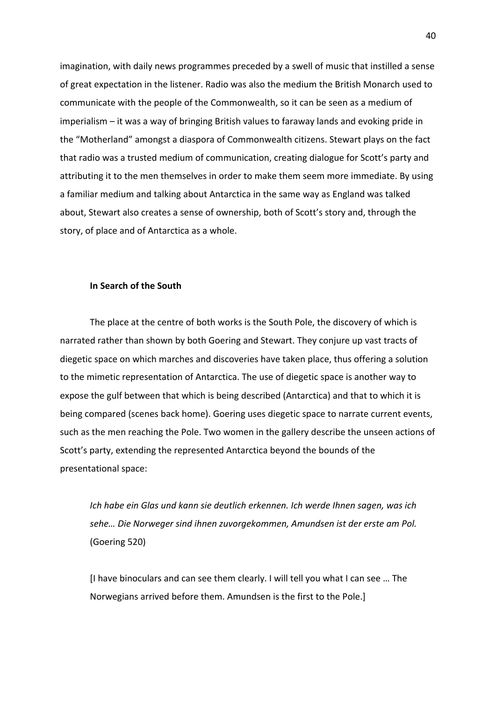imagination, with daily news programmes preceded by a swell of music that instilled a sense of great expectation in the listener. Radio was also the medium the British Monarch used to communicate
with
the
people
of
the
Commonwealth,
so
it
can
be
seen
as
a
medium
of imperialism – it was a way of bringing British values to faraway lands and evoking pride in the "Motherland" amongst a diaspora of Commonwealth citizens. Stewart plays on the fact that radio was a trusted medium of communication, creating dialogue for Scott's party and attributing it to the men themselves in order to make them seem more immediate. By using a familiar medium and talking about Antarctica in the same way as England was talked about,
Stewart
also
creates
a
sense
of
ownership,
both
of
Scott's
story
and,
through
the story,
of
place
and
of
Antarctica
as
a
whole.

# **In
Search
of
the
South**

The
place
at
the
centre
of
both
works
is
the
South
Pole,
the
discovery
of
which
is narrated
rather
than
shown
by
both
Goering
and
Stewart.
They
conjure
up
vast
tracts
of diegetic
space
on
which
marches
and
discoveries
have
taken
place,
thus
offering
a
solution to the mimetic representation of Antarctica. The use of diegetic space is another way to expose
the
gulf
between
that
which
is
being
described
(Antarctica)
and
that
to
which
it
is being
compared
(scenes
back
home).
Goering
uses
diegetic
space
to
narrate
current
events, such
as
the
men
reaching
the
Pole.
Two
women
in
the
gallery
describe
the
unseen
actions
of Scott's party, extending the represented Antarctica beyond the bounds of the presentational
space:

Ich habe ein Glas und kann sie deutlich erkennen. Ich werde Ihnen sagen, was ich *sehe…
Die
Norweger
sind
ihnen
zuvorgekommen,
Amundsen
ist
der
erste
am
Pol.*  (Goering
520)

[I
have
binoculars
and
can
see
them
clearly.
I
will
tell
you
what
I
can
see
…
The Norwegians arrived before them. Amundsen is the first to the Pole.]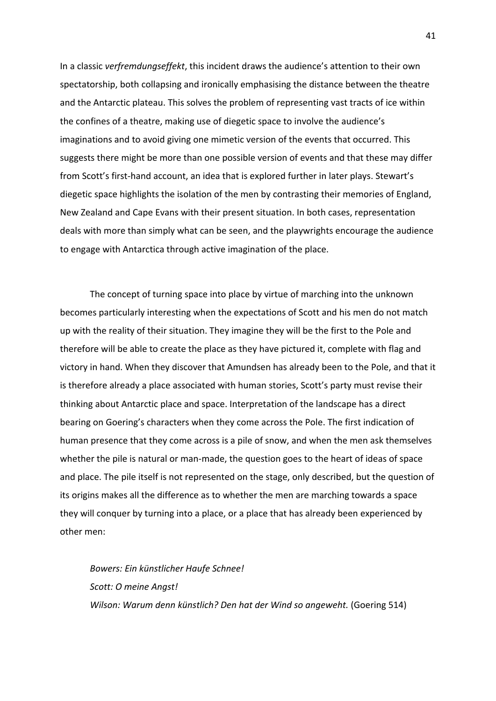In a classic verfremdungseffekt, this incident draws the audience's attention to their own spectatorship,
both
collapsing
and
ironically
emphasising
the
distance
between
the
theatre and the Antarctic plateau. This solves the problem of representing vast tracts of ice within the confines of a theatre, making use of diegetic space to involve the audience's imaginations and to avoid giving one mimetic version of the events that occurred. This suggests
there
might
be
more
than
one
possible
version
of
events
and
that
these
may
differ from Scott's first-hand account, an idea that is explored further in later plays. Stewart's diegetic space highlights the isolation of the men by contrasting their memories of England, New
Zealand
and
Cape
Evans
with
their
present
situation.
In
both
cases,
representation deals
with
more
than
simply
what
can
be
seen,
and
the
playwrights
encourage
the
audience to
engage
with
Antarctica
through
active
imagination
of
the
place.

The concept of turning space into place by virtue of marching into the unknown becomes particularly interesting when the expectations of Scott and his men do not match up with the reality of their situation. They imagine they will be the first to the Pole and therefore will be able to create the place as they have pictured it, complete with flag and victory in hand. When they discover that Amundsen has already been to the Pole, and that it is therefore already a place associated with human stories, Scott's party must revise their thinking
about
Antarctic
place
and
space.
Interpretation
of
the
landscape
has
a
direct bearing
on
Goering's
characters
when
they
come
across
the
Pole.
The
first
indication
of human
presence
that
they
come
across
is
a
pile
of
snow,
and
when
the
men
ask
themselves whether the pile is natural or man-made, the question goes to the heart of ideas of space and place. The pile itself is not represented on the stage, only described, but the question of its origins makes all the difference as to whether the men are marching towards a space they will conquer by turning into a place, or a place that has already been experienced by other
men:

*Bowers:
Ein
künstlicher
Haufe
Schnee! Scott:
O
meine
Angst!* Wilson: Warum denn künstlich? Den hat der Wind so angeweht. (Goering 514)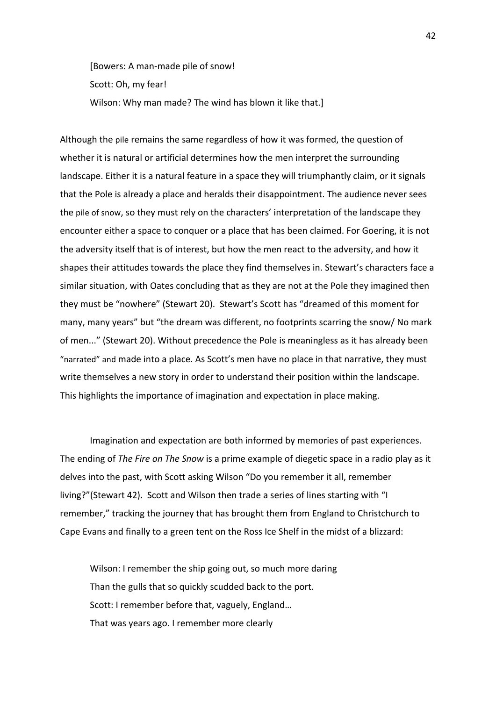[Bowers:
A
man‐made
pile
of
snow! Scott:
Oh,
my
fear! Wilson: Why man made? The wind has blown it like that.]

Although
the
pile
remains
the
same
regardless
of
how
it
was
formed,
the
question
of whether it is natural or artificial determines how the men interpret the surrounding landscape. Either it is a natural feature in a space they will triumphantly claim, or it signals that
the
Pole
is
already
a
place
and
heralds
their
disappointment.
The
audience
never
sees the
pile
of
snow,
so
they
must
rely
on
the
characters'
interpretation
of
the
landscape
they encounter
either
a
space
to
conquer
or
a
place
that
has
been
claimed.
For
Goering,
it
is
not the adversity itself that is of interest, but how the men react to the adversity, and how it shapes their attitudes towards the place they find themselves in. Stewart's characters face a similar situation, with Oates concluding that as they are not at the Pole they imagined then they
must
be
"nowhere"
(Stewart
20).

Stewart's
Scott
has
"dreamed
of
this
moment
for many, many years" but "the dream was different, no footprints scarring the snow/ No mark of men..." (Stewart 20). Without precedence the Pole is meaningless as it has already been "narrated" and made into a place. As Scott's men have no place in that narrative, they must write themselves a new story in order to understand their position within the landscape. This
highlights
the
importance
of
imagination
and
expectation
in
place
making.

Imagination
and
expectation
are
both
informed
by
memories
of
past
experiences. The ending of *The Fire on The Snow* is a prime example of diegetic space in a radio play as it delves into the past, with Scott asking Wilson "Do you remember it all, remember living?"(Stewart 42). Scott and Wilson then trade a series of lines starting with "I remember," tracking the journey that has brought them from England to Christchurch to Cape Evans and finally to a green tent on the Ross Ice Shelf in the midst of a blizzard:

Wilson: I remember the ship going out, so much more daring Than the gulls that so quickly scudded back to the port. Scott:
I
remember
before
that,
vaguely,
England… That
was
years
ago.
I
remember
more
clearly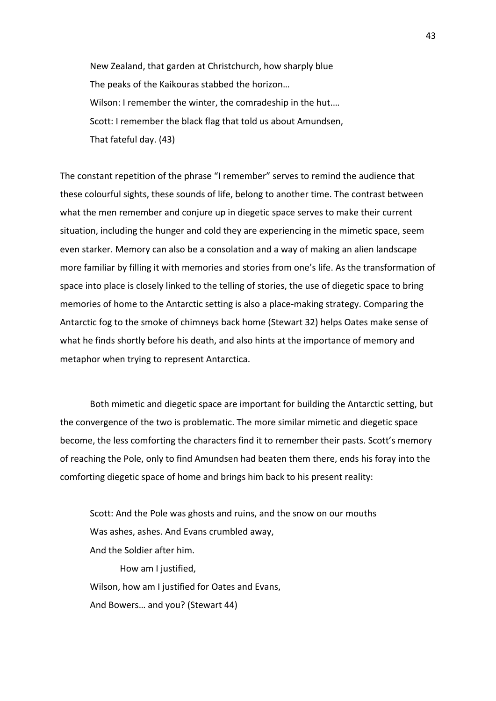New
Zealand,
that
garden
at
Christchurch,
how
sharply
blue The
peaks
of
the
Kaikouras
stabbed
the
horizon… Wilson: I remember the winter, the comradeship in the hut.... Scott:
I
remember
the
black
flag
that
told
us
about
Amundsen, That
fateful
day.
(43)

The constant repetition of the phrase "I remember" serves to remind the audience that these
colourful
sights,
these
sounds
of
life,
belong
to
another
time.
The
contrast
between what the men remember and conjure up in diegetic space serves to make their current situation,
including
the
hunger
and
cold
they
are
experiencing
in
the
mimetic
space,
seem even starker. Memory can also be a consolation and a way of making an alien landscape more familiar by filling it with memories and stories from one's life. As the transformation of space into place is closely linked to the telling of stories, the use of diegetic space to bring memories of home to the Antarctic setting is also a place-making strategy. Comparing the Antarctic fog to the smoke of chimneys back home (Stewart 32) helps Oates make sense of what he finds shortly before his death, and also hints at the importance of memory and metaphor
when
trying
to
represent
Antarctica.

Both
mimetic
and
diegetic
space
are
important
for
building
the
Antarctic
setting,
but the convergence of the two is problematic. The more similar mimetic and diegetic space become, the less comforting the characters find it to remember their pasts. Scott's memory of
reaching
the
Pole,
only
to
find
Amundsen
had
beaten
them
there,
ends
his
foray
into
the comforting
diegetic
space
of
home
and
brings
him
back
to
his
present
reality:

Scott: And the Pole was ghosts and ruins, and the snow on our mouths Was
ashes,
ashes.
And
Evans
crumbled
away, And
the
Soldier
after
him. How
am
I
justified, Wilson,
how
am
I
justified
for
Oates
and
Evans, And
Bowers…
and
you?
(Stewart
44)

43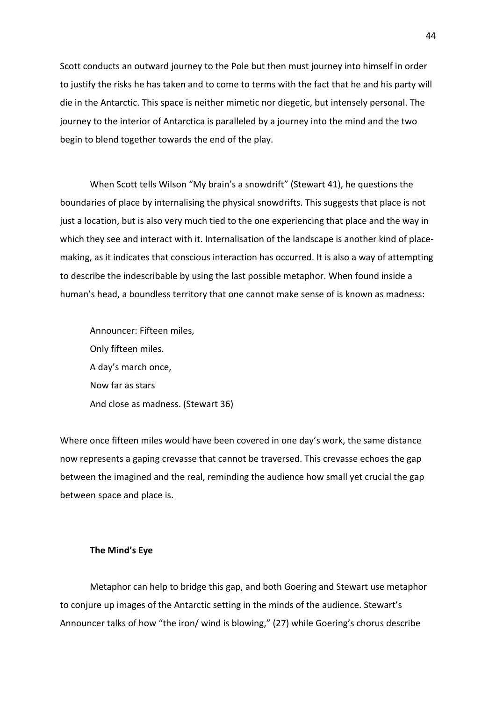Scott conducts an outward journey to the Pole but then must journey into himself in order to justify the risks he has taken and to come to terms with the fact that he and his party will die
in
the
Antarctic.
This
space
is
neither
mimetic
nor
diegetic,
but
intensely
personal.
The journey to the interior of Antarctica is paralleled by a journey into the mind and the two begin to blend together towards the end of the play.

When Scott tells Wilson "My brain's a snowdrift" (Stewart 41), he questions the boundaries of place by internalising the physical snowdrifts. This suggests that place is not just a location, but is also very much tied to the one experiencing that place and the way in which they see and interact with it. Internalisation of the landscape is another kind of placemaking, as it indicates that conscious interaction has occurred. It is also a way of attempting to describe the indescribable by using the last possible metaphor. When found inside a human's head, a boundless territory that one cannot make sense of is known as madness:

Announcer:
Fifteen
miles, Only
fifteen
miles. A
day's
march
once, Now
far
as
stars And
close
as
madness.
(Stewart
36)

Where once fifteen miles would have been covered in one day's work, the same distance now
represents
a
gaping
crevasse
that
cannot
be
traversed.
This
crevasse
echoes
the
gap between the imagined and the real, reminding the audience how small yet crucial the gap between
space
and
place
is.

## **The
Mind's
Eye**

Metaphor can help to bridge this gap, and both Goering and Stewart use metaphor to conjure up images of the Antarctic setting in the minds of the audience. Stewart's Announcer
talks
of
how
"the
iron/
wind
is
blowing,"
(27)
while
Goering's
chorus
describe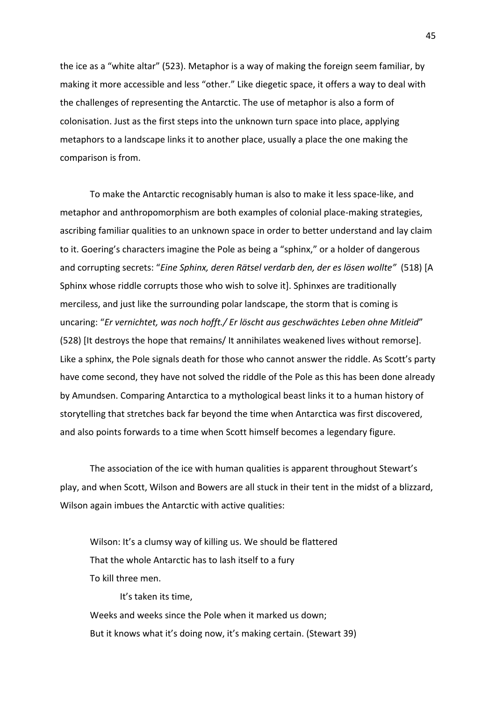the ice as a "white altar" (523). Metaphor is a way of making the foreign seem familiar, by making it more accessible and less "other." Like diegetic space, it offers a way to deal with the
challenges
of
representing
the
Antarctic.
The
use
of
metaphor
is
also
a
form
of colonisation.
Just
as
the
first
steps
into
the
unknown
turn
space
into
place,
applying metaphors
to
a
landscape
links
it
to
another
place,
usually
a
place
the
one
making
the comparison
is
from.

To
make
the
Antarctic
recognisably
human
is
also
to
make
it
less
space‐like,
and metaphor
and
anthropomorphism
are
both
examples
of
colonial
place‐making
strategies, ascribing familiar qualities to an unknown space in order to better understand and lay claim to it. Goering's characters imagine the Pole as being a "sphinx," or a holder of dangerous and corrupting secrets: "Eine Sphinx, deren Rätsel verdarb den, der es lösen wollte" (518) [A Sphinx whose riddle corrupts those who wish to solve it]. Sphinxes are traditionally merciless, and just like the surrounding polar landscape, the storm that is coming is uncaring:
"*Er
vernichtet,
was
noch
hofft./
Er
löscht
aus
geschwächtes
Leben
ohne
Mitleid*" (528) [It destroys the hope that remains/ It annihilates weakened lives without remorse]. Like a sphinx, the Pole signals death for those who cannot answer the riddle. As Scott's party have come second, they have not solved the riddle of the Pole as this has been done already by
Amundsen.
Comparing
Antarctica
to
a
mythological
beast
links
it
to
a
human
history
of storytelling that stretches back far beyond the time when Antarctica was first discovered, and also points forwards to a time when Scott himself becomes a legendary figure.

The association of the ice with human qualities is apparent throughout Stewart's play,
and
when
Scott,
Wilson
and
Bowers
are
all
stuck
in
their
tent
in
the
midst
of
a
blizzard, Wilson
again
imbues
the
Antarctic
with
active
qualities:

Wilson: It's a clumsy way of killing us. We should be flattered That
the
whole
Antarctic
has
to
lash
itself
to
a
fury To
kill
three
men.

It's taken its time, Weeks and weeks since the Pole when it marked us down; But it knows what it's doing now, it's making certain. (Stewart 39)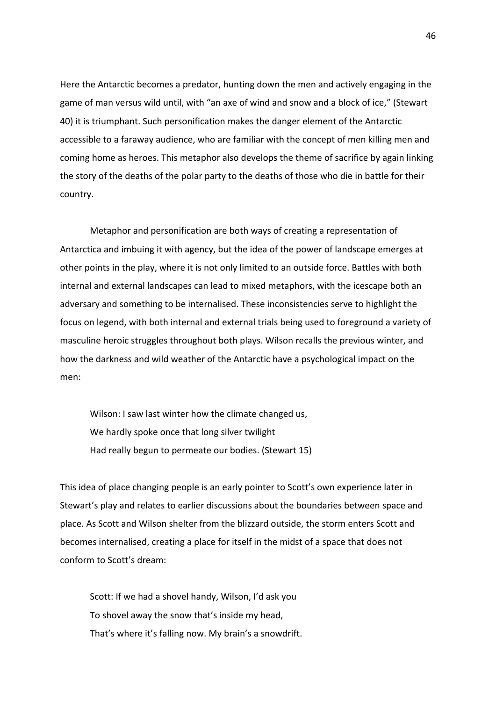Here the Antarctic becomes a predator, hunting down the men and actively engaging in the game of man versus wild until, with "an axe of wind and snow and a block of ice," (Stewart 40)
it
is
triumphant.
Such
personification
makes
the
danger
element
of
the
Antarctic accessible to a faraway audience, who are familiar with the concept of men killing men and coming
home
as
heroes.
This
metaphor
also
develops
the
theme
of
sacrifice
by
again
linking the story of the deaths of the polar party to the deaths of those who die in battle for their country.

Metaphor
and
personification
are
both
ways
of
creating
a
representation
of Antarctica
and
imbuing
it
with
agency,
but
the
idea
of
the
power
of
landscape
emerges
at other points in the play, where it is not only limited to an outside force. Battles with both internal and external landscapes can lead to mixed metaphors, with the icescape both an adversary and something to be internalised. These inconsistencies serve to highlight the focus on legend, with both internal and external trials being used to foreground a variety of masculine heroic struggles throughout both plays. Wilson recalls the previous winter, and how the darkness and wild weather of the Antarctic have a psychological impact on the men:

Wilson: I saw last winter how the climate changed us, We hardly spoke once that long silver twilight Had
really
begun
to
permeate
our
bodies.
(Stewart
15)

This idea of place changing people is an early pointer to Scott's own experience later in Stewart's
play
and
relates
to
earlier
discussions
about
the
boundaries
between
space
and place.
As
Scott
and
Wilson
shelter
from
the
blizzard
outside,
the
storm
enters
Scott
and becomes
internalised,
creating
a
place
for
itself
in
the
midst
of
a
space
that
does
not conform
to
Scott's
dream:

Scott: If we had a shovel handy, Wilson, I'd ask you To
shovel
away
the
snow
that's
inside
my
head, That's
where
it's
falling
now.
My
brain's
a
snowdrift.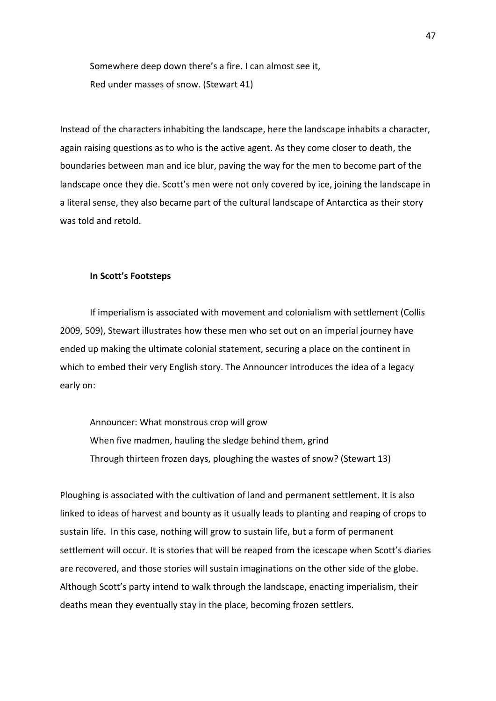Somewhere
deep
down
there's
a
fire.
I
can
almost
see
it, Red
under
masses
of
snow.
(Stewart
41)

Instead of the characters inhabiting the landscape, here the landscape inhabits a character, again raising questions as to who is the active agent. As they come closer to death, the boundaries between man and ice blur, paving the way for the men to become part of the landscape once they die. Scott's men were not only covered by ice, joining the landscape in a literal sense, they also became part of the cultural landscape of Antarctica as their story was
told
and
retold.

### **In
Scott's
Footsteps**

If imperialism is associated with movement and colonialism with settlement (Collis 2009,
509),
Stewart
illustrates
how
these
men
who
set
out
on
an
imperial
journey
have ended up making the ultimate colonial statement, securing a place on the continent in which to embed their very English story. The Announcer introduces the idea of a legacy early
on:

Announcer:
What
monstrous
crop
will
grow When
five
madmen,
hauling
the
sledge
behind
them,
grind Through
thirteen
frozen
days,
ploughing
the
wastes
of
snow?
(Stewart
13)

Ploughing is associated with the cultivation of land and permanent settlement. It is also linked to ideas of harvest and bounty as it usually leads to planting and reaping of crops to sustain life. In this case, nothing will grow to sustain life, but a form of permanent settlement will occur. It is stories that will be reaped from the icescape when Scott's diaries are
recovered,
and
those
stories
will
sustain
imaginations
on
the
other
side
of
the
globe. Although
Scott's
party
intend
to
walk
through
the
landscape,
enacting
imperialism,
their deaths
mean
they
eventually
stay
in
the
place,
becoming
frozen
settlers.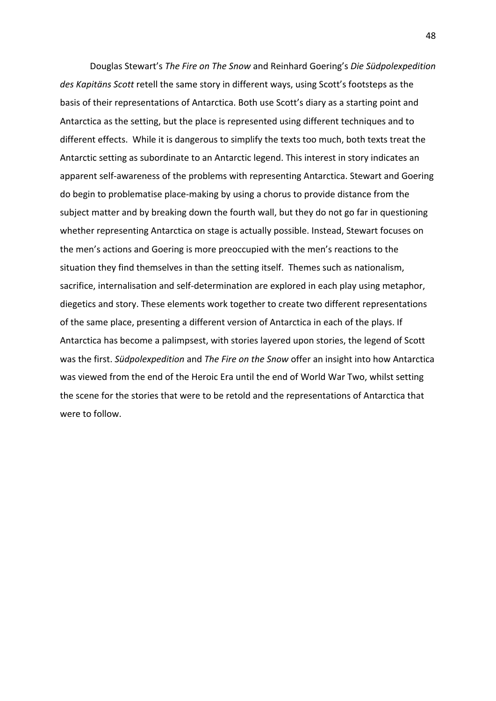Douglas
Stewart's *The
Fire
on
The
Snow* and
Reinhard
Goering's *Die
Südpolexpedition*  des Kapitäns Scott retell the same story in different ways, using Scott's footsteps as the basis of their representations of Antarctica. Both use Scott's diary as a starting point and Antarctica
as
the
setting,
but
the
place
is
represented
using
different
techniques
and
to different effects. While it is dangerous to simplify the texts too much, both texts treat the Antarctic
setting
as
subordinate
to
an
Antarctic
legend.
This
interest
in
story
indicates
an apparent
self‐awareness
of
the
problems
with
representing
Antarctica.
Stewart
and
Goering do
begin
to
problematise
place‐making
by
using
a
chorus
to
provide
distance
from
the subject
matter
and
by
breaking
down
the
fourth
wall,
but
they
do
not
go
far
in
questioning whether representing Antarctica on stage is actually possible. Instead, Stewart focuses on the men's actions and Goering is more preoccupied with the men's reactions to the situation they find themselves in than the setting itself. Themes such as nationalism, sacrifice, internalisation and self-determination are explored in each play using metaphor, diegetics
and
story.
These
elements
work
together
to
create
two
different
representations of the same place, presenting a different version of Antarctica in each of the plays. If Antarctica
has
become
a
palimpsest,
with
stories
layered
upon
stories,
the
legend
of
Scott was the first. Südpolexpedition and The Fire on the Snow offer an insight into how Antarctica was viewed from the end of the Heroic Era until the end of World War Two, whilst setting the
scene
for
the
stories
that
were
to
be
retold
and
the
representations
of
Antarctica
that were
to
follow.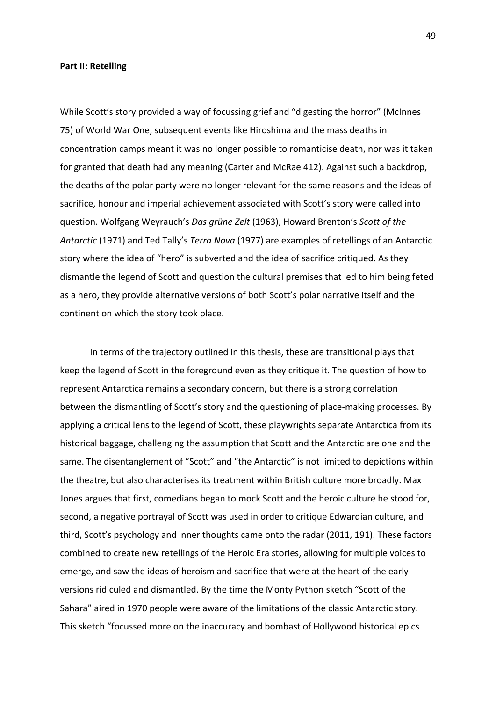#### **Part
II:
Retelling**

While Scott's story provided a way of focussing grief and "digesting the horror" (McInnes 75)
of
World
War
One,
subsequent
events
like
Hiroshima
and
the
mass
deaths
in concentration
camps
meant
it
was
no
longer
possible
to
romanticise
death,
nor
was
it
taken for
granted
that
death
had
any
meaning
(Carter
and
McRae
412).
Against
such
a
backdrop, the
deaths
of
the
polar
party
were
no
longer
relevant
for
the
same
reasons
and
the
ideas
of sacrifice, honour and imperial achievement associated with Scott's story were called into question.
Wolfgang
Weyrauch's *Das
grüne
Zelt* (1963),
Howard
Brenton's *Scott
of
the*  Antarctic (1971) and Ted Tally's *Terra Nova* (1977) are examples of retellings of an Antarctic story where the idea of "hero" is subverted and the idea of sacrifice critiqued. As they dismantle
the
legend
of
Scott
and
question
the
cultural
premises
that
led
to
him
being
feted as a hero, they provide alternative versions of both Scott's polar narrative itself and the continent
on
which
the
story
took
place.

In terms of the trajectory outlined in this thesis, these are transitional plays that keep the legend of Scott in the foreground even as they critique it. The question of how to represent Antarctica remains a secondary concern, but there is a strong correlation between the dismantling of Scott's story and the questioning of place-making processes. By applying a critical lens to the legend of Scott, these playwrights separate Antarctica from its historical baggage, challenging the assumption that Scott and the Antarctic are one and the same. The disentanglement of "Scott" and "the Antarctic" is not limited to depictions within the
theatre,
but
also
characterises
its
treatment
within
British
culture
more
broadly.
Max Jones argues that first, comedians began to mock Scott and the heroic culture he stood for, second, a negative portrayal of Scott was used in order to critique Edwardian culture, and third,
Scott's
psychology
and
inner
thoughts
came
onto
the
radar
(2011,
191). These
factors combined
to
create
new
retellings
of
the
Heroic
Era
stories,
allowing
for
multiple
voices
to emerge,
and
saw
the
ideas
of
heroism
and
sacrifice
that
were
at
the
heart
of
the
early versions
ridiculed
and
dismantled.
By
the
time
the
Monty
Python
sketch
"Scott
of
the Sahara" aired in 1970 people were aware of the limitations of the classic Antarctic story. This
sketch
"focussed
more
on
the
inaccuracy
and
bombast
of
Hollywood
historical
epics

49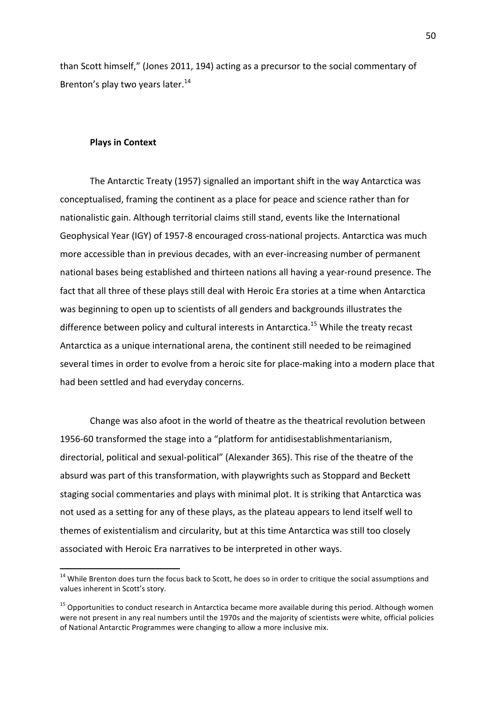than
Scott
himself,"
(Jones
2011,
194)
acting
as
a
precursor
to
the
social
commentary
of Brenton's play two years later.<sup>14</sup>

## **Plays
in
Context**

The
Antarctic
Treaty
(1957)
signalled
an
important
shift
in
the
way
Antarctica
was conceptualised, framing the continent as a place for peace and science rather than for nationalistic gain. Although territorial claims still stand, events like the International Geophysical Year (IGY) of 1957-8 encouraged cross-national projects. Antarctica was much more accessible than in previous decades, with an ever-increasing number of permanent national
bases
being
established
and
thirteen
nations
all
having
a
year‐round
presence.
The fact that all three of these plays still deal with Heroic Era stories at a time when Antarctica was beginning to open up to scientists of all genders and backgrounds illustrates the difference between policy and cultural interests in Antarctica.<sup>15</sup> While the treaty recast Antarctica
as
a
unique
international
arena,
the
continent
still
needed
to
be
reimagined several times in order to evolve from a heroic site for place-making into a modern place that had
been
settled
and
had
everyday
concerns.

Change
was
also
afoot
in
the
world
of
theatre
as
the
theatrical
revolution
between 1956‐60
transformed
the
stage
into
a
"platform
for
antidisestablishmentarianism, directorial, political and sexual-political" (Alexander 365). This rise of the theatre of the absurd was part of this transformation, with playwrights such as Stoppard and Beckett staging
social
commentaries
and
plays
with
minimal
plot.
It
is
striking
that
Antarctica
was not
used
as
a
setting
for
any
of
these
plays,
as
the
plateau
appears
to
lend
itself
well
to themes
of
existentialism
and
circularity,
but
at
this
time
Antarctica
was
still
too
closely associated
with
Heroic
Era
narratives
to
be
interpreted
in
other
ways.

<sup>&</sup>lt;sup>14</sup> While Brenton does turn the focus back to Scott, he does so in order to critique the social assumptions and values
inherent
in
Scott's
story.

<sup>&</sup>lt;sup>15</sup> Opportunities to conduct research in Antarctica became more available during this period. Although women were not present in any real numbers until the 1970s and the majority of scientists were white, official policies of National Antarctic Programmes were changing to allow a more inclusive mix.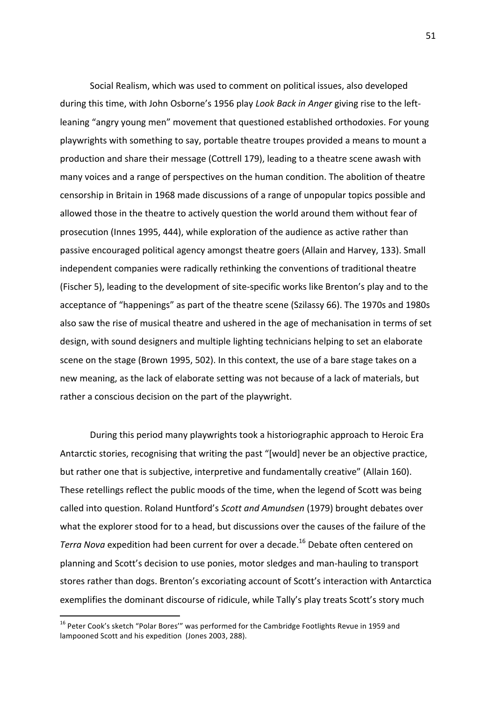Social
Realism,
which
was
used
to
comment
on
political
issues,
also
developed during this time, with John Osborne's 1956 play Look Back in Anger giving rise to the leftleaning "angry young men" movement that questioned established orthodoxies. For young playwrights with something to say, portable theatre troupes provided a means to mount a production
and
share
their
message
(Cottrell
179),
leading
to
a
theatre
scene
awash
with many
voices
and
a
range
of
perspectives
on
the
human
condition.
The
abolition
of
theatre censorship
in
Britain
in
1968
made
discussions
of
a
range
of
unpopular
topics
possible
and allowed those in the theatre to actively question the world around them without fear of prosecution
(Innes
1995,
444),
while
exploration
of
the
audience
as
active
rather
than passive
encouraged
political
agency
amongst
theatre
goers
(Allain
and
Harvey,
133).
Small independent
companies
were
radically
rethinking
the
conventions
of
traditional
theatre (Fischer
5),
leading
to
the
development
of
site‐specific
works
like
Brenton's
play
and
to
the acceptance
of
"happenings"
as
part
of
the
theatre
scene
(Szilassy
66).
The
1970s
and
1980s also saw the rise of musical theatre and ushered in the age of mechanisation in terms of set design, with sound designers and multiple lighting technicians helping to set an elaborate scene on the stage (Brown 1995, 502). In this context, the use of a bare stage takes on a new meaning, as the lack of elaborate setting was not because of a lack of materials, but rather a conscious decision on the part of the playwright.

During
this
period
many
playwrights
took
a historiographic
approach
to
Heroic
Era Antarctic stories, recognising that writing the past "[would] never be an objective practice, but rather one that is subjective, interpretive and fundamentally creative" (Allain 160). These
retellings
reflect
the
public
moods
of
the
time,
when
the
legend
of
Scott
was
being called
into
question.
Roland
Huntford's *Scott
and
Amundsen*(1979)
brought
debates
over what the explorer stood for to a head, but discussions over the causes of the failure of the Terra Nova expedition had been current for over a decade.<sup>16</sup> Debate often centered on planning
and
Scott's
decision
to
use
ponies,
motor
sledges
and
man‐hauling
to
transport stores rather than dogs. Brenton's excoriating account of Scott's interaction with Antarctica exemplifies the dominant discourse of ridicule, while Tally's play treats Scott's story much

<sup>&</sup>lt;sup>16</sup> Peter Cook's sketch "Polar Bores'" was performed for the Cambridge Footlights Revue in 1959 and lampooned
Scott
and
his
expedition

(Jones
2003,
288).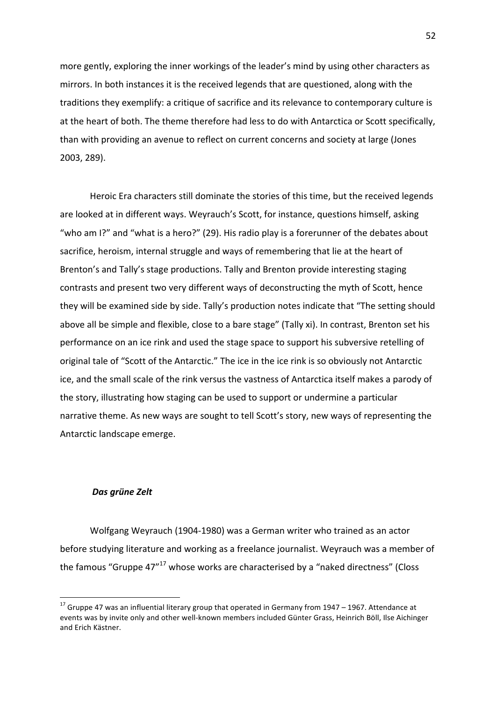more gently, exploring the inner workings of the leader's mind by using other characters as mirrors. In both instances it is the received legends that are questioned, along with the traditions they exemplify: a critique of sacrifice and its relevance to contemporary culture is at the heart of both. The theme therefore had less to do with Antarctica or Scott specifically, than with providing an avenue to reflect on current concerns and society at large (Jones 2003,
289).

Heroic Era characters still dominate the stories of this time, but the received legends are
looked
at
in
different
ways.
Weyrauch's
Scott,
for
instance,
questions
himself,
asking "who am I?" and "what is a hero?" (29). His radio play is a forerunner of the debates about sacrifice, heroism, internal struggle and ways of remembering that lie at the heart of Brenton's and Tally's stage productions. Tally and Brenton provide interesting staging contrasts
and
present
two
very
different
ways
of
deconstructing
the
myth
of
Scott,
hence they will be examined side by side. Tally's production notes indicate that "The setting should above all be simple and flexible, close to a bare stage" (Tally xi). In contrast, Brenton set his performance on an ice rink and used the stage space to support his subversive retelling of original tale of "Scott of the Antarctic." The ice in the ice rink is so obviously not Antarctic ice, and the small scale of the rink versus the vastness of Antarctica itself makes a parody of the
story,
illustrating
how
staging
can
be
used
to
support
or
undermine
a
particular narrative theme. As new ways are sought to tell Scott's story, new ways of representing the Antarctic
landscape
emerge.

### *Das
grüne
Zelt*

Wolfgang Weyrauch (1904-1980) was a German writer who trained as an actor before studying literature and working as a freelance journalist. Weyrauch was a member of the famous "Gruppe 47"<sup>17</sup> whose works are characterised by a "naked directness" (Closs

<sup>&</sup>lt;sup>17</sup> Gruppe 47 was an influential literary group that operated in Germany from 1947 – 1967. Attendance at events was by invite only and other well-known members included Günter Grass, Heinrich Böll, Ilse Aichinger and
Erich
Kästner.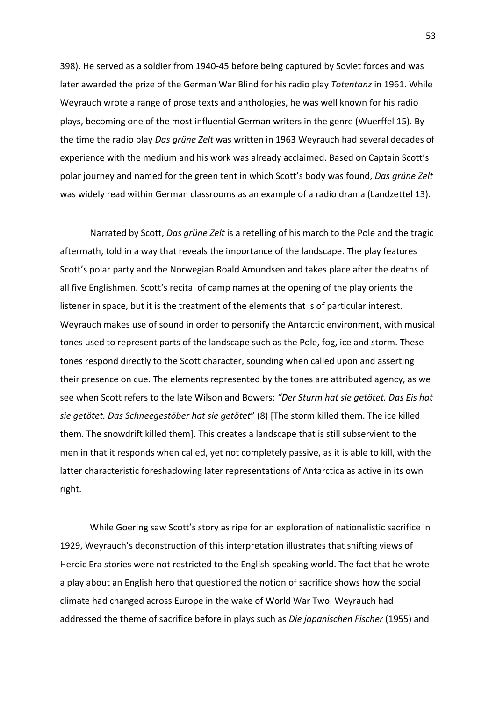398). He served as a soldier from 1940-45 before being captured by Soviet forces and was later awarded the prize of the German War Blind for his radio play Totentanz in 1961. While Weyrauch wrote a range of prose texts and anthologies, he was well known for his radio plays,
becoming
one
of
the
most
influential
German
writers
in
the
genre
(Wuerffel
15).
By the
time
the
radio
play *Das
grüne
Zelt*was
written
in
1963
Weyrauch
had
several
decades
of experience
with
the
medium
and
his
work
was
already
acclaimed. Based
on
Captain
Scott's polar
journey
and
named
for
the
green
tent
in
which
Scott's
body
was
found, *Das
grüne
Zelt*  was widely read within German classrooms as an example of a radio drama (Landzettel 13).

Narrated by Scott, *Das grüne Zelt* is a retelling of his march to the Pole and the tragic aftermath,
told
in
a
way
that
reveals
the
importance
of
the
landscape.
The
play
features Scott's polar party and the Norwegian Roald Amundsen and takes place after the deaths of all five Englishmen. Scott's recital of camp names at the opening of the play orients the listener in space, but it is the treatment of the elements that is of particular interest. Weyrauch makes use of sound in order to personify the Antarctic environment, with musical tones used to represent parts of the landscape such as the Pole, fog, ice and storm. These tones respond directly to the Scott character, sounding when called upon and asserting their
presence
on
cue.
The
elements
represented
by
the
tones
are
attributed
agency,
as
we see when Scott refers to the late Wilson and Bowers: "Der Sturm hat sie getötet. Das Eis hat sie getötet. Das Schneegestöber hat sie getötet" (8) [The storm killed them. The ice killed them. The snowdrift killed them]. This creates a landscape that is still subservient to the men in that it responds when called, yet not completely passive, as it is able to kill, with the latter characteristic foreshadowing later representations of Antarctica as active in its own right.

While Goering saw Scott's story as ripe for an exploration of nationalistic sacrifice in 1929, Weyrauch's deconstruction of this interpretation illustrates that shifting views of Heroic Era stories were not restricted to the English-speaking world. The fact that he wrote a play about an English hero that questioned the notion of sacrifice shows how the social climate
had
changed
across
Europe
in
the
wake
of
World
War
Two.
Weyrauch
had addressed the theme of sacrifice before in plays such as *Die japanischen Fischer* (1955) and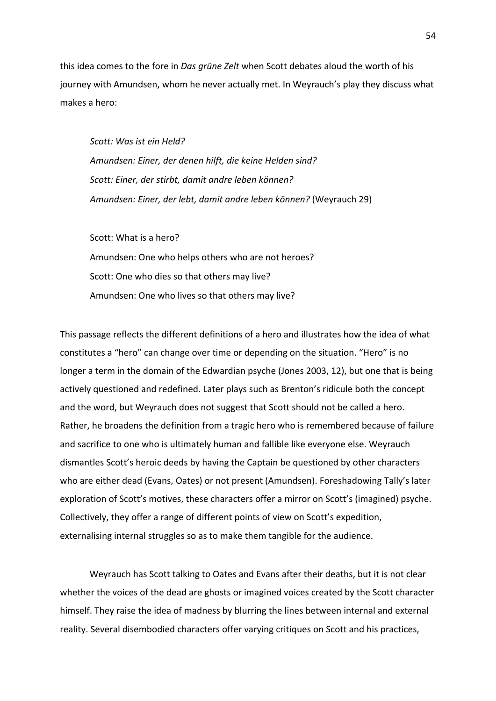this idea comes to the fore in *Das grüne Zelt* when Scott debates aloud the worth of his journey with Amundsen, whom he never actually met. In Weyrauch's play they discuss what makes
a
hero:

*Scott:
Was
ist
ein
Held? Amundsen:
Einer,
der
denen
hilft,
die
keine
Helden
sind? Scott:
Einer,
der
stirbt,
damit
andre
leben
können?* Amundsen: Einer, der lebt, damit andre leben können? (Weyrauch 29)

Scott:
What
is
a
hero? Amundsen:
One
who
helps
others
who
are
not
heroes? Scott:
One
who
dies
so
that
others
may
live? Amundsen:
One
who
lives
so
that
others
may
live?

This passage reflects the different definitions of a hero and illustrates how the idea of what constitutes
a
"hero"
can
change
over
time
or
depending
on
the
situation.
"Hero"
is
no longer a term in the domain of the Edwardian psyche (Jones 2003, 12), but one that is being actively
questioned
and
redefined.
Later
plays
such
as
Brenton's
ridicule
both
the
concept and
the
word,
but
Weyrauch
does
not
suggest
that
Scott
should
not
be
called
a
hero. Rather, he broadens the definition from a tragic hero who is remembered because of failure and sacrifice to one who is ultimately human and fallible like everyone else. Weyrauch dismantles
Scott's
heroic
deeds
by
having
the
Captain
be
questioned
by
other
characters who are either dead (Evans, Oates) or not present (Amundsen). Foreshadowing Tally's later exploration
of
Scott's
motives,
these
characters
offer
a
mirror
on
Scott's
(imagined)
psyche. Collectively,
they
offer
a
range
of
different
points
of
view
on
Scott's
expedition, externalising internal struggles so as to make them tangible for the audience.

Weyrauch has Scott talking to Oates and Evans after their deaths, but it is not clear whether the voices of the dead are ghosts or imagined voices created by the Scott character himself. They raise the idea of madness by blurring the lines between internal and external reality.
Several
disembodied
characters
offer
varying
critiques
on
Scott
and
his
practices,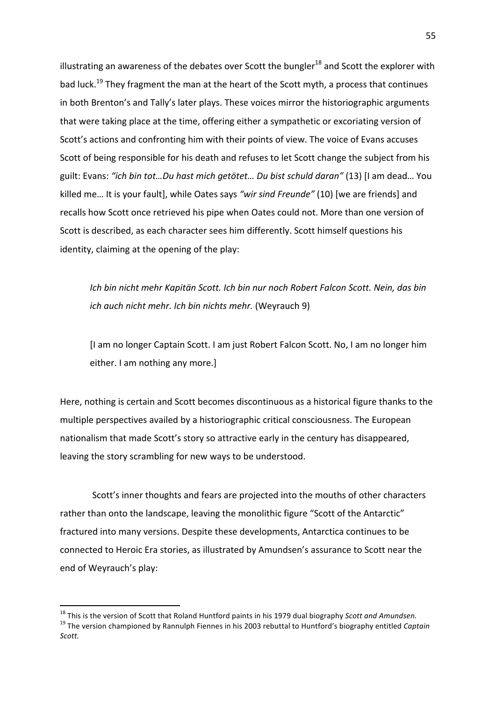illustrating an awareness of the debates over Scott the bungler<sup>18</sup> and Scott the explorer with bad luck.<sup>19</sup> They fragment the man at the heart of the Scott myth, a process that continues in
both
Brenton's
and
Tally's
later
plays.
These
voices
mirror
the
historiographic
arguments that
were
taking
place
at
the
time,
offering
either
a
sympathetic
or
excoriating
version
of Scott's actions and confronting him with their points of view. The voice of Evans accuses Scott of being responsible for his death and refuses to let Scott change the subject from his guilt: Evans: "ich bin tot...Du hast mich getötet... Du bist schuld daran" (13) [I am dead... You killed me... It is your fault], while Oates says "wir sind Freunde" (10) [we are friends] and recalls how Scott once retrieved his pipe when Oates could not. More than one version of Scott
is
described,
as
each
character
sees
him
differently.
Scott
himself
questions
his identity, claiming at the opening of the play:

Ich bin nicht mehr Kapitän Scott. Ich bin nur noch Robert Falcon Scott. Nein, das bin *ich
auch
nicht
mehr.
Ich
bin
nichts
mehr.*(Weyrauch
9)

[I am no longer Captain Scott. I am just Robert Falcon Scott. No, I am no longer him either.
I
am
nothing
any
more.]

Here, nothing is certain and Scott becomes discontinuous as a historical figure thanks to the multiple
perspectives
availed
by
a
historiographic
critical
consciousness.
The
European nationalism
that
made
Scott's
story
so
attractive
early
in
the
century
has
disappeared, leaving
the
story
scrambling
for
new
ways
to
be
understood.

Scott's
inner
thoughts
and
fears
are
projected
into
the
mouths
of
other
characters rather than onto the landscape, leaving the monolithic figure "Scott of the Antarctic" fractured into many versions. Despite these developments, Antarctica continues to be connected
to
Heroic
Era
stories,
as
illustrated
by
Amundsen's
assurance
to
Scott
near
the end
of
Weyrauch's
play:

<sup>&</sup>lt;sup>18</sup> This is the version of Scott that Roland Huntford paints in his 1979 dual biography Scott and Amundsen.<br><sup>19</sup> The version championed by Rannulph Fiennes in his 2003 rebuttal to Huntford's biography entitled Captain *Scott.*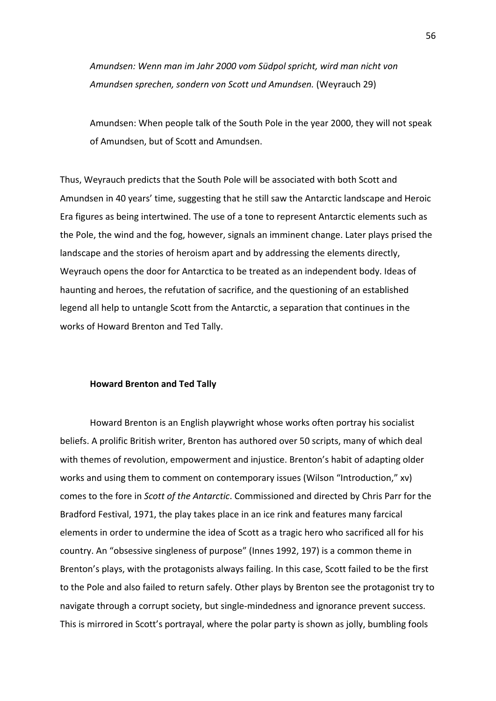Amundsen: Wenn man im Jahr 2000 vom Südpol spricht, wird man nicht von *Amundsen
sprechen,
sondern
von
Scott
und
Amundsen.* (Weyrauch
29)

Amundsen:
When
people
talk
of
the
South
Pole
in
the
year
2000,
they
will
not
speak of
Amundsen,
but
of
Scott
and
Amundsen.

Thus,
Weyrauch
predicts
that
the
South
Pole
will
be
associated
with
both
Scott
and Amundsen
in
40
years'
time,
suggesting
that
he
still
saw
the
Antarctic
landscape
and
Heroic Era
figures
as
being
intertwined.
The
use
of
a
tone
to
represent
Antarctic
elements
such
as the
Pole,
the
wind
and
the
fog,
however,
signals
an
imminent
change.
Later
plays
prised
the landscape and the stories of heroism apart and by addressing the elements directly, Weyrauch
opens
the
door
for
Antarctica
to
be
treated
as
an
independent
body.
Ideas
of haunting
and
heroes,
the
refutation
of
sacrifice,
and
the
questioning
of
an
established legend all help to untangle Scott from the Antarctic, a separation that continues in the works
of
Howard
Brenton
and
Ted
Tally.

### **Howard
Brenton
and
Ted
Tally**

Howard
Brenton
is
an
English
playwright
whose
works
often
portray
his
socialist beliefs. A prolific British writer, Brenton has authored over 50 scripts, many of which deal with themes of revolution, empowerment and injustice. Brenton's habit of adapting older works and using them to comment on contemporary issues (Wilson "Introduction," xv) comes to the fore in *Scott of the Antarctic*. Commissioned and directed by Chris Parr for the Bradford Festival, 1971, the play takes place in an ice rink and features many farcical elements
in
order
to
undermine
the
idea
of
Scott
as
a
tragic
hero
who
sacrificed
all
for
his country.
An
"obsessive
singleness
of
purpose"
(Innes
1992,
197)
is
a
common
theme
in Brenton's plays, with the protagonists always failing. In this case, Scott failed to be the first to the Pole and also failed to return safely. Other plays by Brenton see the protagonist try to navigate through a corrupt society, but single-mindedness and ignorance prevent success. This is mirrored in Scott's portrayal, where the polar party is shown as jolly, bumbling fools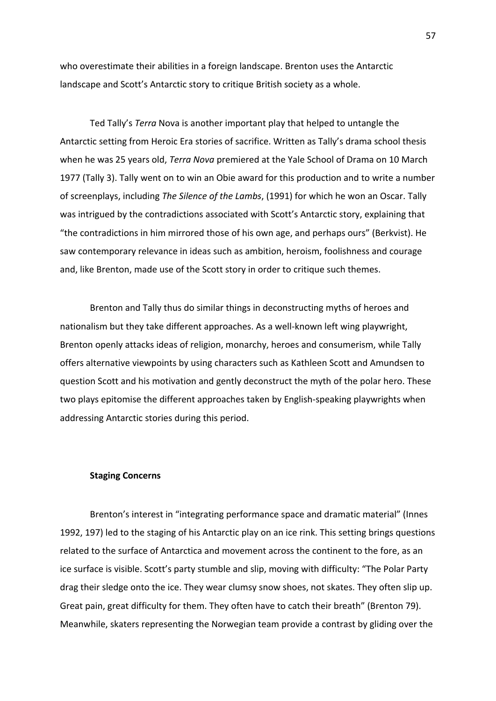who overestimate their abilities in a foreign landscape. Brenton uses the Antarctic landscape
and
Scott's
Antarctic
story
to
critique
British
society
as
a
whole.

Ted Tally's Terra Nova is another important play that helped to untangle the Antarctic
setting
from
Heroic
Era
stories
of
sacrifice.
Written
as
Tally's
drama
school
thesis when he was 25 years old, *Terra Nova* premiered at the Yale School of Drama on 10 March 1977 (Tally 3). Tally went on to win an Obie award for this production and to write a number of screenplays, including The Silence of the Lambs, (1991) for which he won an Oscar. Tally was intrigued by the contradictions associated with Scott's Antarctic story, explaining that "the
contradictions
in
him
mirrored
those
of
his
own
age,
and
perhaps
ours"
(Berkvist).
He saw
contemporary
relevance
in
ideas
such
as
ambition,
heroism,
foolishness
and
courage and,
like
Brenton,
made
use
of
the
Scott
story
in
order
to
critique
such
themes.

Brenton and Tally thus do similar things in deconstructing myths of heroes and nationalism but they take different approaches. As a well-known left wing playwright, Brenton
openly
attacks
ideas
of
religion,
monarchy,
heroes
and
consumerism,
while
Tally offers alternative viewpoints by using characters such as Kathleen Scott and Amundsen to question
Scott
and
his
motivation
and
gently
deconstruct
the
myth
of
the
polar
hero.
These two
plays
epitomise
the
different
approaches
taken
by
English‐speaking
playwrights
when addressing
Antarctic
stories
during
this
period.

### **Staging
Concerns**

Brenton's interest in "integrating performance space and dramatic material" (Innes 1992, 197) led to the staging of his Antarctic play on an ice rink. This setting brings questions related to the surface of Antarctica and movement across the continent to the fore, as an ice surface is visible. Scott's party stumble and slip, moving with difficulty: "The Polar Party drag their sledge onto the ice. They wear clumsy snow shoes, not skates. They often slip up. Great pain, great difficulty for them. They often have to catch their breath" (Brenton 79). Meanwhile, skaters representing the Norwegian team provide a contrast by gliding over the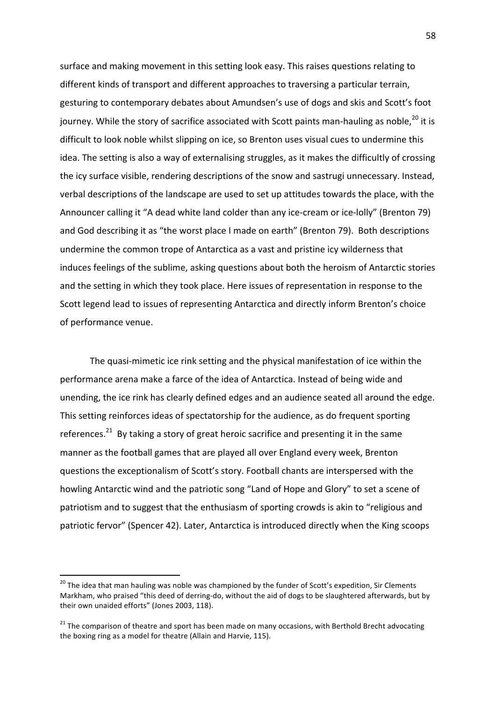surface and making movement in this setting look easy. This raises questions relating to different kinds of transport and different approaches to traversing a particular terrain, gesturing
to
contemporary
debates
about
Amundsen's
use
of
dogs
and
skis
and
Scott's
foot journey. While the story of sacrifice associated with Scott paints man-hauling as noble,  $^{20}$  it is difficult to look noble whilst slipping on ice, so Brenton uses visual cues to undermine this idea. The setting is also a way of externalising struggles, as it makes the difficultly of crossing the
icy
surface
visible,
rendering
descriptions
of
the
snow
and
sastrugi
unnecessary.
Instead, verbal descriptions of the landscape are used to set up attitudes towards the place, with the Announcer
calling
it
"A
dead
white
land
colder
than
any
ice‐cream
or
ice‐lolly"
(Brenton
79) and God describing it as "the worst place I made on earth" (Brenton 79). Both descriptions undermine
the
common
trope
of
Antarctica
as
a
vast
and
pristine
icy
wilderness
that induces feelings of the sublime, asking questions about both the heroism of Antarctic stories and the setting in which they took place. Here issues of representation in response to the Scott legend lead to issues of representing Antarctica and directly inform Brenton's choice of
performance
venue.

The quasi-mimetic ice rink setting and the physical manifestation of ice within the performance
arena
make
a
farce
of
the
idea
of
Antarctica.
Instead
of
being
wide
and unending, the ice rink has clearly defined edges and an audience seated all around the edge. This
setting
reinforces
ideas
of
spectatorship
for
the
audience,
as
do
frequent
sporting references.<sup>21</sup> By taking a story of great heroic sacrifice and presenting it in the same manner
as
the
football
games
that
are
played
all
over
England
every
week,
Brenton questions
the
exceptionalism
of
Scott's
story.
Football
chants
are
interspersed
with
the howling Antarctic wind and the patriotic song "Land of Hope and Glory" to set a scene of patriotism and to suggest that the enthusiasm of sporting crowds is akin to "religious and patriotic
fervor"
(Spencer
42).
Later,
Antarctica
is
introduced
directly
when
the
King
scoops

<sup>&</sup>lt;sup>20</sup> The idea that man hauling was noble was championed by the funder of Scott's expedition, Sir Clements Markham, who praised "this deed of derring-do, without the aid of dogs to be slaughtered afterwards, but by their
own
unaided
efforts"
(Jones
2003,
118).

<sup>&</sup>lt;sup>21</sup> The comparison of theatre and sport has been made on many occasions, with Berthold Brecht advocating the boxing ring as a model for theatre (Allain and Harvie, 115).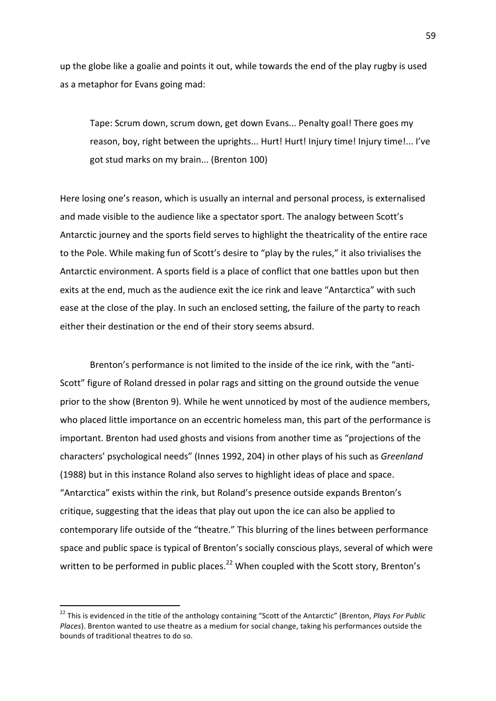up the globe like a goalie and points it out, while towards the end of the play rugby is used as
a
metaphor
for
Evans
going
mad:

Tape:
Scrum
down,
scrum
down,
get
down
Evans...
Penalty
goal!
There
goes
my reason, boy, right between the uprights... Hurt! Hurt! Injury time! Injury time!... I've got
stud
marks
on
my
brain...
(Brenton
100)

Here losing one's reason, which is usually an internal and personal process, is externalised and made visible to the audience like a spectator sport. The analogy between Scott's Antarctic journey and the sports field serves to highlight the theatricality of the entire race to the Pole. While making fun of Scott's desire to "play by the rules," it also trivialises the Antarctic
environment.
A
sports
field
is
a
place
of
conflict
that
one
battles
upon
but
then exits at the end, much as the audience exit the ice rink and leave "Antarctica" with such ease at the close of the play. In such an enclosed setting, the failure of the party to reach either their destination or the end of their story seems absurd.

Brenton's performance is not limited to the inside of the ice rink, with the "anti-Scott" figure of Roland dressed in polar rags and sitting on the ground outside the venue prior
to
the
show
(Brenton
9).
While
he
went
unnoticed
by
most
of
the
audience
members, who placed little importance on an eccentric homeless man, this part of the performance is important.
Brenton
had
used
ghosts
and
visions
from
another
time
as
"projections
of
the characters'
psychological
needs"
(Innes
1992,
204)
in
other
plays
of
his
such
as *Greenland*  (1988)
but
in
this
instance
Roland
also
serves
to
highlight
ideas
of
place
and
space. "Antarctica" exists within the rink, but Roland's presence outside expands Brenton's critique, suggesting that the ideas that play out upon the ice can also be applied to contemporary life outside of the "theatre." This blurring of the lines between performance space and public space is typical of Brenton's socially conscious plays, several of which were written to be performed in public places.<sup>22</sup> When coupled with the Scott story, Brenton's

<sup>&</sup>lt;sup>22</sup> This is evidenced in the title of the anthology containing "Scott of the Antarctic" (Brenton, *Plays For Public* Places). Brenton wanted to use theatre as a medium for social change, taking his performances outside the bounds
of
traditional
theatres
to
do
so.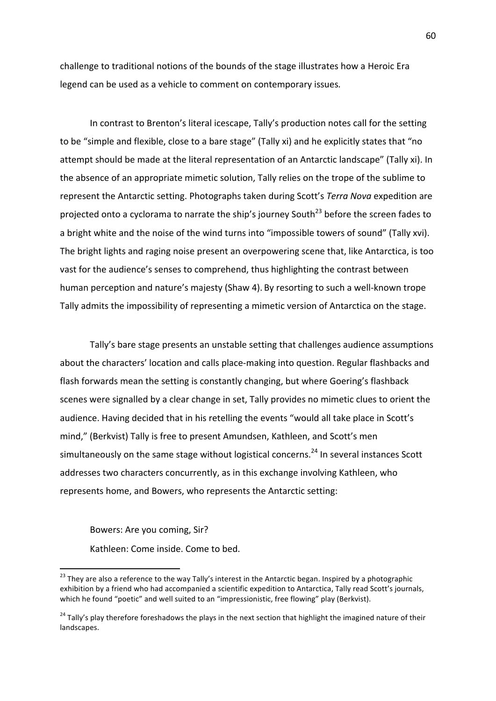challenge
to
traditional
notions
of
the
bounds
of
the
stage
illustrates
how
a
Heroic
Era legend
can
be
used
as
a
vehicle
to
comment
on
contemporary
issues*.*

In contrast to Brenton's literal icescape, Tally's production notes call for the setting to be "simple and flexible, close to a bare stage" (Tally xi) and he explicitly states that "no attempt should be made at the literal representation of an Antarctic landscape" (Tally xi). In the
absence
of
an
appropriate
mimetic
solution,
Tally
relies
on
the
trope
of
the
sublime
to represent the Antarctic setting. Photographs taken during Scott's Terra Nova expedition are projected onto a cyclorama to narrate the ship's journey South<sup>23</sup> before the screen fades to a bright white and the noise of the wind turns into "impossible towers of sound" (Tally xvi). The
bright
lights
and
raging
noise
present
an
overpowering
scene
that,
like
Antarctica,
is
too vast
for
the
audience's
senses
to
comprehend,
thus
highlighting
the
contrast
between human perception and nature's majesty (Shaw 4). By resorting to such a well-known trope Tally admits the impossibility of representing a mimetic version of Antarctica on the stage.

Tally's bare stage presents an unstable setting that challenges audience assumptions about the characters' location and calls place-making into question. Regular flashbacks and flash forwards mean the setting is constantly changing, but where Goering's flashback scenes were signalled by a clear change in set, Tally provides no mimetic clues to orient the audience. Having decided that in his retelling the events "would all take place in Scott's mind," (Berkvist) Tally is free to present Amundsen, Kathleen, and Scott's men simultaneously on the same stage without logistical concerns.<sup>24</sup> In several instances Scott addresses
two
characters
concurrently,
as
in
this
exchange
involving
Kathleen,
who represents
home,
and
Bowers,
who
represents
the
Antarctic
setting:

Bowers:
Are
you
coming,
Sir? Kathleen:
Come
inside.
Come
to
bed.

<sup>&</sup>lt;sup>23</sup> Thev are also a reference to the way Tally's interest in the Antarctic began. Inspired by a photographic exhibition by a friend who had accompanied a scientific expedition to Antarctica, Tally read Scott's journals, which he found "poetic" and well suited to an "impressionistic, free flowing" play (Berkvist).

<sup>&</sup>lt;sup>24</sup> Tally's play therefore foreshadows the plays in the next section that highlight the imagined nature of their landscapes.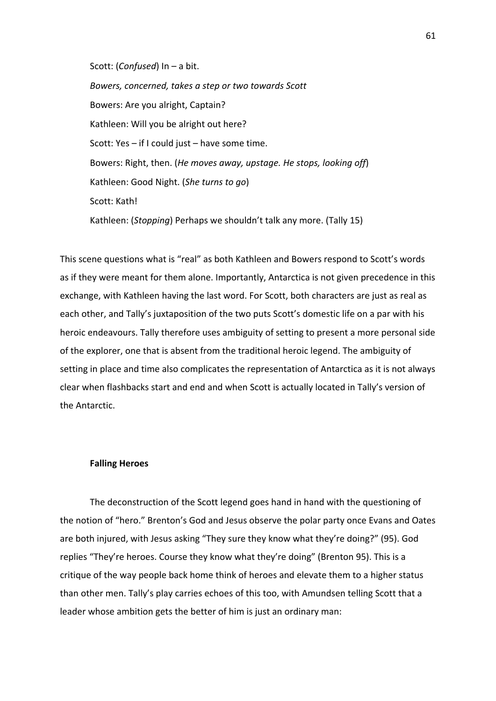Scott: (*Confused*) In - a bit. *Bowers,
concerned,
takes
a
step
or
two
towards
Scott* Bowers:
Are
you
alright,
Captain? Kathleen:
Will
you
be
alright
out
here? Scott: Yes - if I could just - have some time. Bowers:
Right,
then.
(*He
moves
away,
upstage.
He
stops,
looking
off*) Kathleen:
Good
Night.
(*She
turns
to
go*) Scott:
Kath! Kathleen:
(*Stopping*)
Perhaps
we
shouldn't
talk
any
more.
(Tally
15)

This scene questions what is "real" as both Kathleen and Bowers respond to Scott's words as if they were meant for them alone. Importantly, Antarctica is not given precedence in this exchange, with Kathleen having the last word. For Scott, both characters are just as real as each other, and Tally's juxtaposition of the two puts Scott's domestic life on a par with his heroic endeavours. Tally therefore uses ambiguity of setting to present a more personal side of
the
explorer,
one
that
is
absent
from
the
traditional
heroic
legend.
The
ambiguity
of setting in place and time also complicates the representation of Antarctica as it is not always clear
when
flashbacks
start
and
end
and
when
Scott
is
actually
located
in
Tally's
version
of the
Antarctic.

### **Falling
Heroes**

The
deconstruction
of
the
Scott
legend
goes
hand
in
hand
with
the
questioning
of the
notion
of
"hero."
Brenton's God
and
Jesus
observe
the
polar
party
once
Evans
and
Oates are
both
injured,
with
Jesus
asking
"They
sure
they
know
what
they're
doing?"
(95).
God replies "They're heroes. Course they know what they're doing" (Brenton 95). This is a critique of the way people back home think of heroes and elevate them to a higher status than other men. Tally's play carries echoes of this too, with Amundsen telling Scott that a leader whose ambition gets the better of him is just an ordinary man: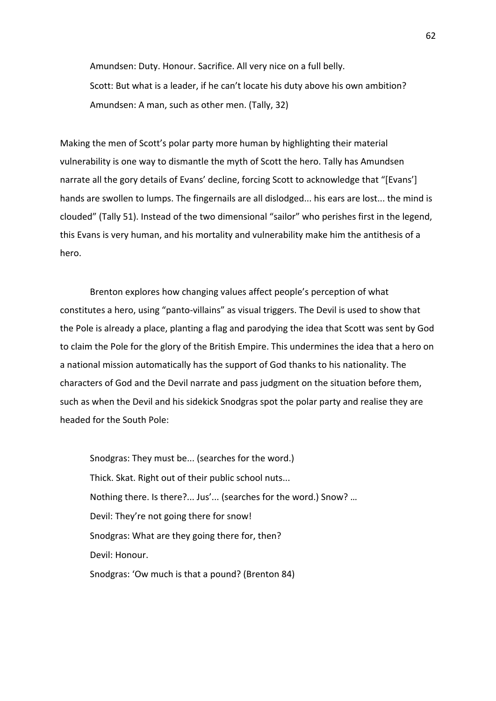Amundsen:
Duty.
Honour.
Sacrifice.
All
very
nice
on
a
full
belly. Scott: But what is a leader, if he can't locate his duty above his own ambition? Amundsen: A man, such as other men. (Tally, 32)

Making
the
men
of
Scott's
polar
party
more
human
by
highlighting
their
material vulnerability is one way to dismantle the myth of Scott the hero. Tally has Amundsen narrate all the gory details of Evans' decline, forcing Scott to acknowledge that "[Evans'] hands are swollen to lumps. The fingernails are all dislodged... his ears are lost... the mind is clouded"
(Tally
51).
Instead
of
the
two
dimensional
"sailor"
who
perishes
first
in
the
legend, this Evans is very human, and his mortality and vulnerability make him the antithesis of a hero.

Brenton
explores
how
changing
values
affect
people's
perception
of
what constitutes a hero, using "panto-villains" as visual triggers. The Devil is used to show that the Pole is already a place, planting a flag and parodying the idea that Scott was sent by God to claim the Pole for the glory of the British Empire. This undermines the idea that a hero on a national mission automatically has the support of God thanks to his nationality. The characters
of
God
and
the
Devil
narrate
and
pass
judgment
on
the
situation
before
them, such as when the Devil and his sidekick Snodgras spot the polar party and realise they are headed
for
the
South
Pole:

Snodgras:
They
must
be...
(searches
for
the
word.) Thick. Skat. Right out of their public school nuts... Nothing there. Is there?... Jus'... (searches for the word.) Snow? ... Devil: They're not going there for snow! Snodgras:
What
are
they
going
there
for,
then? Devil:
Honour. Snodgras:
'Ow
much
is
that
a
pound?
(Brenton
84)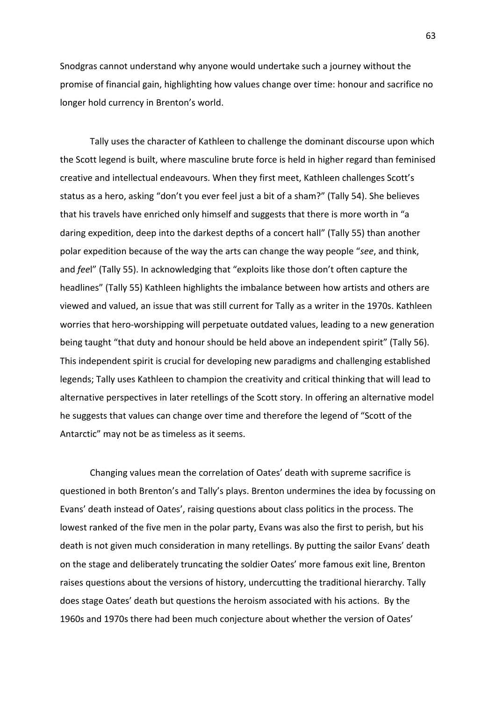Snodgras
cannot
understand
why
anyone
would
undertake
such
a
journey
without
the promise
of
financial
gain,
highlighting
how
values
change
over
time:
honour
and
sacrifice
no longer
hold
currency
in
Brenton's
world.

Tally
uses
the
character
of
Kathleen
to
challenge
the
dominant
discourse
upon
which the Scott legend is built, where masculine brute force is held in higher regard than feminised creative
and
intellectual
endeavours.
When
they
first
meet,
Kathleen
challenges
Scott's status as a hero, asking "don't you ever feel just a bit of a sham?" (Tally 54). She believes that his travels have enriched only himself and suggests that there is more worth in "a daring expedition, deep into the darkest depths of a concert hall" (Tally 55) than another polar
expedition
because
of
the
way
the
arts
can
change
the
way
people
"*see*,
and
think, and feel" (Tally 55). In acknowledging that "exploits like those don't often capture the headlines" (Tally 55) Kathleen highlights the imbalance between how artists and others are viewed
and
valued,
an
issue
that
was
still
current
for
Tally
as
a
writer
in
the
1970s.
Kathleen worries that hero-worshipping will perpetuate outdated values, leading to a new generation being taught "that duty and honour should be held above an independent spirit" (Tally 56). This
independent
spirit
is
crucial
for
developing
new
paradigms
and
challenging
established legends; Tally uses Kathleen to champion the creativity and critical thinking that will lead to alternative perspectives in later retellings of the Scott story. In offering an alternative model he suggests that values can change over time and therefore the legend of "Scott of the Antarctic"
may
not
be
as
timeless
as
it
seems.

Changing
values
mean
the
correlation
of
Oates'
death
with
supreme
sacrifice
is questioned
in
both
Brenton's
and
Tally's
plays.
Brenton
undermines
the
idea
by
focussing
on Evans' death instead of Oates', raising questions about class politics in the process. The lowest ranked of the five men in the polar party, Evans was also the first to perish, but his death is not given much consideration in many retellings. By putting the sailor Evans' death on
the
stage
and
deliberately
truncating
the
soldier
Oates'
more
famous
exit
line,
Brenton raises questions about the versions of history, undercutting the traditional hierarchy. Tally does
stage
Oates'
death
but
questions
the
heroism
associated
with
his
actions.

By
the 1960s
and
1970s
there
had
been
much
conjecture
about
whether
the
version
of
Oates'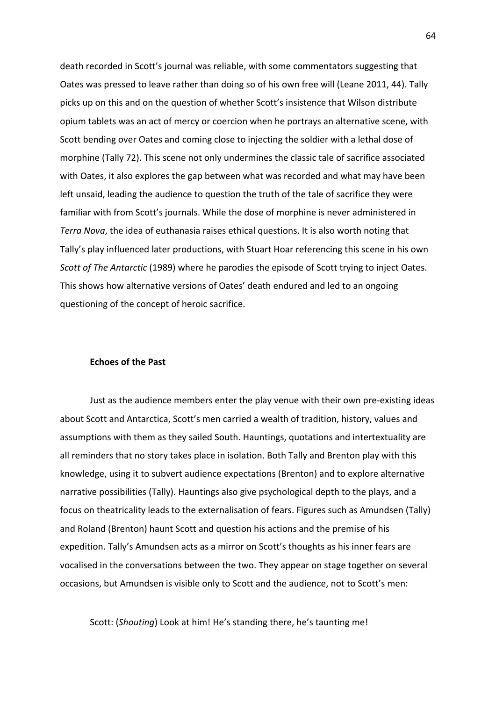death
recorded
in
Scott's
journal
was
reliable,
with
some
commentators
suggesting
that Oates was pressed to leave rather than doing so of his own free will (Leane 2011, 44). Tally picks
up
on
this
and
on
the
question
of
whether
Scott's
insistence
that
Wilson
distribute opium
tablets
was
an
act
of
mercy
or
coercion
when
he
portrays
an
alternative
scene,
with Scott bending over Oates and coming close to injecting the soldier with a lethal dose of morphine
(Tally
72).
This
scene
not
only
undermines
the
classic
tale
of
sacrifice
associated with Oates, it also explores the gap between what was recorded and what may have been left unsaid, leading the audience to question the truth of the tale of sacrifice they were familiar with from Scott's journals. While the dose of morphine is never administered in Terra Nova, the idea of euthanasia raises ethical questions. It is also worth noting that Tally's play influenced later productions, with Stuart Hoar referencing this scene in his own Scott of The Antarctic (1989) where he parodies the episode of Scott trying to inject Oates. This
shows
how
alternative
versions
of
Oates'
death
endured
and
led
to
an
ongoing questioning
of
the
concept
of
heroic
sacrifice.

### **Echoes
of
the
Past**

Just as the audience members enter the play venue with their own pre-existing ideas about Scott and Antarctica, Scott's men carried a wealth of tradition, history, values and assumptions with them as they sailed South. Hauntings, quotations and intertextuality are all
reminders
that
no
story
takes
place
in
isolation.
Both
Tally
and
Brenton
play
with
this knowledge, using it to subvert audience expectations (Brenton) and to explore alternative narrative possibilities (Tally). Hauntings also give psychological depth to the plays, and a focus on theatricality leads to the externalisation of fears. Figures such as Amundsen (Tally) and
Roland
(Brenton)
haunt
Scott
and
question
his
actions
and
the
premise
of
his expedition. Tally's Amundsen acts as a mirror on Scott's thoughts as his inner fears are vocalised in the conversations between the two. They appear on stage together on several occasions,
but
Amundsen
is
visible
only
to
Scott
and
the
audience,
not
to
Scott's
men:

Scott: (Shouting) Look at him! He's standing there, he's taunting me!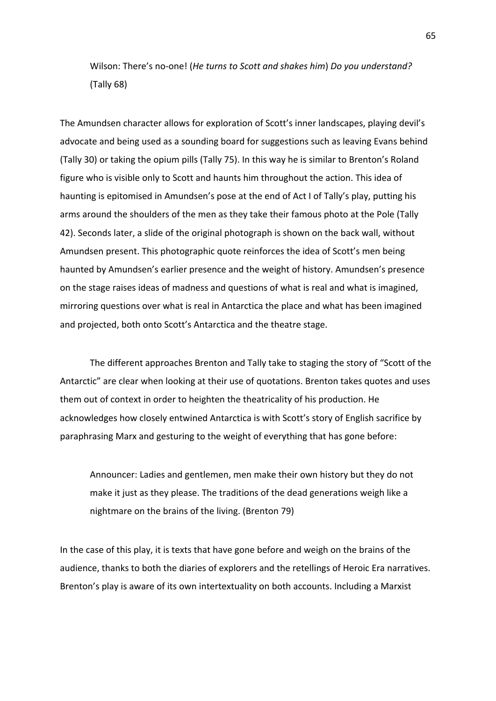Wilson: There's no-one! (*He turns to Scott and shakes him*) *Do you understand?* (Tally
68)

The Amundsen character allows for exploration of Scott's inner landscapes, playing devil's advocate
and
being
used
as
a
sounding
board
for
suggestions
such
as
leaving
Evans
behind (Tally 30) or taking the opium pills (Tally 75). In this way he is similar to Brenton's Roland figure who is visible only to Scott and haunts him throughout the action. This idea of haunting is epitomised in Amundsen's pose at the end of Act I of Tally's play, putting his arms
around
the
shoulders
of
the
men
as
they
take
their
famous
photo
at
the
Pole
(Tally 42).
Seconds
later,
a
slide
of
the
original
photograph
is
shown
on
the
back
wall,
without Amundsen
present.
This
photographic
quote
reinforces
the
idea
of
Scott's
men
being haunted by Amundsen's earlier presence and the weight of history. Amundsen's presence on
the
stage
raises
ideas
of
madness
and
questions
of
what
is
real
and
what
is
imagined, mirroring questions over what is real in Antarctica the place and what has been imagined and
projected,
both
onto
Scott's
Antarctica
and
the
theatre
stage.

The different approaches Brenton and Tally take to staging the story of "Scott of the Antarctic" are clear when looking at their use of quotations. Brenton takes quotes and uses them
out
of
context
in
order
to
heighten
the
theatricality
of
his
production.
He acknowledges how closely entwined Antarctica is with Scott's story of English sacrifice by paraphrasing
Marx
and
gesturing
to
the
weight
of
everything
that
has
gone
before:

Announcer:
Ladies
and
gentlemen,
men
make
their
own
history
but
they
do
not make it just as they please. The traditions of the dead generations weigh like a nightmare
on
the
brains
of
the
living.
(Brenton
79)

In the case of this play, it is texts that have gone before and weigh on the brains of the audience, thanks to both the diaries of explorers and the retellings of Heroic Era narratives. Brenton's play is aware of its own intertextuality on both accounts. Including a Marxist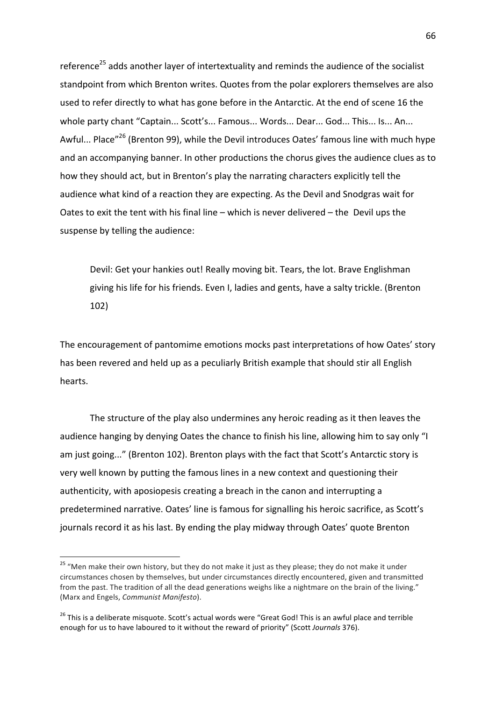reference<sup>25</sup> adds another layer of intertextuality and reminds the audience of the socialist standpoint
from
which
Brenton
writes.
Quotes
from
the
polar
explorers
themselves
are
also used to refer directly to what has gone before in the Antarctic. At the end of scene 16 the whole party chant "Captain... Scott's... Famous... Words... Dear... God... This... Is... An... Awful... Place"<sup>26</sup> (Brenton 99), while the Devil introduces Oates' famous line with much hype and an accompanying banner. In other productions the chorus gives the audience clues as to how they should act, but in Brenton's play the narrating characters explicitly tell the audience what kind of a reaction they are expecting. As the Devil and Snodgras wait for Oates to exit the tent with his final line – which is never delivered – the Devil ups the suspense
by
telling
the
audience:

Devil: Get your hankies out! Really moving bit. Tears, the lot. Brave Englishman giving
his
life
for
his
friends.
Even
I,
ladies
and
gents,
have
a
salty
trickle.
(Brenton 102)

The
encouragement
of
pantomime
emotions
mocks
past
interpretations
of
how
Oates'
story has been revered and held up as a peculiarly British example that should stir all English hearts.

The structure of the play also undermines any heroic reading as it then leaves the audience hanging by denying Oates the chance to finish his line, allowing him to say only "I am just going..." (Brenton 102). Brenton plays with the fact that Scott's Antarctic story is very
well
known
by
putting
the
famous
lines
in
a
new
context
and
questioning
their authenticity, with aposiopesis creating a breach in the canon and interrupting a predetermined narrative. Oates' line is famous for signalling his heroic sacrifice, as Scott's journals record it as his last. By ending the play midway through Oates' quote Brenton

<sup>&</sup>lt;sup>25</sup> "Men make their own history, but they do not make it just as they please; they do not make it under circumstances
chosen
by
themselves,
but
under
circumstances
directly
encountered,
given
and
transmitted from the past. The tradition of all the dead generations weighs like a nightmare on the brain of the living." (Marx
and
Engels, *Communist
Manifesto*).

<sup>&</sup>lt;sup>26</sup> This is a deliberate misquote. Scott's actual words were "Great God! This is an awful place and terrible enough for us to have laboured to it without the reward of priority" (Scott Journals 376).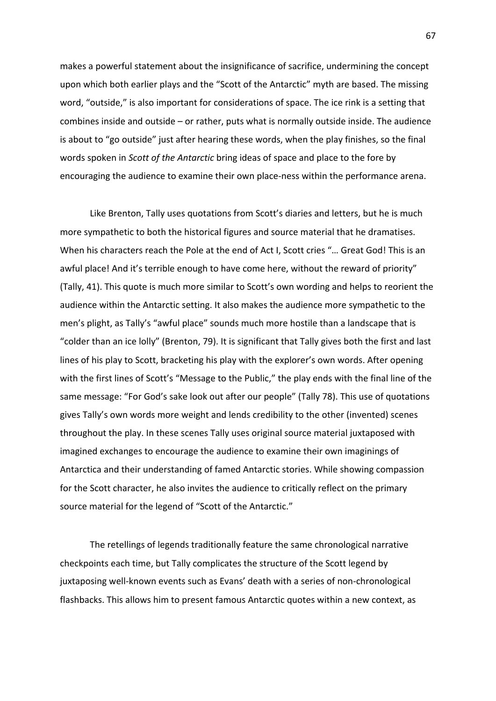makes
a
powerful
statement
about
the
insignificance
of
sacrifice,
undermining
the
concept upon which both earlier plays and the "Scott of the Antarctic" myth are based. The missing word, "outside," is also important for considerations of space. The ice rink is a setting that combines
inside
and
outside
–
or
rather,
puts
what
is
normally
outside
inside.
The
audience is about to "go outside" just after hearing these words, when the play finishes, so the final words spoken in *Scott of the Antarctic* bring ideas of space and place to the fore by encouraging the audience to examine their own place-ness within the performance arena.

Like Brenton, Tally uses quotations from Scott's diaries and letters, but he is much more
sympathetic
to
both
the
historical
figures
and
source
material
that
he
dramatises. When his characters reach the Pole at the end of Act I, Scott cries "... Great God! This is an awful place! And it's terrible enough to have come here, without the reward of priority" (Tally,
41).
This
quote
is
much
more
similar
to
Scott's
own
wording
and
helps
to
reorient
the audience within the Antarctic setting. It also makes the audience more sympathetic to the men's plight, as Tally's "awful place" sounds much more hostile than a landscape that is "colder than an ice lolly" (Brenton, 79). It is significant that Tally gives both the first and last lines of his play to Scott, bracketing his play with the explorer's own words. After opening with the first lines of Scott's "Message to the Public," the play ends with the final line of the same message: "For God's sake look out after our people" (Tally 78). This use of quotations gives
Tally's
own
words
more
weight
and
lends
credibility
to
the
other
(invented)
scenes throughout the play. In these scenes Tally uses original source material juxtaposed with imagined exchanges to encourage the audience to examine their own imaginings of Antarctica
and
their
understanding
of
famed
Antarctic
stories.
While
showing
compassion for the Scott character, he also invites the audience to critically reflect on the primary source material for the legend of "Scott of the Antarctic."

The
retellings
of
legends
traditionally
feature
the
same
chronological
narrative checkpoints
each
time,
but
Tally
complicates
the
structure
of
the
Scott
legend
by juxtaposing well-known events such as Evans' death with a series of non-chronological flashbacks. This allows him to present famous Antarctic quotes within a new context, as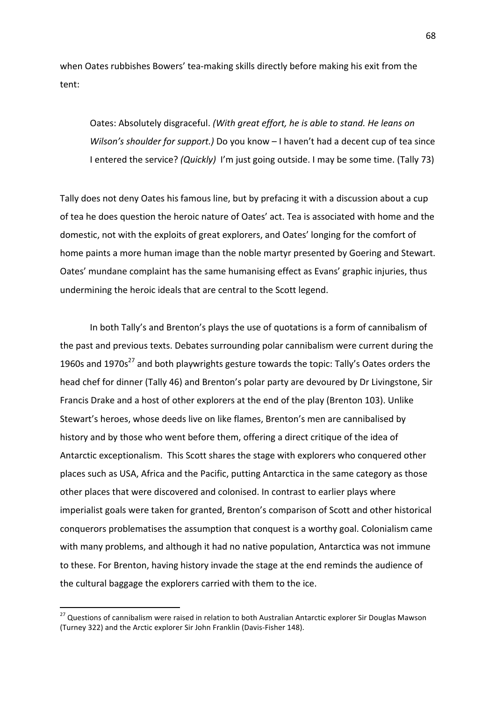when Oates rubbishes Bowers' tea-making skills directly before making his exit from the tent:

Oates:
Absolutely
disgraceful. *(With
great
effort,
he
is
able
to
stand.
He
leans
on*  Wilson's shoulder for support.) Do you know – I haven't had a decent cup of tea since I entered the service? (Quickly) I'm just going outside. I may be some time. (Tally 73)

Tally does not deny Oates his famous line, but by prefacing it with a discussion about a cup of
tea
he
does
question
the
heroic
nature
of
Oates'
act.
Tea
is
associated
with
home
and
the domestic, not with the exploits of great explorers, and Oates' longing for the comfort of home paints a more human image than the noble martyr presented by Goering and Stewart. Oates' mundane complaint has the same humanising effect as Evans' graphic injuries, thus undermining
the
heroic
ideals
that
are
central
to
the
Scott
legend.

In both Tally's and Brenton's plays the use of quotations is a form of cannibalism of the past and previous texts. Debates surrounding polar cannibalism were current during the 1960s and 1970s<sup>27</sup> and both playwrights gesture towards the topic: Tally's Oates orders the head chef for dinner (Tally 46) and Brenton's polar party are devoured by Dr Livingstone, Sir Francis Drake and a host of other explorers at the end of the play (Brenton 103). Unlike Stewart's
heroes,
whose
deeds
live
on
like
flames,
Brenton's
men
are
cannibalised
by history and by those who went before them, offering a direct critique of the idea of Antarctic
exceptionalism.

This
Scott
shares
the
stage
with
explorers
who
conquered
other places
such
as
USA,
Africa
and
the
Pacific,
putting
Antarctica
in
the
same
category
as
those other
places
that
were
discovered
and
colonised.
In
contrast
to
earlier
plays
where imperialist goals were taken for granted, Brenton's comparison of Scott and other historical conquerors problematises the assumption that conquest is a worthy goal. Colonialism came with many problems, and although it had no native population, Antarctica was not immune to these. For Brenton, having history invade the stage at the end reminds the audience of the
cultural
baggage
the
explorers
carried
with
them
to
the
ice.

<sup>&</sup>lt;sup>27</sup> Questions of cannibalism were raised in relation to both Australian Antarctic explorer Sir Douglas Mawson (Turney
322)
and
the
Arctic
explorer
Sir
John
Franklin
(Davis‐Fisher
148).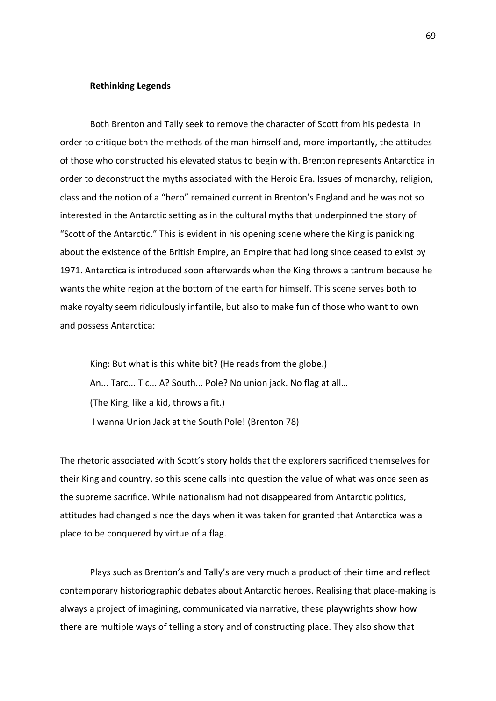#### **Rethinking
Legends**

Both
Brenton
and
Tally
seek
to
remove
the
character
of
Scott
from
his
pedestal
in order
to
critique
both
the
methods
of
the
man
himself
and,
more
importantly,
the
attitudes of
those
who
constructed
his
elevated
status
to
begin
with.
Brenton
represents
Antarctica
in order
to
deconstruct
the
myths
associated
with
the
Heroic
Era.
Issues
of
monarchy,
religion, class
and
the
notion
of
a
"hero"
remained
current
in
Brenton's
England
and
he
was
not
so interested in the Antarctic setting as in the cultural myths that underpinned the story of "Scott of the Antarctic." This is evident in his opening scene where the King is panicking about the existence of the British Empire, an Empire that had long since ceased to exist by 1971. Antarctica is introduced soon afterwards when the King throws a tantrum because he wants the white region at the bottom of the earth for himself. This scene serves both to make royalty seem ridiculously infantile, but also to make fun of those who want to own and
possess
Antarctica:

King: But what is this white bit? (He reads from the globe.) An... Tarc... Tic... A? South... Pole? No union jack. No flag at all... (The
King,
like
a
kid,
throws
a
fit.) I
wanna
Union
Jack
at
the
South
Pole!
(Brenton
78)

The rhetoric associated with Scott's story holds that the explorers sacrificed themselves for their King and country, so this scene calls into question the value of what was once seen as the
supreme
sacrifice.
While
nationalism
had
not
disappeared
from
Antarctic
politics, attitudes
had
changed
since
the
days
when
it
was
taken
for
granted
that
Antarctica
was
a place
to
be
conquered
by
virtue
of
a
flag.

Plays such as Brenton's and Tally's are very much a product of their time and reflect contemporary
historiographic
debates
about
Antarctic
heroes.
Realising
that
place‐making
is always
a
project
of
imagining,
communicated
via
narrative,
these
playwrights
show
how there
are
multiple
ways
of
telling
a
story
and
of
constructing
place.
They
also
show
that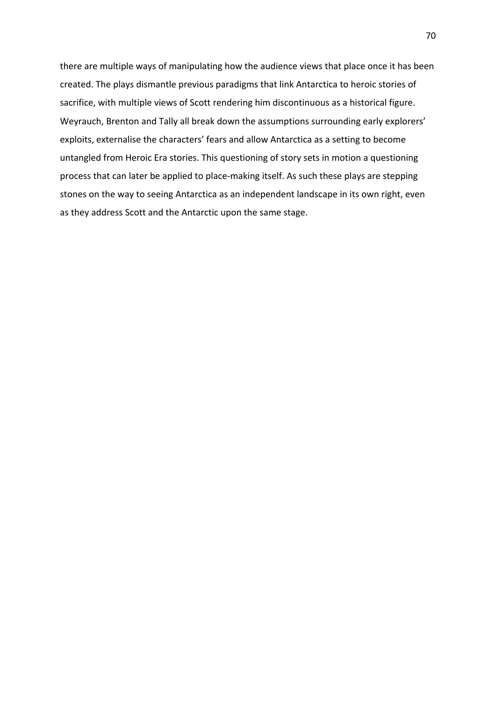there are multiple ways of manipulating how the audience views that place once it has been created. The
plays
dismantle
previous
paradigms
that
link
Antarctica
to
heroic
stories
of sacrifice, with multiple views of Scott rendering him discontinuous as a historical figure. Weyrauch, Brenton and Tally all break down the assumptions surrounding early explorers' exploits, externalise the characters' fears and allow Antarctica as a setting to become untangled
from
Heroic
Era
stories.
This
questioning
of
story
sets
in
motion
a
questioning process that can later be applied to place-making itself. As such these plays are stepping stones on the way to seeing Antarctica as an independent landscape in its own right, even as
they
address
Scott
and
the
Antarctic
upon
the
same
stage.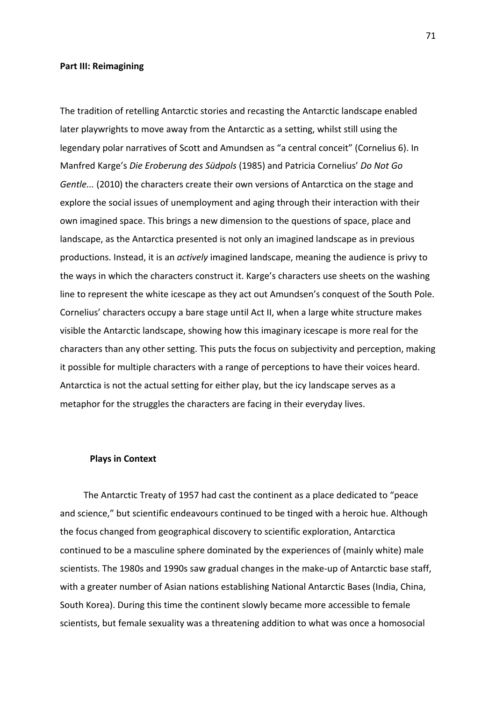### **Part
III:
Reimagining**

The
tradition
of
retelling
Antarctic
stories
and
recasting
the
Antarctic
landscape
enabled later playwrights to move away from the Antarctic as a setting, whilst still using the legendary polar narratives of Scott and Amundsen as "a central conceit" (Cornelius 6). In Manfred
Karge's *Die
Eroberung
des
Südpols* (1985)
and
Patricia
Cornelius' *Do
Not
Go*  Gentle... (2010) the characters create their own versions of Antarctica on the stage and explore
the
social
issues
of
unemployment
and
aging
through
their
interaction
with
their own
imagined
space.
This
brings
a
new
dimension
to
the
questions
of
space,
place
and landscape, as the Antarctica presented is not only an imagined landscape as in previous productions. Instead, it is an *actively* imagined landscape, meaning the audience is privy to the ways in which the characters construct it. Karge's characters use sheets on the washing line to represent the white icescape as they act out Amundsen's conquest of the South Pole. Cornelius'
characters
occupy
a
bare
stage
until
Act
II,
when
a
large
white
structure
makes visible the Antarctic landscape, showing how this imaginary icescape is more real for the characters
than
any
other
setting.
This
puts
the
focus
on
subjectivity
and
perception,
making it
possible
for
multiple
characters
with
a
range
of
perceptions
to
have
their
voices
heard. Antarctica is not the actual setting for either play, but the icy landscape serves as a metaphor for the struggles the characters are facing in their everyday lives.

#### **Plays
in
Context**

The
Antarctic
Treaty
of
1957
had
cast
the
continent
as
a
place
dedicated
to
"peace and science," but scientific endeavours continued to be tinged with a heroic hue. Although the
focus
changed
from
geographical
discovery
to
scientific
exploration,
Antarctica continued
to
be
a
masculine
sphere
dominated
by
the
experiences
of
(mainly
white)
male scientists. The 1980s and 1990s saw gradual changes in the make-up of Antarctic base staff, with a greater number of Asian nations establishing National Antarctic Bases (India, China, South Korea). During this time the continent slowly became more accessible to female scientists,
but
female
sexuality
was
a
threatening
addition
to
what
was
once
a
homosocial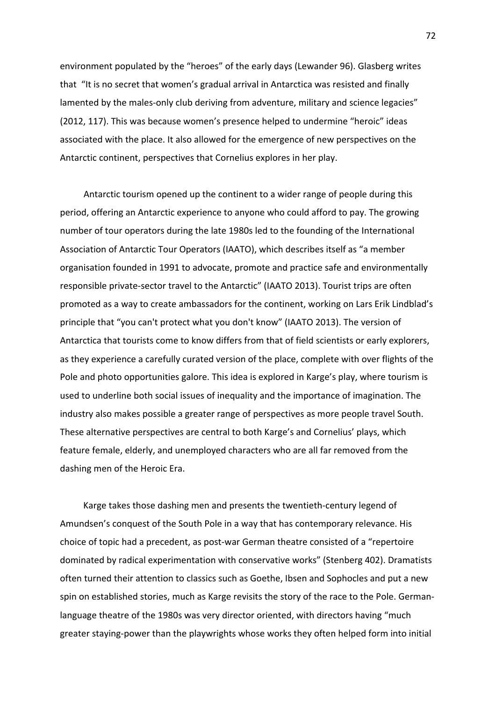environment
populated
by
the
"heroes"
of
the
early
days
(Lewander
96).
Glasberg
writes that "It is no secret that women's gradual arrival in Antarctica was resisted and finally lamented by the males-only club deriving from adventure, military and science legacies" (2012,
117).
This
was
because
women's
presence
helped
to
undermine
"heroic"
ideas associated
with
the
place.
It
also
allowed
for
the
emergence
of
new
perspectives
on
the Antarctic
continent,
perspectives
that
Cornelius
explores
in
her
play.

Antarctic
tourism
opened
up
the
continent
to
a
wider
range
of
people
during
this period,
offering
an
Antarctic
experience
to
anyone
who
could
afford
to
pay.
The
growing number of tour operators during the late 1980s led to the founding of the International Association
of
Antarctic
Tour
Operators
(IAATO),
which
describes
itself
as
"a
member organisation
founded
in
1991
to
advocate,
promote
and
practice
safe
and
environmentally responsible private-sector travel to the Antarctic" (IAATO 2013). Tourist trips are often promoted
as
a
way
to
create
ambassadors
for
the
continent,
working
on
Lars
Erik
Lindblad's principle
that
"you
can't
protect
what
you
don't
know"
(IAATO
2013).
The
version
of Antarctica that tourists come to know differs from that of field scientists or early explorers, as they experience a carefully curated version of the place, complete with over flights of the Pole and photo opportunities galore. This idea is explored in Karge's play, where tourism is used to underline both social issues of inequality and the importance of imagination. The industry also makes possible a greater range of perspectives as more people travel South. These
alternative
perspectives
are
central
to
both
Karge's
and
Cornelius'
plays,
which feature female, elderly, and unemployed characters who are all far removed from the dashing
men
of
the
Heroic
Era.

Karge
takes
those
dashing
men
and
presents
the
twentieth‐century
legend
of Amundsen's
conquest
of
the
South
Pole
in
a
way
that
has
contemporary
relevance.
His choice
of
topic
had
a
precedent,
as
post‐war
German
theatre
consisted
of
a
"repertoire dominated
by
radical
experimentation
with
conservative
works"
(Stenberg
402).
Dramatists often
turned
their
attention
to
classics
such
as
Goethe,
Ibsen
and
Sophocles
and
put
a
new spin on established stories, much as Karge revisits the story of the race to the Pole. Germanlanguage theatre of the 1980s was very director oriented, with directors having "much greater staying-power than the playwrights whose works they often helped form into initial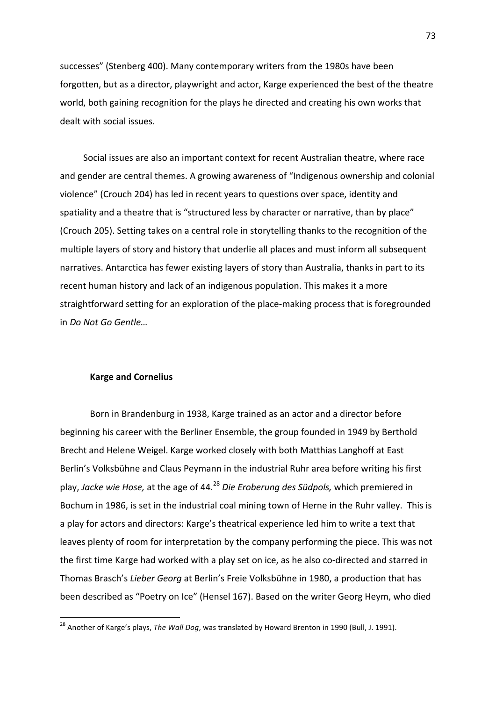successes"
(Stenberg
400).
Many
contemporary
writers
from
the
1980s
have
been forgotten, but as a director, playwright and actor, Karge experienced the best of the theatre world, both gaining recognition for the plays he directed and creating his own works that dealt
with
social
issues.

Social issues are also an important context for recent Australian theatre, where race and
gender
are
central
themes.
A
growing
awareness
of
"Indigenous
ownership
and
colonial violence" (Crouch 204) has led in recent years to questions over space, identity and spatiality and a theatre that is "structured less by character or narrative, than by place" (Crouch
205).
Setting
takes
on
a
central
role
in
storytelling
thanks
to
the
recognition
of
the multiple layers of story and history that underlie all places and must inform all subsequent narratives. Antarctica has fewer existing layers of story than Australia, thanks in part to its recent
human
history
and
lack
of
an
indigenous
population.
This
makes
it
a
more straightforward setting for an exploration of the place-making process that is foregrounded in *Do
Not
Go
Gentle…* 

# **Karge
and
Cornelius**

Born
in
Brandenburg
in
1938,
Karge
trained
as
an
actor
and
a
director
before beginning his career with the Berliner Ensemble, the group founded in 1949 by Berthold Brecht
and
Helene
Weigel.
Karge
worked
closely
with
both
Matthias
Langhoff
at
East Berlin's Volksbühne and Claus Peymann in the industrial Ruhr area before writing his first play, Jacke wie Hose, at the age of 44.<sup>28</sup> Die Eroberung des Südpols, which premiered in Bochum in 1986, is set in the industrial coal mining town of Herne in the Ruhr valley. This is a play for actors and directors: Karge's theatrical experience led him to write a text that leaves plenty of room for interpretation by the company performing the piece. This was not the first time Karge had worked with a play set on ice, as he also co-directed and starred in Thomas Brasch's Lieber Georg at Berlin's Freie Volksbühne in 1980, a production that has been described as "Poetry on Ice" (Hensel 167). Based on the writer Georg Heym, who died

<sup>&</sup>lt;sup>28</sup> Another of Karge's plays, The Wall Dog, was translated by Howard Brenton in 1990 (Bull, J. 1991).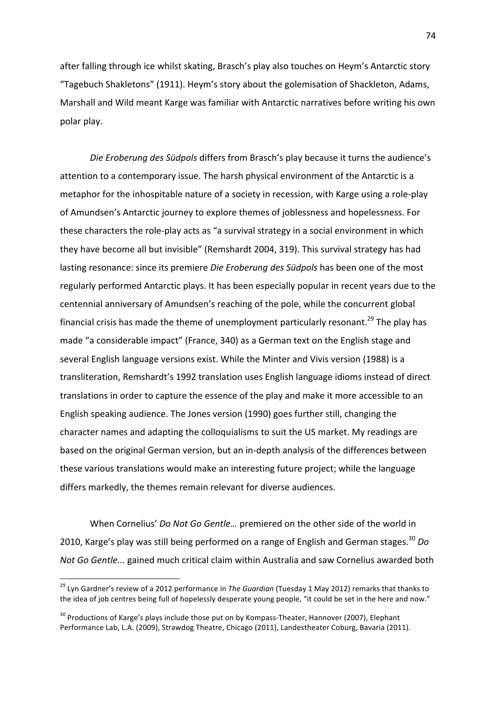after
falling
through
ice
whilst
skating,
Brasch's
play
also
touches
on
Heym's
Antarctic
story "Tagebuch
Shakletons"
(1911).
Heym's
story
about
the
golemisation
of
Shackleton,
Adams, Marshall and Wild meant Karge was familiar with Antarctic narratives before writing his own polar
play.

Die Eroberung des Südpols differs from Brasch's play because it turns the audience's attention to a contemporary issue. The harsh physical environment of the Antarctic is a metaphor for the inhospitable nature of a society in recession, with Karge using a role-play of
Amundsen's
Antarctic
journey
to
explore
themes
of
joblessness
and
hopelessness.
For these characters the role-play acts as "a survival strategy in a social environment in which they have become all but invisible" (Remshardt 2004, 319). This survival strategy has had lasting resonance: since its premiere Die Eroberung des Südpols has been one of the most regularly performed Antarctic plays. It has been especially popular in recent years due to the centennial
anniversary
of
Amundsen's
reaching
of
the
pole,
while
the
concurrent
global financial crisis has made the theme of unemployment particularly resonant.<sup>29</sup> The play has made "a considerable impact" (France, 340) as a German text on the English stage and several English language versions exist. While the Minter and Vivis version (1988) is a transliteration, Remshardt's 1992 translation uses English language idioms instead of direct translations in order to capture the essence of the play and make it more accessible to an English
speaking
audience.
The
Jones
version
(1990)
goes
further
still,
changing
the character names and adapting the colloquialisms to suit the US market. My readings are based on the original German version, but an in-depth analysis of the differences between these various translations would make an interesting future project; while the language differs markedly, the themes remain relevant for diverse audiences.

When Cornelius' Do Not Go Gentle... premiered on the other side of the world in 2010,
Karge's
play
was
still
being
performed
on
a
range
of
English
and
German
stages.<sup>30</sup> *Do*  Not Go Gentle... gained much critical claim within Australia and saw Cornelius awarded both

<sup>&</sup>lt;sup>29</sup> Lyn Gardner's review of a 2012 performance in The Guardian (Tuesday 1 May 2012) remarks that thanks to the idea of job centres being full of hopelessly desperate young people, "it could be set in the here and now."

<sup>&</sup>lt;sup>30</sup> Productions of Karge's plays include those put on by Kompass-Theater, Hannover (2007), Elephant Performance Lab, L.A. (2009), Strawdog Theatre, Chicago (2011), Landestheater Coburg, Bavaria (2011).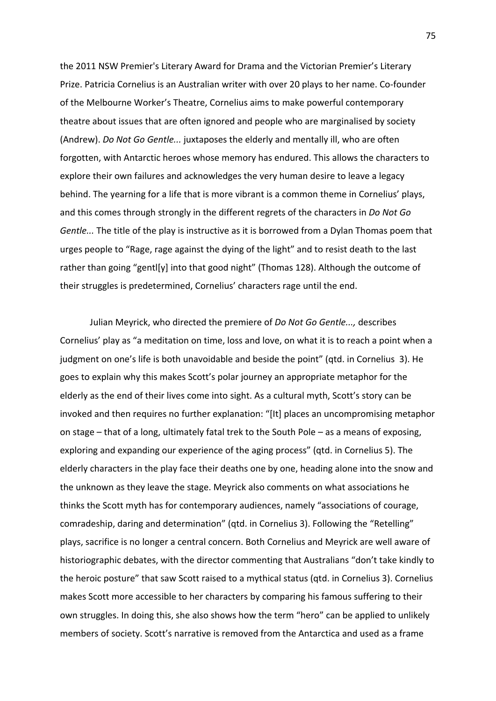the
2011
NSW
Premier's
Literary
Award
for
Drama
and
the
Victorian
Premier's
Literary Prize. Patricia Cornelius is an Australian writer with over 20 plays to her name. Co-founder of
the
Melbourne
Worker's
Theatre,
Cornelius
aims
to
make
powerful
contemporary theatre
about
issues
that
are
often
ignored
and
people
who
are
marginalised
by
society (Andrew). *Do Not Go Gentle...* juxtaposes the elderly and mentally ill, who are often forgotten, with Antarctic heroes whose memory has endured. This allows the characters to explore their own failures and acknowledges the very human desire to leave a legacy behind. The yearning for a life that is more vibrant is a common theme in Cornelius' plays, and
this
comes
through
strongly
in
the
different
regrets
of
the
characters
in *Do
Not
Go Gentle...* The title of the play is instructive as it is borrowed from a Dylan Thomas poem that urges people to "Rage, rage against the dying of the light" and to resist death to the last rather than going "gentl[y] into that good night" (Thomas 128). Although the outcome of their
struggles
is
predetermined,
Cornelius'
characters
rage
until
the
end.

Julian Meyrick, who directed the premiere of *Do Not Go Gentle...*, describes Cornelius' play as "a meditation on time, loss and love, on what it is to reach a point when a judgment on one's life is both unavoidable and beside the point" (qtd. in Cornelius 3). He goes
to
explain
why
this
makes
Scott's
polar
journey
an
appropriate
metaphor
for
the elderly as the end of their lives come into sight. As a cultural myth, Scott's story can be invoked and then requires no further explanation: "[It] places an uncompromising metaphor on stage – that of a long, ultimately fatal trek to the South Pole – as a means of exposing, exploring and expanding our experience of the aging process" (qtd. in Cornelius 5). The elderly
characters
in
the
play
face
their
deaths
one
by
one,
heading
alone
into
the
snow
and the unknown as they leave the stage. Meyrick also comments on what associations he thinks
the
Scott
myth
has
for
contemporary
audiences,
namely
"associations
of
courage, comradeship,
daring
and
determination"
(qtd.
in
Cornelius
3).
Following
the
"Retelling" plays,
sacrifice
is
no
longer
a
central
concern.
Both
Cornelius
and
Meyrick
are
well
aware
of historiographic debates, with the director commenting that Australians "don't take kindly to the
heroic
posture"
that
saw
Scott
raised
to
a
mythical
status
(qtd.
in
Cornelius
3).
Cornelius makes
Scott
more
accessible
to
her
characters
by
comparing
his
famous
suffering
to
their own struggles. In doing this, she also shows how the term "hero" can be applied to unlikely members of society. Scott's narrative is removed from the Antarctica and used as a frame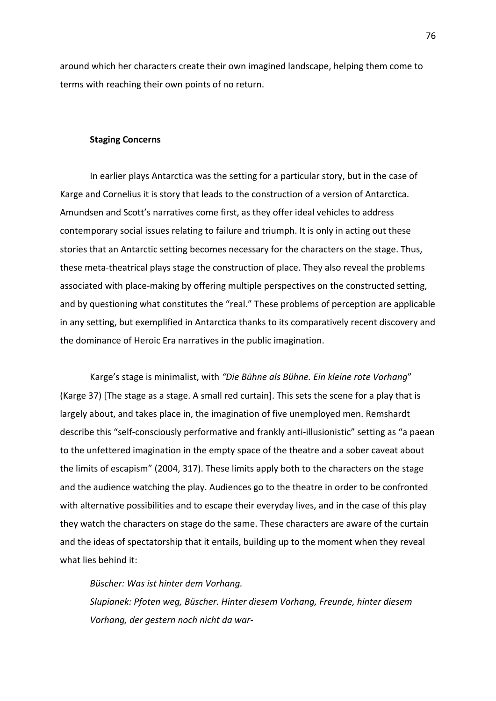around
which
her
characters
create
their
own
imagined
landscape,
helping
them
come
to terms
with
reaching
their
own
points
of
no
return.

### **Staging
Concerns**

In earlier plays Antarctica was the setting for a particular story, but in the case of Karge
and
Cornelius
it
is
story
that
leads
to
the
construction
of
a
version
of
Antarctica. Amundsen
and
Scott's
narratives
come
first,
as
they
offer
ideal
vehicles
to
address contemporary
social
issues
relating
to
failure
and
triumph.
It
is
only
in
acting
out
these stories that an Antarctic setting becomes necessary for the characters on the stage. Thus, these meta-theatrical plays stage the construction of place. They also reveal the problems associated
with
place‐making
by
offering
multiple
perspectives
on
the
constructed
setting, and by questioning what constitutes the "real." These problems of perception are applicable in any setting, but exemplified in Antarctica thanks to its comparatively recent discovery and the
dominance
of
Heroic
Era
narratives
in
the
public
imagination.

Karge's stage is minimalist, with "Die Bühne als Bühne. Ein kleine rote Vorhang" (Karge 37) [The stage as a stage. A small red curtain]. This sets the scene for a play that is largely about, and takes place in, the imagination of five unemployed men. Remshardt describe this "self-consciously performative and frankly anti-illusionistic" setting as "a paean to the unfettered imagination in the empty space of the theatre and a sober caveat about the limits of escapism" (2004, 317). These limits apply both to the characters on the stage and
the
audience
watching
the
play.
Audiences
go
to
the
theatre
in
order
to
be
confronted with alternative possibilities and to escape their everyday lives, and in the case of this play they watch the characters on stage do the same. These characters are aware of the curtain and the ideas of spectatorship that it entails, building up to the moment when they reveal what
lies
behind
it:

*Büscher:
Was
ist
hinter
dem
Vorhang. Slupianek:
Pfoten
weg,
Büscher.
Hinter
diesem
Vorhang,
Freunde,
hinter
diesem Vorhang,
der
gestern
noch
nicht
da
war‐*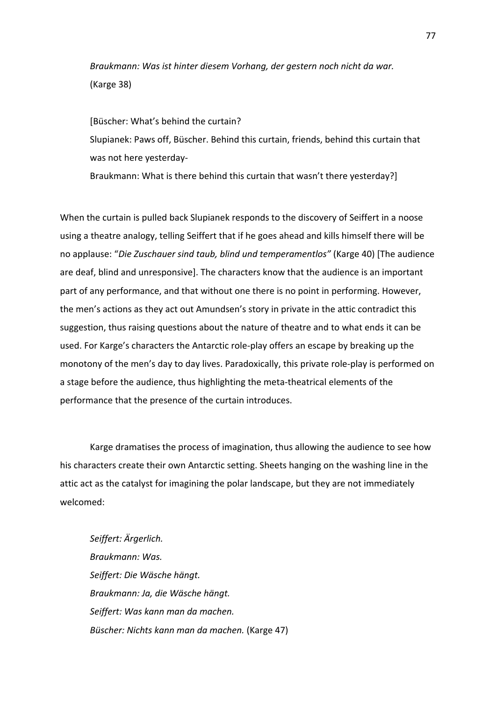*Braukmann:
Was
ist
hinter
diesem
Vorhang,
der
gestern
noch
nicht
da
war.*  (Karge
38)

[Büscher:
What's
behind
the
curtain?

Slupianek:
Paws
off,
Büscher.
Behind
this
curtain,
friends,
behind
this
curtain
that was
not
here
yesterday‐

Braukmann: What is there behind this curtain that wasn't there yesterday?]

When the curtain is pulled back Slupianek responds to the discovery of Seiffert in a noose using
a
theatre
analogy,
telling
Seiffert
that
if
he
goes
ahead
and
kills
himself
there
will
be no
applause:
"*Die
Zuschauer
sind
taub,
blind
und
temperamentlos"* (Karge
40)
[The
audience are
deaf,
blind
and
unresponsive].
The
characters
know
that
the
audience
is
an
important part of any performance, and that without one there is no point in performing. However, the
men's
actions
as
they
act
out
Amundsen's
story
in
private
in
the
attic
contradict
this suggestion, thus raising questions about the nature of theatre and to what ends it can be used.
For
Karge's
characters
the
Antarctic
role‐play
offers
an
escape
by
breaking
up
the monotony
of
the
men's
day
to
day
lives.
Paradoxically,
this
private
role‐play
is
performed
on a stage before the audience, thus highlighting the meta-theatrical elements of the performance
that
the
presence
of
the
curtain
introduces.

Karge
dramatises
the
process
of
imagination,
thus
allowing
the
audience
to
see
how his characters create their own Antarctic setting. Sheets hanging on the washing line in the attic
act
as
the
catalyst
for
imagining
the
polar
landscape,
but
they
are
not
immediately welcomed:

*Seiffert:
Ärgerlich. Braukmann:
Was. Seiffert:
Die
Wäsche
hängt. Braukmann:
Ja,
die
Wäsche
hängt. Seiffert:
Was
kann
man
da
machen. Büscher:
Nichts
kann
man
da
machen.* (Karge
47)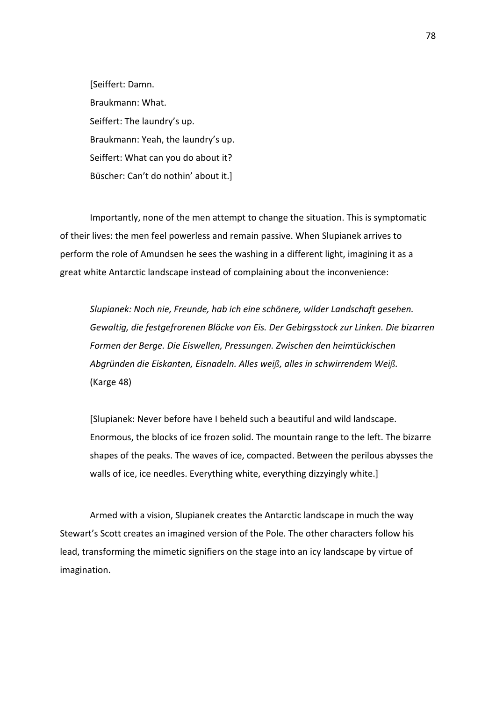[Seiffert:
Damn. Braukmann:
What. Seiffert:
The
laundry's
up. Braukmann:
Yeah,
the
laundry's
up. Seiffert: What can you do about it? Büscher:
Can't
do
nothin'
about
it.]

Importantly, none of the men attempt to change the situation. This is symptomatic of
their
lives:
the
men
feel
powerless
and
remain
passive.
When
Slupianek
arrives
to perform the role of Amundsen he sees the washing in a different light, imagining it as a great
white
Antarctic
landscape
instead
of
complaining
about
the
inconvenience:

*Slupianek:
Noch
nie,
Freunde,
hab
ich
eine
schönere,
wilder
Landschaft
gesehen. Gewaltig,
die
festgefrorenen
Blöcke
von
Eis.
Der
Gebirgsstock
zur
Linken.
Die
bizarren Formen
der
Berge.
Die
Eiswellen,
Pressungen.
Zwischen
den
heimtückischen*  Abgründen die Eiskanten, Eisnadeln. Alles weiß, alles in schwirrendem Weiß. (Karge
48)

[Slupianek:
Never
before
have
I
beheld
such
a
beautiful
and
wild
landscape. Enormous,
the
blocks
of
ice
frozen
solid.
The
mountain
range
to
the
left.
The
bizarre shapes
of
the
peaks.
The
waves
of
ice,
compacted.
Between
the
perilous
abysses
the walls of ice, ice needles. Everything white, everything dizzyingly white.]

Armed
with
a
vision,
Slupianek
creates
the
Antarctic
landscape
in
much
the
way Stewart's Scott creates an imagined version of the Pole. The other characters follow his lead, transforming the mimetic signifiers on the stage into an icy landscape by virtue of imagination.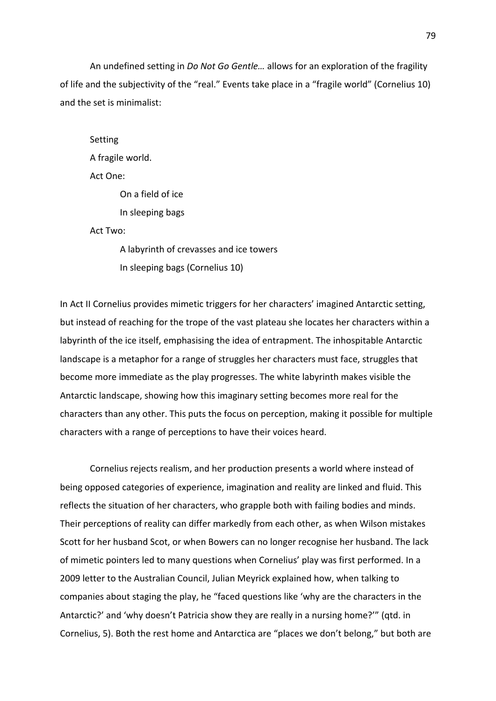An undefined setting in *Do Not Go Gentle...* allows for an exploration of the fragility of life and the subjectivity of the "real." Events take place in a "fragile world" (Cornelius 10) and
the
set
is
minimalist:

Setting A
fragile
world. Act
One: On
a
field
of
ice In
sleeping
bags Act
Two: A
labyrinth
of
crevasses
and
ice
towers In
sleeping
bags
(Cornelius
10)

In Act II Cornelius provides mimetic triggers for her characters' imagined Antarctic setting, but instead of reaching for the trope of the vast plateau she locates her characters within a labyrinth of the ice itself, emphasising the idea of entrapment. The inhospitable Antarctic landscape is a metaphor for a range of struggles her characters must face, struggles that become
more
immediate
as
the
play
progresses.
The
white
labyrinth
makes
visible
the Antarctic
landscape,
showing
how
this
imaginary
setting
becomes
more
real
for
the characters
than
any
other.
This
puts
the
focus
on
perception,
making
it
possible
for
multiple characters
with
a
range
of
perceptions
to
have
their
voices
heard.

Cornelius rejects realism, and her production presents a world where instead of being opposed categories of experience, imagination and reality are linked and fluid. This reflects the situation of her characters, who grapple both with failing bodies and minds. Their
perceptions
of
reality
can
differ
markedly
from
each
other,
as
when
Wilson
mistakes Scott
for
her
husband
Scot,
or
when
Bowers
can
no
longer
recognise
her
husband.
The
lack of mimetic pointers led to many questions when Cornelius' play was first performed. In a 2009
letter
to
the
Australian
Council,
Julian
Meyrick
explained
how,
when
talking
to companies
about
staging
the
play,
he
"faced
questions
like
'why
are
the
characters
in
the Antarctic?' and 'why doesn't Patricia show they are really in a nursing home?'" (qtd. in Cornelius, 5). Both the rest home and Antarctica are "places we don't belong," but both are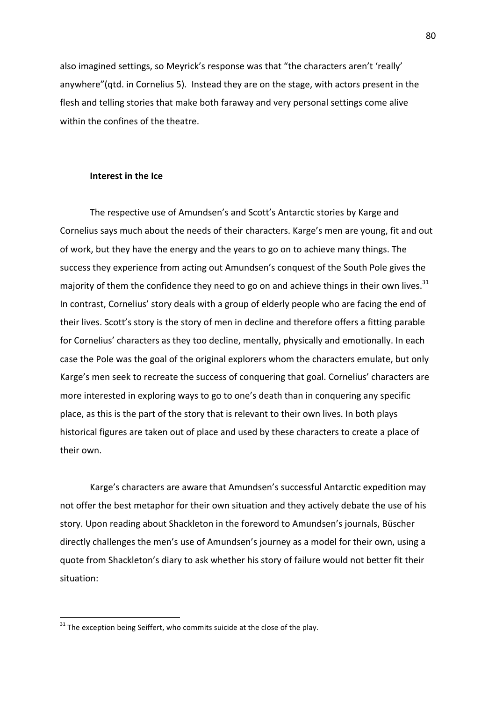also imagined settings, so Meyrick's response was that "the characters aren't 'really' anywhere" (qtd. in Cornelius 5). Instead they are on the stage, with actors present in the flesh and telling stories that make both faraway and very personal settings come alive within the confines of the theatre.

# **Interest
in
the
Ice**

The
respective
use
of
Amundsen's
and
Scott's
Antarctic
stories
by
Karge
and Cornelius says much about the needs of their characters. Karge's men are young, fit and out of
work,
but
they
have
the
energy
and
the
years
to
go
on
to
achieve
many
things.
The success they experience from acting out Amundsen's conquest of the South Pole gives the majority of them the confidence they need to go on and achieve things in their own lives.<sup>31</sup> In contrast, Cornelius' story deals with a group of elderly people who are facing the end of their lives. Scott's story is the story of men in decline and therefore offers a fitting parable for Cornelius' characters as they too decline, mentally, physically and emotionally. In each case
the
Pole
was
the
goal
of
the
original
explorers
whom
the
characters
emulate,
but
only Karge's
men
seek
to
recreate
the
success
of
conquering
that
goal.
Cornelius'
characters
are more
interested
in
exploring
ways
to
go
to
one's
death
than
in
conquering
any
specific place, as this is the part of the story that is relevant to their own lives. In both plays historical figures are taken out of place and used by these characters to create a place of their
own.

Karge's characters are aware that Amundsen's successful Antarctic expedition may not offer the best metaphor for their own situation and they actively debate the use of his story.
Upon
reading
about
Shackleton
in
the
foreword
to
Amundsen's
journals,
Büscher directly challenges the men's use of Amundsen's journey as a model for their own, using a quote
from
Shackleton's
diary
to
ask
whether
his
story
of
failure
would
not
better
fit
their situation:

<sup>&</sup>lt;sup>31</sup> The exception being Seiffert, who commits suicide at the close of the play.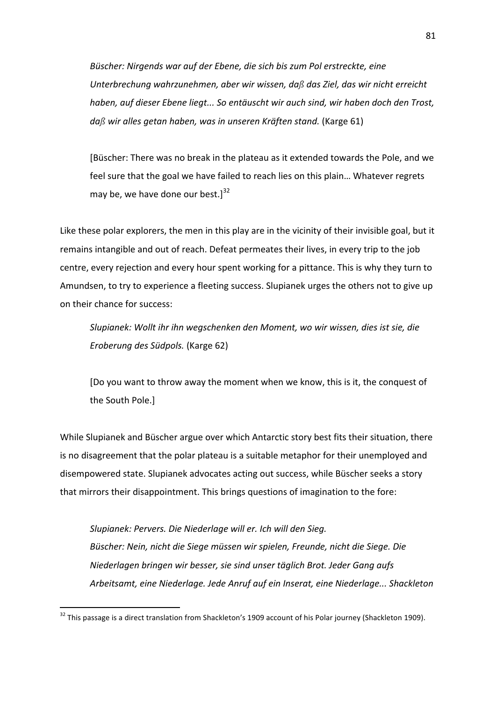*Büscher:
Nirgends
war
auf
der
Ebene,
die
sich
bis
zum
Pol
erstreckte,
eine Unterbrechung
wahrzunehmen,
aber
wir
wissen,
daß
das
Ziel,
das
wir
nicht
erreicht haben,
auf
dieser
Ebene
liegt...
So
entäuscht
wir
auch
sind,
wir
haben
doch
den
Trost, daß wir
alles
getan
haben,
was
in
unseren
Kräften
stand.*(Karge
61)

[Büscher:
There
was
no
break
in
the
plateau
as
it
extended
towards
the
Pole,
and
we feel sure that the goal we have failed to reach lies on this plain... Whatever regrets may be, we have done our best.<sup>132</sup>

Like these polar explorers, the men in this play are in the vicinity of their invisible goal, but it remains intangible and out of reach. Defeat permeates their lives, in every trip to the job centre,
every
rejection
and
every
hour
spent
working
for
a
pittance.
This
is
why
they
turn
to Amundsen, to try to experience a fleeting success. Slupianek urges the others not to give up on
their
chance
for
success:

Slupianek: Wollt ihr ihn wegschenken den Moment, wo wir wissen, dies ist sie, die *Eroberung
des
Südpols.* (Karge
62)

[Do
you
want
to
throw
away
the
moment
when
we
know,
this
is
it,
the
conquest
of the
South
Pole.]

While Slupianek and Büscher argue over which Antarctic story best fits their situation, there is no disagreement that the polar plateau is a suitable metaphor for their unemployed and disempowered state. Slupianek advocates acting out success, while Büscher seeks a story that
mirrors
their
disappointment.
This
brings
questions
of
imagination
to
the
fore:

*Slupianek:
Pervers.
Die
Niederlage
will
er.
Ich
will
den
Sieg. Büscher:
Nein,
nicht
die
Siege
müssen
wir
spielen,
Freunde,
nicht
die
Siege.
Die Niederlagen
bringen
wir
besser,
sie
sind
unser
täglich
Brot.
Jeder
Gang
aufs Arbeitsamt,
eine
Niederlage.
Jede
Anruf
auf
ein
Inserat,
eine
Niederlage...
Shackleton* 

<sup>&</sup>lt;sup>32</sup> This passage is a direct translation from Shackleton's 1909 account of his Polar journey (Shackleton 1909).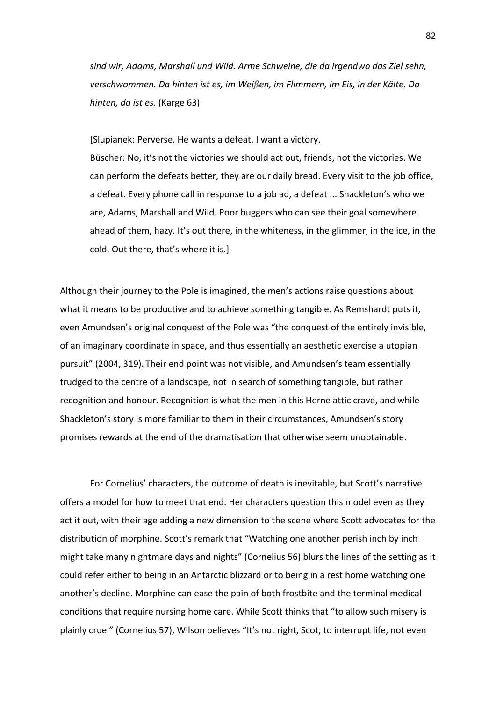sind wir, Adams, Marshall und Wild. Arme Schweine, die da irgendwo das Ziel sehn, *verschwommen.
Da
hinten
ist
es,
im
Weißen,
im
Flimmern,
im
Eis,
in
der
Kälte.
Da hinten,
da
ist
es.* (Karge
63)

[Slupianek:
Perverse.
He
wants
a
defeat.
I
want
a
victory. Büscher: No, it's not the victories we should act out, friends, not the victories. We can
perform
the
defeats
better,
they
are
our
daily
bread.
Every
visit
to
the
job
office, a defeat. Every phone call in response to a job ad, a defeat ... Shackleton's who we are,
Adams,
Marshall
and
Wild.
Poor
buggers
who
can
see
their
goal
somewhere ahead of them, hazy. It's out there, in the whiteness, in the glimmer, in the ice, in the cold.
Out
there,
that's
where
it
is.]

Although their journey to the Pole is imagined, the men's actions raise questions about what it means to be productive and to achieve something tangible. As Remshardt puts it, even Amundsen's original conquest of the Pole was "the conquest of the entirely invisible, of an imaginary coordinate in space, and thus essentially an aesthetic exercise a utopian pursuit"
(2004,
319). Their
end
point
was
not
visible,
and
Amundsen's
team
essentially trudged
to
the
centre
of
a
landscape,
not
in
search
of
something
tangible,
but
rather recognition and honour. Recognition is what the men in this Herne attic crave, and while Shackleton's
story
is
more
familiar
to
them
in
their
circumstances,
Amundsen's
story promises
rewards
at
the
end
of
the
dramatisation
that
otherwise
seem
unobtainable.

For Cornelius' characters, the outcome of death is inevitable, but Scott's narrative offers
a
model
for
how
to
meet
that
end.
Her
characters
question
this
model
even
as
they act it out, with their age adding a new dimension to the scene where Scott advocates for the distribution of morphine. Scott's remark that "Watching one another perish inch by inch might take many nightmare days and nights" (Cornelius 56) blurs the lines of the setting as it could
refer
either
to
being
in
an
Antarctic
blizzard
or
to
being
in
a
rest
home
watching
one another's
decline.
Morphine
can
ease
the
pain
of
both
frostbite
and
the
terminal
medical conditions
that
require
nursing
home
care.
While
Scott
thinks
that
"to
allow
such
misery
is plainly cruel" (Cornelius 57), Wilson believes "It's not right, Scot, to interrupt life, not even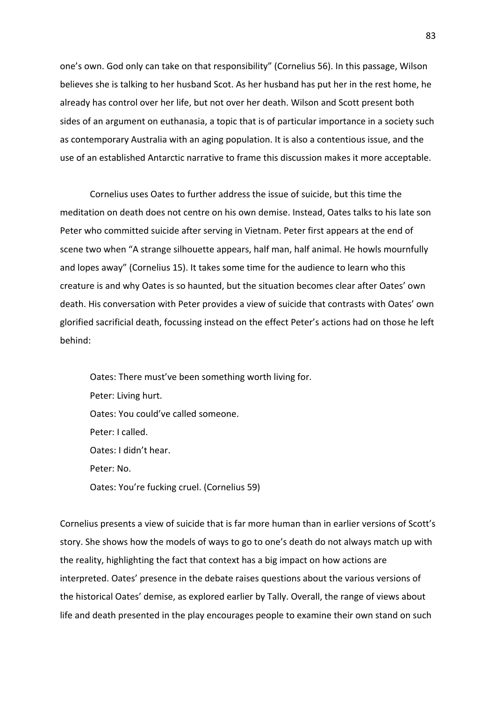one's own. God only can take on that responsibility" (Cornelius 56). In this passage, Wilson believes she is talking to her husband Scot. As her husband has put her in the rest home, he already
has
control
over
her
life,
but
not
over
her
death.
Wilson
and
Scott
present
both sides of an argument on euthanasia, a topic that is of particular importance in a society such as
contemporary
Australia
with
an
aging
population.
It
is
also
a
contentious
issue,
and
the use
of
an
established
Antarctic
narrative
to
frame
this
discussion
makes
it
more
acceptable.

Cornelius uses Oates to further address the issue of suicide, but this time the meditation
on
death
does
not
centre
on
his
own
demise.
Instead,
Oates
talks
to
his
late
son Peter who committed suicide after serving in Vietnam. Peter first appears at the end of scene
two
when
"A
strange
silhouette
appears,
half
man,
half
animal.
He
howls
mournfully and lopes away" (Cornelius 15). It takes some time for the audience to learn who this creature
is
and
why
Oates
is
so
haunted,
but
the
situation
becomes
clear
after
Oates'
own death.
His
conversation
with
Peter
provides
a
view
of
suicide
that
contrasts
with
Oates'
own glorified sacrificial death, focussing instead on the effect Peter's actions had on those he left behind:

Oates:
There
must've
been
something
worth
living
for. Peter:
Living
hurt. Oates:
You
could've
called
someone. Peter:
I
called. Oates:
I
didn't
hear. Peter:
No. Oates:
You're
fucking
cruel.
(Cornelius
59)

Cornelius presents a view of suicide that is far more human than in earlier versions of Scott's story.
She
shows
how
the
models
of
ways
to
go
to
one's
death
do
not
always
match
up
with the
reality,
highlighting
the
fact
that
context
has
a
big
impact
on
how
actions
are interpreted. Oates' presence in the debate raises questions about the various versions of the
historical
Oates'
demise,
as
explored
earlier
by
Tally.
Overall,
the
range
of
views
about life and death presented in the play encourages people to examine their own stand on such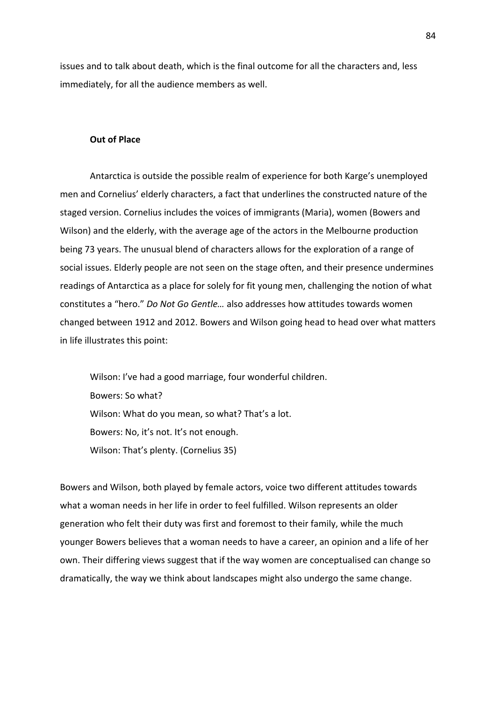issues and to talk about death, which is the final outcome for all the characters and, less immediately, for all the audience members as well.

### **Out
of
Place**

Antarctica
is
outside
the
possible
realm
of
experience
for
both
Karge's
unemployed men
and
Cornelius'
elderly
characters,
a
fact
that
underlines
the
constructed
nature
of
the staged
version.
Cornelius
includes
the
voices
of
immigrants
(Maria),
women
(Bowers
and Wilson) and the elderly, with the average age of the actors in the Melbourne production being 73 years. The unusual blend of characters allows for the exploration of a range of social issues. Elderly people are not seen on the stage often, and their presence undermines readings of Antarctica as a place for solely for fit young men, challenging the notion of what constitutes a "hero." *Do Not Go Gentle...* also addresses how attitudes towards women changed
between
1912
and
2012.
Bowers
and
Wilson
going
head
to
head
over
what
matters in
life
illustrates
this
point:

Wilson:
I've
had
a
good
marriage,
four
wonderful
children. Bowers:
So
what? Wilson: What do you mean, so what? That's a lot. Bowers: No, it's not. It's not enough. Wilson:
That's
plenty.
(Cornelius
35)

Bowers
and
Wilson,
both
played
by
female
actors,
voice
two
different
attitudes
towards what a woman needs in her life in order to feel fulfilled. Wilson represents an older generation
who
felt
their
duty
was
first
and
foremost
to
their
family,
while
the
much younger
Bowers
believes
that
a
woman
needs
to
have
a
career,
an
opinion
and
a
life
of
her own.
Their
differing
views
suggest
that
if
the
way
women
are
conceptualised
can
change
so dramatically,
the
way
we
think
about
landscapes
might
also
undergo
the
same
change.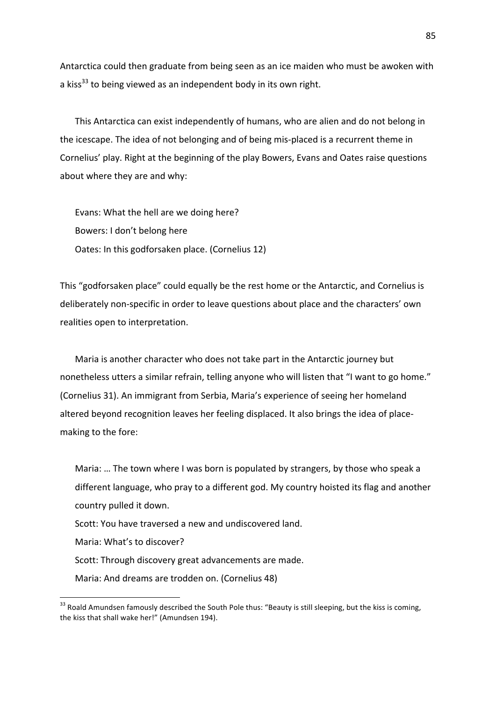Antarctica
could
then
graduate
from
being
seen
as
an
ice
maiden
who
must
be
awoken
with a kiss<sup>33</sup> to being viewed as an independent body in its own right.

This
Antarctica
can
exist
independently
of
humans,
who
are
alien
and
do
not
belong
in the icescape. The idea of not belonging and of being mis-placed is a recurrent theme in Cornelius' play. Right at the beginning of the play Bowers, Evans and Oates raise questions about
where
they
are
and
why:

Evans:
What
the
hell
are
we
doing
here? Bowers:
I
don't
belong
here Oates:
In
this
godforsaken
place.
(Cornelius
12)

This
"godforsaken
place"
could
equally
be
the
rest
home
or
the
Antarctic,
and
Cornelius
is deliberately
non‐specific
in
order
to
leave
questions
about
place
and
the
characters'
own realities
open
to
interpretation.

Maria is another character who does not take part in the Antarctic journey but nonetheless utters a similar refrain, telling anyone who will listen that "I want to go home." (Cornelius
31).
An
immigrant
from
Serbia,
Maria's
experience
of
seeing
her
homeland altered beyond recognition leaves her feeling displaced. It also brings the idea of placemaking
to
the
fore:

Maria: ... The town where I was born is populated by strangers, by those who speak a different language, who pray to a different god. My country hoisted its flag and another country
pulled
it
down.

Scott:
You
have
traversed
a
new
and
undiscovered
land.

Maria:
What's
to
discover?

Scott:
Through
discovery
great
advancements
are
made.

Maria:
And
dreams
are
trodden
on.
(Cornelius
48)

<sup>&</sup>lt;sup>33</sup> Roald Amundsen famously described the South Pole thus: "Beauty is still sleeping, but the kiss is coming, the kiss that
shall wake her!"
(Amundsen
194).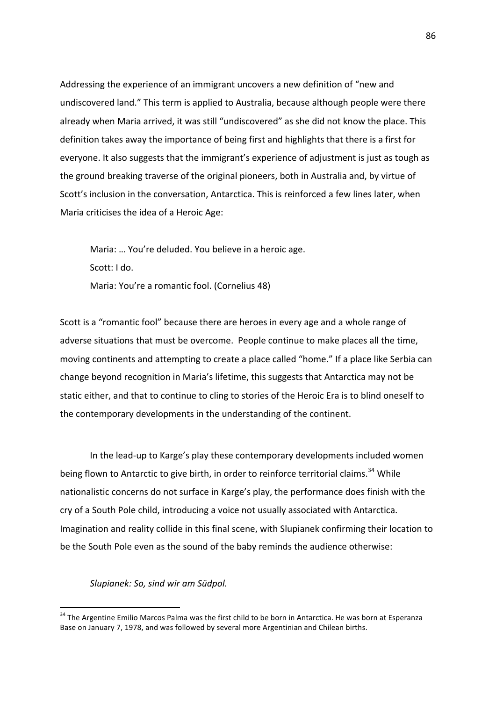Addressing the experience of an immigrant uncovers a new definition of "new and undiscovered
land."
This
term
is
applied
to
Australia,
because
although
people
were
there already when Maria arrived, it was still "undiscovered" as she did not know the place. This definition takes away the importance of being first and highlights that there is a first for everyone. It also suggests that the immigrant's experience of adjustment is just as tough as the ground breaking traverse of the original pioneers, both in Australia and, by virtue of Scott's inclusion in the conversation, Antarctica. This is reinforced a few lines later, when Maria
criticises
the
idea
of
a
Heroic
Age:

Maria:
… You're
deluded.
You
believe
in
a
heroic
age. Scott:
I
do. Maria: You're a romantic fool. (Cornelius 48)

Scott is a "romantic fool" because there are heroes in every age and a whole range of adverse situations that must be overcome. People continue to make places all the time, moving continents and attempting to create a place called "home." If a place like Serbia can change
beyond
recognition
in
Maria's
lifetime,
this
suggests
that
Antarctica
may
not
be static either, and that to continue to cling to stories of the Heroic Era is to blind oneself to the contemporary developments in the understanding of the continent.

In the lead-up to Karge's play these contemporary developments included women being flown to Antarctic to give birth, in order to reinforce territorial claims.<sup>34</sup> While nationalistic
concerns
do
not
surface
in
Karge's
play,
the
performance
does
finish
with
the cry
of
a
South
Pole
child,
introducing
a
voice
not
usually
associated
with
Antarctica. Imagination and reality collide in this final scene, with Slupianek confirming their location to be the South Pole even as the sound of the baby reminds the audience otherwise:

*Slupianek:
So,
sind
wir
am
Südpol.*

<sup>&</sup>lt;sup>34</sup> The Argentine Emilio Marcos Palma was the first child to be born in Antarctica. He was born at Esperanza Base
on
January
7,
1978,
and
was
followed
by
several
more
Argentinian
and
Chilean
births.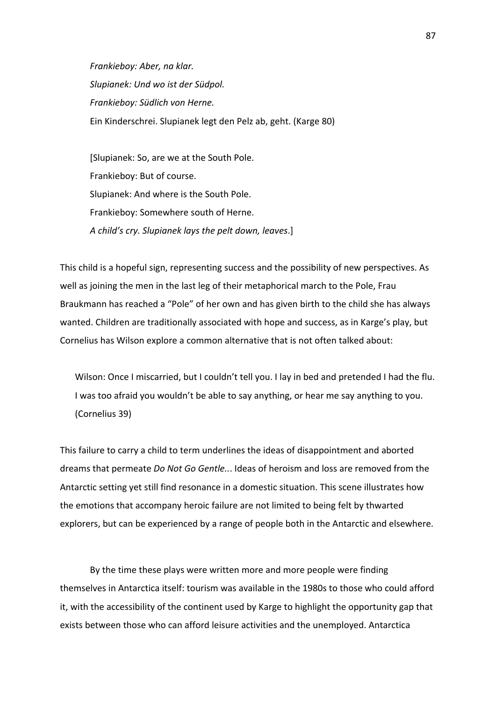*Frankieboy:
Aber,
na
klar. Slupianek:
Und
wo
ist
der
Südpol. Frankieboy:
Südlich
von
Herne.* Ein
Kinderschrei.
Slupianek
legt
den
Pelz
ab,
geht.
(Karge
80)

[Slupianek:
So,
are
we
at
the
South
Pole. Frankieboy:
But
of
course. Slupianek:
And
where
is
the
South
Pole. Frankieboy:
Somewhere
south
of
Herne. *A
child's
cry.
Slupianek
lays
the
pelt
down,
leaves*.]

This
child
is
a
hopeful
sign,
representing
success
and
the
possibility
of
new
perspectives.
As well as joining the men in the last leg of their metaphorical march to the Pole, Frau Braukmann has reached a "Pole" of her own and has given birth to the child she has always wanted. Children are traditionally associated with hope and success, as in Karge's play, but Cornelius
has
Wilson
explore
a
common
alternative
that
is
not
often
talked
about:

Wilson: Once I miscarried, but I couldn't tell you. I lay in bed and pretended I had the flu. I was too afraid you wouldn't be able to say anything, or hear me say anything to you. (Cornelius
39)

This
failure
to
carry
a
child
to
term
underlines
the
ideas
of
disappointment
and
aborted dreams that permeate *Do Not Go Gentle...* Ideas of heroism and loss are removed from the Antarctic setting yet still find resonance in a domestic situation. This scene illustrates how the
emotions
that
accompany
heroic
failure
are
not
limited
to
being
felt
by
thwarted explorers, but can be experienced by a range of people both in the Antarctic and elsewhere.

By the time these plays were written more and more people were finding themselves
in
Antarctica
itself:
tourism
was
available
in
the
1980s
to
those
who
could
afford it, with the accessibility of the continent used by Karge to highlight the opportunity gap that exists
between
those
who
can
afford
leisure
activities
and
the
unemployed.
Antarctica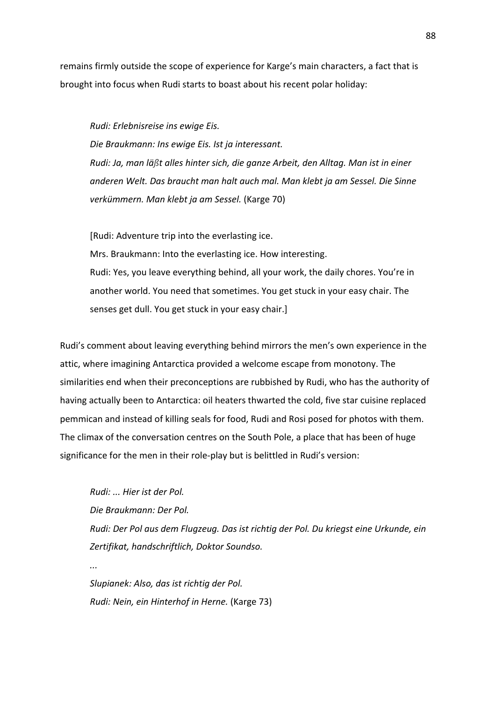remains firmly outside the scope of experience for Karge's main characters, a fact that is brought
into
focus
when
Rudi
starts
to
boast
about
his
recent
polar
holiday:

*Rudi:
Erlebnisreise
ins
ewige
Eis. Die
Braukmann:
Ins
ewige
Eis.
Ist
ja
interessant.* Rudi: Ja, man läßt alles hinter sich, die ganze Arbeit, den Alltag. Man ist in einer *anderen
Welt.
Das
braucht
man
halt
auch
mal.
Man
klebt
ja
am
Sessel.
Die
Sinne verkümmern.
Man
klebt
ja
am
Sessel.* (Karge
70)

[Rudi:
Adventure
trip
into
the
everlasting
ice.

Mrs.
Braukmann:
Into
the
everlasting
ice.
How
interesting. Rudi: Yes, you leave everything behind, all your work, the daily chores. You're in another
world.
You
need
that
sometimes.
You
get
stuck
in
your
easy
chair.
The senses
get
dull.
You
get
stuck
in
your
easy
chair.]

Rudi's comment about leaving everything behind mirrors the men's own experience in the attic,
where
imagining
Antarctica
provided
a
welcome
escape
from
monotony.
The similarities end when their preconceptions are rubbished by Rudi, who has the authority of having
actually
been
to
Antarctica:
oil
heaters
thwarted
the
cold,
five
star
cuisine
replaced pemmican
and
instead
of
killing
seals
for
food,
Rudi
and
Rosi
posed
for
photos
with
them. The climax of the conversation centres on the South Pole, a place that has been of huge significance for the men in their role-play but is belittled in Rudi's version:

*Rudi:
...
Hier
ist
der
Pol. Die
Braukmann:
Der
Pol. Rudi:
Der
Pol
aus
dem
Flugzeug.
Das
ist
richtig
der
Pol.
Du
kriegst
eine
Urkunde,
ein Zertifikat,
handschriftlich,
Doktor
Soundso. ... Slupianek:
Also,
das
ist
richtig
der
Pol.*

*Rudi:
Nein,
ein
Hinterhof
in
Herne.*(Karge
73)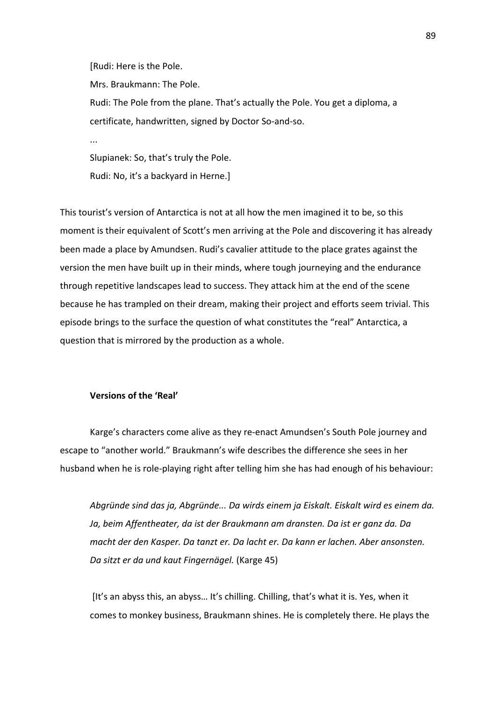[Rudi: Here is the Pole. Mrs.
Braukmann:
The
Pole. Rudi: The Pole from the plane. That's actually the Pole. You get a diploma, a certificate,
handwritten,
signed
by
Doctor
So‐and‐so.

Slupianek:
So,
that's
truly
the
Pole. Rudi: No, it's a backyard in Herne.]

...

This tourist's version of Antarctica is not at all how the men imagined it to be, so this moment is their equivalent of Scott's men arriving at the Pole and discovering it has already been
made
a
place
by
Amundsen.
Rudi's
cavalier
attitude
to
the
place
grates
against
the version the men have built up in their minds, where tough journeying and the endurance through
repetitive
landscapes
lead
to
success.
They
attack
him
at
the
end
of
the
scene because
he
has
trampled
on
their
dream,
making
their
project
and
efforts
seem
trivial.
This episode brings to the surface the question of what constitutes the "real" Antarctica, a question
that
is
mirrored
by
the
production
as
a
whole.

## **Versions
of
the
'Real'**

Karge's
characters
come
alive
as
they
re‐enact
Amundsen's
South
Pole
journey
and escape
to
"another
world."
Braukmann's
wife
describes
the
difference
she
sees
in
her husband when he is role-playing right after telling him she has had enough of his behaviour:

Abgründe sind das ja, Abgründe... Da wirds einem ja Eiskalt. Eiskalt wird es einem da. Ja, beim Affentheater, da ist der Braukmann am dransten. Da ist er ganz da. Da macht der den Kasper. Da tanzt er. Da lacht er. Da kann er lachen. Aber ansonsten. *Da
sitzt
er
da
und
kaut
Fingernägel.*(Karge
45)

[It's an abyss this, an abyss... It's chilling. Chilling, that's what it is. Yes, when it comes
to
monkey
business,
Braukmann
shines.
He
is
completely
there.
He
plays
the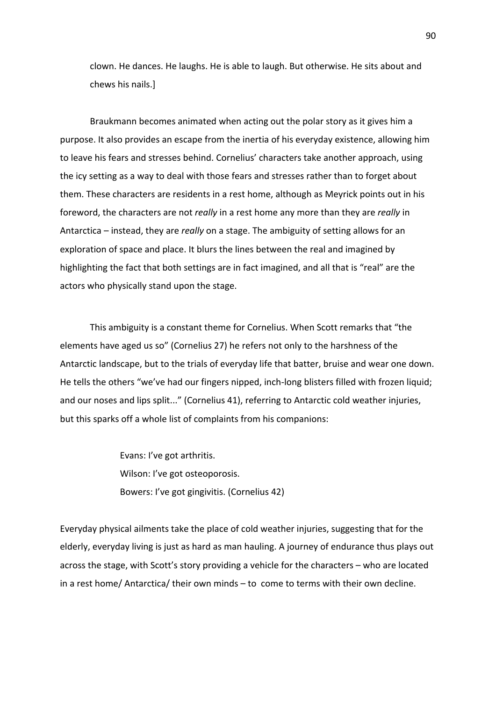clown. He dances. He laughs. He is able to laugh. But otherwise. He sits about and chews
his
nails.]

Braukmann becomes animated when acting out the polar story as it gives him a purpose. It also provides an escape from the inertia of his everyday existence, allowing him to leave his fears and stresses behind. Cornelius' characters take another approach, using the
icy
setting
as
a
way
to
deal
with
those
fears
and
stresses
rather
than
to
forget
about them. These characters are residents in a rest home, although as Meyrick points out in his foreword, the characters are not *really* in a rest home any more than they are *really* in Antarctica – instead, they are *really* on a stage. The ambiguity of setting allows for an exploration of space and place. It blurs the lines between the real and imagined by highlighting the fact that both settings are in fact imagined, and all that is "real" are the actors
who
physically
stand
upon
the
stage.

This ambiguity is a constant theme for Cornelius. When Scott remarks that "the elements have aged us so" (Cornelius 27) he refers not only to the harshness of the Antarctic
landscape,
but
to
the
trials
of
everyday
life
that
batter,
bruise
and
wear
one
down. He tells the others "we've had our fingers nipped, inch-long blisters filled with frozen liquid; and our noses and lips split..." (Cornelius 41), referring to Antarctic cold weather injuries, but
this
sparks
off
a
whole
list
of
complaints
from
his
companions:

> Evans:
> I've
> got
> arthritis. Wilson: I've got osteoporosis. Bowers: I've got gingivitis. (Cornelius 42)

Everyday physical ailments take the place of cold weather injuries, suggesting that for the elderly, everyday living is just as hard as man hauling. A journey of endurance thus plays out across
the
stage,
with
Scott's
story
providing
a
vehicle
for
the
characters
–
who
are
located in a rest home/ Antarctica/ their own minds – to come to terms with their own decline.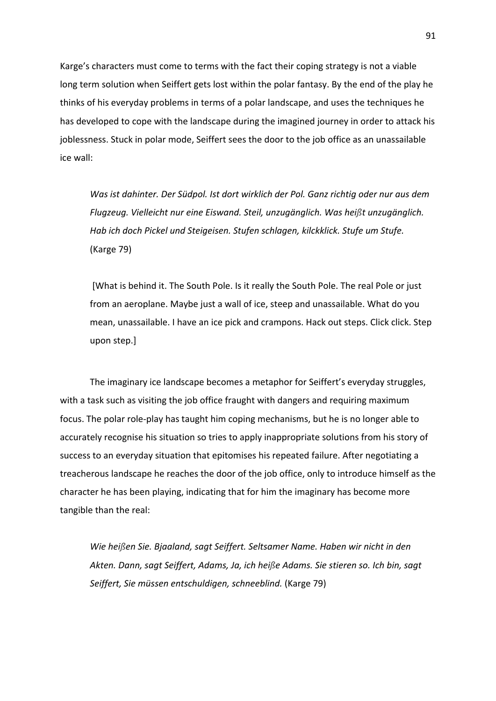Karge's characters must come to terms with the fact their coping strategy is not a viable long term solution when Seiffert gets lost within the polar fantasy. By the end of the play he thinks
of
his
everyday
problems
in
terms
of
a
polar
landscape,
and
uses
the
techniques
he has developed to cope with the landscape during the imagined journey in order to attack his joblessness. Stuck in polar mode, Seiffert sees the door to the job office as an unassailable ice
wall:

Was ist dahinter. Der Südpol. Ist dort wirklich der Pol. Ganz richtig oder nur aus dem *Flugzeug.
Vielleicht
nur
eine
Eiswand.
Steil,
unzugänglich.
Was
heißt
unzugänglich. Hab
ich
doch
Pickel
und
Steigeisen.
Stufen
schlagen,
kilckklick.
Stufe
um
Stufe.* (Karge
79)

[What is behind it. The South Pole. Is it really the South Pole. The real Pole or just from an aeroplane. Maybe just a wall of ice, steep and unassailable. What do you mean, unassailable. I have an ice pick and crampons. Hack out steps. Click click. Step upon
step.]

The
imaginary
ice
landscape
becomes
a
metaphor
for
Seiffert's
everyday
struggles, with a task such as visiting the job office fraught with dangers and requiring maximum focus. The polar role-play has taught him coping mechanisms, but he is no longer able to accurately recognise his situation so tries to apply inappropriate solutions from his story of success to an everyday situation that epitomises his repeated failure. After negotiating a treacherous landscape he reaches the door of the job office, only to introduce himself as the character
he
has
been
playing,
indicating
that
for
him
the
imaginary
has
become
more tangible
than
the
real:

Wie heißen Sie. Bjaaland, sagt Seiffert. Seltsamer Name. Haben wir nicht in den Akten. Dann, sagt Seiffert, Adams, Ja, ich heiße Adams. Sie stieren so. Ich bin, sagt *Seiffert,
Sie
müssen
entschuldigen,
schneeblind.* (Karge
79)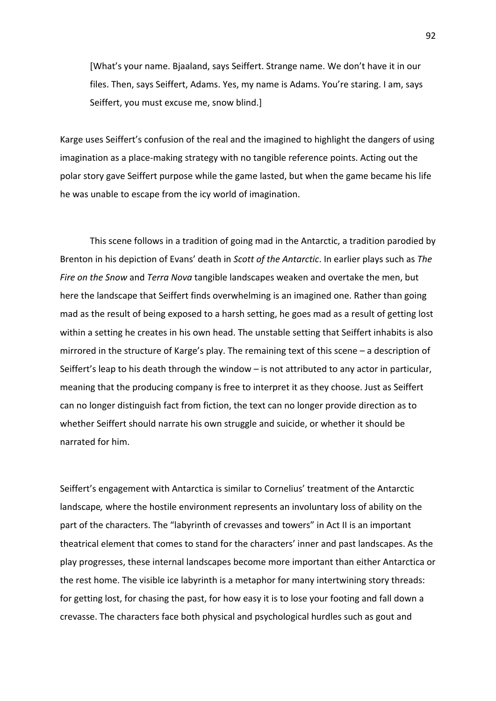[What's
your
name.
Bjaaland,
says
Seiffert.
Strange
name.
We
don't
have
it
in
our files. Then, says Seiffert, Adams. Yes, my name is Adams. You're staring. I am, says Seiffert,
you
must
excuse
me,
snow
blind.]

Karge uses Seiffert's confusion of the real and the imagined to highlight the dangers of using imagination as a place-making strategy with no tangible reference points. Acting out the polar
story
gave
Seiffert
purpose
while
the
game
lasted,
but
when
the
game
became
his
life he
was
unable
to
escape
from
the
icy
world
of
imagination.

This scene follows in a tradition of going mad in the Antarctic, a tradition parodied by Brenton in his depiction of Evans' death in Scott of the Antarctic. In earlier plays such as The Fire on the Snow and Terra Nova tangible landscapes weaken and overtake the men, but here the landscape that Seiffert finds overwhelming is an imagined one. Rather than going mad as the result of being exposed to a harsh setting, he goes mad as a result of getting lost within a setting he creates in his own head. The unstable setting that Seiffert inhabits is also mirrored in the structure of Karge's play. The remaining text of this scene - a description of Seiffert's leap to his death through the window – is not attributed to any actor in particular, meaning that the producing company is free to interpret it as they choose. Just as Seiffert can
no
longer
distinguish
fact
from
fiction,
the
text
can
no
longer
provide
direction
as
to whether Seiffert should narrate his own struggle and suicide, or whether it should be narrated
for
him.

Seiffert's engagement with Antarctica is similar to Cornelius' treatment of the Antarctic landscape, where the hostile environment represents an involuntary loss of ability on the part
of
the
characters. The
"labyrinth
of
crevasses
and
towers"
in
Act
II
is
an
important theatrical
element
that
comes
to
stand
for
the
characters'
inner
and
past
landscapes.
As
the play
progresses,
these
internal
landscapes
become
more
important
than
either
Antarctica
or the
rest
home.
The
visible
ice
labyrinth
is
a
metaphor
for
many
intertwining
story
threads: for getting lost, for chasing the past, for how easy it is to lose your footing and fall down a crevasse.
The
characters
face
both
physical
and
psychological
hurdles
such
as
gout
and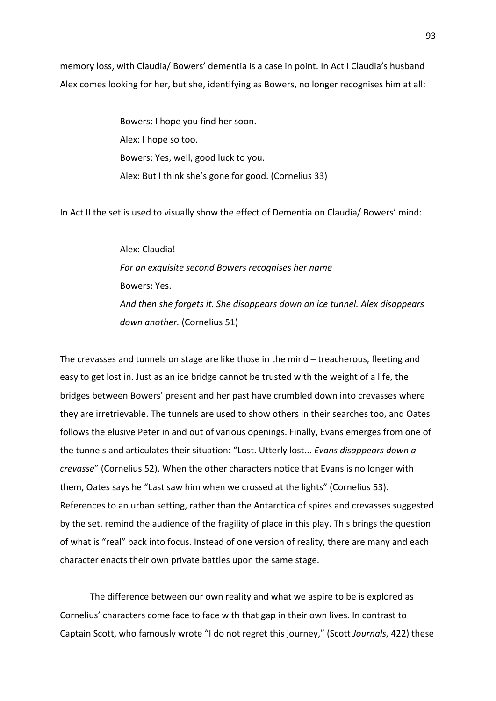memory loss, with Claudia/ Bowers' dementia is a case in point. In Act I Claudia's husband Alex comes looking for her, but she, identifying as Bowers, no longer recognises him at all:

> Bowers:
> I
> hope
> you
> find
> her
> soon. Alex:
> I
> hope
> so
> too. Bowers:
> Yes,
> well,
> good
> luck
> to
> you. Alex: But I think she's gone for good. (Cornelius 33)

In Act II the set is used to visually show the effect of Dementia on Claudia/Bowers' mind:

Alex:
Claudia! *For
an
exquisite
second
Bowers
recognises
her
name* Bowers:
Yes. *And
then
she
forgets
it.
She
disappears
down
an
ice
tunnel.
Alex
disappears*  down another. (Cornelius 51)

The crevasses and tunnels on stage are like those in the mind - treacherous, fleeting and easy to get lost in. Just as an ice bridge cannot be trusted with the weight of a life, the bridges
between
Bowers'
present
and
her
past
have
crumbled
down
into
crevasses
where they are irretrievable. The tunnels are used to show others in their searches too, and Oates follows the elusive Peter in and out of various openings. Finally, Evans emerges from one of the tunnels and articulates their situation: "Lost. Utterly lost... Evans disappears down a crevasse" (Cornelius 52). When the other characters notice that Evans is no longer with them,
Oates
says
he
"Last
saw
him
when
we
crossed
at
the
lights"
(Cornelius
53). References
to
an
urban
setting,
rather
than
the
Antarctica
of
spires
and
crevasses
suggested by the set, remind the audience of the fragility of place in this play. This brings the question of
what
is
"real"
back
into
focus.
Instead
of
one
version
of
reality,
there
are
many
and
each character
enacts
their
own
private
battles
upon
the
same
stage.

The
difference
between
our
own
reality
and
what
we
aspire
to
be
is
explored
as Cornelius'
characters
come
face
to
face
with
that
gap
in
their
own
lives.
In
contrast
to Captain Scott, who famously wrote "I do not regret this journey," (Scott Journals, 422) these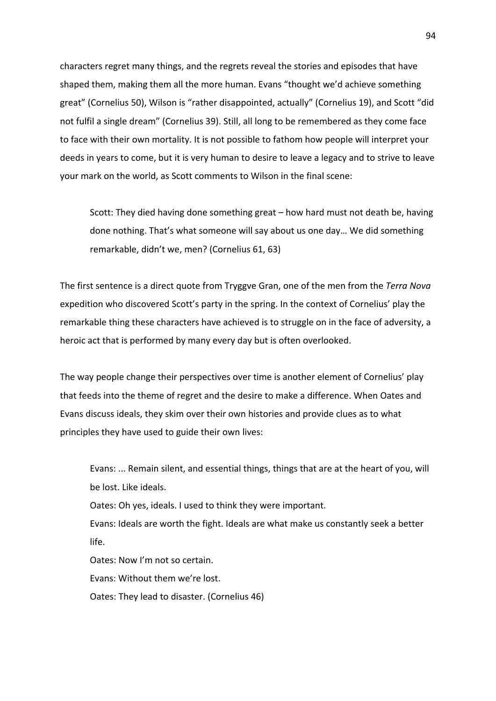characters
regret
many
things,
and
the
regrets
reveal
the
stories
and
episodes
that
have shaped them, making them all the more human. Evans "thought we'd achieve something great" (Cornelius 50), Wilson is "rather disappointed, actually" (Cornelius 19), and Scott "did not
fulfil
a
single
dream"
(Cornelius
39).
Still,
all
long
to
be
remembered
as
they
come
face to face with their own mortality. It is not possible to fathom how people will interpret your deeds in years to come, but it is very human to desire to leave a legacy and to strive to leave your
mark
on
the
world,
as
Scott
comments
to
Wilson
in
the
final
scene:

Scott: They died having done something great – how hard must not death be, having done
nothing.
That's
what
someone
will
say
about
us
one
day…
We
did
something remarkable,
didn't
we,
men?
(Cornelius
61,
63)

The first sentence is a direct quote from Tryggve Gran, one of the men from the Terra Nova expedition who discovered Scott's party in the spring. In the context of Cornelius' play the remarkable thing these characters have achieved is to struggle on in the face of adversity, a heroic
act
that
is
performed
by
many
every
day
but
is
often
overlooked.

The way people change their perspectives over time is another element of Cornelius' play that feeds into the theme of regret and the desire to make a difference. When Oates and Evans
discuss
ideals,
they
skim
over
their
own
histories
and
provide
clues
as
to
what principles
they
have
used
to
guide
their
own
lives:

Evans: ... Remain silent, and essential things, things that are at the heart of you, will be
lost.
Like
ideals.

Oates:
Oh
yes,
ideals.
I
used
to
think
they
were
important.

Evans:
Ideals
are
worth
the
fight.
Ideals
are
what
make
us
constantly
seek
a
better life.

Oates:
Now
I'm
not
so
certain. Evans:
Without
them
we're
lost. Oates:
They
lead
to
disaster.
(Cornelius
46)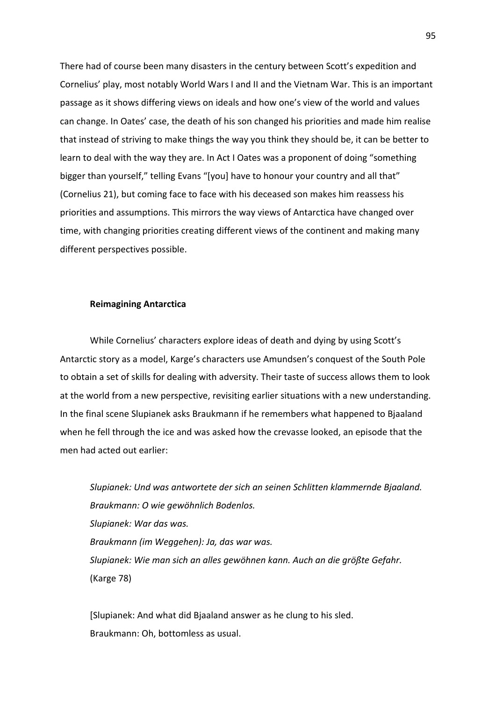There had of course been many disasters in the century between Scott's expedition and Cornelius' play, most notably World Wars I and II and the Vietnam War. This is an important passage as it shows differing views on ideals and how one's view of the world and values can
change.
In
Oates'
case,
the
death
of
his
son
changed
his
priorities
and
made
him
realise that
instead
of
striving
to
make
things
the
way
you
think
they
should
be,
it
can
be
better
to learn to deal with the way they are. In Act I Oates was a proponent of doing "something bigger than yourself," telling Evans "[you] have to honour your country and all that" (Cornelius
21),
but
coming
face
to
face
with
his
deceased
son
makes
him
reassess
his priorities
and
assumptions.
This
mirrors
the
way
views
of
Antarctica
have
changed
over time,
with
changing
priorities
creating
different
views
of
the
continent
and
making
many different
perspectives
possible.

### **Reimagining
Antarctica**

While
Cornelius'
characters
explore
ideas
of
death
and
dying
by
using
Scott's Antarctic
story
as
a
model,
Karge's
characters
use
Amundsen's
conquest
of
the
South
Pole to obtain a set of skills for dealing with adversity. Their taste of success allows them to look at
the
world
from
a
new
perspective,
revisiting
earlier
situations
with
a
new
understanding. In the final scene Slupianek asks Braukmann if he remembers what happened to Bjaaland when he fell through the ice and was asked how the crevasse looked, an episode that the men
had
acted
out
earlier:

*Slupianek:
Und
was
antwortete
der
sich
an
seinen
Schlitten
klammernde
Bjaaland. Braukmann:
O
wie
gewöhnlich
Bodenlos. Slupianek:
War
das
was. Braukmann
(im
Weggehen):
Ja,
das
war
was.* Slupianek: Wie man sich an alles gewöhnen kann. Auch an die größte Gefahr. (Karge
78)

[Slupianek:
And
what
did
Bjaaland
answer
as
he
clung
to
his
sled. Braukmann:
Oh,
bottomless
as
usual.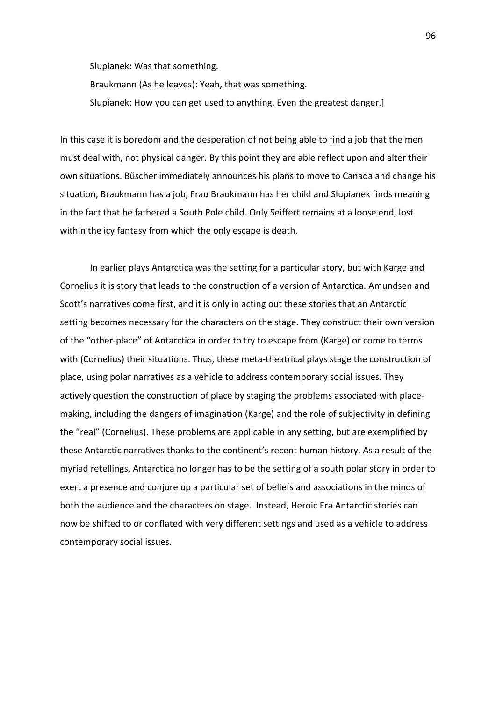Slupianek:
Was
that
something.

Braukmann
(As
he
leaves):
Yeah,
that
was
something.

Slupianek: How you can get used to anything. Even the greatest danger.]

In this case it is boredom and the desperation of not being able to find a job that the men must deal with, not physical danger. By this point they are able reflect upon and alter their own
situations.
Büscher
immediately
announces
his
plans
to
move
to
Canada
and
change
his situation, Braukmann has a job, Frau Braukmann has her child and Slupianek finds meaning in the fact that he fathered a South Pole child. Only Seiffert remains at a loose end, lost within the icy fantasy from which the only escape is death.

In
earlier
plays
Antarctica
was
the
setting
for
a
particular
story,
but
with
Karge
and Cornelius it is story that leads to the construction of a version of Antarctica. Amundsen and Scott's narratives come first, and it is only in acting out these stories that an Antarctic setting becomes necessary for the characters on the stage. They construct their own version of the "other-place" of Antarctica in order to try to escape from (Karge) or come to terms with (Cornelius) their situations. Thus, these meta-theatrical plays stage the construction of place, using polar narratives as a vehicle to address contemporary social issues. They actively question the construction of place by staging the problems associated with placemaking, including the dangers of imagination (Karge) and the role of subjectivity in defining the
"real"
(Cornelius).
These
problems
are
applicable
in
any
setting,
but
are
exemplified
by these Antarctic narratives thanks to the continent's recent human history. As a result of the myriad retellings, Antarctica no longer has to be the setting of a south polar story in order to exert a presence and conjure up a particular set of beliefs and associations in the minds of both the audience and the characters on stage. Instead, Heroic Era Antarctic stories can now be shifted to or conflated with very different settings and used as a vehicle to address contemporary
social
issues.

96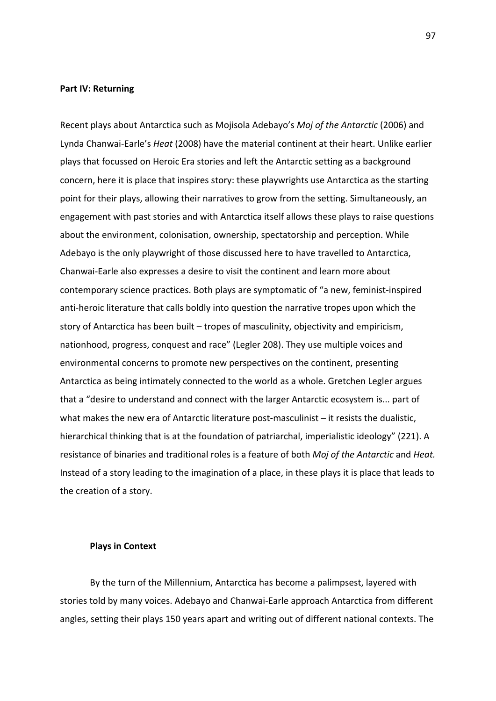#### **Part
IV:
Returning**

Recent plays about Antarctica such as Mojisola Adebayo's Moj of the Antarctic (2006) and Lynda Chanwai-Earle's *Heat* (2008) have the material continent at their heart. Unlike earlier plays
that
focussed
on
Heroic
Era
stories
and
left
the
Antarctic
setting
as
a
background concern,
here
it
is
place
that
inspires
story:
these
playwrights
use
Antarctica
as
the
starting point
for
their
plays,
allowing
their
narratives
to
grow
from
the
setting.
Simultaneously,
an engagement
with
past
stories
and
with
Antarctica
itself
allows
these
plays
to
raise
questions about
the
environment,
colonisation,
ownership,
spectatorship
and
perception. While Adebayo
is
the
only
playwright
of
those
discussed
here
to
have
travelled
to
Antarctica, Chanwai‐Earle
also
expresses
a
desire
to
visit
the
continent
and
learn
more
about contemporary
science
practices.
Both
plays
are
symptomatic
of
"a
new,
feminist‐inspired anti-heroic literature that calls boldly into question the narrative tropes upon which the story
of
Antarctica
has
been
built
–
tropes
of
masculinity,
objectivity
and
empiricism, nationhood,
progress,
conquest
and
race"
(Legler
208).
They
use
multiple
voices
and environmental
concerns
to
promote
new
perspectives
on
the
continent,
presenting Antarctica as being intimately connected to the world as a whole. Gretchen Legler argues that a "desire to understand and connect with the larger Antarctic ecosystem is... part of what makes the new era of Antarctic literature post-masculinist - it resists the dualistic, hierarchical thinking that is at the foundation of patriarchal, imperialistic ideology" (221). A resistance of binaries and traditional roles is a feature of both *Moj of the Antarctic* and *Heat.* Instead of a story leading to the imagination of a place, in these plays it is place that leads to the
creation
of
a
story.

#### **Plays
in
Context**

By the turn of the Millennium, Antarctica has become a palimpsest, layered with stories
told
by
many
voices.
Adebayo
and
Chanwai‐Earle
approach
Antarctica
from
different angles,
setting
their
plays
150
years
apart
and
writing
out
of
different
national
contexts.
The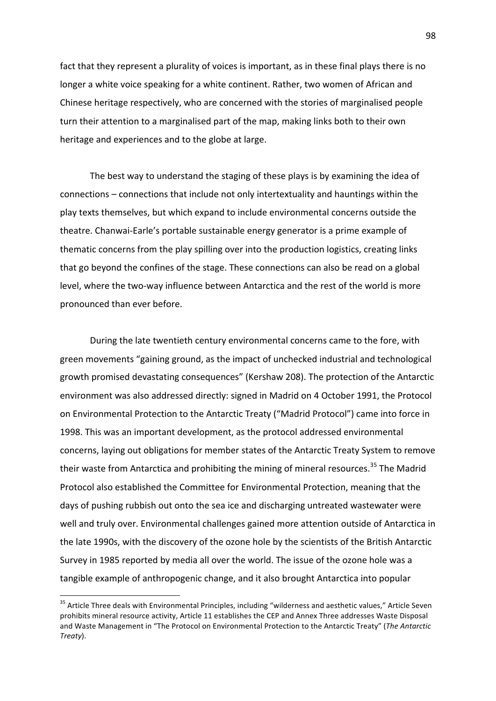fact that they represent a plurality of voices is important, as in these final plays there is no longer a white voice speaking for a white continent. Rather, two women of African and Chinese
heritage
respectively,
who
are
concerned
with
the
stories
of
marginalised
people turn their attention to a marginalised part of the map, making links both to their own heritage and experiences and to the globe at large.

The best way to understand the staging of these plays is by examining the idea of connections – connections
that
include
not
only
intertextuality
and
hauntings
within
the play
texts
themselves,
but
which
expand
to
include
environmental
concerns
outside
the theatre.
Chanwai‐Earle's
portable
sustainable
energy
generator
is
a
prime
example
of thematic
concerns
from
the
play
spilling
over
into
the
production
logistics,
creating
links that go beyond the confines of the stage. These connections can also be read on a global level, where the two-way influence between Antarctica and the rest of the world is more pronounced
than
ever
before.

During the late twentieth century environmental concerns came to the fore, with green movements "gaining ground, as the impact of unchecked industrial and technological growth
promised
devastating
consequences"
(Kershaw
208).
The
protection
of
the
Antarctic environment
was
also
addressed
directly:
signed
in
Madrid
on
4
October
1991,
the
Protocol on Environmental Protection to the Antarctic Treaty ("Madrid Protocol") came into force in 1998.
This
was
an
important
development,
as
the
protocol
addressed
environmental concerns,
laying
out
obligations
for
member
states
of
the
Antarctic
Treaty
System
to
remove their waste from Antarctica and prohibiting the mining of mineral resources.<sup>35</sup> The Madrid Protocol also established the Committee for Environmental Protection, meaning that the days of pushing rubbish out onto the sea ice and discharging untreated wastewater were well and truly over. Environmental challenges gained more attention outside of Antarctica in the
late
1990s,
with
the
discovery
of
the
ozone
hole
by
the
scientists
of
the
British
Antarctic Survey in 1985 reported by media all over the world. The issue of the ozone hole was a tangible
example
of
anthropogenic
change,
and
it
also
brought
Antarctica
into
popular

<sup>&</sup>lt;sup>35</sup> Article Three deals with Environmental Principles, including "wilderness and aesthetic values," Article Seven prohibits mineral resource activity, Article 11 establishes the CEP and Annex Three addresses Waste Disposal and Waste Management in "The Protocol on Environmental Protection to the Antarctic Treaty" (*The Antarctic Treaty*).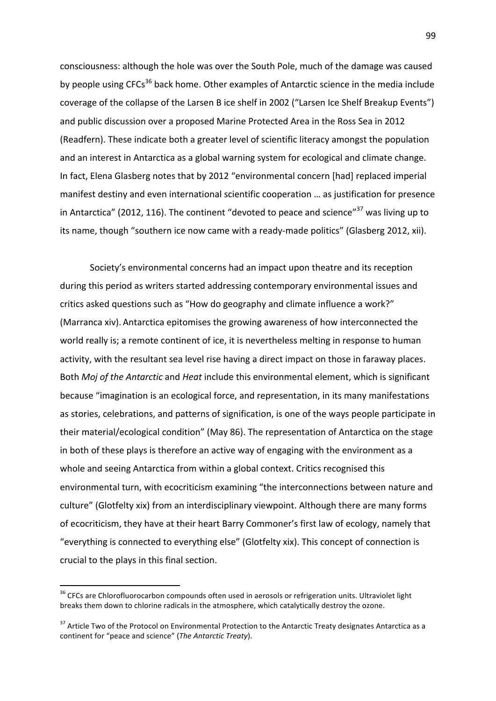consciousness:
although
the
hole
was
over
the
South
Pole,
much
of
the
damage
was
caused by people using CFCs<sup>36</sup> back home. Other examples of Antarctic science in the media include coverage of the collapse of the Larsen B ice shelf in 2002 ("Larsen Ice Shelf Breakup Events") and
public
discussion
over
a
proposed
Marine
Protected
Area
in
the
Ross
Sea
in
2012 (Readfern).
These
indicate
both
a
greater
level
of
scientific
literacy
amongst
the
population and an interest in Antarctica as a global warning system for ecological and climate change. In fact, Elena Glasberg notes that by 2012 "environmental concern [had] replaced imperial manifest
destiny
and
even
international
scientific
cooperation
…
as
justification
for
presence in Antarctica" (2012, 116). The continent "devoted to peace and science"<sup>37</sup> was living up to its name, though "southern ice now came with a ready-made politics" (Glasberg 2012, xii).

Society's
environmental
concerns
had
an
impact
upon
theatre
and
its
reception during
this
period
as
writers
started
addressing
contemporary
environmental
issues
and critics asked questions such as "How do geography and climate influence a work?" (Marranca
xiv). Antarctica
epitomises
the
growing
awareness
of
how
interconnected
the world really is; a remote continent of ice, it is nevertheless melting in response to human activity, with the resultant sea level rise having a direct impact on those in faraway places. Both Moj of the Antarctic and Heat include this environmental element, which is significant because "imagination is an ecological force, and representation, in its many manifestations as stories, celebrations, and patterns of signification, is one of the ways people participate in their material/ecological condition" (May 86). The representation of Antarctica on the stage in both of these plays is therefore an active way of engaging with the environment as a whole and seeing Antarctica from within a global context. Critics recognised this environmental turn, with ecocriticism examining "the interconnections between nature and culture"
(Glotfelty
xix)
from
an
interdisciplinary
viewpoint.
Although
there
are
many
forms of ecocriticism, they have at their heart Barry Commoner's first law of ecology, namely that "everything is connected to everything else" (Glotfelty xix). This concept of connection is crucial
to
the
plays
in
this
final
section.

<sup>&</sup>lt;sup>36</sup> CFCs are Chlorofluorocarbon compounds often used in aerosols or refrigeration units. Ultraviolet light breaks them down to chlorine radicals in the atmosphere, which catalytically destroy the ozone.

<sup>&</sup>lt;sup>37</sup> Article Two of the Protocol on Environmental Protection to the Antarctic Treaty designates Antarctica as a continent
for
"peace
and
science"
(*The
Antarctic
Treaty*).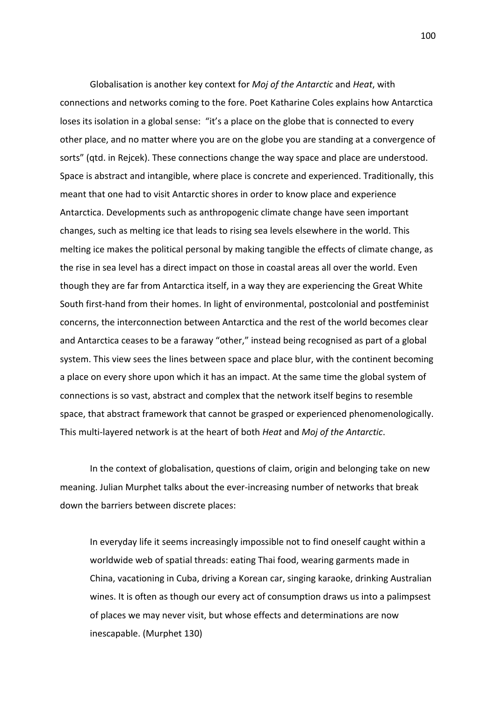Globalisation
is
another
key
context
for *Moj
of
the
Antarctic* and *Heat*,
with connections
and
networks
coming
to
the
fore.
Poet
Katharine
Coles
explains
how
Antarctica loses its isolation in a global sense: "it's a place on the globe that is connected to every other place, and no matter where you are on the globe you are standing at a convergence of sorts"
(qtd.
in
Rejcek).
These
connections
change
the
way
space
and
place
are
understood. Space
is
abstract
and
intangible,
where
place
is
concrete
and
experienced.
Traditionally,
this meant
that
one
had
to
visit
Antarctic
shores
in
order
to
know
place
and
experience Antarctica.
Developments
such
as
anthropogenic
climate
change
have
seen
important changes,
such
as
melting
ice
that
leads
to
rising
sea
levels
elsewhere
in
the
world.
This melting ice makes the political personal by making tangible the effects of climate change, as the rise in sea level has a direct impact on those in coastal areas all over the world. Even though
they
are
far
from
Antarctica
itself,
in
a
way
they
are
experiencing
the
Great
White South first-hand from their homes. In light of environmental, postcolonial and postfeminist concerns,
the
interconnection
between
Antarctica
and
the
rest
of
the
world
becomes
clear and Antarctica ceases to be a faraway "other," instead being recognised as part of a global system.
This
view
sees
the
lines
between
space
and
place
blur,
with
the
continent
becoming a place on every shore upon which it has an impact. At the same time the global system of connections
is
so
vast,
abstract
and
complex
that
the
network
itself
begins
to
resemble space,
that
abstract
framework
that
cannot
be
grasped
or
experienced
phenomenologically. This
multi‐layered
network
is
at
the
heart
of
both *Heat* and *Moj
of
the
Antarctic*.

In the context of globalisation, questions of claim, origin and belonging take on new meaning. Julian Murphet talks about the ever-increasing number of networks that break down
the
barriers
between
discrete
places:

In everyday life it seems increasingly impossible not to find oneself caught within a worldwide web of spatial threads: eating Thai food, wearing garments made in China, vacationing in Cuba, driving a Korean car, singing karaoke, drinking Australian wines. It is often as though our every act of consumption draws us into a palimpsest of
places
we
may
never
visit,
but
whose
effects
and
determinations
are
now inescapable.
(Murphet
130)

100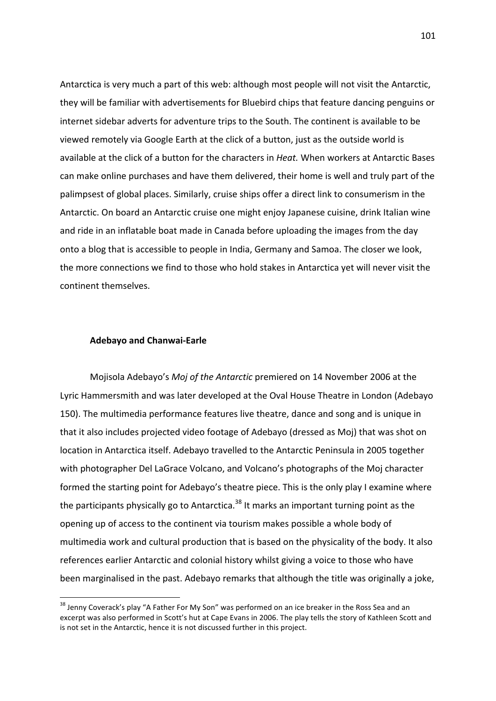Antarctica is very much a part of this web: although most people will not visit the Antarctic, they
will
be
familiar
with
advertisements
for
Bluebird
chips
that
feature
dancing
penguins
or internet sidebar adverts for adventure trips to the South. The continent is available to be viewed remotely via Google Earth at the click of a button, just as the outside world is available at the click of a button for the characters in *Heat*. When workers at Antarctic Bases can
make
online
purchases
and
have
them
delivered,
their
home
is
well
and
truly
part
of
the palimpsest of global places. Similarly, cruise ships offer a direct link to consumerism in the Antarctic. On board an Antarctic cruise one might enjoy Japanese cuisine, drink Italian wine and
ride
in
an
inflatable
boat
made
in
Canada
before
uploading
the
images
from
the
day onto
a
blog
that
is
accessible
to
people
in
India,
Germany
and
Samoa.
The
closer
we
look, the more connections we find to those who hold stakes in Antarctica yet will never visit the continent
themselves.

## **Adebayo
and
Chanwai‐Earle**

Mojisola Adebayo's Moj of the Antarctic premiered on 14 November 2006 at the Lyric
Hammersmith
and
was
later
developed
at
the
Oval
House
Theatre
in
London
(Adebayo 150). The multimedia performance features live theatre, dance and song and is unique in that
it
also
includes
projected
video
footage
of
Adebayo
(dressed
as
Moj)
that
was
shot
on location in Antarctica itself. Adebayo travelled to the Antarctic Peninsula in 2005 together with photographer Del LaGrace Volcano, and Volcano's photographs of the Moj character formed the starting point for Adebayo's theatre piece. This is the only play I examine where the participants physically go to Antarctica.<sup>38</sup> It marks an important turning point as the opening
up
of
access
to
the
continent
via
tourism
makes
possible
a
whole
body
of multimedia work and cultural production that is based on the physicality of the body. It also references earlier Antarctic and colonial history whilst giving a voice to those who have been marginalised in the past. Adebayo remarks that although the title was originally a joke,

<sup>&</sup>lt;sup>38</sup> Jenny Coverack's play "A Father For My Son" was performed on an ice breaker in the Ross Sea and an excerpt was also performed in Scott's hut at Cape Evans in 2006. The play tells the story of Kathleen Scott and is not set in the Antarctic, hence it is not discussed further in this project.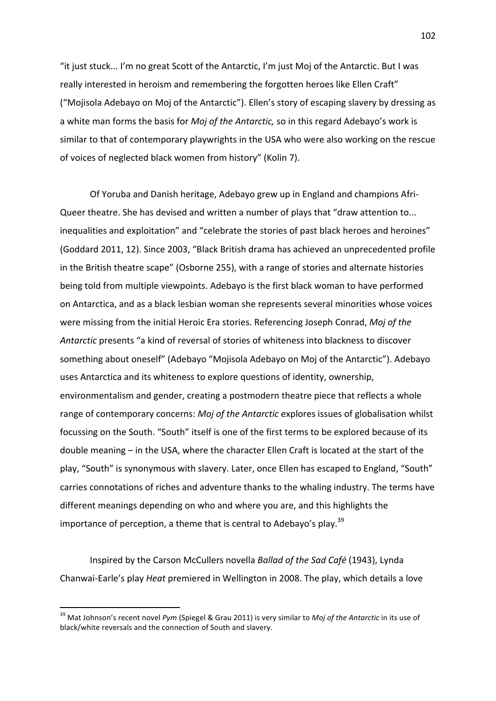"it just stuck... I'm no great Scott of the Antarctic, I'm just Moj of the Antarctic. But I was really interested in heroism and remembering the forgotten heroes like Ellen Craft" ("Mojisola Adebayo on Moj of the Antarctic"). Ellen's story of escaping slavery by dressing as a white man forms the basis for *Moj of the Antarctic*, so in this regard Adebayo's work is similar to that of contemporary playwrights in the USA who were also working on the rescue of
voices
of
neglected
black
women
from
history"
(Kolin
7).

Of
Yoruba
and
Danish
heritage,
Adebayo
grew
up
in
England
and
champions
Afri‐ Queer theatre. She has devised and written a number of plays that "draw attention to... inequalities and exploitation" and "celebrate the stories of past black heroes and heroines" (Goddard
2011,
12).
Since
2003,
"Black
British
drama
has
achieved
an
unprecedented
profile in the British theatre scape" (Osborne 255), with a range of stories and alternate histories being
told
from
multiple
viewpoints.
Adebayo
is
the
first
black
woman
to
have
performed on
Antarctica,
and
as
a
black
lesbian
woman
she
represents
several
minorities
whose
voices were missing from the initial Heroic Era stories. Referencing Joseph Conrad, Moj of the Antarctic presents "a kind of reversal of stories of whiteness into blackness to discover something about oneself" (Adebayo "Mojisola Adebayo on Moj of the Antarctic"). Adebayo uses Antarctica and its whiteness to explore questions of identity, ownership, environmentalism
and
gender,
creating
a
postmodern
theatre
piece
that
reflects
a
whole range of contemporary concerns: Moj of the Antarctic explores issues of globalisation whilst focussing on the South. "South" itself is one of the first terms to be explored because of its double meaning - in the USA, where the character Ellen Craft is located at the start of the play, "South" is synonymous with slavery. Later, once Ellen has escaped to England, "South" carries
connotations
of
riches
and
adventure
thanks
to
the
whaling
industry.
The
terms
have different meanings depending on who and where you are, and this highlights the importance of perception, a theme that is central to Adebayo's play.<sup>39</sup>

Inspired
by
the
Carson
McCullers
novella *Ballad
of
the
Sad
Café* (1943),
Lynda Chanwai-Earle's play *Heat* premiered in Wellington in 2008. The play, which details a love

<sup>&</sup>lt;sup>39</sup> Mat Johnson's recent novel Pym (Spiegel & Grau 2011) is very similar to Moj of the Antarctic in its use of black/white
reversals
and
the
connection
of
South
and
slavery.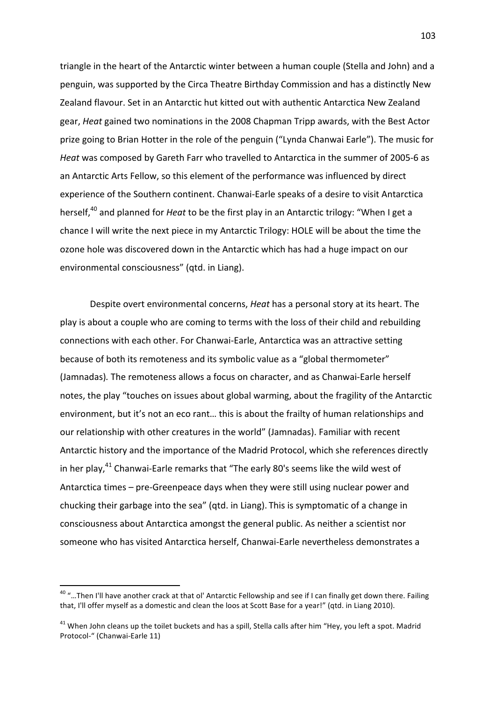triangle in the heart of the Antarctic winter between a human couple (Stella and John) and a penguin,
was
supported
by
the
Circa
Theatre
Birthday
Commission
and
has
a
distinctly
New Zealand flavour. Set in an Antarctic hut kitted out with authentic Antarctica New Zealand gear, *Heat* gained two nominations in the 2008 Chapman Tripp awards, with the Best Actor prize going to Brian Hotter in the role of the penguin ("Lynda Chanwai Earle"). The music for Heat was composed by Gareth Farr who travelled to Antarctica in the summer of 2005-6 as an
Antarctic
Arts
Fellow,
so
this
element
of
the
performance
was
influenced
by
direct experience
of
the
Southern
continent.
Chanwai‐Earle
speaks
of
a
desire
to
visit
Antarctica herself,<sup>40</sup> and planned for *Heat* to be the first play in an Antarctic trilogy: "When I get a chance
I
will
write
the
next
piece
in
my
Antarctic
Trilogy:
HOLE
will
be
about
the
time
the ozone hole was discovered down in the Antarctic which has had a huge impact on our environmental
consciousness"
(qtd.
in
Liang).

Despite overt environmental concerns, *Heat* has a personal story at its heart. The play is about a couple who are coming to terms with the loss of their child and rebuilding connections
with
each
other.
For
Chanwai‐Earle,
Antarctica
was
an
attractive
setting because of both its remoteness and its symbolic value as a "global thermometer" (Jamnadas)*.* The
remoteness
allows
a
focus
on
character,
and
as
Chanwai‐Earle
herself notes, the play "touches on issues about global warming, about the fragility of the Antarctic environment, but it's not an eco rant... this is about the frailty of human relationships and our relationship with other creatures in the world" (Jamnadas). Familiar with recent Antarctic
history
and
the
importance
of
the
Madrid
Protocol,
which
she
references
directly in her play,<sup>41</sup> Chanwai-Earle remarks that "The early 80's seems like the wild west of Antarctica
times
–
pre‐Greenpeace
days
when
they
were
still
using
nuclear
power
and chucking their garbage into the sea" (qtd. in Liang). This is symptomatic of a change in consciousness
about
Antarctica
amongst
the
general
public.
As
neither
a
scientist
nor someone who has visited Antarctica herself, Chanwai-Earle nevertheless demonstrates a

<sup>&</sup>lt;sup>40</sup> "...Then I'll have another crack at that ol' Antarctic Fellowship and see if I can finally get down there. Failing that, I'll offer myself as a domestic and clean the loos at Scott Base for a year!" (qtd. in Liang 2010).

<sup>&</sup>lt;sup>41</sup> When John cleans up the toilet buckets and has a spill, Stella calls after him "Hey, you left a spot. Madrid Protocol‐"
(Chanwai‐Earle
11)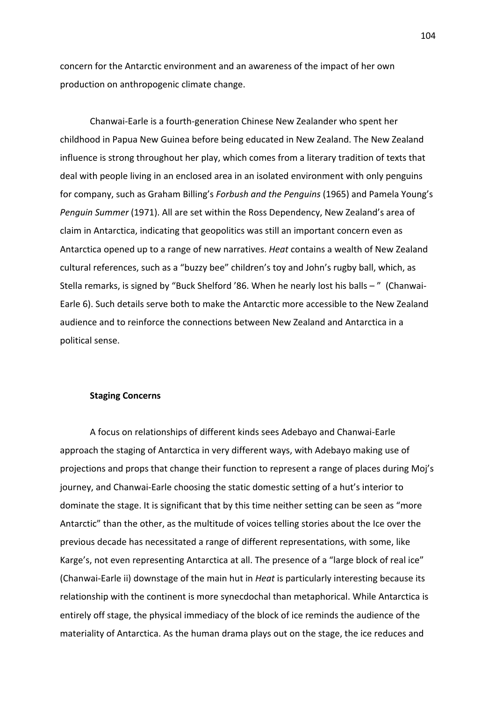concern
for
the
Antarctic
environment
and
an
awareness
of
the
impact
of
her
own production
on
anthropogenic
climate
change.

Chanwai‐Earle
is
a
fourth‐generation
Chinese
New
Zealander
who
spent
her childhood
in
Papua
New
Guinea
before
being
educated
in
New
Zealand.
The
New
Zealand influence is strong throughout her play, which comes from a literary tradition of texts that deal with people living in an enclosed area in an isolated environment with only penguins for company, such as Graham Billing's Forbush and the Penguins (1965) and Pamela Young's Penguin Summer (1971). All are set within the Ross Dependency, New Zealand's area of claim
in
Antarctica,
indicating
that
geopolitics
was
still
an
important
concern
even
as Antarctica opened up to a range of new narratives. Heat contains a wealth of New Zealand cultural references, such as a "buzzy bee" children's toy and John's rugby ball, which, as Stella remarks, is signed by "Buck Shelford '86. When he nearly lost his balls - " (Chanwai-Earle
6).
Such
details
serve
both
to
make
the
Antarctic
more
accessible
to
the
New
Zealand audience and to reinforce the connections between New Zealand and Antarctica in a political
sense.

# **Staging
Concerns**

A
focus
on
relationships
of
different
kinds
sees
Adebayo
and
Chanwai‐Earle approach the staging of Antarctica in very different ways, with Adebayo making use of projections and props that change their function to represent a range of places during Moj's journey, and Chanwai-Earle choosing the static domestic setting of a hut's interior to dominate the stage. It is significant that by this time neither setting can be seen as "more Antarctic" than the other, as the multitude of voices telling stories about the Ice over the previous
decade
has
necessitated
a
range
of
different
representations,
with
some,
like Karge's, not even representing Antarctica at all. The presence of a "large block of real ice" (Chanwai‐Earle
ii)
downstage
of
the
main
hut
in *Heat*is
particularly
interesting
because
its relationship
with
the
continent
is
more
synecdochal
than
metaphorical.
While
Antarctica
is entirely off stage, the physical immediacy of the block of ice reminds the audience of the materiality of Antarctica. As the human drama plays out on the stage, the ice reduces and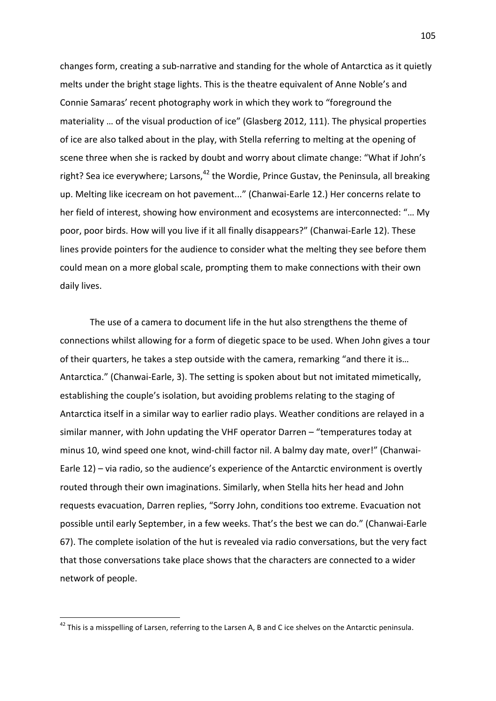changes form, creating a sub-narrative and standing for the whole of Antarctica as it quietly melts under the bright stage lights. This is the theatre equivalent of Anne Noble's and Connie
Samaras'
recent
photography
work
in
which
they
work
to
"foreground
the materiality ... of the visual production of ice" (Glasberg 2012, 111). The physical properties of ice are also talked about in the play, with Stella referring to melting at the opening of scene three when she is racked by doubt and worry about climate change: "What if John's right? Sea ice everywhere; Larsons,<sup>42</sup> the Wordie, Prince Gustav, the Peninsula, all breaking up. Melting like icecream on hot pavement..." (Chanwai-Earle 12.) Her concerns relate to her field of interest, showing how environment and ecosystems are interconnected: "... My poor,
poor
birds.
How
will
you
live
if
it
all
finally
disappears?"
(Chanwai‐Earle
12).
These lines provide pointers for the audience to consider what the melting they see before them could
mean
on
a
more
global
scale,
prompting
them
to
make
connections
with
their
own daily
lives.

The use of a camera to document life in the hut also strengthens the theme of connections
whilst
allowing
for
a
form
of
diegetic
space
to
be
used.
When
John
gives
a
tour of their quarters, he takes a step outside with the camera, remarking "and there it is... Antarctica." (Chanwai-Earle, 3). The setting is spoken about but not imitated mimetically, establishing the couple's isolation, but avoiding problems relating to the staging of Antarctica itself in a similar way to earlier radio plays. Weather conditions are relayed in a similar manner, with John updating the VHF operator Darren - "temperatures today at minus 10, wind speed one knot, wind-chill factor nil. A balmy day mate, over!" (Chanwai-Earle 12) – via radio, so the audience's experience of the Antarctic environment is overtly routed through their own imaginations. Similarly, when Stella hits her head and John requests
evacuation,
Darren
replies,
"Sorry
John,
conditions
too
extreme.
Evacuation
not possible
until
early
September,
in
a
few
weeks.
That's
the
best
we
can
do."
(Chanwai‐Earle 67). The complete isolation of the hut is revealed via radio conversations, but the very fact that
those
conversations
take
place
shows
that
the
characters
are
connected
to
a
wider network
of
people.

<sup>&</sup>lt;sup>42</sup> This is a misspelling of Larsen, referring to the Larsen A, B and C ice shelves on the Antarctic peninsula.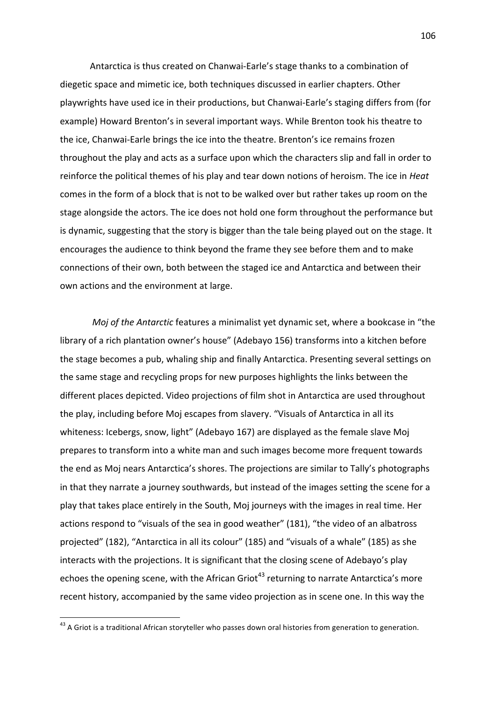Antarctica
is
thus
created
on
Chanwai‐Earle's
stage
thanks
to
a
combination
of diegetic space and mimetic ice, both techniques discussed in earlier chapters. Other playwrights have used ice in their productions, but Chanwai-Earle's staging differs from (for example)
Howard
Brenton's
in
several
important
ways.
While
Brenton
took
his
theatre
to the ice, Chanwai-Earle brings the ice into the theatre. Brenton's ice remains frozen throughout the play and acts as a surface upon which the characters slip and fall in order to reinforce the political themes of his play and tear down notions of heroism. The ice in Heat comes
in
the
form
of
a
block
that
is
not
to
be
walked
over
but
rather
takes
up
room
on
the stage
alongside
the
actors.
The
ice
does
not
hold
one
form
throughout
the
performance
but is dynamic, suggesting that the story is bigger than the tale being played out on the stage. It encourages the audience to think beyond the frame they see before them and to make connections
of
their
own,
both
between
the
staged
ice
and
Antarctica
and
between
their own
actions
and
the
environment
at
large.

Moj of the Antarctic features a minimalist yet dynamic set, where a bookcase in "the library of a rich plantation owner's house" (Adebayo 156) transforms into a kitchen before the stage becomes a pub, whaling ship and finally Antarctica. Presenting several settings on the
same
stage
and
recycling
props
for
new
purposes
highlights
the
links
between
the different
places
depicted.
Video
projections
of
film
shot
in
Antarctica
are
used
throughout the play, including before Moj escapes from slavery. "Visuals of Antarctica in all its whiteness: Icebergs, snow, light" (Adebayo 167) are displayed as the female slave Moj prepares
to
transform
into
a
white
man
and
such
images
become
more
frequent
towards the
end
as
Moj
nears
Antarctica's
shores.
The
projections
are
similar
to
Tally's
photographs in that they narrate a journey southwards, but instead of the images setting the scene for a play
that
takes
place
entirely
in
the
South,
Moj
journeys
with
the
images
in
real
time.
Her actions respond to "visuals of the sea in good weather" (181), "the video of an albatross projected" (182), "Antarctica in all its colour" (185) and "visuals of a whale" (185) as she interacts with the projections. It is significant that the closing scene of Adebayo's play echoes the opening scene, with the African Griot<sup>43</sup> returning to narrate Antarctica's more recent history, accompanied by the same video projection as in scene one. In this way the

<sup>&</sup>lt;sup>43</sup> A Griot is a traditional African storyteller who passes down oral histories from generation to generation.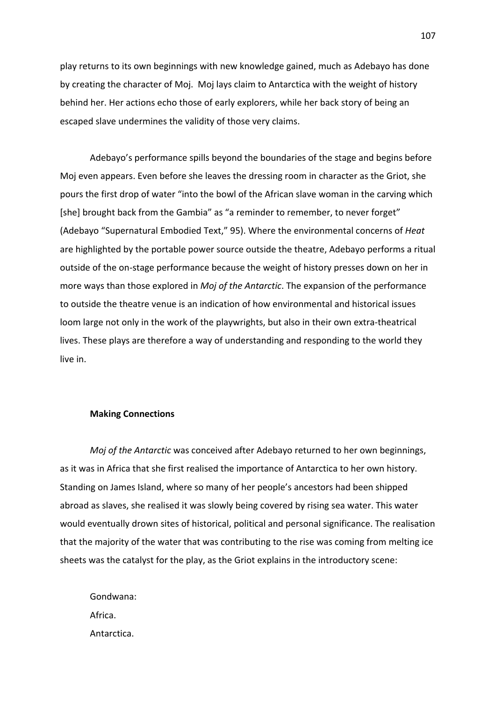play
returns
to
its
own
beginnings
with
new
knowledge
gained,
much
as
Adebayo
has
done by creating the character of Moj. Moj lays claim to Antarctica with the weight of history behind
her.
Her
actions
echo
those
of
early
explorers,
while
her
back
story
of
being
an escaped
slave
undermines
the
validity
of
those
very
claims.

Adebayo's performance spills beyond the boundaries of the stage and begins before Moj even appears. Even before she leaves the dressing room in character as the Griot, she pours the first drop of water "into the bowl of the African slave woman in the carving which [she] brought back from the Gambia" as "a reminder to remember, to never forget" (Adebayo
"Supernatural
Embodied
Text,"
95).
Where
the
environmental
concerns
of *Heat* are highlighted by the portable power source outside the theatre, Adebayo performs a ritual outside of the on-stage performance because the weight of history presses down on her in more ways than those explored in *Moj of the Antarctic*. The expansion of the performance to
outside
the
theatre
venue
is
an
indication
of
how
environmental
and
historical
issues loom large not only in the work of the playwrights, but also in their own extra-theatrical lives. These plays are therefore a way of understanding and responding to the world they live
in.

## **Making
Connections**

Moj of the Antarctic was conceived after Adebayo returned to her own beginnings, as it was in Africa that she first realised the importance of Antarctica to her own history. Standing on James Island, where so many of her people's ancestors had been shipped abroad as slaves, she realised it was slowly being covered by rising sea water. This water would eventually drown sites of historical, political and personal significance. The realisation that the majority of the water that was contributing to the rise was coming from melting ice sheets
was
the
catalyst
for
the
play,
as
the
Griot
explains
in
the
introductory
scene:

Gondwana: Africa. Antarctica.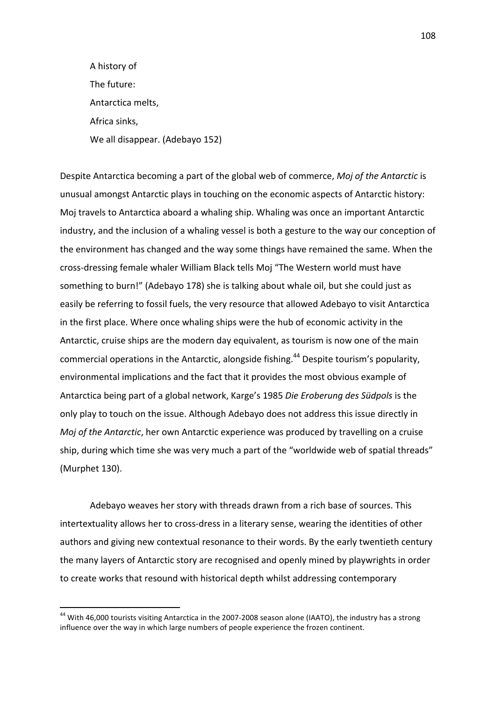A
history
of The
future: Antarctica
melts, Africa
sinks, We
all
disappear.
(Adebayo
152)

Despite
Antarctica
becoming
a
part
of
the
global
web
of
commerce, *Moj
of
the
Antarctic* is unusual amongst Antarctic plays in touching on the economic aspects of Antarctic history: Moj
travels
to
Antarctica
aboard
a
whaling
ship.
Whaling
was
once
an
important
Antarctic industry, and the inclusion of a whaling vessel is both a gesture to the way our conception of the
environment
has
changed
and
the
way
some
things
have
remained
the
same.
When
the cross-dressing female whaler William Black tells Moj "The Western world must have something to burn!" (Adebayo 178) she is talking about whale oil, but she could just as easily be referring to fossil fuels, the very resource that allowed Adebayo to visit Antarctica in the first place. Where once whaling ships were the hub of economic activity in the Antarctic, cruise ships are the modern day equivalent, as tourism is now one of the main commercial operations in the Antarctic, alongside fishing.<sup>44</sup> Despite tourism's popularity, environmental
implications
and
the
fact
that
it
provides
the
most
obvious
example
of Antarctica
being
part
of
a
global
network,
Karge's
1985 *Die
Eroberung
des
Südpols* is
the only play to touch on the issue. Although Adebayo does not address this issue directly in Moj of the Antarctic, her own Antarctic experience was produced by travelling on a cruise ship, during which time she was very much a part of the "worldwide web of spatial threads" (Murphet
130).

Adebayo
weaves
her
story
with
threads
drawn
from
a
rich
base
of
sources.
This intertextuality allows her to cross-dress in a literary sense, wearing the identities of other authors and giving new contextual resonance to their words. By the early twentieth century the
many
layers
of
Antarctic
story
are
recognised
and
openly
mined
by
playwrights
in
order to
create
works
that
resound
with
historical
depth
whilst
addressing
contemporary

<sup>&</sup>lt;sup>44</sup> With 46,000 tourists visiting Antarctica in the 2007-2008 season alone (IAATO), the industry has a strong influence over the way in which large numbers of people experience the frozen continent.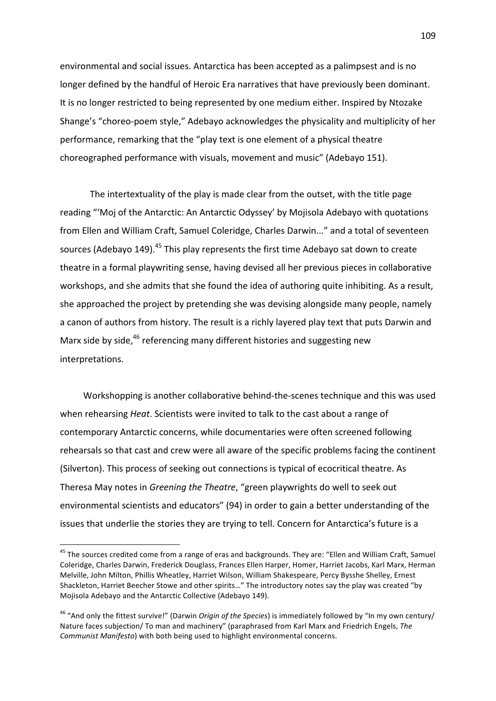environmental
and
social
issues.
Antarctica
has
been
accepted
as
a
palimpsest
and
is
no longer defined by the handful of Heroic Era narratives that have previously been dominant. It is no longer restricted to being represented by one medium either. Inspired by Ntozake Shange's
"choreo‐poem
style,"
Adebayo
acknowledges
the
physicality
and
multiplicity
of
her performance,
remarking
that
the
"play
text
is
one
element
of
a
physical
theatre choreographed
performance
with
visuals,
movement
and
music"
(Adebayo
151).

The intertextuality of the play is made clear from the outset, with the title page reading "'Moj of the Antarctic: An Antarctic Odyssey' by Mojisola Adebayo with quotations from Ellen and William Craft, Samuel Coleridge, Charles Darwin..." and a total of seventeen sources (Adebayo 149).<sup>45</sup> This play represents the first time Adebayo sat down to create theatre
in
a
formal
playwriting
sense,
having
devised
all
her
previous
pieces
in
collaborative workshops, and she admits that she found the idea of authoring quite inhibiting. As a result, she approached the project by pretending she was devising alongside many people, namely a canon of authors from history. The result is a richly layered play text that puts Darwin and Marx side by side,<sup>46</sup> referencing many different histories and suggesting new interpretations.

Workshopping is another collaborative behind-the-scenes technique and this was used when rehearsing *Heat*. Scientists were invited to talk to the cast about a range of contemporary
Antarctic
concerns,
while
documentaries
were
often
screened
following rehearsals so that cast and crew were all aware of the specific problems facing the continent (Silverton).
This
process
of
seeking
out
connections
is
typical
of
ecocritical
theatre.
As Theresa May notes in *Greening the Theatre*, "green playwrights do well to seek out environmental scientists and educators" (94) in order to gain a better understanding of the issues that underlie the stories they are trying to tell. Concern for Antarctica's future is a

<sup>&</sup>lt;sup>45</sup> The sources credited come from a range of eras and backgrounds. They are: "Ellen and William Craft, Samuel Coleridge, Charles Darwin, Frederick Douglass, Frances Ellen Harper, Homer, Harriet Jacobs, Karl Marx, Herman Melville,
John
Milton,
Phillis
Wheatley,
Harriet
Wilson,
William
Shakespeare,
Percy
Bysshe
Shelley,
Ernest Shackleton,
Harriet
Beecher
Stowe
and
other
spirits…"
The
introductory
notes
say
the
play
was
created
"by Mojisola
Adebayo
and
the
Antarctic
Collective
(Adebayo
149).

<sup>&</sup>lt;sup>46</sup> "And only the fittest survive!" (Darwin *Origin of the Species*) is immediately followed by "In my own century/ Nature faces subjection/ To man and machinery" (paraphrased from Karl Marx and Friedrich Engels, The *Communist
Manifesto*)
with
both
being
used
to
highlight
environmental
concerns.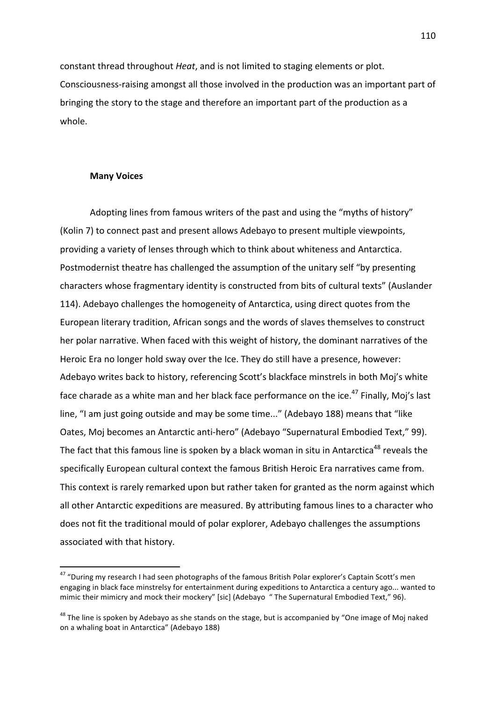constant thread throughout *Heat*, and is not limited to staging elements or plot. Consciousness-raising amongst all those involved in the production was an important part of bringing the story to the stage and therefore an important part of the production as a whole.

#### **Many
Voices**

Adopting lines from famous writers of the past and using the "myths of history" (Kolin
7)
to
connect
past
and
present
allows
Adebayo
to
present
multiple
viewpoints, providing
a
variety
of
lenses
through
which
to
think
about
whiteness
and
Antarctica. Postmodernist theatre has challenged the assumption of the unitary self "by presenting characters
whose
fragmentary
identity
is
constructed
from
bits
of
cultural
texts"
(Auslander 114).
Adebayo
challenges
the
homogeneity
of
Antarctica,
using
direct
quotes
from
the European
literary
tradition,
African
songs
and
the
words
of
slaves
themselves
to
construct her polar narrative. When faced with this weight of history, the dominant narratives of the Heroic Era no longer hold sway over the Ice. They do still have a presence, however: Adebayo writes back to history, referencing Scott's blackface minstrels in both Moj's white face charade as a white man and her black face performance on the ice.<sup>47</sup> Finally. Moi's last line, "I am just going outside and may be some time..." (Adebayo 188) means that "like Oates, Moj becomes an Antarctic anti-hero" (Adebayo "Supernatural Embodied Text," 99). The fact that this famous line is spoken by a black woman in situ in Antarctica<sup>48</sup> reveals the specifically
European
cultural
context
the
famous
British
Heroic
Era
narratives
came
from. This context is rarely remarked upon but rather taken for granted as the norm against which all
other
Antarctic
expeditions
are
measured.
By
attributing
famous
lines
to
a
character
who does
not
fit
the
traditional
mould
of
polar
explorer,
Adebayo
challenges
the
assumptions associated
with
that
history.

<sup>&</sup>lt;sup>47</sup> "During my research I had seen photographs of the famous British Polar explorer's Captain Scott's men engaging in black face minstrelsy for entertainment during expeditions to Antarctica a century ago... wanted to mimic their mimicry and mock their mockery" [sic] (Adebayo "The Supernatural Embodied Text," 96).

<sup>&</sup>lt;sup>48</sup> The line is spoken by Adebayo as she stands on the stage, but is accompanied by "One image of Moj naked on
a
whaling
boat
in
Antarctica"
(Adebayo
188)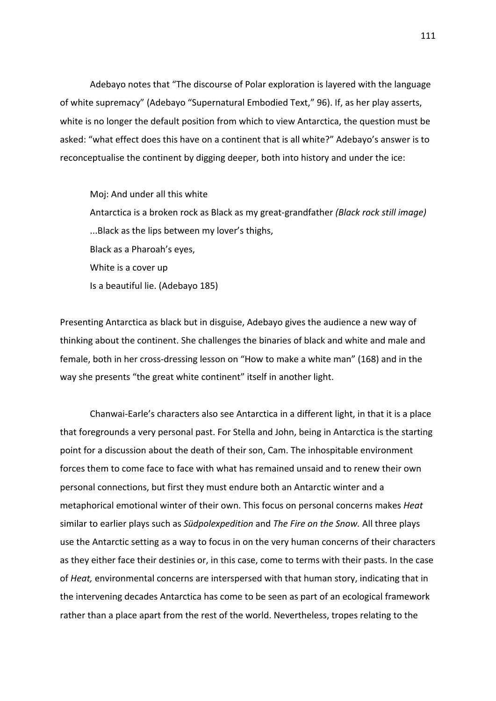Adebayo
notes
that
"The
discourse
of
Polar
exploration
is
layered
with
the
language of
white
supremacy"
(Adebayo
"Supernatural
Embodied
Text,"
96).
If,
as
her
play
asserts, white is no longer the default position from which to view Antarctica, the question must be asked: "what effect does this have on a continent that is all white?" Adebayo's answer is to reconceptualise the continent by digging deeper, both into history and under the ice:

Moj:
And
under
all
this
white Antarctica
is
a
broken
rock
as
Black
as
my
great‐grandfather *(Black
rock
still
image)* ...Black
as
the
lips
between
my
lover's
thighs, Black
as
a
Pharoah's
eyes, White
is
a
cover
up Is
a
beautiful
lie.
(Adebayo
185)

Presenting Antarctica as black but in disguise, Adebayo gives the audience a new way of thinking about the continent. She challenges the binaries of black and white and male and female, both in her cross-dressing lesson on "How to make a white man" (168) and in the way she presents "the great white continent" itself in another light.

Chanwai-Earle's characters also see Antarctica in a different light, in that it is a place that foregrounds a very personal past. For Stella and John, being in Antarctica is the starting point for a discussion about the death of their son, Cam. The inhospitable environment forces them to come face to face with what has remained unsaid and to renew their own personal
connections,
but
first
they
must
endure
both
an
Antarctic
winter
and
a metaphorical
emotional
winter
of
their
own.
This
focus
on
personal
concerns
makes *Heat* similar to earlier plays such as *Südpolexpedition* and *The Fire on the Snow.* All three plays use
the
Antarctic
setting
as
a
way
to
focus
in
on
the
very
human
concerns
of
their
characters as they either face their destinies or, in this case, come to terms with their pasts. In the case of *Heat*, environmental concerns are interspersed with that human story, indicating that in the
intervening
decades
Antarctica
has
come
to
be
seen
as
part
of
an
ecological
framework rather than a place apart from the rest of the world. Nevertheless, tropes relating to the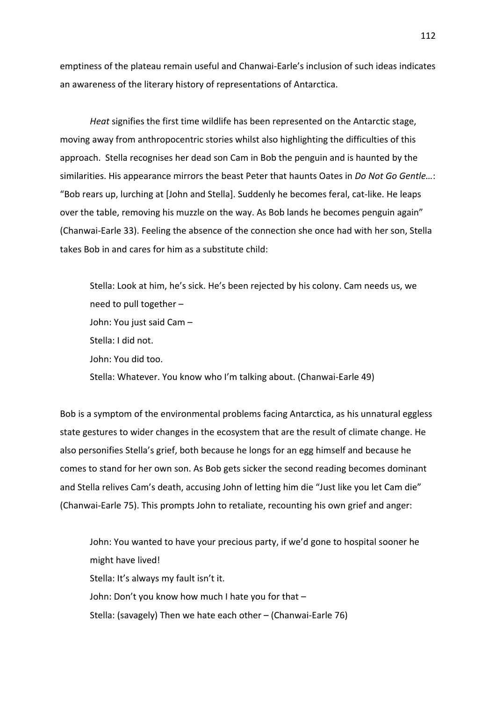emptiness of the plateau remain useful and Chanwai-Earle's inclusion of such ideas indicates an
awareness
of
the
literary
history
of
representations
of
Antarctica.

Heat signifies the first time wildlife has been represented on the Antarctic stage, moving away from anthropocentric stories whilst also highlighting the difficulties of this approach. Stella recognises her dead son Cam in Bob the penguin and is haunted by the similarities. His appearance mirrors the beast Peter that haunts Oates in *Do Not Go Gentle...*: "Bob rears up, lurching at [John and Stella]. Suddenly he becomes feral, cat-like. He leaps over the table, removing his muzzle on the way. As Bob lands he becomes penguin again" (Chanwai‐Earle
33).
Feeling
the
absence
of
the
connection
she
once
had
with
her
son,
Stella takes
Bob
in
and
cares
for
him
as
a
substitute
child:

Stella:
Look
at
him,
he's
sick.
He's
been
rejected
by
his
colony.
Cam
needs
us,
we need
to
pull
together
– John:
You
just
said
Cam
– Stella: I did not. John:
You
did
too. Stella: Whatever. You know who I'm talking about. (Chanwai-Earle 49)

Bob is a symptom of the environmental problems facing Antarctica, as his unnatural eggless state gestures to wider changes in the ecosystem that are the result of climate change. He also
personifies
Stella's
grief,
both
because
he
longs
for
an
egg
himself
and
because
he comes
to
stand
for
her
own
son.
As
Bob
gets
sicker
the
second
reading
becomes
dominant and Stella relives Cam's death, accusing John of letting him die "Just like you let Cam die" (Chanwai‐Earle
75).
This
prompts
John
to
retaliate,
recounting
his
own
grief
and
anger:

John: You wanted to have your precious party, if we'd gone to hospital sooner he might
have
lived! Stella: It's always my fault isn't it. John: Don't you know how much I hate you for that -Stella:
(savagely)
Then
we
hate
each
other
–
(Chanwai‐Earle
76)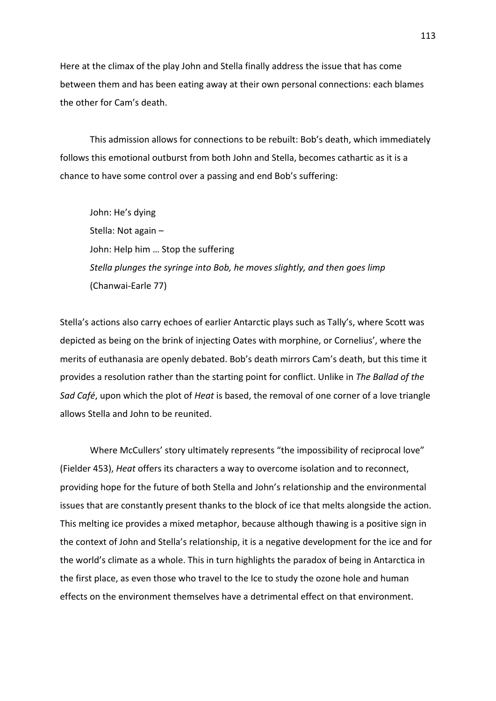Here at the climax of the play John and Stella finally address the issue that has come between them and has been eating away at their own personal connections: each blames the
other
for
Cam's
death.

This
admission
allows
for
connections
to
be
rebuilt:
Bob's
death,
which
immediately follows this emotional outburst from both John and Stella, becomes cathartic as it is a chance
to
have
some
control
over
a
passing
and
end
Bob's
suffering:

John:
He's
dying Stella:
Not
again
– John:
Help
him
…
Stop
the
suffering Stella plunges the syringe into Bob, he moves slightly, and then goes limp (Chanwai‐Earle
77)

Stella's actions also carry echoes of earlier Antarctic plays such as Tally's, where Scott was depicted as being on the brink of injecting Oates with morphine, or Cornelius', where the merits
of
euthanasia
are
openly
debated.
Bob's
death
mirrors
Cam's
death,
but
this
time
it provides a resolution rather than the starting point for conflict. Unlike in The Ballad of the Sad Café, upon which the plot of *Heat* is based, the removal of one corner of a love triangle allows
Stella
and
John
to
be
reunited.

Where McCullers' story ultimately represents "the impossibility of reciprocal love" (Fielder
453), *Heat*offers
its
characters
a
way
to
overcome
isolation
and
to
reconnect, providing
hope
for
the
future
of
both
Stella
and
John's
relationship
and
the
environmental issues that are constantly present thanks to the block of ice that melts alongside the action. This melting ice provides a mixed metaphor, because although thawing is a positive sign in the context of John and Stella's relationship, it is a negative development for the ice and for the
world's
climate
as
a
whole.
This
in
turn
highlights
the
paradox
of
being
in
Antarctica
in the first place, as even those who travel to the Ice to study the ozone hole and human effects
on
the
environment
themselves
have
a
detrimental
effect
on
that
environment.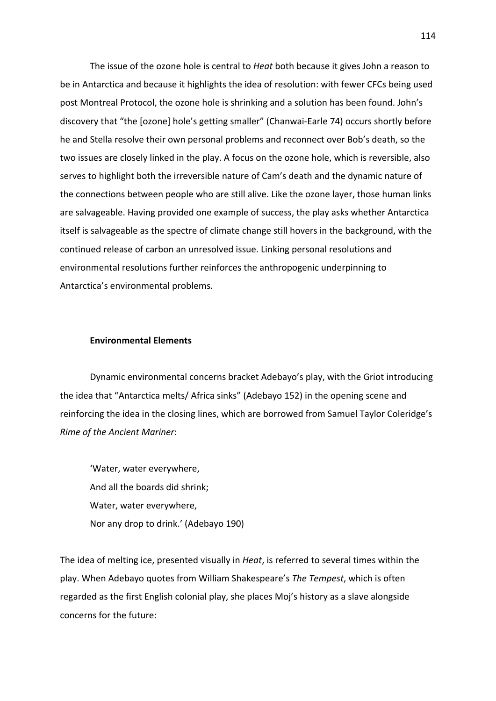The issue of the ozone hole is central to *Heat* both because it gives John a reason to be in Antarctica and because it highlights the idea of resolution: with fewer CFCs being used post
Montreal
Protocol,
the
ozone
hole
is
shrinking
and
a
solution
has
been
found.
John's discovery that "the [ozone] hole's getting smaller" (Chanwai-Earle 74) occurs shortly before he and Stella resolve their own personal problems and reconnect over Bob's death, so the two issues are closely linked in the play. A focus on the ozone hole, which is reversible, also serves to highlight both the irreversible nature of Cam's death and the dynamic nature of the connections between people who are still alive. Like the ozone layer, those human links are
salvageable.
Having
provided
one
example
of
success,
the
play
asks
whether
Antarctica itself
is
salvageable
as
the
spectre
of
climate
change
still
hovers
in
the
background,
with
the continued
release
of
carbon
an
unresolved
issue.
Linking
personal
resolutions
and environmental resolutions further reinforces the anthropogenic underpinning to Antarctica's
environmental
problems.

### **Environmental
Elements**

Dynamic
environmental
concerns
bracket
Adebayo's
play,
with
the
Griot
introducing the idea that "Antarctica melts/ Africa sinks" (Adebayo 152) in the opening scene and reinforcing the idea in the closing lines, which are borrowed from Samuel Taylor Coleridge's *Rime
of
the
Ancient
Mariner*:

'Water,
water
everywhere, And
all
the
boards
did
shrink; Water,
water
everywhere, Nor
any
drop
to
drink.'
(Adebayo
190)

The idea of melting ice, presented visually in *Heat*, is referred to several times within the play.
When
Adebayo
quotes
from
William
Shakespeare's *The
Tempest*,
which
is
often regarded as the first English colonial play, she places Moj's history as a slave alongside concerns
for
the
future: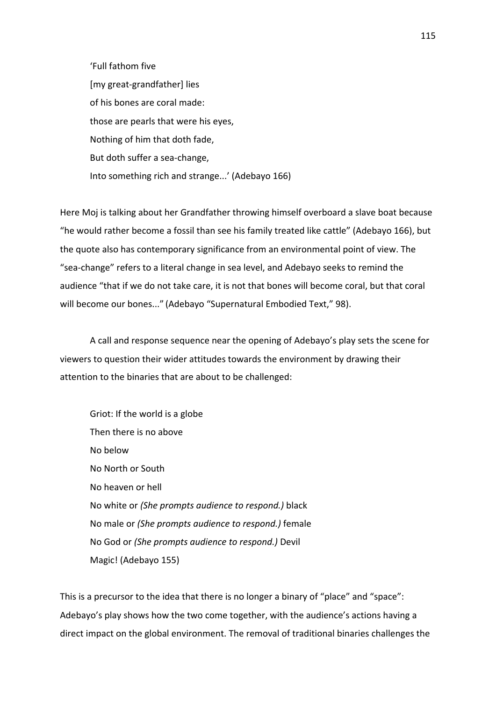'Full
fathom
five [my
great‐grandfather]
lies of
his
bones
are
coral
made: those
are
pearls
that
were
his
eyes, Nothing
of
him
that
doth
fade, But
doth
suffer
a
sea‐change, Into
something
rich
and
strange...'
(Adebayo
166)

Here
Moj
is
talking
about
her
Grandfather
throwing
himself
overboard
a
slave
boat
because "he
would
rather
become
a
fossil
than
see
his
family
treated
like
cattle"
(Adebayo
166),
but the
quote
also
has
contemporary
significance
from
an
environmental
point
of
view.
The "sea-change" refers to a literal change in sea level, and Adebayo seeks to remind the audience "that if we do not take care, it is not that bones will become coral, but that coral will become our bones..." (Adebayo "Supernatural Embodied Text," 98).

A
call
and
response
sequence
near
the
opening
of
Adebayo's
play
sets
the
scene
for viewers
to
question
their
wider
attitudes
towards
the
environment
by
drawing
their attention to the binaries that are about to be challenged:

Griot: If the world is a globe Then
there
is
no
above No
below No
North
or
South No heaven or hell No
white
or *(She
prompts
audience
to
respond.)* black No
male
or *(She
prompts
audience
to
respond.)*female No
God
or *(She
prompts
audience
to
respond.)*Devil Magic!
(Adebayo
155)

This is a precursor to the idea that there is no longer a binary of "place" and "space": Adebayo's play shows how the two come together, with the audience's actions having a direct impact on the global environment. The removal of traditional binaries challenges the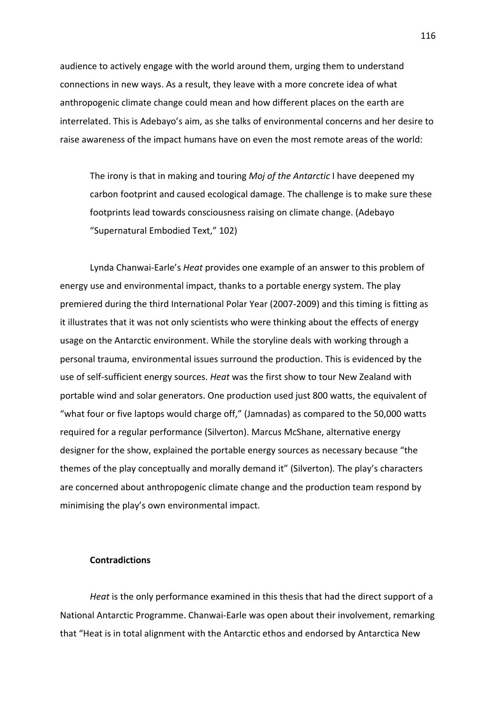audience
to
actively
engage
with
the
world
around
them,
urging
them
to
understand connections
in
new
ways.
As
a
result,
they
leave
with
a
more
concrete
idea
of
what anthropogenic climate change could mean and how different places on the earth are interrelated.
This
is
Adebayo's
aim,
as
she
talks
of
environmental
concerns
and
her
desire
to raise awareness of the impact humans have on even the most remote areas of the world:

The irony is that in making and touring Moj of the Antarctic I have deepened my carbon
footprint
and
caused
ecological
damage.
The
challenge
is
to
make
sure
these footprints
lead
towards
consciousness
raising
on
climate
change.
(Adebayo "Supernatural
Embodied
Text,"
102)

Lynda Chanwai-Earle's *Heat* provides one example of an answer to this problem of energy
use
and
environmental
impact,
thanks
to
a
portable
energy
system.
The
play premiered during the third International Polar Year (2007-2009) and this timing is fitting as it illustrates that it was not only scientists who were thinking about the effects of energy usage on the Antarctic environment. While the storyline deals with working through a personal
trauma,
environmental
issues
surround
the
production.
This
is
evidenced
by
the use of self-sufficient energy sources. Heat was the first show to tour New Zealand with portable
wind
and
solar
generators.
One
production
used
just
800
watts,
the
equivalent
of "what four or five laptops would charge off," (Jamnadas) as compared to the 50,000 watts required for a regular performance (Silverton). Marcus McShane, alternative energy designer for the show, explained the portable energy sources as necessary because "the themes of the play conceptually and morally demand it" (Silverton). The play's characters are
concerned
about
anthropogenic
climate
change
and
the
production
team
respond
by minimising
the
play's
own
environmental
impact.

## **Contradictions**

Heat is the only performance examined in this thesis that had the direct support of a National Antarctic Programme. Chanwai-Earle was open about their involvement, remarking that "Heat is in total alignment with the Antarctic ethos and endorsed by Antarctica New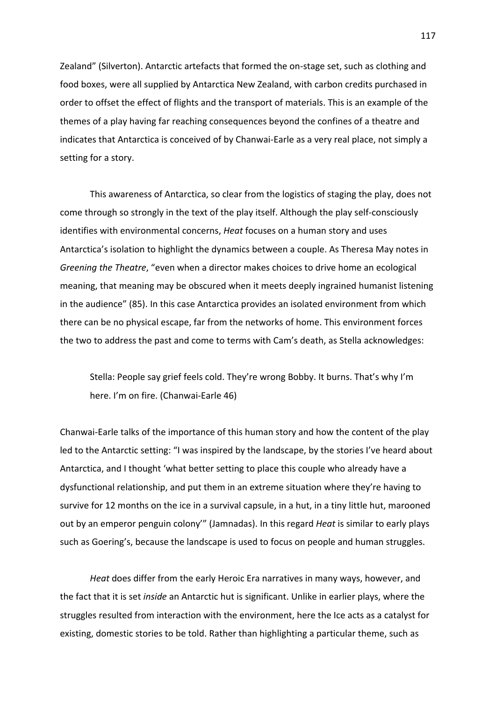Zealand" (Silverton). Antarctic artefacts that formed the on-stage set, such as clothing and food boxes, were all supplied by Antarctica New Zealand, with carbon credits purchased in order to offset the effect of flights and the transport of materials. This is an example of the themes of a play having far reaching consequences beyond the confines of a theatre and indicates that Antarctica is conceived of by Chanwai-Earle as a very real place, not simply a setting for a story.

This
awareness
of
Antarctica,
so
clear
from
the
logistics
of
staging
the
play,
does
not come
through
so
strongly
in
the
text
of
the
play
itself.
Although
the
play
self‐consciously identifies with environmental concerns, *Heat* focuses on a human story and uses Antarctica's isolation to highlight the dynamics between a couple. As Theresa May notes in Greening the Theatre, "even when a director makes choices to drive home an ecological meaning, that meaning may be obscured when it meets deeply ingrained humanist listening in the audience" (85). In this case Antarctica provides an isolated environment from which there
can
be
no
physical
escape,
far
from
the
networks
of
home.
This
environment
forces the
two
to
address
the
past
and
come
to
terms
with
Cam's
death,
as
Stella
acknowledges:

Stella: People say grief feels cold. They're wrong Bobby. It burns. That's why I'm here. I'm on fire. (Chanwai-Earle 46)

Chanwai-Earle talks of the importance of this human story and how the content of the play led to the Antarctic setting: "I was inspired by the landscape, by the stories I've heard about Antarctica, and I thought 'what better setting to place this couple who already have a dysfunctional relationship, and put them in an extreme situation where they're having to survive for 12 months on the ice in a survival capsule, in a hut, in a tiny little hut, marooned out by an emperor penguin colony" (Jamnadas). In this regard *Heat* is similar to early plays such as Goering's, because the landscape is used to focus on people and human struggles.

Heat does differ from the early Heroic Era narratives in many ways, however, and the fact that it is set *inside* an Antarctic hut is significant. Unlike in earlier plays, where the struggles
resulted
from
interaction
with
the
environment,
here
the
Ice
acts
as
a
catalyst
for existing, domestic stories to be told. Rather than highlighting a particular theme, such as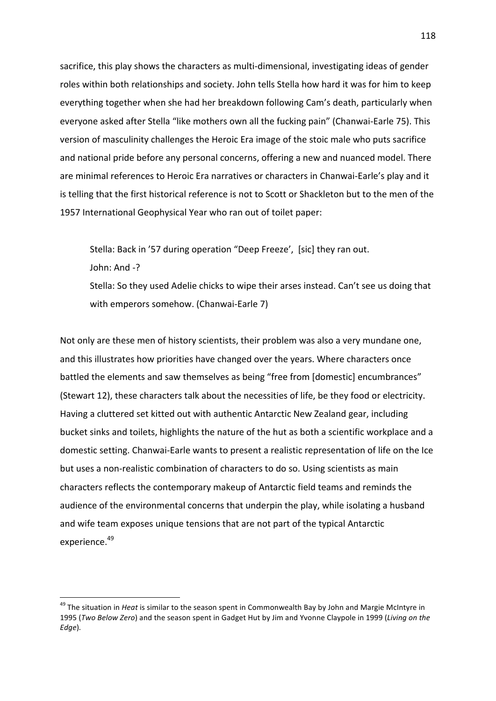sacrifice, this play shows the characters as multi-dimensional, investigating ideas of gender roles within both relationships and society. John tells Stella how hard it was for him to keep everything together when she had her breakdown following Cam's death, particularly when everyone
asked
after
Stella
"like
mothers
own
all
the
fucking
pain"
(Chanwai‐Earle
75).
This version
of
masculinity
challenges
the
Heroic
Era
image
of
the
stoic
male
who
puts
sacrifice and national pride before any personal concerns, offering a new and nuanced model. There are
minimal
references
to
Heroic
Era
narratives
or
characters
in
Chanwai‐Earle's
play
and
it is telling that the first historical reference is not to Scott or Shackleton but to the men of the 1957
International
Geophysical Year
who
ran
out
of
toilet
paper:

Stella: Back in '57 during operation "Deep Freeze', [sic] they ran out. John:
And
‐? Stella: So they used Adelie chicks to wipe their arses instead. Can't see us doing that with emperors somehow. (Chanwai-Earle 7)

Not only are these men of history scientists, their problem was also a very mundane one, and
this
illustrates
how
priorities
have
changed
over
the
years.
Where
characters
once battled the elements and saw themselves as being "free from [domestic] encumbrances" (Stewart 12), these characters talk about the necessities of life, be they food or electricity. Having a cluttered set kitted out with authentic Antarctic New Zealand gear, including bucket sinks and toilets, highlights the nature of the hut as both a scientific workplace and a domestic setting. Chanwai-Earle wants to present a realistic representation of life on the Ice but uses a non-realistic combination of characters to do so. Using scientists as main characters
reflects
the
contemporary
makeup
of
Antarctic
field
teams
and
reminds
the audience of the environmental concerns that underpin the play, while isolating a husband and
wife
team
exposes
unique
tensions
that
are
not
part
of
the
typical
Antarctic experience.<sup>49</sup>

<sup>&</sup>lt;sup>49</sup> The situation in *Heat* is similar to the season spent in Commonwealth Bay by John and Margie McIntyre in 1995 (Two Below Zero) and the season spent in Gadget Hut by Jim and Yvonne Claypole in 1999 (Living on the *Edge*)*.*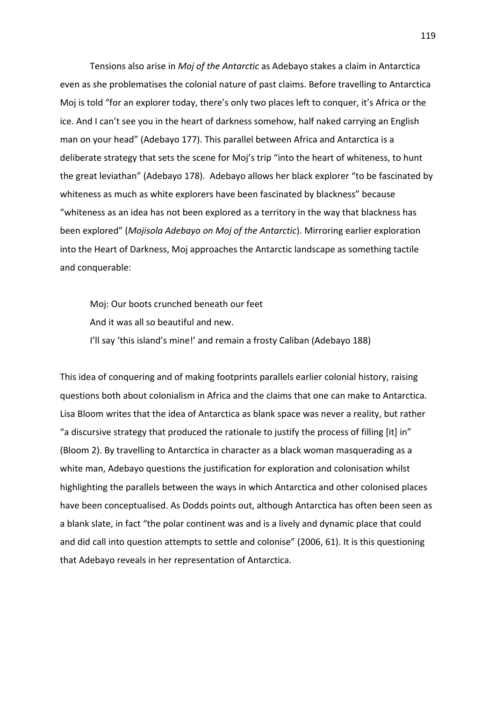Tensions also arise in *Moj of the Antarctic* as Adebayo stakes a claim in Antarctica even as she problematises the colonial nature of past claims. Before travelling to Antarctica Moj is told "for an explorer today, there's only two places left to conquer, it's Africa or the ice. And I can't see you in the heart of darkness somehow, half naked carrying an English man
on
your
head"
(Adebayo
177).
This
parallel
between
Africa
and
Antarctica
is
a deliberate strategy that sets the scene for Moj's trip "into the heart of whiteness, to hunt the
great
leviathan"
(Adebayo
178).

Adebayo
allows
her
black
explorer
"to
be
fascinated
by whiteness as much as white explorers have been fascinated by blackness" because "whiteness as an idea has not been explored as a territory in the way that blackness has been explored" (*Mojisola Adebayo on Moj of the Antarctic*). Mirroring earlier exploration into
the
Heart
of
Darkness,
Moj
approaches
the
Antarctic
landscape
as
something
tactile and
conquerable:

Moj:
Our
boots
crunched
beneath
our
feet And
it
was
all
so
beautiful
and
new. I'll say 'this island's mine!' and remain a frosty Caliban (Adebayo 188)

This
idea
of
conquering
and
of
making
footprints
parallels
earlier
colonial
history,
raising questions
both
about
colonialism
in
Africa
and
the
claims
that
one
can
make
to
Antarctica. Lisa
Bloom
writes
that
the
idea
of
Antarctica
as
blank
space
was
never
a
reality,
but
rather "a discursive strategy that produced the rationale to justify the process of filling [it] in" (Bloom 2). By travelling to Antarctica in character as a black woman masquerading as a white man, Adebayo questions the justification for exploration and colonisation whilst highlighting the parallels between the ways in which Antarctica and other colonised places have been conceptualised. As Dodds points out, although Antarctica has often been seen as a blank slate, in fact "the polar continent was and is a lively and dynamic place that could and did call into question attempts to settle and colonise" (2006, 61). It is this questioning that
Adebayo
reveals
in
her
representation
of
Antarctica.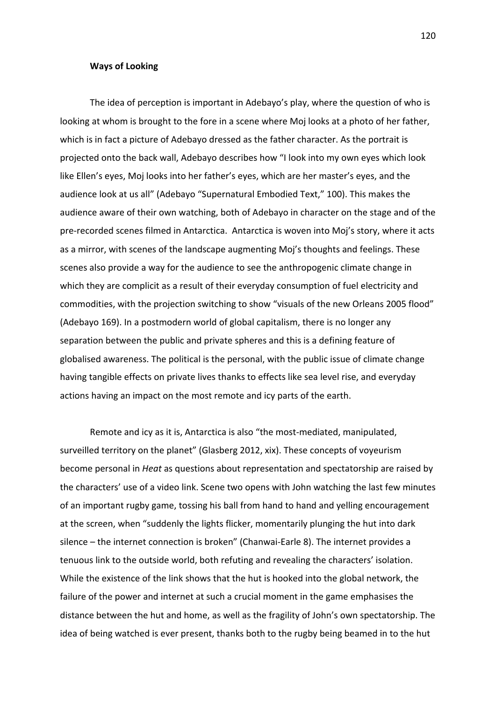#### **Ways
of
Looking**

The idea of perception is important in Adebayo's play, where the question of who is looking at whom is brought to the fore in a scene where Moj looks at a photo of her father, which is in fact a picture of Adebayo dressed as the father character. As the portrait is projected
onto
the
back
wall,
Adebayo
describes
how
"I
look
into
my
own
eyes
which
look like Ellen's eyes, Moj looks into her father's eyes, which are her master's eyes, and the audience look at us all" (Adebayo "Supernatural Embodied Text," 100). This makes the audience aware of their own watching, both of Adebayo in character on the stage and of the pre-recorded scenes filmed in Antarctica. Antarctica is woven into Moj's story, where it acts as
a
mirror,
with
scenes
of
the
landscape
augmenting
Moj's
thoughts
and
feelings.
These scenes
also
provide
a
way
for
the
audience
to
see
the
anthropogenic
climate
change
in which they are complicit as a result of their everyday consumption of fuel electricity and commodities, with the projection switching to show "visuals of the new Orleans 2005 flood" (Adebayo
169).
In
a
postmodern
world
of
global
capitalism,
there
is
no
longer
any separation between the public and private spheres and this is a defining feature of globalised awareness. The political is the personal, with the public issue of climate change having
tangible
effects
on
private
lives
thanks
to
effects
like
sea
level
rise,
and
everyday actions having an impact on the most remote and icy parts of the earth.

Remote and icy as it is, Antarctica is also "the most-mediated, manipulated, surveilled territory on the planet" (Glasberg 2012, xix). These concepts of voyeurism become personal in *Heat* as questions about representation and spectatorship are raised by the
characters'
use
of
a
video
link.
Scene
two
opens
with
John
watching
the
last
few
minutes of
an
important
rugby
game,
tossing
his
ball
from
hand
to
hand
and
yelling
encouragement at
the
screen,
when
"suddenly
the
lights
flicker,
momentarily
plunging
the
hut
into
dark silence - the internet connection is broken" (Chanwai-Earle 8). The internet provides a tenuous link to the outside world, both refuting and revealing the characters' isolation. While the existence of the link shows that the hut is hooked into the global network, the failure of the power and internet at such a crucial moment in the game emphasises the distance between the hut and home, as well as the fragility of John's own spectatorship. The idea of being watched is ever present, thanks both to the rugby being beamed in to the hut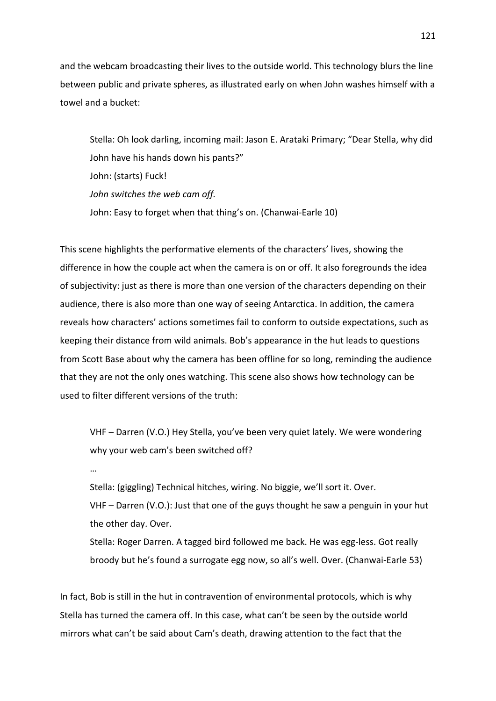and the webcam broadcasting their lives to the outside world. This technology blurs the line between public and private spheres, as illustrated early on when John washes himself with a towel
and
a
bucket:

Stella: Oh look darling, incoming mail: Jason E. Arataki Primary; "Dear Stella, why did John
have
his
hands
down
his
pants?" John:
(starts)
Fuck! *John
switches
the
web
cam
off.* John:
Easy
to
forget
when
that
thing's
on.
(Chanwai‐Earle
10)

This
scene
highlights
the
performative
elements
of
the
characters'
lives,
showing
the difference in how the couple act when the camera is on or off. It also foregrounds the idea of
subjectivity:
just
as
there
is
more
than
one
version
of
the
characters
depending
on
their audience, there is also more than one way of seeing Antarctica. In addition, the camera reveals how characters' actions sometimes fail to conform to outside expectations, such as keeping their distance from wild animals. Bob's appearance in the hut leads to questions from Scott Base about why the camera has been offline for so long, reminding the audience that they are not the only ones watching. This scene also shows how technology can be used
to
filter
different
versions
of
the
truth:

VHF - Darren (V.O.) Hey Stella, you've been very quiet lately. We were wondering why your web cam's been switched off?

…

Stella: (giggling) Technical hitches, wiring. No biggie, we'll sort it. Over. VHF - Darren (V.O.): Just that one of the guys thought he saw a penguin in your hut the
other
day.
Over.

Stella: Roger Darren. A tagged bird followed me back. He was egg-less. Got really broody
but
he's
found
a
surrogate
egg
now,
so
all's
well.
Over.
(Chanwai‐Earle
53)

In fact, Bob is still in the hut in contravention of environmental protocols, which is why Stella has turned the camera off. In this case, what can't be seen by the outside world mirrors what can't be said about Cam's death, drawing attention to the fact that the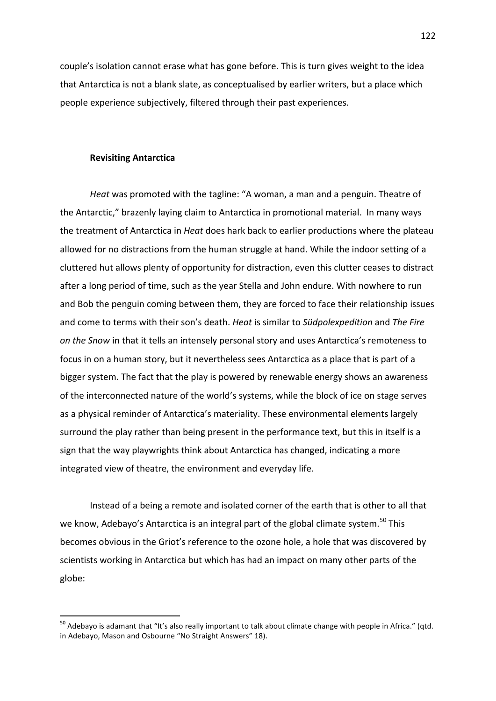couple's isolation cannot erase what has gone before. This is turn gives weight to the idea that Antarctica is not a blank slate, as conceptualised by earlier writers, but a place which people
experience
subjectively,
filtered
through
their
past
experiences.

#### **Revisiting
Antarctica**

Heat was promoted with the tagline: "A woman, a man and a penguin. Theatre of the
Antarctic,"
brazenly
laying
claim
to
Antarctica
in
promotional
material.

In
many
ways the treatment of Antarctica in *Heat* does hark back to earlier productions where the plateau allowed for no distractions from the human struggle at hand. While the indoor setting of a cluttered
hut
allows
plenty
of
opportunity
for
distraction,
even
this
clutter
ceases
to
distract after a long period of time, such as the year Stella and John endure. With nowhere to run and
Bob
the
penguin
coming
between
them,
they
are
forced
to
face
their
relationship
issues and
come
to
terms
with
their
son's
death. *Heat*is
similar
to *Südpolexpedition* and *The
Fire*  on the Snow in that it tells an intensely personal story and uses Antarctica's remoteness to focus in on a human story, but it nevertheless sees Antarctica as a place that is part of a bigger
system.
The
fact
that
the
play
is
powered
by
renewable
energy
shows
an
awareness of
the
interconnected
nature
of
the
world's
systems,
while
the
block
of
ice
on
stage
serves as
a
physical
reminder
of
Antarctica's
materiality.
These
environmental
elements
largely surround the play rather than being present in the performance text, but this in itself is a sign that the way playwrights think about Antarctica has changed, indicating a more integrated
view
of
theatre,
the
environment
and
everyday
life.

Instead of a being a remote and isolated corner of the earth that is other to all that we know, Adebayo's Antarctica is an integral part of the global climate system.<sup>50</sup> This becomes obvious in the Griot's reference to the ozone hole, a hole that was discovered by scientists
working
in
Antarctica
but
which
has
had
an
impact
on
many
other
parts
of
the globe:

<sup>&</sup>lt;sup>50</sup> Adebayo is adamant that "It's also really important to talk about climate change with people in Africa." (qtd. in
Adebayo,
Mason
and
Osbourne
"No
Straight
Answers"
18).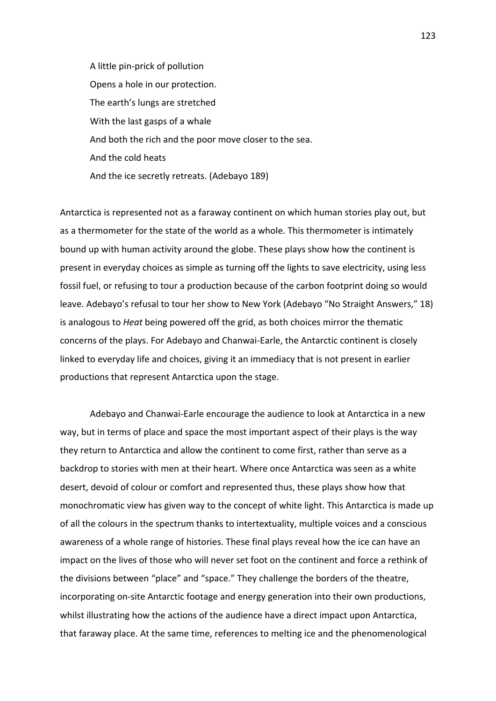A
little
pin‐prick
of
pollution Opens
a
hole
in
our
protection. The
earth's
lungs
are
stretched With the last gasps of a whale And
both
the
rich
and
the
poor
move
closer
to
the
sea. And
the
cold
heats And
the
ice
secretly
retreats.
(Adebayo
189)

Antarctica
is
represented
not
as
a
faraway
continent
on
which
human
stories
play
out,
but as a thermometer for the state of the world as a whole. This thermometer is intimately bound up with human activity around the globe. These plays show how the continent is present in everyday choices as simple as turning off the lights to save electricity, using less fossil fuel, or refusing to tour a production because of the carbon footprint doing so would leave. Adebayo's refusal to tour her show to New York (Adebayo "No Straight Answers," 18) is analogous to *Heat* being powered off the grid, as both choices mirror the thematic concerns of the plays. For Adebayo and Chanwai-Earle, the Antarctic continent is closely linked to everyday life and choices, giving it an immediacy that is not present in earlier productions
that
represent
Antarctica
upon
the
stage.

Adebayo and Chanwai-Earle encourage the audience to look at Antarctica in a new way, but in terms of place and space the most important aspect of their plays is the way they return to Antarctica and allow the continent to come first, rather than serve as a backdrop to stories with men at their heart. Where once Antarctica was seen as a white desert,
devoid
of
colour
or
comfort
and
represented
thus,
these
plays
show
how
that monochromatic view has given way to the concept of white light. This Antarctica is made up of
all
the
colours
in
the
spectrum
thanks
to
intertextuality,
multiple
voices
and
a
conscious awareness of a whole range of histories. These final plays reveal how the ice can have an impact on the lives of those who will never set foot on the continent and force a rethink of the divisions between "place" and "space." They challenge the borders of the theatre, incorporating on-site Antarctic footage and energy generation into their own productions, whilst illustrating how the actions of the audience have a direct impact upon Antarctica, that faraway place. At the same time, references to melting ice and the phenomenological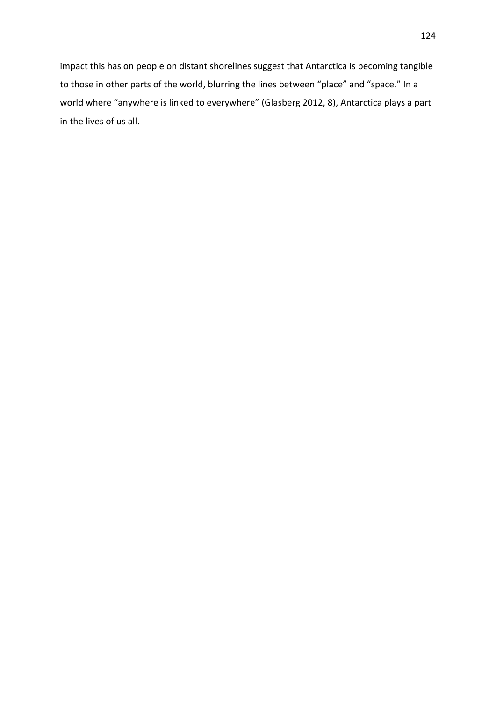impact
this
has
on
people
on
distant
shorelines
suggest
that
Antarctica
is
becoming
tangible to those in other parts of the world, blurring the lines between "place" and "space." In a world where "anywhere is linked to everywhere" (Glasberg 2012, 8), Antarctica plays a part in
the
lives
of
us
all.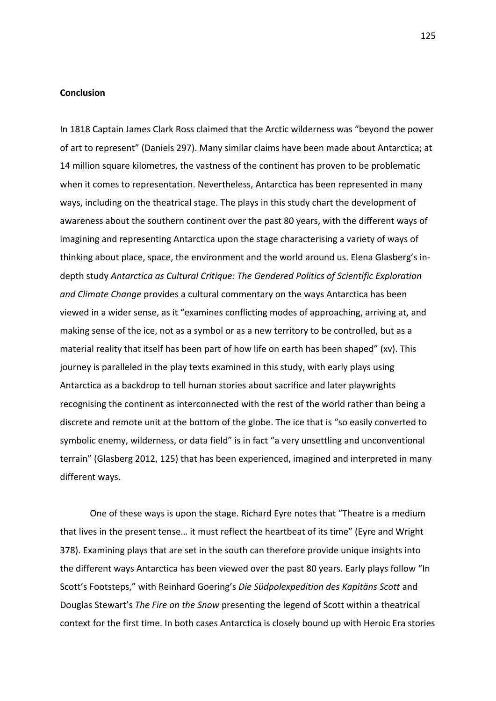#### **Conclusion**

In 1818 Captain James Clark Ross claimed that the Arctic wilderness was "beyond the power of art to represent" (Daniels 297). Many similar claims have been made about Antarctica; at 14
million
square
kilometres,
the
vastness
of
the
continent
has
proven
to
be
problematic when
it
comes
to
representation.
Nevertheless,
Antarctica
has
been
represented
in
many ways, including on the theatrical stage. The plays in this study chart the development of awareness about the southern continent over the past 80 years, with the different ways of imagining and representing Antarctica upon the stage characterising a variety of ways of thinking about place, space, the environment and the world around us. Elena Glasberg's indepth study Antarctica as Cultural Critique: The Gendered Politics of Scientific Exploration and Climate Change provides a cultural commentary on the ways Antarctica has been viewed
in
a
wider
sense,
as
it
"examines
conflicting
modes
of
approaching,
arriving
at,
and making sense of the ice, not as a symbol or as a new territory to be controlled, but as a material reality that itself has been part of how life on earth has been shaped" (xv). This journey is paralleled in the play texts examined in this study, with early plays using Antarctica
as
a
backdrop
to
tell
human
stories
about
sacrifice
and
later
playwrights recognising the continent as interconnected with the rest of the world rather than being a discrete and remote unit at the bottom of the globe. The ice that is "so easily converted to symbolic enemy, wilderness, or data field" is in fact "a very unsettling and unconventional terrain"
(Glasberg
2012,
125)
that
has
been
experienced,
imagined
and
interpreted
in
many different
ways.

One of these ways is upon the stage. Richard Eyre notes that "Theatre is a medium that lives in the present tense... it must reflect the heartbeat of its time" (Eyre and Wright 378).
Examining
plays
that
are
set
in
the
south
can
therefore
provide
unique
insights
into the different ways Antarctica has been viewed over the past 80 years. Early plays follow "In Scott's Footsteps," with Reinhard Goering's Die Südpolexpedition des Kapitäns Scott and Douglas Stewart's The Fire on the Snow presenting the legend of Scott within a theatrical context
for
the
first
time.
In
both
cases
Antarctica
is
closely
bound
up
with
Heroic
Era
stories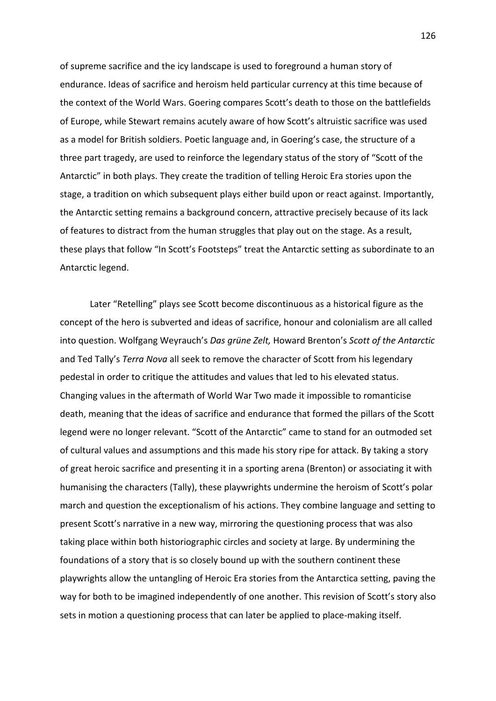of
supreme
sacrifice
and
the
icy
landscape
is
used
to
foreground
a
human
story
of endurance.
Ideas
of
sacrifice
and
heroism
held
particular
currency
at
this
time
because
of the context of the World Wars. Goering compares Scott's death to those on the battlefields of
Europe,
while
Stewart
remains
acutely
aware
of
how
Scott's
altruistic
sacrifice
was
used as a model for British soldiers. Poetic language and, in Goering's case, the structure of a three part tragedy, are used to reinforce the legendary status of the story of "Scott of the Antarctic"
in
both
plays.
They
create
the
tradition
of
telling
Heroic
Era
stories
upon
the stage,
a
tradition
on
which
subsequent
plays
either
build
upon
or
react
against.
Importantly, the
Antarctic
setting
remains
a
background
concern,
attractive
precisely
because
of
its
lack of features to distract from the human struggles that play out on the stage. As a result, these plays that follow "In Scott's Footsteps" treat the Antarctic setting as subordinate to an Antarctic
legend.

Later "Retelling" plays see Scott become discontinuous as a historical figure as the concept of the hero is subverted and ideas of sacrifice, honour and colonialism are all called into
question.
Wolfgang
Weyrauch's *Das
grüne
Zelt,*Howard
Brenton's *Scott
of
the
Antarctic* and Ted Tally's Terra Nova all seek to remove the character of Scott from his legendary pedestal in order to critique the attitudes and values that led to his elevated status. Changing
values
in
the
aftermath
of
World
War
Two
made
it
impossible
to
romanticise death, meaning that the ideas of sacrifice and endurance that formed the pillars of the Scott legend were no longer relevant. "Scott of the Antarctic" came to stand for an outmoded set of cultural values and assumptions and this made his story ripe for attack. By taking a story of great heroic sacrifice and presenting it in a sporting arena (Brenton) or associating it with humanising
the
characters
(Tally),
these
playwrights
undermine
the
heroism
of
Scott's
polar march and question the exceptionalism of his actions. They combine language and setting to present
Scott's
narrative
in
a
new
way,
mirroring
the
questioning
process
that
was
also taking place within both historiographic circles and society at large. By undermining the foundations of a story that is so closely bound up with the southern continent these playwrights allow the untangling of Heroic Era stories from the Antarctica setting, paving the way for both to be imagined independently of one another. This revision of Scott's story also sets in motion a questioning process that can later be applied to place-making itself.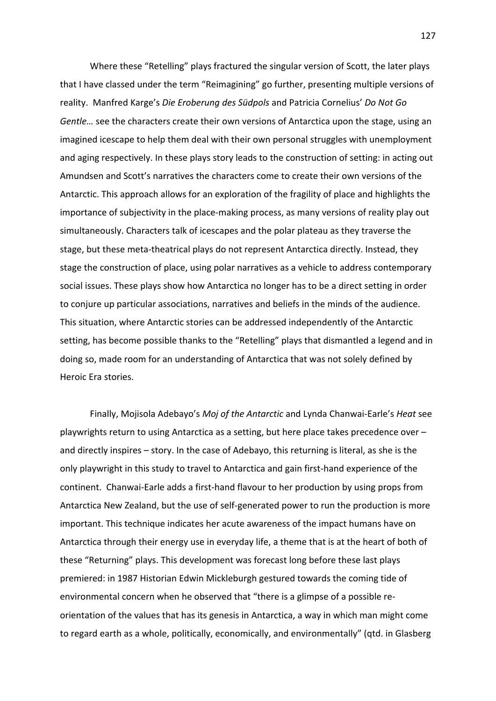Where these "Retelling" plays fractured the singular version of Scott, the later plays that I have classed under the term "Reimagining" go further, presenting multiple versions of reality.

Manfred
Karge's *Die
Eroberung
des
Südpols*and
Patricia
Cornelius' *Do
Not
Go*  Gentle... see the characters create their own versions of Antarctica upon the stage, using an imagined
icescape
to
help
them
deal
with
their
own
personal
struggles
with
unemployment and aging respectively. In these plays story leads to the construction of setting: in acting out Amundsen
and
Scott's
narratives
the
characters
come
to
create
their
own
versions
of
the Antarctic.
This
approach
allows
for
an
exploration
of
the
fragility
of
place
and
highlights
the importance of subjectivity in the place-making process, as many versions of reality play out simultaneously.
Characters
talk
of
icescapes
and
the
polar
plateau
as
they
traverse
the stage, but these meta-theatrical plays do not represent Antarctica directly. Instead, they stage
the
construction
of
place,
using
polar
narratives
as
a
vehicle
to
address
contemporary social issues. These plays show how Antarctica no longer has to be a direct setting in order to conjure up particular associations, narratives and beliefs in the minds of the audience. This situation, where Antarctic stories can be addressed independently of the Antarctic setting, has become possible thanks to the "Retelling" plays that dismantled a legend and in doing
so,
made
room
for
an
understanding
of
Antarctica
that
was
not
solely
defined
by Heroic
Era
stories.

Finally,
Mojisola
Adebayo's *Moj
of
the
Antarctic*and
Lynda
Chanwai‐Earle's *Heat*see playwrights return to using Antarctica as a setting, but here place takes precedence over and directly inspires - story. In the case of Adebayo, this returning is literal, as she is the only playwright in this study to travel to Antarctica and gain first-hand experience of the continent.

Chanwai‐Earle
adds
a
first‐hand
flavour
to
her
production
by
using
props
from Antarctica New Zealand, but the use of self-generated power to run the production is more important. This technique indicates her acute awareness of the impact humans have on Antarctica through their energy use in everyday life, a theme that is at the heart of both of these
"Returning"
plays.
This
development
was
forecast
long
before
these
last
plays premiered:
in
1987
Historian
Edwin
Mickleburgh
gestured
towards
the
coming
tide
of environmental
concern
when
he
observed
that
"there
is
a
glimpse
of
a
possible
re‐ orientation
of
the
values
that
has
its
genesis
in
Antarctica,
a
way
in
which
man
might
come to regard earth as a whole, politically, economically, and environmentally" (qtd. in Glasberg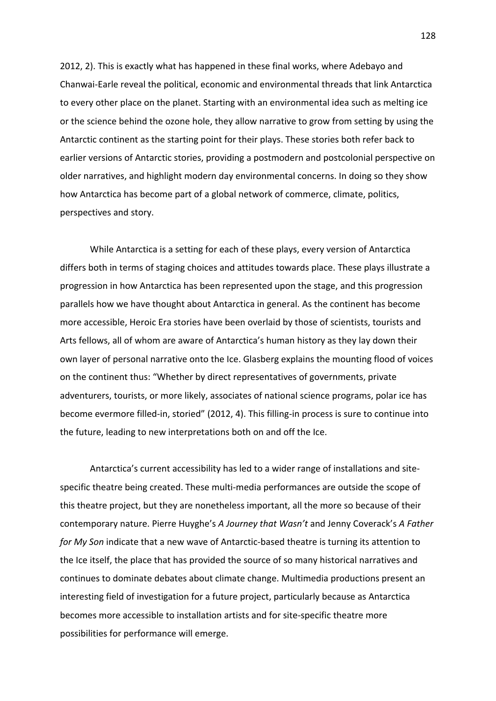2012,
2).
This
is
exactly
what
has
happened
in
these
final
works,
where
Adebayo
and Chanwai-Earle reveal the political, economic and environmental threads that link Antarctica to every other place on the planet. Starting with an environmental idea such as melting ice or
the
science
behind
the
ozone
hole,
they
allow
narrative
to
grow
from
setting
by
using
the Antarctic continent as the starting point for their plays. These stories both refer back to earlier versions of Antarctic stories, providing a postmodern and postcolonial perspective on older narratives, and highlight modern day environmental concerns. In doing so they show how
Antarctica
has
become
part
of
a
global
network
of
commerce,
climate,
politics, perspectives
and
story.

While Antarctica is a setting for each of these plays, every version of Antarctica differs both in terms of staging choices and attitudes towards place. These plays illustrate a progression
in
how
Antarctica
has
been
represented
upon
the
stage,
and
this
progression parallels
how
we
have
thought
about
Antarctica
in
general.
As
the
continent
has
become more
accessible,
Heroic
Era
stories
have
been
overlaid
by
those
of
scientists,
tourists
and Arts
fellows,
all
of
whom
are
aware
of
Antarctica's
human
history
as
they
lay
down
their own layer of personal narrative onto the Ice. Glasberg explains the mounting flood of voices on
the
continent
thus:
"Whether
by
direct
representatives
of
governments,
private adventurers, tourists, or more likely, associates of national science programs, polar ice has become evermore filled-in, storied" (2012, 4). This filling-in process is sure to continue into the
future,
leading
to
new
interpretations
both
on
and
off
the
Ice.

Antarctica's
current
accessibility
has
led
to
a
wider
range
of
installations
and
site‐ specific theatre being created. These multi-media performances are outside the scope of this
theatre
project,
but
they
are
nonetheless
important,
all
the
more
so
because
of
their contemporary
nature.
Pierre
Huyghe's *A
Journey
that
Wasn't*and
Jenny
Coverack's *A
Father*  for My Son indicate that a new wave of Antarctic-based theatre is turning its attention to the
Ice
itself,
the
place
that
has
provided
the
source
of
so
many
historical
narratives
and continues
to
dominate
debates
about
climate
change.
Multimedia
productions
present
an interesting field of investigation for a future project, particularly because as Antarctica becomes
more
accessible
to
installation
artists
and
for
site‐specific
theatre
more possibilities
for
performance
will
emerge.

128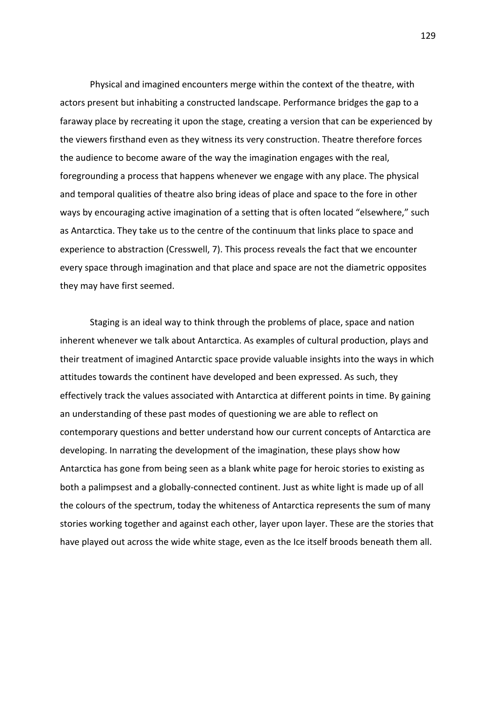Physical and imagined encounters merge within the context of the theatre, with actors present but inhabiting a constructed landscape. Performance bridges the gap to a faraway place by recreating it upon the stage, creating a version that can be experienced by the
viewers
firsthand
even
as
they
witness
its
very
construction.
Theatre
therefore
forces the
audience
to
become
aware
of
the
way
the
imagination
engages
with
the
real, foregrounding a process that happens whenever we engage with any place. The physical and temporal qualities of theatre also bring ideas of place and space to the fore in other ways by encouraging active imagination of a setting that is often located "elsewhere," such as
Antarctica.
They
take
us
to
the
centre
of
the
continuum
that
links
place
to
space
and experience
to
abstraction
(Cresswell,
7).
This
process
reveals
the
fact
that
we
encounter every
space
through
imagination
and
that
place
and
space
are
not
the
diametric
opposites they
may
have
first
seemed.

Staging is an ideal way to think through the problems of place, space and nation inherent whenever we talk about Antarctica. As examples of cultural production, plays and their treatment of imagined Antarctic space provide valuable insights into the ways in which attitudes towards the continent have developed and been expressed. As such, they effectively track the values associated with Antarctica at different points in time. By gaining an
understanding
of
these
past
modes
of
questioning
we
are
able
to
reflect
on contemporary
questions
and
better
understand
how
our
current
concepts
of
Antarctica
are developing. In narrating the development of the imagination, these plays show how Antarctica
has
gone
from
being
seen
as
a
blank
white
page
for
heroic
stories
to
existing
as both a palimpsest and a globally-connected continent. Just as white light is made up of all the
colours
of
the
spectrum,
today
the
whiteness
of
Antarctica
represents
the
sum
of
many stories working together and against each other, layer upon layer. These are the stories that have played out across the wide white stage, even as the Ice itself broods beneath them all.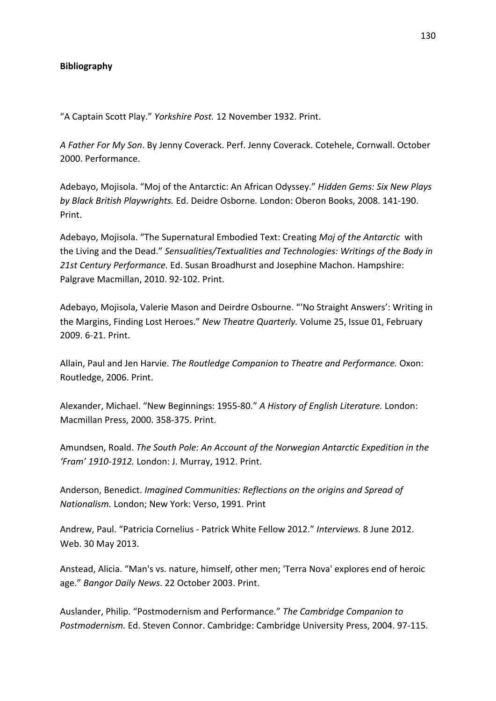# **Bibliography**

"A
Captain
Scott
Play." *Yorkshire
Post.* 12
November
1932.
Print.

A Father For My Son. By Jenny Coverack. Perf. Jenny Coverack. Cotehele, Cornwall. October 2000.
Performance.

Adebayo, Mojisola. "Moj of the Antarctic: An African Odyssey." Hidden Gems: Six New Plays *by
Black
British
Playwrights.* Ed.
Deidre
Osborne*.* London:
Oberon
Books,
2008.
141‐190. Print.

Adebayo,
Mojisola.
"The
Supernatural
Embodied
Text:
Creating*Moj
of
the
Antarctic* with the Living and the Dead." Sensualities/Textualities and Technologies: Writings of the Body in 21st Century Performance. Ed. Susan Broadhurst and Josephine Machon. Hampshire: Palgrave
Macmillan,
2010.
92‐102.
Print.

Adebayo, Mojisola, Valerie Mason and Deirdre Osbourne. "'No Straight Answers': Writing in the Margins, Finding Lost Heroes." New Theatre Quarterly. Volume 25, Issue 01, February 2009. 6‐21.
Print.

Allain,
Paul
and
Jen
Harvie. *The
Routledge
Companion
to
Theatre
and
Performance.*Oxon: Routledge,
2006.
Print.

Alexander,
Michael.
"New
Beginnings:
1955‐80." *A
History
of
English
Literature.*London: Macmillan
Press,
2000.
358‐375.
Print.

Amundsen,
Roald. *The
South
Pole:
An
Account
of
the
Norwegian
Antarctic
Expedition
in
the 'Fram'
1910‐1912.* London:
J.
Murray,
1912.
Print.

Anderson,
Benedict. *Imagined
Communities:
Reflections
on
the
origins
and
Spread
of Nationalism.*London;
New
York:
Verso,
1991.
Print

Andrew,
Paul.
"Patricia
Cornelius
‐
Patrick
White
Fellow
2012." *Interviews.* 8
June
2012. Web.
30
May
2013.

Anstead,
Alicia.
"Man's
vs.
nature,
himself,
other
men;
'Terra
Nova'
explores
end
of
heroic age." *Bangor
Daily
News*.
22
October
2003.
Print.

Auslander,
Philip.
"Postmodernism
and
Performance." *The
Cambridge
Companion
to*  Postmodernism. Ed. Steven Connor. Cambridge: Cambridge University Press, 2004. 97-115.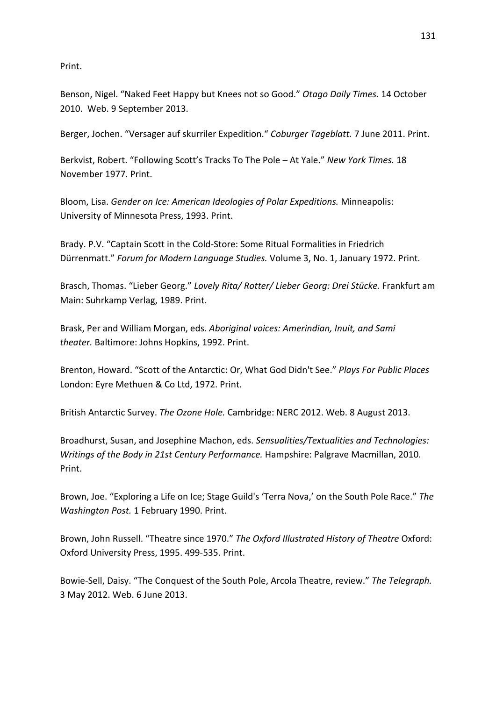Print.

Benson, Nigel. "Naked Feet Happy but Knees not so Good." Otago Daily Times. 14 October 2010.

Web.
9
September
2013.

Berger, Jochen. "Versager auf skurriler Expedition." Coburger Tageblatt. 7 June 2011. Print.

Berkvist,
Robert.
"Following
Scott's
Tracks
To
The
Pole
–
At
Yale." *New
York
Times.* 18 November
1977.
Print.

Bloom,
Lisa. *Gender
on
Ice:
American
Ideologies
of
Polar
Expeditions.*Minneapolis: University
of
Minnesota
Press,
1993.
Print.

Brady.
P.V.
"Captain
Scott
in
the
Cold‐Store:
Some
Ritual
Formalities
in
Friedrich Dürrenmatt." Forum for Modern Language Studies. Volume 3, No. 1, January 1972. Print.

Brasch, Thomas. "Lieber Georg." Lovely Rita/ Rotter/ Lieber Georg: Drei Stücke. Frankfurt am Main:
Suhrkamp
Verlag,
1989.
Print.

Brask,
Per
and
William
Morgan,
eds. *Aboriginal
voices:
Amerindian,
Inuit,
and
Sami theater.* Baltimore:
Johns
Hopkins, 1992.
Print.

Brenton,
Howard.
"Scott of
the
Antarctic:
Or,
What
God
Didn't
See." *Plays
For
Public
Places*  London:
Eyre
Methuen
&
Co
Ltd,
1972.
Print.

British
Antarctic
Survey. *The
Ozone
Hole.*Cambridge:
NERC
2012.
Web.
8
August
2013.

Broadhurst,
Susan,
and
Josephine
Machon,
eds. *Sensualities/Textualities
and
Technologies:*  Writings of the Body in 21st Century Performance. Hampshire: Palgrave Macmillan, 2010. Print.

Brown, Joe. "Exploring a Life on Ice; Stage Guild's 'Terra Nova,' on the South Pole Race." The *Washington
Post.*1
February
1990.
Print.

Brown, John Russell. "Theatre since 1970." The Oxford Illustrated History of Theatre Oxford: Oxford
University
Press,
1995.
499‐535.
Print.

Bowie-Sell, Daisy. "The Conquest of the South Pole, Arcola Theatre, review." The Telegraph. 3
May
2012.
Web.
6
June
2013.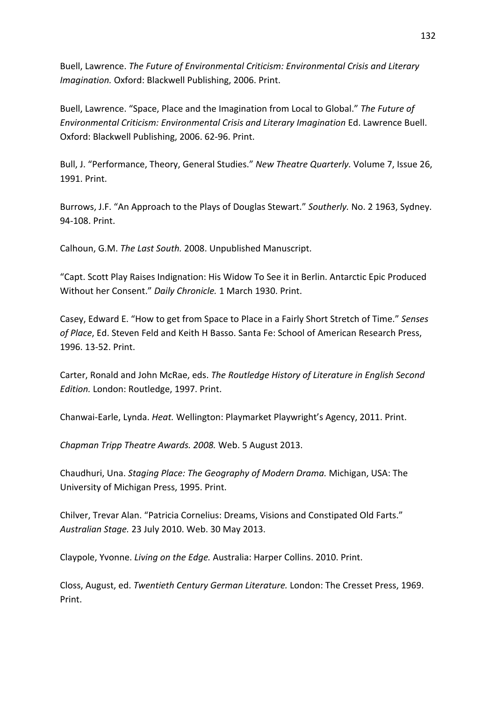Buell, Lawrence. The Future of Environmental Criticism: Environmental Crisis and Literary Imagination. Oxford: Blackwell Publishing, 2006. Print.

Buell,
Lawrence.
"Space,
Place
and
the
Imagination
from
Local
to
Global." *The
Future
of*  Environmental Criticism: Environmental Crisis and Literary Imagination Ed. Lawrence Buell. Oxford:
Blackwell
Publishing,
2006.
62‐96.
Print.

Bull, J. "Performance, Theory, General Studies." New Theatre Quarterly. Volume 7, Issue 26, 1991.
Print.

Burrows, J.F. "An Approach to the Plays of Douglas Stewart." Southerly. No. 2 1963, Sydney. 94‐108.
Print.

Calhoun,
G.M. *The
Last
South.*2008.
Unpublished
Manuscript.

"Capt. Scott Play Raises Indignation: His Widow To See it in Berlin. Antarctic Epic Produced Without her Consent." Daily Chronicle. 1 March 1930. Print.

Casey, Edward E. "How to get from Space to Place in a Fairly Short Stretch of Time." Senses of Place, Ed. Steven Feld and Keith H Basso. Santa Fe: School of American Research Press, 1996.
13‐52.
Print.

Carter, Ronald and John McRae, eds. The Routledge History of Literature in English Second *Edition.* London:
Routledge,
1997.
Print.

Chanwai-Earle, Lynda. Heat. Wellington: Playmarket Playwright's Agency, 2011. Print.

*Chapman
Tripp
Theatre
Awards.
2008.* Web.
5
August
2013.

Chaudhuri,
Una. *Staging
Place:
The
Geography
of
Modern
Drama.* Michigan,
USA:
The University
of
Michigan
Press,
1995.
Print.

Chilver, Trevar Alan. "Patricia Cornelius: Dreams, Visions and Constipated Old Farts." *Australian
Stage.*23
July
2010.
Web.
30
May
2013.

Claypole, Yvonne. Living on the Edge. Australia: Harper Collins. 2010. Print.

Closs,
August,
ed. *Twentieth
Century
German
Literature.*London:
The
Cresset
Press,
1969. Print.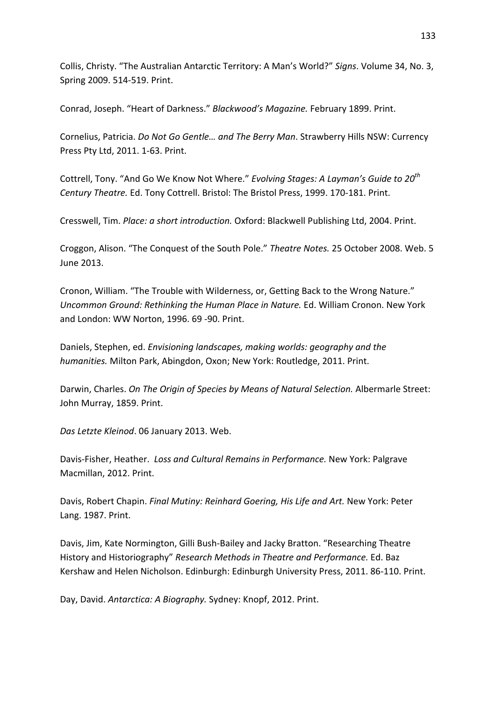Collis,
Christy.
"The
Australian
Antarctic
Territory:
A
Man's
World?" *Signs*.
Volume
34,
No.
3, Spring
2009.
514‐519.
Print.

Conrad, Joseph. "Heart of Darkness." Blackwood's Magazine. February 1899. Print.

Cornelius, Patricia. *Do Not Go Gentle... and The Berry Man*. Strawberry Hills NSW: Currency Press
Pty
Ltd,
2011.
1‐63.
Print.

Cottrell, Tony. "And Go We Know Not Where." Evolving Stages: A Layman's Guide to 20<sup>th</sup> Century Theatre. Ed. Tony Cottrell. Bristol: The Bristol Press, 1999. 170-181. Print.

Cresswell, Tim. Place: a short introduction. Oxford: Blackwell Publishing Ltd, 2004. Print.

Croggon,
Alison.
"The
Conquest
of
the
South
Pole."*Theatre
Notes.* 25
October
2008.
Web.
5 June
2013.

Cronon, William. "The Trouble with Wilderness, or, Getting Back to the Wrong Nature." Uncommon Ground: Rethinking the Human Place in Nature. Ed. William Cronon. New York and
London:
WW
Norton,
1996.
69
‐90.
Print.

Daniels,
Stephen,
ed. *Envisioning
landscapes,
making
worlds:
geography
and
the*  humanities. Milton Park, Abingdon, Oxon; New York: Routledge, 2011. Print.

Darwin, Charles. On The Origin of Species by Means of Natural Selection. Albermarle Street: John
Murray,
1859.
Print.

*Das
Letzte
Kleinod*.
06
January
2013.
Web.

Davis-Fisher, Heather. Loss and Cultural Remains in Performance. New York: Palgrave Macmillan,
2012.
Print.

Davis, Robert Chapin. Final Mutiny: Reinhard Goering, His Life and Art. New York: Peter Lang.
1987.
Print.

Davis, Jim, Kate Normington, Gilli Bush-Bailey and Jacky Bratton. "Researching Theatre History
and
Historiography" *Research
Methods
in
Theatre
and
Performance.* Ed.
Baz Kershaw
and
Helen
Nicholson.
Edinburgh:
Edinburgh
University
Press,
2011.
86‐110.
Print.

Day, David. Antarctica: A Biography. Sydney: Knopf, 2012. Print.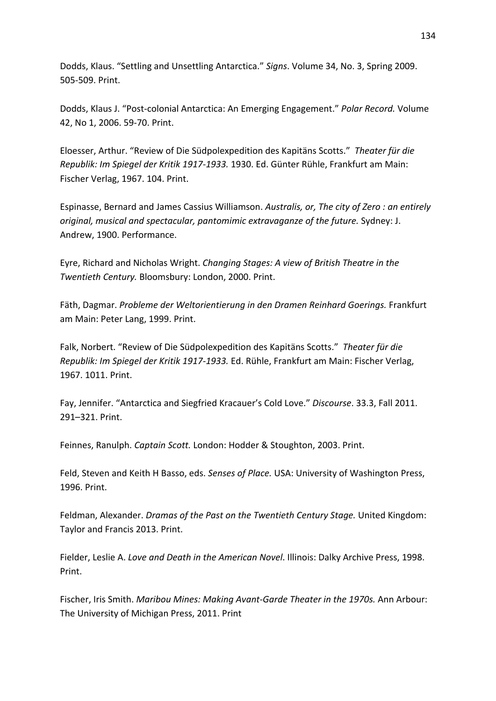Dodds, Klaus. "Settling and Unsettling Antarctica." Signs. Volume 34, No. 3, Spring 2009. 505‐509.
Print.

Dodds, Klaus J. "Post-colonial Antarctica: An Emerging Engagement." Polar Record. Volume 42,
No
1,
2006.
59‐70.
Print.

Eloesser,
Arthur.
"Review
of
Die
Südpolexpedition
des
Kapitäns
Scotts." *Theater
für
die*  Republik: Im Spiegel der Kritik 1917-1933. 1930. Ed. Günter Rühle, Frankfurt am Main: Fischer
Verlag,
1967.
104.
Print.

Espinasse,
Bernard
and
James
Cassius
Williamson. *Australis,
or,
The
city
of
Zero
:
an
entirely original,
musical
and
spectacular,
pantomimic
extravaganze
of
the
future.*Sydney:
J. Andrew,
1900.
Performance.

Eyre,
Richard
and
Nicholas
Wright. *Changing
Stages:
A
view
of
British
Theatre
in
the Twentieth
Century.* Bloomsbury:
London,
2000.
Print.

Fäth, Dagmar. Probleme der Weltorientierung in den Dramen Reinhard Goerings. Frankfurt am
Main:
Peter
Lang,
1999.
Print.

Falk,
Norbert.
"Review
of
Die
Südpolexpedition
des
Kapitäns
Scotts." *Theater
für
die*  Republik: Im Spiegel der Kritik 1917-1933. Ed. Rühle, Frankfurt am Main: Fischer Verlag, 1967.
1011.
Print.

Fay, Jennifer. "Antarctica and Siegfried Kracauer's Cold Love." Discourse. 33.3, Fall 2011. 291–321.
Print.

Feinnes, Ranulph. Captain Scott. London: Hodder & Stoughton, 2003. Print.

Feld, Steven and Keith H Basso, eds. *Senses of Place*. USA: University of Washington Press, 1996.
Print.

Feldman, Alexander. *Dramas of the Past on the Twentieth Century Stage*. United Kingdom: Taylor
and
Francis
2013.
Print.

Fielder, Leslie A. Love and Death in the American Novel. Illinois: Dalky Archive Press, 1998. Print.

Fischer, Iris Smith. Maribou Mines: Making Avant-Garde Theater in the 1970s. Ann Arbour: The
University
of
Michigan
Press,
2011.
Print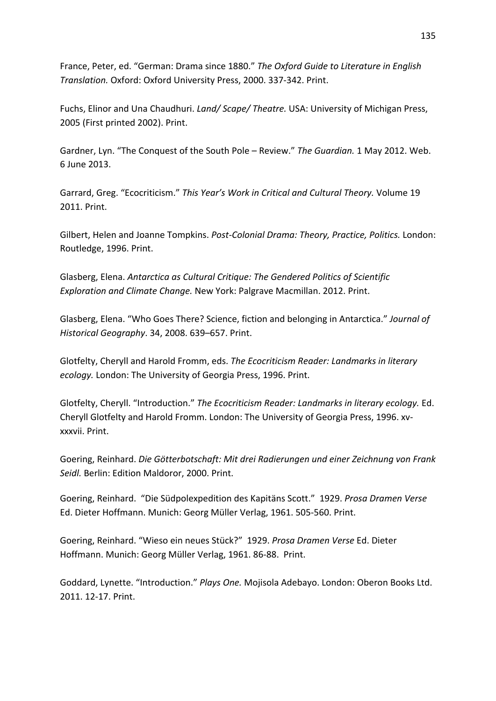France, Peter, ed. "German: Drama since 1880." The Oxford Guide to Literature in English *Translation.* Oxford:
Oxford
University
Press,
2000.
337‐342.
Print.

Fuchs, Elinor and Una Chaudhuri. Land/ Scape/ Theatre. USA: University of Michigan Press, 2005
(First
printed
2002).
Print.

Gardner, Lyn. "The Conquest of the South Pole - Review." The Guardian. 1 May 2012. Web. 6
June
2013.

Garrard,
Greg.
"Ecocriticism." *This
Year's
Work
in
Critical
and
Cultural
Theory.*Volume
19 2011.
Print.

Gilbert, Helen and Joanne Tompkins. Post-Colonial Drama: Theory, Practice, Politics. London: Routledge,
1996.
Print.

Glasberg,
Elena. *Antarctica
as
Cultural
Critique:
The
Gendered
Politics
of
Scientific*  Exploration and Climate Change. New York: Palgrave Macmillan. 2012. Print.

Glasberg,
Elena.
"Who
Goes
There?
Science,
fiction
and
belonging
in
Antarctica." *Journal
of Historical
Geography*.
34,
2008.
639–657.
Print.

Glotfelty,
Cheryll
and
Harold
Fromm,
eds. *The
Ecocriticism
Reader:
Landmarks
in
literary*  ecology. London: The University of Georgia Press, 1996. Print.

Glotfelty,
Cheryll.
"Introduction." *The
Ecocriticism
Reader:
Landmarks
in
literary
ecology.* Ed. Cheryll
Glotfelty
and
Harold
Fromm.
London:
The
University
of
Georgia
Press,
1996.
xv‐ xxxvii.
Print.

Goering,
Reinhard. *Die
Götterbotschaft:
Mit
drei
Radierungen
und
einer
Zeichnung
von
Frank*  Seidl. Berlin: Edition Maldoror, 2000. Print.

Goering, Reinhard. "Die Südpolexpedition des Kapitäns Scott." 1929. Prosa Dramen Verse Ed.
Dieter
Hoffmann.
Munich:
Georg
Müller
Verlag,
1961.
505‐560.
Print.

Goering, Reinhard. "Wieso ein neues Stück?" 1929. Prosa Dramen Verse Ed. Dieter Hoffmann.
Munich:
Georg
Müller
Verlag,
1961.
86‐88.

Print.

Goddard, Lynette. "Introduction." Plays One. Mojisola Adebayo. London: Oberon Books Ltd. 2011.
12‐17.
Print.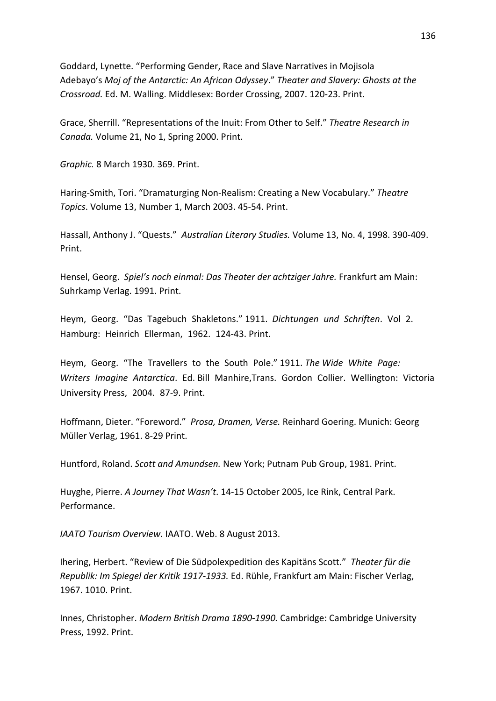Goddard, Lynette. "Performing Gender, Race and Slave Narratives in Mojisola Adebayo's *Moj of the Antarctic: An African Odyssey*." *Theater
and
Slavery:
Ghosts
at
the Crossroad.* Ed.
M.
Walling.
Middlesex:
Border
Crossing,
2007.
120‐23.
Print.

Grace,
Sherrill.
"Representations
of
the
Inuit:
From
Other
to
Self." *Theatre
Research
in*  Canada. Volume 21, No 1, Spring 2000. Print.

*Graphic.* 8
March
1930.
369.
Print.

Haring‐Smith,
Tori.
"Dramaturging
Non‐Realism:
Creating
a
New
Vocabulary." *Theatre*  Topics. Volume 13, Number 1, March 2003. 45-54. Print.

Hassall, Anthony J. "Quests." Australian Literary Studies. Volume 13, No. 4, 1998. 390-409. Print.

Hensel,
Georg. *Spiel's
noch
einmal:
Das
Theater
der
achtziger
Jahre.* Frankfurt
am
Main: Suhrkamp
Verlag.
1991.
Print.

Heym, Georg. "Das Tagebuch Shakletons."
1911. *Dichtungen und Schriften*. Vol 2. Hamburg: Heinrich Ellerman, 1962. 124‐43.
Print.

Heym, Georg. "The Travellers to the South Pole."
1911. *The Wide White Page: Writers Imagine Antarctica*. Ed.
Bill Manhire,Trans. Gordon Collier. Wellington: Victoria University
Press, 2004. 87‐9.
Print.

Hoffmann, Dieter. "Foreword." Prosa, Dramen, Verse. Reinhard Goering. Munich: Georg Müller
Verlag,
1961.
8‐29
Print.

Huntford, Roland. *Scott and Amundsen*. New York; Putnam Pub Group, 1981. Print.

Huyghe, Pierre. A Journey That Wasn't. 14-15 October 2005, Ice Rink, Central Park. Performance.

*IAATO Tourism
Overview.* IAATO.
Web.
8
August
2013.

Ihering, Herbert. "Review of Die Südpolexpedition des Kapitäns Scott." Theater für die Republik: Im Spiegel der Kritik 1917-1933. Ed. Rühle, Frankfurt am Main: Fischer Verlag, 1967.
1010.
Print.

Innes,
Christopher. *Modern
British
Drama
1890‐1990.* Cambridge:
Cambridge
University Press,
1992.
Print.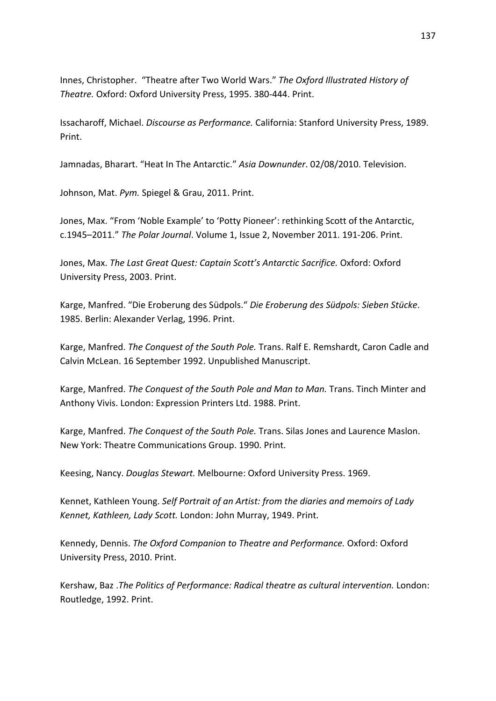Innes,
Christopher.

"Theatre
after
Two
World
Wars." *The
Oxford
Illustrated
History
of Theatre.*Oxford:
Oxford
University
Press,
1995.
380‐444.
Print.

Issacharoff,
Michael. *Discourse
as
Performance.*California:
Stanford
University
Press,
1989. Print.

Jamnadas, Bharart. "Heat In The Antarctic." Asia Downunder. 02/08/2010. Television.

Johnson, Mat. Pym. Spiegel & Grau, 2011. Print.

Jones, Max. "From 'Noble Example' to 'Potty Pioneer': rethinking Scott of the Antarctic, c.1945–2011." *The
Polar
Journal*.
Volume
1,
Issue
2,
November
2011.
191‐206.
Print.

Jones, Max. The Last Great Quest: Captain Scott's Antarctic Sacrifice. Oxford: Oxford University
Press,
2003.
Print.

Karge,
Manfred.
"Die
Eroberung
des
Südpols." *Die
Eroberung
des
Südpols:
Sieben
Stücke*. 1985.
Berlin:
Alexander
Verlag,
1996.
Print.

Karge,
Manfred. *The
Conquest
of
the
South
Pole.* Trans.
Ralf
E.
Remshardt,
Caron
Cadle
and Calvin
McLean.
16
September
1992.
Unpublished
Manuscript.

Karge, Manfred. The Conquest of the South Pole and Man to Man. Trans. Tinch Minter and Anthony
Vivis.
London:
Expression
Printers
Ltd.
1988.
Print.

Karge,
Manfred. *The
Conquest
of
the
South
Pole.*Trans.
Silas
Jones
and
Laurence
Maslon. New
York:
Theatre
Communications
Group.
1990.
Print.

Keesing,
Nancy. *Douglas
Stewart.* Melbourne:
Oxford
University
Press.
1969.

Kennet,
Kathleen
Young. *Self
Portrait
of
an
Artist:
from
the
diaries
and
memoirs
of
Lady Kennet,
Kathleen,
Lady
Scott.* London:
John
Murray,
1949.
Print.

Kennedy,
Dennis. *The
Oxford
Companion
to
Theatre
and
Performance.*Oxford:
Oxford University
Press,
2010.
Print.

Kershaw,
Baz
.*The
Politics
of
Performance:
Radical
theatre
as
cultural
intervention.*London: Routledge,
1992.
Print.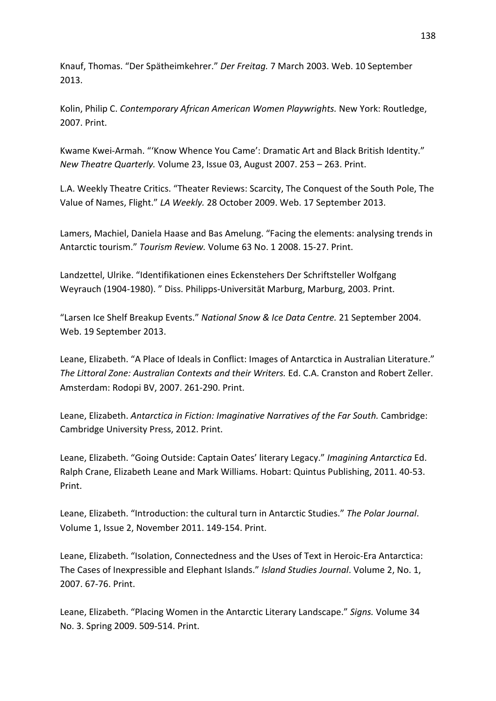Knauf,
Thomas.
"Der
Spätheimkehrer." *Der
Freitag.* 7
March
2003.
Web.
10
September 2013.

Kolin,
Philip
C. *Contemporary
African
American
Women
Playwrights.* New
York:
Routledge, 2007.
Print.

Kwame Kwei-Armah. "'Know Whence You Came': Dramatic Art and Black British Identity." *New
Theatre
Quarterly.* Volume
23,
Issue
03,
August
2007.
253
–
263.
Print.

L.A.
Weekly
Theatre
Critics.
"Theater
Reviews:
Scarcity,
The
Conquest
of
the
South
Pole,
The Value of Names, Flight." LA Weekly. 28 October 2009. Web. 17 September 2013.

Lamers, Machiel, Daniela Haase and Bas Amelung. "Facing the elements: analysing trends in Antarctic
tourism." *Tourism
Review.* Volume
63
No.
1
2008.
15‐27.
Print.

Landzettel,
Ulrike.
"Identifikationen
eines
Eckenstehers
Der
Schriftsteller
Wolfgang Weyrauch (1904-1980). " Diss. Philipps-Universität Marburg, Marburg, 2003. Print.

"Larsen Ice Shelf Breakup Events." National Snow & Ice Data Centre. 21 September 2004. Web.
19
September
2013.

Leane, Elizabeth. "A Place of Ideals in Conflict: Images of Antarctica in Australian Literature." The Littoral Zone: Australian Contexts and their Writers. Ed. C.A. Cranston and Robert Zeller. Amsterdam:
Rodopi
BV,
2007.
261‐290.
Print.

Leane, Elizabeth. Antarctica in Fiction: Imaginative Narratives of the Far South. Cambridge: Cambridge
University
Press,
2012.
Print.

Leane,
Elizabeth.
"Going
Outside:
Captain
Oates'
literary
Legacy." *Imagining
Antarctica* Ed. Ralph
Crane,
Elizabeth
Leane
and
Mark
Williams.
Hobart:
Quintus
Publishing,
2011.
40‐53. Print.

Leane, Elizabeth. "Introduction: the cultural turn in Antarctic Studies." The Polar Journal. Volume
1,
Issue
2,
November
2011.
149‐154.
Print.

Leane,
Elizabeth.
"Isolation,
Connectedness
and
the
Uses
of
Text
in
Heroic‐Era
Antarctica: The Cases of Inexpressible and Elephant Islands." Island Studies Journal. Volume 2, No. 1, 2007.
67‐76.
Print.

Leane, Elizabeth. "Placing Women in the Antarctic Literary Landscape." Signs. Volume 34 No.
3.
Spring
2009.
509‐514.
Print.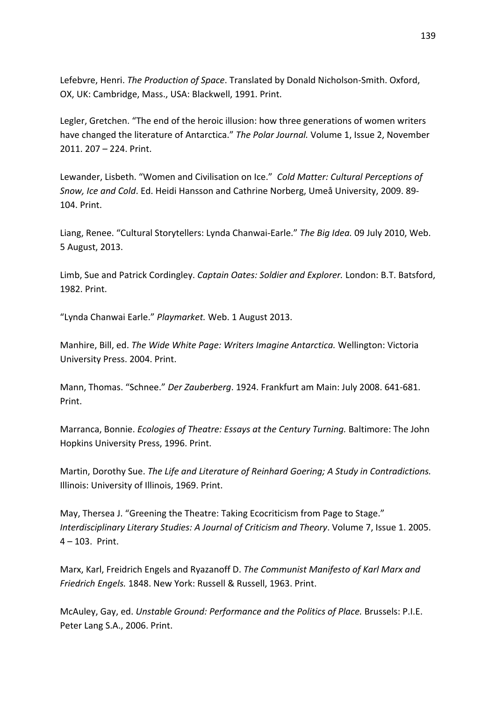Lefebvre, Henri. The Production of Space. Translated by Donald Nicholson-Smith. Oxford, OX,
UK:
Cambridge,
Mass.,
USA:
Blackwell,
1991.
Print.

Legler, Gretchen. "The end of the heroic illusion: how three generations of women writers have changed the literature of Antarctica." The Polar Journal. Volume 1, Issue 2, November 2011.
207
–
224.
Print.

Lewander, Lisbeth. "Women and Civilisation on Ice." Cold Matter: Cultural Perceptions of Snow, Ice and Cold. Ed. Heidi Hansson and Cathrine Norberg, Umeå University, 2009. 89-104.
Print.

Liang, Renee. "Cultural Storytellers: Lynda Chanwai-Earle." The Big Idea. 09 July 2010, Web. 5
August,
2013.

Limb,
Sue
and
Patrick
Cordingley. *Captain
Oates:
Soldier
and
Explorer.* London:
B.T.
Batsford, 1982.
Print.

"Lynda
Chanwai
Earle."*Playmarket.*Web.
1
August
2013.

Manhire,
Bill,
ed. *The
Wide
White
Page:
Writers
Imagine
Antarctica.* Wellington:
Victoria University
Press.
2004.
Print.

Mann, Thomas. "Schnee." Der Zauberberg. 1924. Frankfurt am Main: July 2008. 641-681. Print.

Marranca,
Bonnie. *Ecologies
of
Theatre:
Essays
at
the
Century
Turning.* Baltimore:
The
John Hopkins
University
Press,
1996.
Print.

Martin,
Dorothy
Sue. *The
Life
and
Literature
of
Reinhard
Goering;
A
Study
in
Contradictions.* Illinois:
University
of
Illinois,
1969.
Print.

May, Thersea J. "Greening the Theatre: Taking Ecocriticism from Page to Stage." Interdisciplinary Literary Studies: A Journal of Criticism and Theory. Volume 7, Issue 1. 2005. 4
–
103.

Print.

Marx,
Karl,
Freidrich
Engels
and
Ryazanoff
D. *The
Communist
Manifesto
of
Karl
Marx
and Friedrich
Engels.* 1848.
New
York:
Russell
&
Russell,
1963.
Print.

McAuley,
Gay,
ed. *Unstable
Ground:
Performance
and
the
Politics
of
Place.*Brussels:
P.I.E. Peter
Lang
S.A.,
2006.
Print.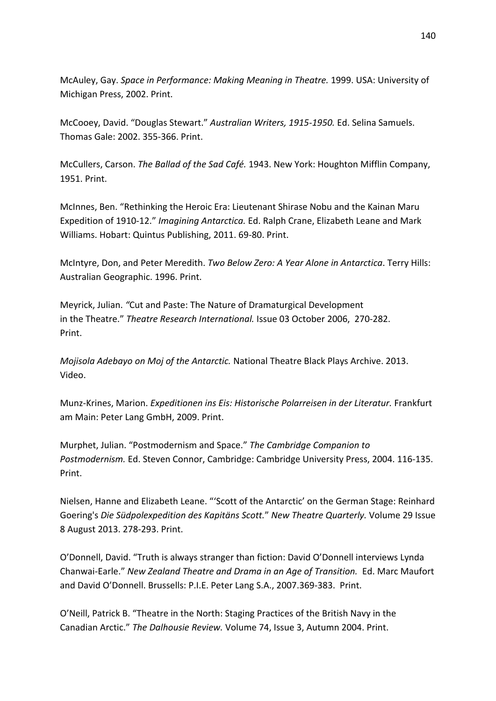McAuley,
Gay. *Space
in
Performance:
Making
Meaning
in
Theatre.* 1999.
USA:
University
of Michigan
Press,
2002.
Print.

McCooey,
David.
"Douglas
Stewart." *Australian
Writers,
1915‐1950.* Ed.
Selina
Samuels. Thomas
Gale:
2002.
355‐366.
Print.

McCullers,
Carson. *The
Ballad
of
the
Sad
Café.* 1943.
New
York:
Houghton
Mifflin
Company, 1951.
Print.

McInnes,
Ben.
"Rethinking
the
Heroic
Era:
Lieutenant
Shirase
Nobu
and
the
Kainan
Maru Expedition of 1910-12." Imagining Antarctica. Ed. Ralph Crane, Elizabeth Leane and Mark Williams.
Hobart:
Quintus
Publishing,
2011.
69‐80.
Print.

McIntyre, Don, and Peter Meredith. Two Below Zero: A Year Alone in Antarctica. Terry Hills: Australian
Geographic.
1996.
Print.

Meyrick,
Julian.*"*Cut
and
Paste:
The
Nature
of
Dramaturgical
Development in the Theatre." Theatre Research International. Issue 03 October 2006, 270-282. Print.

Mojisola Adebayo on Moj of the Antarctic. National Theatre Black Plays Archive. 2013. Video.

Munz‐Krines,
Marion. *Expeditionen
ins
Eis:
Historische
Polarreisen
in
der
Literatur.* Frankfurt am
Main:
Peter
Lang
GmbH,
2009.
Print.

Murphet,
Julian.
"Postmodernism
and
Space." *The
Cambridge
Companion
to*  Postmodernism. Ed. Steven Connor, Cambridge: Cambridge University Press, 2004. 116-135. Print.

Nielsen,
Hanne
and
Elizabeth
Leane.
"'Scott
of
the
Antarctic'
on
the
German
Stage:
Reinhard Goering's *Die Südpolexpedition des Kapitäns Scott.*" *New Theatre Quarterly.* Volume 29 Issue 8 August 2013. 278‐293. Print.

O'Donnell, David. "Truth is always stranger than fiction: David O'Donnell interviews Lynda Chanwai‐Earle." *New
Zealand
Theatre
and
Drama
in
an
Age
of
Transition.* Ed.
Marc
Maufort and
David
O'Donnell.
Brussells:
P.I.E.
Peter
Lang
S.A.,
2007.369‐383.

Print.

O'Neill, Patrick B. "Theatre in the North: Staging Practices of the British Navy in the Canadian
Arctic." *The
Dalhousie
Review.* Volume
74,
Issue
3,
Autumn
2004.
Print.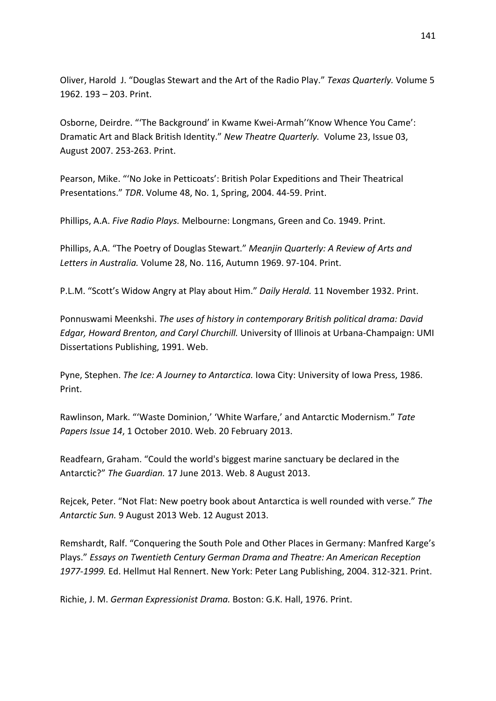Oliver, Harold J. "Douglas Stewart and the Art of the Radio Play." *Texas Quarterly*. Volume 5 1962.
193
–
203.
Print.

Osborne, Deirdre. "'The Background' in Kwame Kwei-Armah''Know Whence You Came': Dramatic Art and Black British Identity." New Theatre Quarterly. Volume 23, Issue 03, August
2007.
253‐263.
Print.

Pearson, Mike, "'No Joke in Petticoats': British Polar Expeditions and Their Theatrical Presentations." TDR. Volume 48, No. 1, Spring, 2004. 44-59. Print.

Phillips, A.A. Five Radio Plays. Melbourne: Longmans, Green and Co. 1949. Print.

Phillips, A.A. "The Poetry of Douglas Stewart." *Meanjin Quarterly: A Review of Arts and* Letters in Australia. Volume 28, No. 116, Autumn 1969. 97-104. Print.

P.L.M. "Scott's Widow Angry at Play about Him." Daily Herald. 11 November 1932. Print.

Ponnuswami
Meenkshi. *The
uses
of
history
in
contemporary
British
political
drama:
David*  Edgar, Howard Brenton, and Caryl Churchill. University of Illinois at Urbana-Champaign: UMI Dissertations
Publishing,
1991.
Web.

Pyne, Stephen. The Ice: A Journey to Antarctica. Iowa City: University of Iowa Press, 1986. Print.

Rawlinson,
Mark.
"'Waste
Dominion,'
'White
Warfare,'
and
Antarctic
Modernism." *Tate Papers
Issue
14*,
1
October
2010.
Web.
20
February
2013.

Readfearn,
Graham.
"Could
the
world's
biggest
marine
sanctuary
be
declared
in
the Antarctic?" The Guardian. 17 June 2013. Web. 8 August 2013.

Rejcek,
Peter.
"Not
Flat:
New
poetry
book
about
Antarctica
is
well
rounded
with
verse." *The Antarctic
Sun.* 9
August
2013
Web.
12
August
2013.

Remshardt,
Ralf.
"Conquering
the
South
Pole
and
Other
Places
in
Germany:
Manfred
Karge's Plays." *Essays
on
Twentieth
Century
German
Drama
and
Theatre:
An
American
Reception*  1977-1999. Ed. Hellmut Hal Rennert. New York: Peter Lang Publishing, 2004. 312-321. Print.

Richie,
J.
M. *German
Expressionist
Drama.* Boston:
G.K.
Hall,
1976.
Print.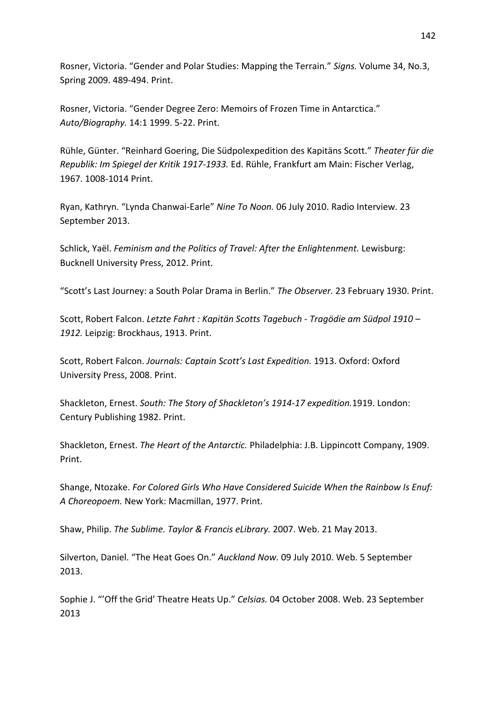Rosner, Victoria. "Gender and Polar Studies: Mapping the Terrain." Signs. Volume 34, No.3, Spring
2009.
489‐494.
Print.

Rosner,
Victoria.
"Gender
Degree
Zero:
Memoirs
of
Frozen
Time
in
Antarctica." *Auto/Biography.* 14:1
1999.
5‐22.
Print.

Rühle,
Günter.
"Reinhard
Goering,
Die
Südpolexpedition
des
Kapitäns
Scott." *Theater
für
die*  Republik: Im Spiegel der Kritik 1917-1933. Ed. Rühle, Frankfurt am Main: Fischer Verlag, 1967.
1008‐1014
Print.

Ryan, Kathryn. "Lynda Chanwai-Earle" Nine To Noon. 06 July 2010. Radio Interview. 23 September
2013.

Schlick,
Yaël. *Feminism
and
the
Politics
of
Travel:
After
the
Enlightenment.* Lewisburg: Bucknell
University
Press,
2012.
Print.

"Scott's Last Journey: a South Polar Drama in Berlin." The Observer. 23 February 1930. Print.

Scott,
Robert
Falcon. *Letzte
Fahrt
:
Kapitän
Scotts
Tagebuch
‐
Tragödie
am
Südpol
1910
– 1912.*Leipzig:
Brockhaus,
1913.
Print.

Scott, Robert Falcon. Journals: Captain Scott's Last Expedition. 1913. Oxford: Oxford University
Press,
2008.
Print.

Shackleton,
Ernest. *South:
The
Story
of
Shackleton's
1914‐17
expedition.*1919. London: Century
Publishing
1982.
Print.

Shackleton,
Ernest. *The
Heart
of
the
Antarctic.* Philadelphia:
J.B.
Lippincott
Company,
1909. Print.

Shange,
Ntozake. *For
Colored
Girls
Who
Have
Considered
Suicide
When
the
Rainbow
Is
Enuf: A
Choreopoem.* New
York:
Macmillan,
1977.
Print.

Shaw,
Philip. *The
Sublime.
Taylor
&
Francis
eLibrary.*2007.
Web.
21
May
2013.

Silverton,
Daniel.
"The
Heat
Goes
On." *Auckland
Now.* 09
July
2010.
Web.
5
September 2013.

Sophie J. "'Off the Grid' Theatre Heats Up." Celsias. 04 October 2008. Web. 23 September 2013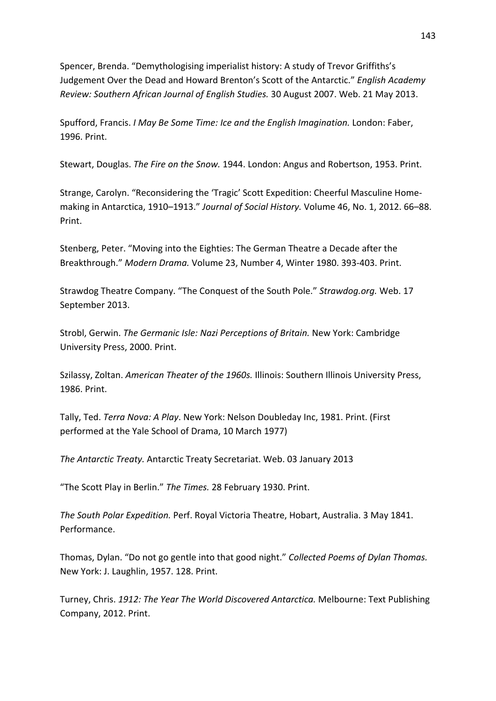Spencer, Brenda. "Demythologising imperialist history: A study of Trevor Griffiths's Judgement
Over
the
Dead
and
Howard
Brenton's
Scott
of
the
Antarctic." *English
Academy Review:
Southern
African
Journal
of
English
Studies.* 30
August
2007. Web.
21
May
2013.

Spufford,
Francis. *I
May
Be
Some
Time:
Ice
and
the
English
Imagination.* London:
Faber, 1996.
Print.

Stewart, Douglas. The Fire on the Snow. 1944. London: Angus and Robertson, 1953. Print.

Strange, Carolyn. "Reconsidering the 'Tragic' Scott Expedition: Cheerful Masculine Homemaking in Antarctica, 1910–1913." *Journal of Social History*. Volume 46, No. 1, 2012. 66–88. Print.

Stenberg,
Peter.
"Moving
into
the
Eighties:
The
German
Theatre
a
Decade
after
the Breakthrough." Modern Drama. Volume 23, Number 4, Winter 1980. 393-403. Print.

Strawdog
Theatre
Company.
"The
Conquest
of
the
South
Pole." *Strawdog.org.* Web.
17 September
2013.

Strobl,
Gerwin. *The
Germanic
Isle:
Nazi
Perceptions
of
Britain.* New
York:
Cambridge University
Press,
2000.
Print.

Szilassy, Zoltan. American Theater of the 1960s. Illinois: Southern Illinois University Press, 1986.
Print.

Tally,
Ted. *Terra
Nova:
A
Play*.
New
York:
Nelson
Doubleday
Inc, 1981.
Print.
(First performed
at
the
Yale
School
of
Drama,
10
March
1977)

*The
Antarctic
Treaty.* Antarctic
Treaty
Secretariat.
Web.
03
January
2013

"The
Scott
Play
in
Berlin." *The
Times.* 28
February
1930.
Print.

The South Polar Expedition. Perf. Royal Victoria Theatre, Hobart, Australia. 3 May 1841. Performance.

Thomas, Dylan. "Do not go gentle into that good night." *Collected Poems of Dylan Thomas.* New
York:
J.
Laughlin,
1957.
128.
Print.

Turney,
Chris. *1912:
The
Year
The
World
Discovered
Antarctica.* Melbourne:
Text
Publishing Company,
2012.
Print.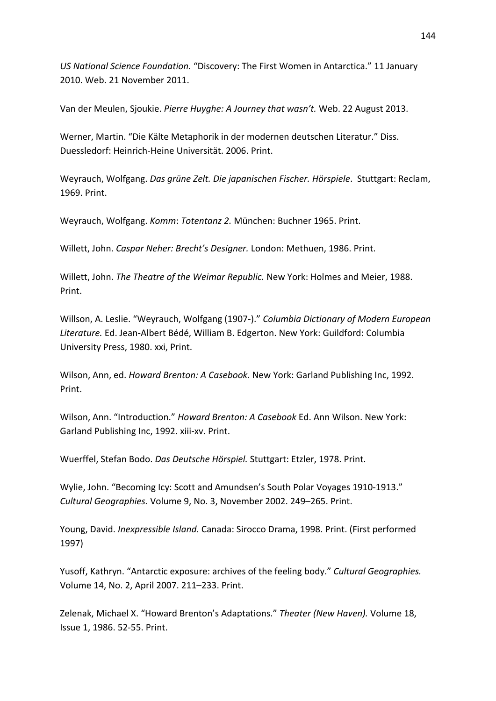US National Science Foundation. "Discovery: The First Women in Antarctica." 11 January 2010.
Web.
21
November
2011.

Van
der
Meulen,
Sjoukie. *Pierre
Huyghe:
A
Journey
that
wasn't.* Web.
22
August
2013.

Werner, Martin. "Die Kälte Metaphorik in der modernen deutschen Literatur." Diss. Duessledorf:
Heinrich‐Heine
Universität.
2006.
Print.

Weyrauch, Wolfgang. Das grüne Zelt. Die japanischen Fischer. Hörspiele. Stuttgart: Reclam, 1969.
Print.

Weyrauch,
Wolfgang. *Komm*: *Totentanz
2.* München:
Buchner
1965.
Print.

Willett, John. Caspar Neher: Brecht's Designer. London: Methuen, 1986. Print.

Willett, John. The Theatre of the Weimar Republic. New York: Holmes and Meier, 1988. Print.

Willson, A. Leslie. "Weyrauch, Wolfgang (1907-)." Columbia Dictionary of Modern European Literature. Ed. Jean-Albert Bédé, William B. Edgerton. New York: Guildford: Columbia University
Press,
1980.
xxi,
Print.

Wilson, Ann, ed. Howard Brenton: A Casebook. New York: Garland Publishing Inc, 1992. Print.

Wilson, Ann. "Introduction." Howard Brenton: A Casebook Ed. Ann Wilson. New York: Garland
Publishing
Inc,
1992.
xiii‐xv.
Print.

Wuerffel,
Stefan
Bodo. *Das
Deutsche
Hörspiel.*Stuttgart:
Etzler,
1978.
Print.

Wylie, John. "Becoming Icy: Scott and Amundsen's South Polar Voyages 1910-1913." Cultural Geographies. Volume 9, No. 3, November 2002. 249–265. Print.

Young, David. *Inexpressible Island*. Canada: Sirocco Drama, 1998. Print. (First performed 1997)

Yusoff, Kathryn. "Antarctic exposure: archives of the feeling body." Cultural Geographies. Volume
14,
No.
2,
April
2007.
211–233.
Print.

Zelenak, Michael X. "Howard Brenton's Adaptations." Theater (New Haven). Volume 18, Issue
1,
1986.
52‐55.
Print.